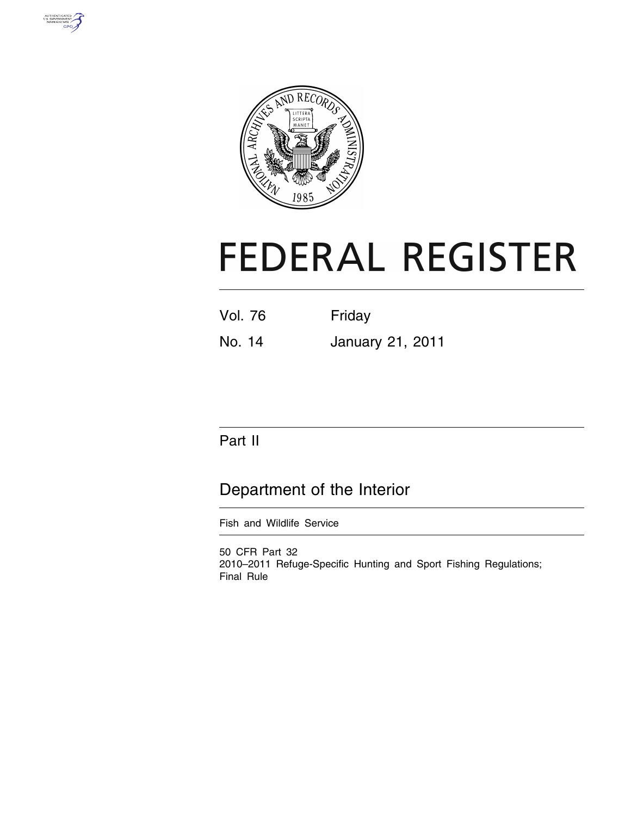



# **FEDERAL REGISTER**

| Vol. 76 | Friday |
|---------|--------|
|         |        |

No. 14 January 21, 2011

# Part II

# Department of the Interior

Fish and Wildlife Service

50 CFR Part 32 2010–2011 Refuge-Specific Hunting and Sport Fishing Regulations; Final Rule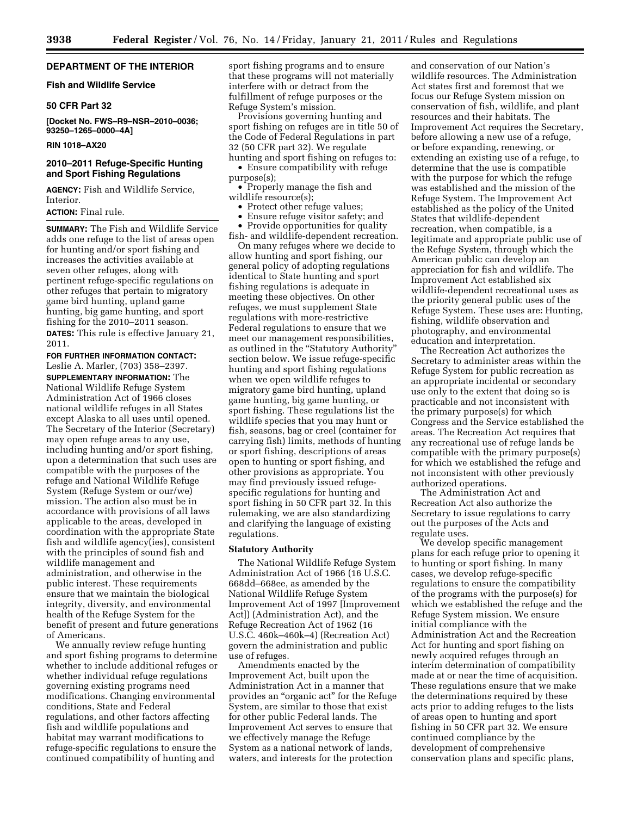#### **DEPARTMENT OF THE INTERIOR**

#### **Fish and Wildlife Service**

#### **50 CFR Part 32**

**[Docket No. FWS–R9–NSR–2010–0036; 93250–1265–0000–4A]** 

#### **RIN 1018–AX20**

#### **2010–2011 Refuge-Specific Hunting and Sport Fishing Regulations**

**AGENCY:** Fish and Wildlife Service, Interior.

**ACTION:** Final rule.

**SUMMARY:** The Fish and Wildlife Service adds one refuge to the list of areas open for hunting and/or sport fishing and increases the activities available at seven other refuges, along with pertinent refuge-specific regulations on other refuges that pertain to migratory game bird hunting, upland game hunting, big game hunting, and sport fishing for the 2010–2011 season.

**DATES:** This rule is effective January 21, 2011.

**FOR FURTHER INFORMATION CONTACT:**  Leslie A. Marler, (703) 358–2397.

**SUPPLEMENTARY INFORMATION:** The National Wildlife Refuge System Administration Act of 1966 closes national wildlife refuges in all States except Alaska to all uses until opened. The Secretary of the Interior (Secretary) may open refuge areas to any use, including hunting and/or sport fishing, upon a determination that such uses are compatible with the purposes of the refuge and National Wildlife Refuge System (Refuge System or our/we) mission. The action also must be in accordance with provisions of all laws applicable to the areas, developed in coordination with the appropriate State fish and wildlife agency(ies), consistent with the principles of sound fish and wildlife management and administration, and otherwise in the public interest. These requirements ensure that we maintain the biological integrity, diversity, and environmental health of the Refuge System for the benefit of present and future generations of Americans.

We annually review refuge hunting and sport fishing programs to determine whether to include additional refuges or whether individual refuge regulations governing existing programs need modifications. Changing environmental conditions, State and Federal regulations, and other factors affecting fish and wildlife populations and habitat may warrant modifications to refuge-specific regulations to ensure the continued compatibility of hunting and

sport fishing programs and to ensure that these programs will not materially interfere with or detract from the fulfillment of refuge purposes or the Refuge System's mission.

Provisions governing hunting and sport fishing on refuges are in title 50 of the Code of Federal Regulations in part 32 (50 CFR part 32). We regulate hunting and sport fishing on refuges to:

• Ensure compatibility with refuge purpose(s);

• Properly manage the fish and wildlife resource(s);

- Protect other refuge values;
- Ensure refuge visitor safety; and

• Provide opportunities for quality fish- and wildlife-dependent recreation.

On many refuges where we decide to allow hunting and sport fishing, our general policy of adopting regulations identical to State hunting and sport fishing regulations is adequate in meeting these objectives. On other refuges, we must supplement State regulations with more-restrictive Federal regulations to ensure that we meet our management responsibilities, as outlined in the "Statutory Authority' section below. We issue refuge-specific hunting and sport fishing regulations when we open wildlife refuges to migratory game bird hunting, upland game hunting, big game hunting, or sport fishing. These regulations list the wildlife species that you may hunt or fish, seasons, bag or creel (container for carrying fish) limits, methods of hunting or sport fishing, descriptions of areas open to hunting or sport fishing, and other provisions as appropriate. You may find previously issued refugespecific regulations for hunting and sport fishing in 50 CFR part 32. In this rulemaking, we are also standardizing and clarifying the language of existing regulations.

#### **Statutory Authority**

The National Wildlife Refuge System Administration Act of 1966 (16 U.S.C. 668dd–668ee, as amended by the National Wildlife Refuge System Improvement Act of 1997 [Improvement Act]) (Administration Act), and the Refuge Recreation Act of 1962 (16 U.S.C. 460k–460k–4) (Recreation Act) govern the administration and public use of refuges.

Amendments enacted by the Improvement Act, built upon the Administration Act in a manner that provides an ''organic act'' for the Refuge System, are similar to those that exist for other public Federal lands. The Improvement Act serves to ensure that we effectively manage the Refuge System as a national network of lands, waters, and interests for the protection

and conservation of our Nation's wildlife resources. The Administration Act states first and foremost that we focus our Refuge System mission on conservation of fish, wildlife, and plant resources and their habitats. The Improvement Act requires the Secretary, before allowing a new use of a refuge, or before expanding, renewing, or extending an existing use of a refuge, to determine that the use is compatible with the purpose for which the refuge was established and the mission of the Refuge System. The Improvement Act established as the policy of the United States that wildlife-dependent recreation, when compatible, is a legitimate and appropriate public use of the Refuge System, through which the American public can develop an appreciation for fish and wildlife. The Improvement Act established six wildlife-dependent recreational uses as the priority general public uses of the Refuge System. These uses are: Hunting, fishing, wildlife observation and photography, and environmental education and interpretation.

The Recreation Act authorizes the Secretary to administer areas within the Refuge System for public recreation as an appropriate incidental or secondary use only to the extent that doing so is practicable and not inconsistent with the primary purpose(s) for which Congress and the Service established the areas. The Recreation Act requires that any recreational use of refuge lands be compatible with the primary purpose(s) for which we established the refuge and not inconsistent with other previously authorized operations.

The Administration Act and Recreation Act also authorize the Secretary to issue regulations to carry out the purposes of the Acts and regulate uses.

We develop specific management plans for each refuge prior to opening it to hunting or sport fishing. In many cases, we develop refuge-specific regulations to ensure the compatibility of the programs with the purpose(s) for which we established the refuge and the Refuge System mission. We ensure initial compliance with the Administration Act and the Recreation Act for hunting and sport fishing on newly acquired refuges through an interim determination of compatibility made at or near the time of acquisition. These regulations ensure that we make the determinations required by these acts prior to adding refuges to the lists of areas open to hunting and sport fishing in 50 CFR part 32. We ensure continued compliance by the development of comprehensive conservation plans and specific plans,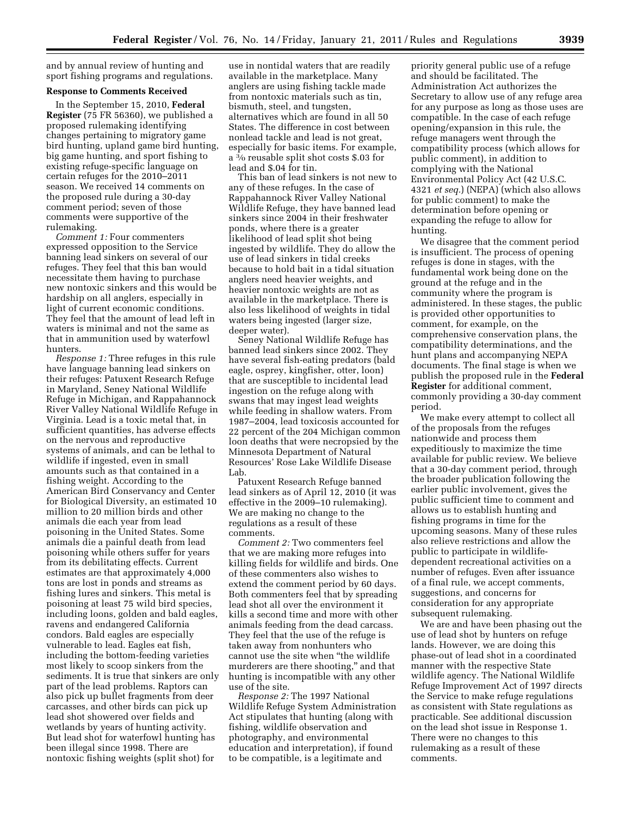and by annual review of hunting and sport fishing programs and regulations.

#### **Response to Comments Received**

In the September 15, 2010, **Federal Register** (75 FR 56360), we published a proposed rulemaking identifying changes pertaining to migratory game bird hunting, upland game bird hunting, big game hunting, and sport fishing to existing refuge-specific language on certain refuges for the 2010–2011 season. We received 14 comments on the proposed rule during a 30-day comment period; seven of those comments were supportive of the rulemaking.

*Comment 1:* Four commenters expressed opposition to the Service banning lead sinkers on several of our refuges. They feel that this ban would necessitate them having to purchase new nontoxic sinkers and this would be hardship on all anglers, especially in light of current economic conditions. They feel that the amount of lead left in waters is minimal and not the same as that in ammunition used by waterfowl hunters.

*Response 1:* Three refuges in this rule have language banning lead sinkers on their refuges: Patuxent Research Refuge in Maryland, Seney National Wildlife Refuge in Michigan, and Rappahannock River Valley National Wildlife Refuge in Virginia. Lead is a toxic metal that, in sufficient quantities, has adverse effects on the nervous and reproductive systems of animals, and can be lethal to wildlife if ingested, even in small amounts such as that contained in a fishing weight. According to the American Bird Conservancy and Center for Biological Diversity, an estimated 10 million to 20 million birds and other animals die each year from lead poisoning in the United States. Some animals die a painful death from lead poisoning while others suffer for years from its debilitating effects. Current estimates are that approximately 4,000 tons are lost in ponds and streams as fishing lures and sinkers. This metal is poisoning at least 75 wild bird species, including loons, golden and bald eagles, ravens and endangered California condors. Bald eagles are especially vulnerable to lead. Eagles eat fish, including the bottom-feeding varieties most likely to scoop sinkers from the sediments. It is true that sinkers are only part of the lead problems. Raptors can also pick up bullet fragments from deer carcasses, and other birds can pick up lead shot showered over fields and wetlands by years of hunting activity. But lead shot for waterfowl hunting has been illegal since 1998. There are nontoxic fishing weights (split shot) for

use in nontidal waters that are readily available in the marketplace. Many anglers are using fishing tackle made from nontoxic materials such as tin, bismuth, steel, and tungsten, alternatives which are found in all 50 States. The difference in cost between nonlead tackle and lead is not great, especially for basic items. For example, a 3⁄0 reusable split shot costs \$.03 for lead and \$.04 for tin.

This ban of lead sinkers is not new to any of these refuges. In the case of Rappahannock River Valley National Wildlife Refuge, they have banned lead sinkers since 2004 in their freshwater ponds, where there is a greater likelihood of lead split shot being ingested by wildlife. They do allow the use of lead sinkers in tidal creeks because to hold bait in a tidal situation anglers need heavier weights, and heavier nontoxic weights are not as available in the marketplace. There is also less likelihood of weights in tidal waters being ingested (larger size, deeper water).

Seney National Wildlife Refuge has banned lead sinkers since 2002. They have several fish-eating predators (bald eagle, osprey, kingfisher, otter, loon) that are susceptible to incidental lead ingestion on the refuge along with swans that may ingest lead weights while feeding in shallow waters. From 1987–2004, lead toxicosis accounted for 22 percent of the 204 Michigan common loon deaths that were necropsied by the Minnesota Department of Natural Resources' Rose Lake Wildlife Disease Lab.

Patuxent Research Refuge banned lead sinkers as of April 12, 2010 (it was effective in the 2009–10 rulemaking). We are making no change to the regulations as a result of these comments.

*Comment 2:* Two commenters feel that we are making more refuges into killing fields for wildlife and birds. One of these commenters also wishes to extend the comment period by 60 days. Both commenters feel that by spreading lead shot all over the environment it kills a second time and more with other animals feeding from the dead carcass. They feel that the use of the refuge is taken away from nonhunters who cannot use the site when ''the wildlife murderers are there shooting," and that hunting is incompatible with any other use of the site.

*Response 2:* The 1997 National Wildlife Refuge System Administration Act stipulates that hunting (along with fishing, wildlife observation and photography, and environmental education and interpretation), if found to be compatible, is a legitimate and

priority general public use of a refuge and should be facilitated. The Administration Act authorizes the Secretary to allow use of any refuge area for any purpose as long as those uses are compatible. In the case of each refuge opening/expansion in this rule, the refuge managers went through the compatibility process (which allows for public comment), in addition to complying with the National Environmental Policy Act (42 U.S.C. 4321 *et seq.*) (NEPA) (which also allows for public comment) to make the determination before opening or expanding the refuge to allow for hunting.

We disagree that the comment period is insufficient. The process of opening refuges is done in stages, with the fundamental work being done on the ground at the refuge and in the community where the program is administered. In these stages, the public is provided other opportunities to comment, for example, on the comprehensive conservation plans, the compatibility determinations, and the hunt plans and accompanying NEPA documents. The final stage is when we publish the proposed rule in the **Federal Register** for additional comment, commonly providing a 30-day comment period.

We make every attempt to collect all of the proposals from the refuges nationwide and process them expeditiously to maximize the time available for public review. We believe that a 30-day comment period, through the broader publication following the earlier public involvement, gives the public sufficient time to comment and allows us to establish hunting and fishing programs in time for the upcoming seasons. Many of these rules also relieve restrictions and allow the public to participate in wildlifedependent recreational activities on a number of refuges. Even after issuance of a final rule, we accept comments, suggestions, and concerns for consideration for any appropriate subsequent rulemaking.

We are and have been phasing out the use of lead shot by hunters on refuge lands. However, we are doing this phase-out of lead shot in a coordinated manner with the respective State wildlife agency. The National Wildlife Refuge Improvement Act of 1997 directs the Service to make refuge regulations as consistent with State regulations as practicable. See additional discussion on the lead shot issue in Response 1. There were no changes to this rulemaking as a result of these comments.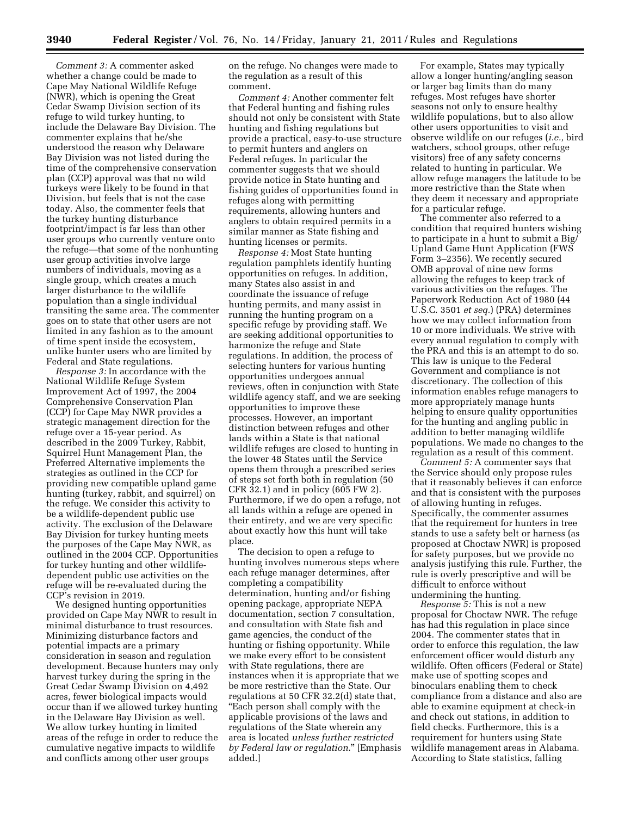*Comment 3:* A commenter asked whether a change could be made to Cape May National Wildlife Refuge (NWR), which is opening the Great Cedar Swamp Division section of its refuge to wild turkey hunting, to include the Delaware Bay Division. The commenter explains that he/she understood the reason why Delaware Bay Division was not listed during the time of the comprehensive conservation plan (CCP) approval was that no wild turkeys were likely to be found in that Division, but feels that is not the case today. Also, the commenter feels that the turkey hunting disturbance footprint/impact is far less than other user groups who currently venture onto the refuge—that some of the nonhunting user group activities involve large numbers of individuals, moving as a single group, which creates a much larger disturbance to the wildlife population than a single individual transiting the same area. The commenter goes on to state that other users are not limited in any fashion as to the amount of time spent inside the ecosystem, unlike hunter users who are limited by Federal and State regulations.

*Response 3:* In accordance with the National Wildlife Refuge System Improvement Act of 1997, the 2004 Comprehensive Conservation Plan (CCP) for Cape May NWR provides a strategic management direction for the refuge over a 15-year period. As described in the 2009 Turkey, Rabbit, Squirrel Hunt Management Plan, the Preferred Alternative implements the strategies as outlined in the CCP for providing new compatible upland game hunting (turkey, rabbit, and squirrel) on the refuge. We consider this activity to be a wildlife-dependent public use activity. The exclusion of the Delaware Bay Division for turkey hunting meets the purposes of the Cape May NWR, as outlined in the 2004 CCP. Opportunities for turkey hunting and other wildlifedependent public use activities on the refuge will be re-evaluated during the CCP's revision in 2019.

We designed hunting opportunities provided on Cape May NWR to result in minimal disturbance to trust resources. Minimizing disturbance factors and potential impacts are a primary consideration in season and regulation development. Because hunters may only harvest turkey during the spring in the Great Cedar Swamp Division on 4,492 acres, fewer biological impacts would occur than if we allowed turkey hunting in the Delaware Bay Division as well. We allow turkey hunting in limited areas of the refuge in order to reduce the cumulative negative impacts to wildlife and conflicts among other user groups

on the refuge. No changes were made to the regulation as a result of this comment.

*Comment 4:* Another commenter felt that Federal hunting and fishing rules should not only be consistent with State hunting and fishing regulations but provide a practical, easy-to-use structure to permit hunters and anglers on Federal refuges. In particular the commenter suggests that we should provide notice in State hunting and fishing guides of opportunities found in refuges along with permitting requirements, allowing hunters and anglers to obtain required permits in a similar manner as State fishing and hunting licenses or permits.

*Response 4:* Most State hunting regulation pamphlets identify hunting opportunities on refuges. In addition, many States also assist in and coordinate the issuance of refuge hunting permits, and many assist in running the hunting program on a specific refuge by providing staff. We are seeking additional opportunities to harmonize the refuge and State regulations. In addition, the process of selecting hunters for various hunting opportunities undergoes annual reviews, often in conjunction with State wildlife agency staff, and we are seeking opportunities to improve these processes. However, an important distinction between refuges and other lands within a State is that national wildlife refuges are closed to hunting in the lower 48 States until the Service opens them through a prescribed series of steps set forth both in regulation (50 CFR 32.1) and in policy (605 FW 2). Furthermore, if we do open a refuge, not all lands within a refuge are opened in their entirety, and we are very specific about exactly how this hunt will take place.

The decision to open a refuge to hunting involves numerous steps where each refuge manager determines, after completing a compatibility determination, hunting and/or fishing opening package, appropriate NEPA documentation, section 7 consultation, and consultation with State fish and game agencies, the conduct of the hunting or fishing opportunity. While we make every effort to be consistent with State regulations, there are instances when it is appropriate that we be more restrictive than the State. Our regulations at 50 CFR 32.2(d) state that, ''Each person shall comply with the applicable provisions of the laws and regulations of the State wherein any area is located *unless further restricted by Federal law or regulation.*'' [Emphasis added.]

For example, States may typically allow a longer hunting/angling season or larger bag limits than do many refuges. Most refuges have shorter seasons not only to ensure healthy wildlife populations, but to also allow other users opportunities to visit and observe wildlife on our refuges (*i.e.,* bird watchers, school groups, other refuge visitors) free of any safety concerns related to hunting in particular. We allow refuge managers the latitude to be more restrictive than the State when they deem it necessary and appropriate for a particular refuge.

The commenter also referred to a condition that required hunters wishing to participate in a hunt to submit a Big/ Upland Game Hunt Application (FWS Form 3–2356). We recently secured OMB approval of nine new forms allowing the refuges to keep track of various activities on the refuges. The Paperwork Reduction Act of 1980 (44 U.S.C. 3501 *et seq.*) (PRA) determines how we may collect information from 10 or more individuals. We strive with every annual regulation to comply with the PRA and this is an attempt to do so. This law is unique to the Federal Government and compliance is not discretionary. The collection of this information enables refuge managers to more appropriately manage hunts helping to ensure quality opportunities for the hunting and angling public in addition to better managing wildlife populations. We made no changes to the regulation as a result of this comment.

*Comment 5:* A commenter says that the Service should only propose rules that it reasonably believes it can enforce and that is consistent with the purposes of allowing hunting in refuges. Specifically, the commenter assumes that the requirement for hunters in tree stands to use a safety belt or harness (as proposed at Choctaw NWR) is proposed for safety purposes, but we provide no analysis justifying this rule. Further, the rule is overly prescriptive and will be difficult to enforce without undermining the hunting.

*Response 5:* This is not a new proposal for Choctaw NWR. The refuge has had this regulation in place since 2004. The commenter states that in order to enforce this regulation, the law enforcement officer would disturb any wildlife. Often officers (Federal or State) make use of spotting scopes and binoculars enabling them to check compliance from a distance and also are able to examine equipment at check-in and check out stations, in addition to field checks. Furthermore, this is a requirement for hunters using State wildlife management areas in Alabama. According to State statistics, falling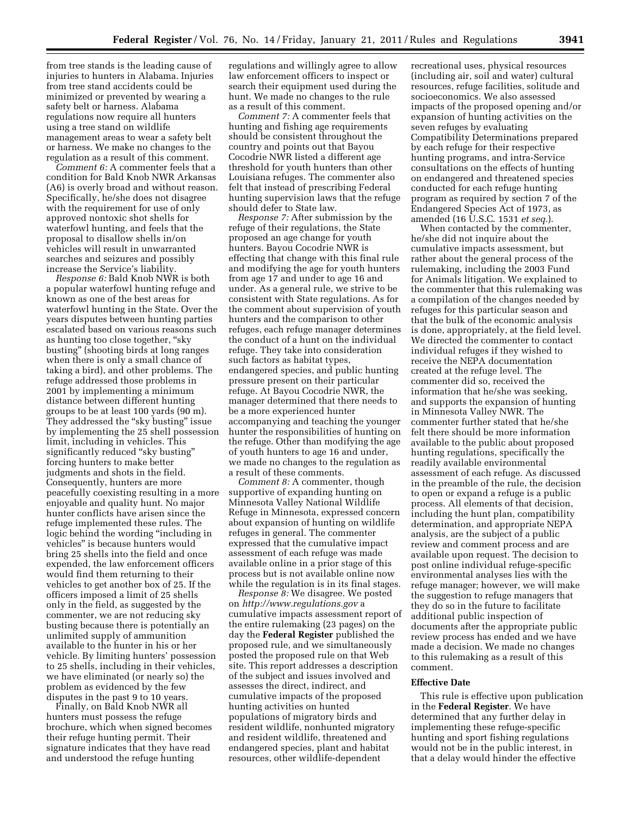from tree stands is the leading cause of injuries to hunters in Alabama. Injuries from tree stand accidents could be minimized or prevented by wearing a safety belt or harness. Alabama regulations now require all hunters using a tree stand on wildlife management areas to wear a safety belt or harness. We make no changes to the regulation as a result of this comment.

*Comment 6:* A commenter feels that a condition for Bald Knob NWR Arkansas (A6) is overly broad and without reason. Specifically, he/she does not disagree with the requirement for use of only approved nontoxic shot shells for waterfowl hunting, and feels that the proposal to disallow shells in/on vehicles will result in unwarranted searches and seizures and possibly increase the Service's liability.

*Response 6:* Bald Knob NWR is both a popular waterfowl hunting refuge and known as one of the best areas for waterfowl hunting in the State. Over the years disputes between hunting parties escalated based on various reasons such as hunting too close together, ''sky busting'' (shooting birds at long ranges when there is only a small chance of taking a bird), and other problems. The refuge addressed those problems in 2001 by implementing a minimum distance between different hunting groups to be at least 100 yards (90 m). They addressed the "sky busting" issue by implementing the 25 shell possession limit, including in vehicles. This significantly reduced "sky busting" forcing hunters to make better judgments and shots in the field. Consequently, hunters are more peacefully coexisting resulting in a more enjoyable and quality hunt. No major hunter conflicts have arisen since the refuge implemented these rules. The logic behind the wording "including in vehicles'' is because hunters would bring 25 shells into the field and once expended, the law enforcement officers would find them returning to their vehicles to get another box of 25. If the officers imposed a limit of 25 shells only in the field, as suggested by the commenter, we are not reducing sky busting because there is potentially an unlimited supply of ammunition available to the hunter in his or her vehicle. By limiting hunters' possession to 25 shells, including in their vehicles, we have eliminated (or nearly so) the problem as evidenced by the few disputes in the past 9 to 10 years.

Finally, on Bald Knob NWR all hunters must possess the refuge brochure, which when signed becomes their refuge hunting permit. Their signature indicates that they have read and understood the refuge hunting

regulations and willingly agree to allow law enforcement officers to inspect or search their equipment used during the hunt. We made no changes to the rule as a result of this comment.

*Comment 7:* A commenter feels that hunting and fishing age requirements should be consistent throughout the country and points out that Bayou Cocodrie NWR listed a different age threshold for youth hunters than other Louisiana refuges. The commenter also felt that instead of prescribing Federal hunting supervision laws that the refuge should defer to State law.

*Response 7:* After submission by the refuge of their regulations, the State proposed an age change for youth hunters. Bayou Cocodrie NWR is effecting that change with this final rule and modifying the age for youth hunters from age 17 and under to age 16 and under. As a general rule, we strive to be consistent with State regulations. As for the comment about supervision of youth hunters and the comparison to other refuges, each refuge manager determines the conduct of a hunt on the individual refuge. They take into consideration such factors as habitat types, endangered species, and public hunting pressure present on their particular refuge. At Bayou Cocodrie NWR, the manager determined that there needs to be a more experienced hunter accompanying and teaching the younger hunter the responsibilities of hunting on the refuge. Other than modifying the age of youth hunters to age 16 and under, we made no changes to the regulation as a result of these comments.

*Comment 8:* A commenter, though supportive of expanding hunting on Minnesota Valley National Wildlife Refuge in Minnesota, expressed concern about expansion of hunting on wildlife refuges in general. The commenter expressed that the cumulative impact assessment of each refuge was made available online in a prior stage of this process but is not available online now while the regulation is in its final stages.

*Response 8:* We disagree. We posted on *<http://www.regulations.gov>* a cumulative impacts assessment report of the entire rulemaking (23 pages) on the day the **Federal Register** published the proposed rule, and we simultaneously posted the proposed rule on that Web site. This report addresses a description of the subject and issues involved and assesses the direct, indirect, and cumulative impacts of the proposed hunting activities on hunted populations of migratory birds and resident wildlife, nonhunted migratory and resident wildlife, threatened and endangered species, plant and habitat resources, other wildlife-dependent

recreational uses, physical resources (including air, soil and water) cultural resources, refuge facilities, solitude and socioeconomics. We also assessed impacts of the proposed opening and/or expansion of hunting activities on the seven refuges by evaluating Compatibility Determinations prepared by each refuge for their respective hunting programs, and intra-Service consultations on the effects of hunting on endangered and threatened species conducted for each refuge hunting program as required by section 7 of the Endangered Species Act of 1973, as amended (16 U.S.C. 1531 *et seq.*).

When contacted by the commenter, he/she did not inquire about the cumulative impacts assessment, but rather about the general process of the rulemaking, including the 2003 Fund for Animals litigation. We explained to the commenter that this rulemaking was a compilation of the changes needed by refuges for this particular season and that the bulk of the economic analysis is done, appropriately, at the field level. We directed the commenter to contact individual refuges if they wished to receive the NEPA documentation created at the refuge level. The commenter did so, received the information that he/she was seeking, and supports the expansion of hunting in Minnesota Valley NWR. The commenter further stated that he/she felt there should be more information available to the public about proposed hunting regulations, specifically the readily available environmental assessment of each refuge. As discussed in the preamble of the rule, the decision to open or expand a refuge is a public process. All elements of that decision, including the hunt plan, compatibility determination, and appropriate NEPA analysis, are the subject of a public review and comment process and are available upon request. The decision to post online individual refuge-specific environmental analyses lies with the refuge manager; however, we will make the suggestion to refuge managers that they do so in the future to facilitate additional public inspection of documents after the appropriate public review process has ended and we have made a decision. We made no changes to this rulemaking as a result of this comment.

#### **Effective Date**

This rule is effective upon publication in the **Federal Register**. We have determined that any further delay in implementing these refuge-specific hunting and sport fishing regulations would not be in the public interest, in that a delay would hinder the effective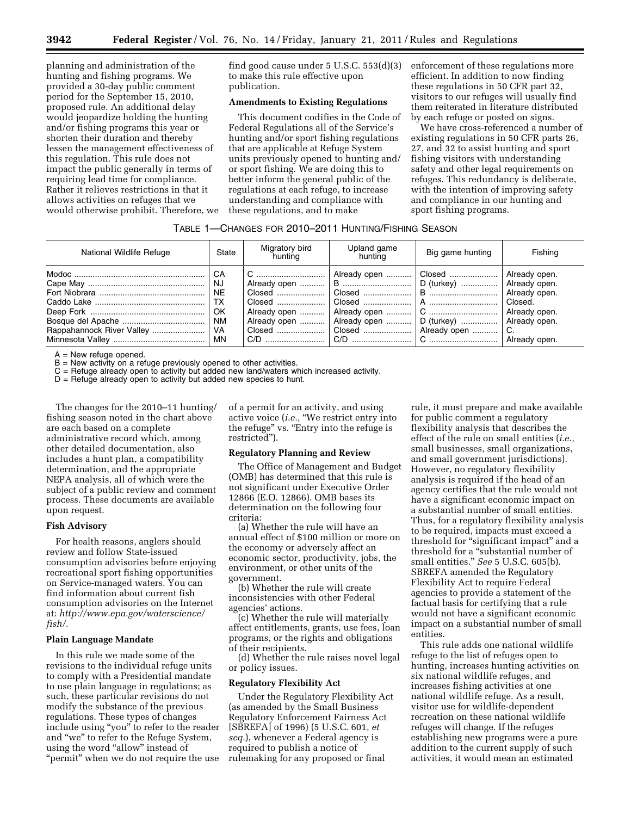planning and administration of the hunting and fishing programs. We provided a 30-day public comment period for the September 15, 2010, proposed rule. An additional delay would jeopardize holding the hunting and/or fishing programs this year or shorten their duration and thereby lessen the management effectiveness of this regulation. This rule does not impact the public generally in terms of requiring lead time for compliance. Rather it relieves restrictions in that it allows activities on refuges that we would otherwise prohibit. Therefore, we find good cause under 5 U.S.C. 553(d)(3) to make this rule effective upon publication.

#### **Amendments to Existing Regulations**

This document codifies in the Code of Federal Regulations all of the Service's hunting and/or sport fishing regulations that are applicable at Refuge System units previously opened to hunting and/ or sport fishing. We are doing this to better inform the general public of the regulations at each refuge, to increase understanding and compliance with these regulations, and to make

enforcement of these regulations more efficient. In addition to now finding these regulations in 50 CFR part 32, visitors to our refuges will usually find them reiterated in literature distributed by each refuge or posted on signs.

We have cross-referenced a number of existing regulations in 50 CFR parts 26, 27, and 32 to assist hunting and sport fishing visitors with understanding safety and other legal requirements on refuges. This redundancy is deliberate, with the intention of improving safety and compliance in our hunting and sport fishing programs.

#### TABLE 1—CHANGES FOR 2010–2011 HUNTING/FISHING SEASON

| National Wildlife Refuge | State        | Migratory bird<br>huntina | Upland game<br>huntina                                                                                                                                                                                                     | Big game hunting | Fishing |
|--------------------------|--------------|---------------------------|----------------------------------------------------------------------------------------------------------------------------------------------------------------------------------------------------------------------------|------------------|---------|
|                          | ∣ CA<br>l NE |                           | Already open $\mid$ B    D (turkey)    Already open.<br>Closed $\ldots$ Closed $\ldots$ Closed $\ldots$ B $\ldots$ $\ldots$ $\ldots$ $\ldots$ Already open.<br>Already open    Already open    D (turkey)    Already open. |                  | Closed. |

A = New refuge opened.

B = New activity on a refuge previously opened to other activities.

C = Refuge already open to activity but added new land/waters which increased activity.

 $D =$  Refuge already open to activity but added new species to hunt.

The changes for the 2010–11 hunting/ fishing season noted in the chart above are each based on a complete administrative record which, among other detailed documentation, also includes a hunt plan, a compatibility determination, and the appropriate NEPA analysis, all of which were the subject of a public review and comment process. These documents are available upon request.

#### **Fish Advisory**

For health reasons, anglers should review and follow State-issued consumption advisories before enjoying recreational sport fishing opportunities on Service-managed waters. You can find information about current fish consumption advisories on the Internet at: *[http://www.epa.gov/waterscience/](http://www.epa.gov/waterscience/fish/)  [fish/.](http://www.epa.gov/waterscience/fish/)* 

#### **Plain Language Mandate**

In this rule we made some of the revisions to the individual refuge units to comply with a Presidential mandate to use plain language in regulations; as such, these particular revisions do not modify the substance of the previous regulations. These types of changes include using ''you'' to refer to the reader and ''we'' to refer to the Refuge System, using the word "allow" instead of "permit" when we do not require the use

of a permit for an activity, and using active voice (*i.e.,* ''We restrict entry into the refuge'' vs. ''Entry into the refuge is restricted'').

#### **Regulatory Planning and Review**

The Office of Management and Budget (OMB) has determined that this rule is not significant under Executive Order 12866 (E.O. 12866). OMB bases its determination on the following four criteria:

(a) Whether the rule will have an annual effect of \$100 million or more on the economy or adversely affect an economic sector, productivity, jobs, the environment, or other units of the government.

(b) Whether the rule will create inconsistencies with other Federal agencies' actions.

(c) Whether the rule will materially affect entitlements, grants, use fees, loan programs, or the rights and obligations of their recipients.

(d) Whether the rule raises novel legal or policy issues.

#### **Regulatory Flexibility Act**

Under the Regulatory Flexibility Act (as amended by the Small Business Regulatory Enforcement Fairness Act [SBREFA] of 1996) (5 U.S.C. 601, *et seq.*), whenever a Federal agency is required to publish a notice of rulemaking for any proposed or final

rule, it must prepare and make available for public comment a regulatory flexibility analysis that describes the effect of the rule on small entities (*i.e.,*  small businesses, small organizations, and small government jurisdictions). However, no regulatory flexibility analysis is required if the head of an agency certifies that the rule would not have a significant economic impact on a substantial number of small entities. Thus, for a regulatory flexibility analysis to be required, impacts must exceed a threshold for ''significant impact'' and a threshold for a ''substantial number of small entities.'' *See* 5 U.S.C. 605(b). SBREFA amended the Regulatory Flexibility Act to require Federal agencies to provide a statement of the factual basis for certifying that a rule would not have a significant economic impact on a substantial number of small entities.

This rule adds one national wildlife refuge to the list of refuges open to hunting, increases hunting activities on six national wildlife refuges, and increases fishing activities at one national wildlife refuge. As a result, visitor use for wildlife-dependent recreation on these national wildlife refuges will change. If the refuges establishing new programs were a pure addition to the current supply of such activities, it would mean an estimated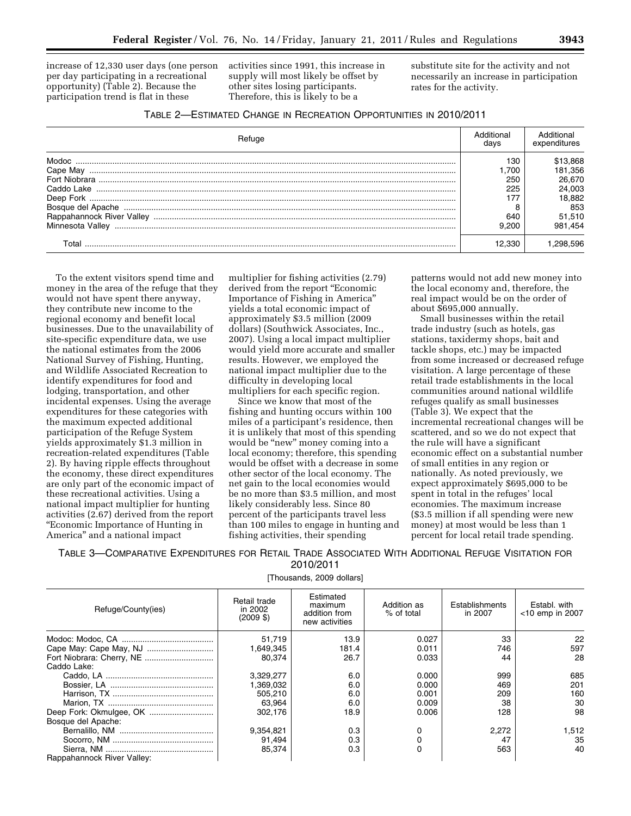increase of 12,330 user days (one person per day participating in a recreational opportunity) (Table 2). Because the participation trend is flat in these

activities since 1991, this increase in supply will most likely be offset by other sites losing participants. Therefore, this is likely to be a

substitute site for the activity and not necessarily an increase in participation rates for the activity.

| <b>Hefuge</b>      | Additional<br>davs | Additional<br>expenditures |
|--------------------|--------------------|----------------------------|
| Modoc.<br>Cape May | 130<br>.700        | \$13,868<br>181,356        |
|                    | 250                | 26.670                     |
|                    | 225                | 24.003                     |
|                    |                    | 18.882                     |
|                    |                    | 853                        |
|                    | 640                | 51.510                     |
| Minnesota Vallev   | 9.200              | 981.454                    |
| Tota               | 2.330              |                            |

To the extent visitors spend time and money in the area of the refuge that they would not have spent there anyway, they contribute new income to the regional economy and benefit local businesses. Due to the unavailability of site-specific expenditure data, we use the national estimates from the 2006 National Survey of Fishing, Hunting, and Wildlife Associated Recreation to identify expenditures for food and lodging, transportation, and other incidental expenses. Using the average expenditures for these categories with the maximum expected additional participation of the Refuge System yields approximately \$1.3 million in recreation-related expenditures (Table 2). By having ripple effects throughout the economy, these direct expenditures are only part of the economic impact of these recreational activities. Using a national impact multiplier for hunting activities (2.67) derived from the report ''Economic Importance of Hunting in America'' and a national impact

multiplier for fishing activities (2.79) derived from the report ''Economic Importance of Fishing in America'' yields a total economic impact of approximately \$3.5 million (2009 dollars) (Southwick Associates, Inc., 2007). Using a local impact multiplier would yield more accurate and smaller results. However, we employed the national impact multiplier due to the difficulty in developing local multipliers for each specific region.

Since we know that most of the fishing and hunting occurs within 100 miles of a participant's residence, then it is unlikely that most of this spending would be "new" money coming into a local economy; therefore, this spending would be offset with a decrease in some other sector of the local economy. The net gain to the local economies would be no more than \$3.5 million, and most likely considerably less. Since 80 percent of the participants travel less than 100 miles to engage in hunting and fishing activities, their spending

patterns would not add new money into the local economy and, therefore, the real impact would be on the order of about \$695,000 annually.

Small businesses within the retail trade industry (such as hotels, gas stations, taxidermy shops, bait and tackle shops, etc.) may be impacted from some increased or decreased refuge visitation. A large percentage of these retail trade establishments in the local communities around national wildlife refuges qualify as small businesses (Table 3). We expect that the incremental recreational changes will be scattered, and so we do not expect that the rule will have a significant economic effect on a substantial number of small entities in any region or nationally. As noted previously, we expect approximately \$695,000 to be spent in total in the refuges' local economies. The maximum increase (\$3.5 million if all spending were new money) at most would be less than 1 percent for local retail trade spending.

TABLE 3—COMPARATIVE EXPENDITURES FOR RETAIL TRADE ASSOCIATED WITH ADDITIONAL REFUGE VISITATION FOR 2010/2011

[Thousands, 2009 dollars]

| Refuge/County(ies)         | Retail trade<br>in 2002<br>(2009S) | Estimated<br>maximum<br>addition from<br>new activities | Addition as<br>% of total | Establishments<br>in 2007 | Establ. with<br>$<$ 10 emp in 2007 |
|----------------------------|------------------------------------|---------------------------------------------------------|---------------------------|---------------------------|------------------------------------|
|                            | 51,719                             | 13.9                                                    | 0.027                     | 33                        | 22                                 |
|                            | 1.649.345                          | 181.4                                                   | 0.011                     | 746                       | 597                                |
|                            | 80.374                             | 26.7                                                    | 0.033                     | 44                        | 28                                 |
| Caddo Lake:                |                                    |                                                         |                           |                           |                                    |
|                            | 3,329,277                          | 6.0                                                     | 0.000                     | 999                       | 685                                |
|                            | 1.369.032                          | 6.0                                                     | 0.000                     | 469                       | 201                                |
|                            | 505.210                            | 6.0                                                     | 0.001                     | 209                       | 160                                |
|                            | 63.964                             | 6.0                                                     | 0.009                     | 38                        | 30                                 |
|                            | 302.176                            | 18.9                                                    | 0.006                     | 128                       | 98                                 |
| Bosque del Apache:         |                                    |                                                         |                           |                           |                                    |
|                            | 9,354,821                          | 0.3                                                     | 0                         | 2,272                     | 1.512                              |
|                            | 91.494                             | 0.3                                                     |                           | 47                        | 35                                 |
|                            | 85.374                             | 0.3                                                     | 0                         | 563                       | 40                                 |
| Rappahannock River Valley: |                                    |                                                         |                           |                           |                                    |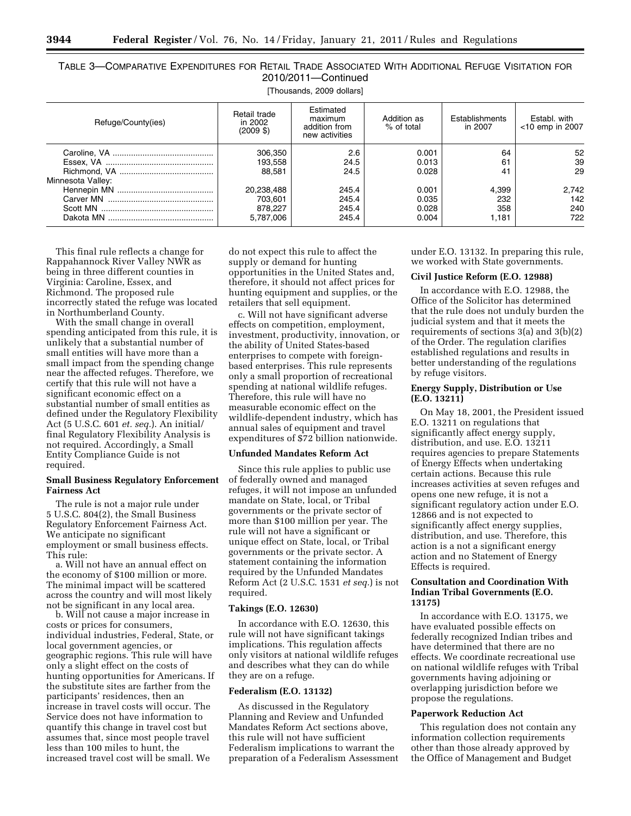|                     | TABLE 3-COMPARATIVE EXPENDITURES FOR RETAIL TRADE ASSOCIATED WITH ADDITIONAL REFUGE VISITATION FOR |  |  |  |  |  |  |  |  |  |
|---------------------|----------------------------------------------------------------------------------------------------|--|--|--|--|--|--|--|--|--|
| 2010/2011-Continued |                                                                                                    |  |  |  |  |  |  |  |  |  |

[Thousands, 2009 dollars]

| Refuge/County(ies) | Retail trade<br>in 2002<br>$(2009 \text{ } $)$ | Estimated<br>maximum<br>addition from<br>new activities | Addition as<br>% of total        | Establishments<br>in 2007    | Establ, with<br>$<$ 10 emp in 2007 |  |
|--------------------|------------------------------------------------|---------------------------------------------------------|----------------------------------|------------------------------|------------------------------------|--|
| Minnesota Valley:  | 306,350<br>193,558<br>88.581                   | 2.6<br>24.5<br>24.5                                     | 0.001<br>0.013<br>0.028          | 64<br>61<br>41               | 52<br>39<br>29                     |  |
|                    | 20,238,488<br>703,601<br>878.227<br>5,787,006  | 245.4<br>245.4<br>245.4<br>245.4                        | 0.001<br>0.035<br>0.028<br>0.004 | 4.399<br>232<br>358<br>1,181 | 2,742<br>142<br>240<br>722         |  |

This final rule reflects a change for Rappahannock River Valley NWR as being in three different counties in Virginia: Caroline, Essex, and Richmond. The proposed rule incorrectly stated the refuge was located in Northumberland County.

With the small change in overall spending anticipated from this rule, it is unlikely that a substantial number of small entities will have more than a small impact from the spending change near the affected refuges. Therefore, we certify that this rule will not have a significant economic effect on a substantial number of small entities as defined under the Regulatory Flexibility Act (5 U.S.C. 601 *et. seq.*). An initial/ final Regulatory Flexibility Analysis is not required. Accordingly, a Small Entity Compliance Guide is not required.

#### **Small Business Regulatory Enforcement Fairness Act**

The rule is not a major rule under 5 U.S.C. 804(2), the Small Business Regulatory Enforcement Fairness Act. We anticipate no significant employment or small business effects. This rule:

a. Will not have an annual effect on the economy of \$100 million or more. The minimal impact will be scattered across the country and will most likely not be significant in any local area.

b. Will not cause a major increase in costs or prices for consumers, individual industries, Federal, State, or local government agencies, or geographic regions. This rule will have only a slight effect on the costs of hunting opportunities for Americans. If the substitute sites are farther from the participants' residences, then an increase in travel costs will occur. The Service does not have information to quantify this change in travel cost but assumes that, since most people travel less than 100 miles to hunt, the increased travel cost will be small. We

do not expect this rule to affect the supply or demand for hunting opportunities in the United States and, therefore, it should not affect prices for hunting equipment and supplies, or the retailers that sell equipment.

c. Will not have significant adverse effects on competition, employment, investment, productivity, innovation, or the ability of United States-based enterprises to compete with foreignbased enterprises. This rule represents only a small proportion of recreational spending at national wildlife refuges. Therefore, this rule will have no measurable economic effect on the wildlife-dependent industry, which has annual sales of equipment and travel expenditures of \$72 billion nationwide.

#### **Unfunded Mandates Reform Act**

Since this rule applies to public use of federally owned and managed refuges, it will not impose an unfunded mandate on State, local, or Tribal governments or the private sector of more than \$100 million per year. The rule will not have a significant or unique effect on State, local, or Tribal governments or the private sector. A statement containing the information required by the Unfunded Mandates Reform Act (2 U.S.C. 1531 *et seq.*) is not required.

#### **Takings (E.O. 12630)**

In accordance with E.O. 12630, this rule will not have significant takings implications. This regulation affects only visitors at national wildlife refuges and describes what they can do while they are on a refuge.

#### **Federalism (E.O. 13132)**

As discussed in the Regulatory Planning and Review and Unfunded Mandates Reform Act sections above, this rule will not have sufficient Federalism implications to warrant the preparation of a Federalism Assessment under E.O. 13132. In preparing this rule, we worked with State governments.

#### **Civil Justice Reform (E.O. 12988)**

In accordance with E.O. 12988, the Office of the Solicitor has determined that the rule does not unduly burden the judicial system and that it meets the requirements of sections 3(a) and 3(b)(2) of the Order. The regulation clarifies established regulations and results in better understanding of the regulations by refuge visitors.

#### **Energy Supply, Distribution or Use (E.O. 13211)**

On May 18, 2001, the President issued E.O. 13211 on regulations that significantly affect energy supply, distribution, and use. E.O. 13211 requires agencies to prepare Statements of Energy Effects when undertaking certain actions. Because this rule increases activities at seven refuges and opens one new refuge, it is not a significant regulatory action under E.O. 12866 and is not expected to significantly affect energy supplies, distribution, and use. Therefore, this action is a not a significant energy action and no Statement of Energy Effects is required.

#### **Consultation and Coordination With Indian Tribal Governments (E.O. 13175)**

In accordance with E.O. 13175, we have evaluated possible effects on federally recognized Indian tribes and have determined that there are no effects. We coordinate recreational use on national wildlife refuges with Tribal governments having adjoining or overlapping jurisdiction before we propose the regulations.

#### **Paperwork Reduction Act**

This regulation does not contain any information collection requirements other than those already approved by the Office of Management and Budget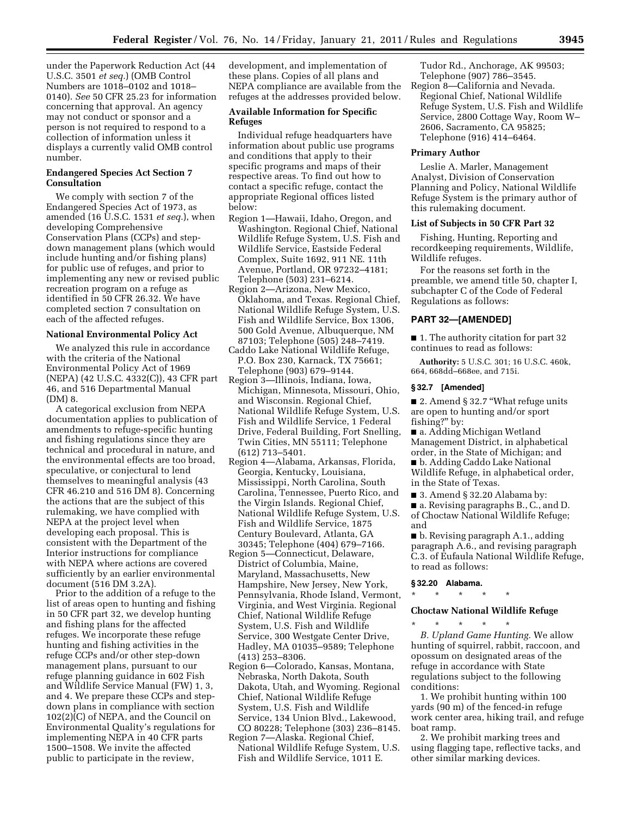under the Paperwork Reduction Act (44 U.S.C. 3501 *et seq.*) (OMB Control Numbers are 1018–0102 and 1018– 0140). *See* 50 CFR 25.23 for information concerning that approval. An agency may not conduct or sponsor and a person is not required to respond to a collection of information unless it displays a currently valid OMB control number.

#### **Endangered Species Act Section 7 Consultation**

We comply with section 7 of the Endangered Species Act of 1973, as amended (16 U.S.C. 1531 *et seq.*), when developing Comprehensive Conservation Plans (CCPs) and stepdown management plans (which would include hunting and/or fishing plans) for public use of refuges, and prior to implementing any new or revised public recreation program on a refuge as identified in 50 CFR 26.32. We have completed section 7 consultation on each of the affected refuges.

#### **National Environmental Policy Act**

We analyzed this rule in accordance with the criteria of the National Environmental Policy Act of 1969 (NEPA) (42 U.S.C. 4332(C)), 43 CFR part 46, and 516 Departmental Manual (DM) 8.

A categorical exclusion from NEPA documentation applies to publication of amendments to refuge-specific hunting and fishing regulations since they are technical and procedural in nature, and the environmental effects are too broad, speculative, or conjectural to lend themselves to meaningful analysis (43 CFR 46.210 and 516 DM 8). Concerning the actions that are the subject of this rulemaking, we have complied with NEPA at the project level when developing each proposal. This is consistent with the Department of the Interior instructions for compliance with NEPA where actions are covered sufficiently by an earlier environmental document (516 DM 3.2A).

Prior to the addition of a refuge to the list of areas open to hunting and fishing in 50 CFR part 32, we develop hunting and fishing plans for the affected refuges. We incorporate these refuge hunting and fishing activities in the refuge CCPs and/or other step-down management plans, pursuant to our refuge planning guidance in 602 Fish and Wildlife Service Manual (FW) 1, 3, and 4. We prepare these CCPs and stepdown plans in compliance with section 102(2)(C) of NEPA, and the Council on Environmental Quality's regulations for implementing NEPA in 40 CFR parts 1500–1508. We invite the affected public to participate in the review,

development, and implementation of these plans. Copies of all plans and NEPA compliance are available from the refuges at the addresses provided below.

#### **Available Information for Specific Refuges**

Individual refuge headquarters have information about public use programs and conditions that apply to their specific programs and maps of their respective areas. To find out how to contact a specific refuge, contact the appropriate Regional offices listed below:

- Region 1—Hawaii, Idaho, Oregon, and Washington. Regional Chief, National Wildlife Refuge System, U.S. Fish and Wildlife Service, Eastside Federal Complex, Suite 1692, 911 NE. 11th Avenue, Portland, OR 97232–4181; Telephone (503) 231–6214.
- Region 2—Arizona, New Mexico, Oklahoma, and Texas. Regional Chief, National Wildlife Refuge System, U.S. Fish and Wildlife Service, Box 1306, 500 Gold Avenue, Albuquerque, NM 87103; Telephone (505) 248–7419.
- Caddo Lake National Wildlife Refuge, P.O. Box 230, Karnack, TX 75661; Telephone (903) 679–9144.
- Region 3—Illinois, Indiana, Iowa, Michigan, Minnesota, Missouri, Ohio, and Wisconsin. Regional Chief, National Wildlife Refuge System, U.S. Fish and Wildlife Service, 1 Federal Drive, Federal Building, Fort Snelling, Twin Cities, MN 55111; Telephone (612) 713–5401.
- Region 4—Alabama, Arkansas, Florida, Georgia, Kentucky, Louisiana, Mississippi, North Carolina, South Carolina, Tennessee, Puerto Rico, and the Virgin Islands. Regional Chief, National Wildlife Refuge System, U.S. Fish and Wildlife Service, 1875 Century Boulevard, Atlanta, GA 30345; Telephone (404) 679–7166.
- Region 5—Connecticut, Delaware, District of Columbia, Maine, Maryland, Massachusetts, New Hampshire, New Jersey, New York, Pennsylvania, Rhode Island, Vermont, Virginia, and West Virginia. Regional Chief, National Wildlife Refuge System, U.S. Fish and Wildlife Service, 300 Westgate Center Drive, Hadley, MA 01035–9589; Telephone (413) 253–8306.
- Region 6—Colorado, Kansas, Montana, Nebraska, North Dakota, South Dakota, Utah, and Wyoming. Regional Chief, National Wildlife Refuge System, U.S. Fish and Wildlife Service, 134 Union Blvd., Lakewood, CO 80228; Telephone (303) 236–8145.
- Region 7—Alaska. Regional Chief, National Wildlife Refuge System, U.S. Fish and Wildlife Service, 1011 E.

Tudor Rd., Anchorage, AK 99503; Telephone (907) 786–3545.

Region 8—California and Nevada. Regional Chief, National Wildlife Refuge System, U.S. Fish and Wildlife Service, 2800 Cottage Way, Room W– 2606, Sacramento, CA 95825; Telephone (916) 414–6464.

#### **Primary Author**

Leslie A. Marler, Management Analyst, Division of Conservation Planning and Policy, National Wildlife Refuge System is the primary author of this rulemaking document.

#### **List of Subjects in 50 CFR Part 32**

Fishing, Hunting, Reporting and recordkeeping requirements, Wildlife, Wildlife refuges.

For the reasons set forth in the preamble, we amend title 50, chapter I, subchapter C of the Code of Federal Regulations as follows:

# **PART 32—[AMENDED]**

■ 1. The authority citation for part 32 continues to read as follows:

**Authority:** 5 U.S.C. 301; 16 U.S.C. 460k, 664, 668dd–668ee, and 715i.

#### **§ 32.7 [Amended]**

■ 2. Amend § 32.7 "What refuge units are open to hunting and/or sport fishing?'' by:

■ a. Adding Michigan Wetland Management District, in alphabetical order, in the State of Michigan; and ■ b. Adding Caddo Lake National

Wildlife Refuge, in alphabetical order, in the State of Texas.

■ 3. Amend § 32.20 Alabama by: ■ a. Revising paragraphs B., C., and D. of Choctaw National Wildlife Refuge; and

■ b. Revising paragraph A.1., adding paragraph A.6., and revising paragraph C.3. of Eufaula National Wildlife Refuge, to read as follows:

#### **§ 32.20 Alabama.**

\* \* \* \* \*

# **Choctaw National Wildlife Refuge**

\* \* \* \* \* *B. Upland Game Hunting.* We allow hunting of squirrel, rabbit, raccoon, and opossum on designated areas of the refuge in accordance with State regulations subject to the following conditions:

1. We prohibit hunting within 100 yards (90 m) of the fenced-in refuge work center area, hiking trail, and refuge boat ramp.

2. We prohibit marking trees and using flagging tape, reflective tacks, and other similar marking devices.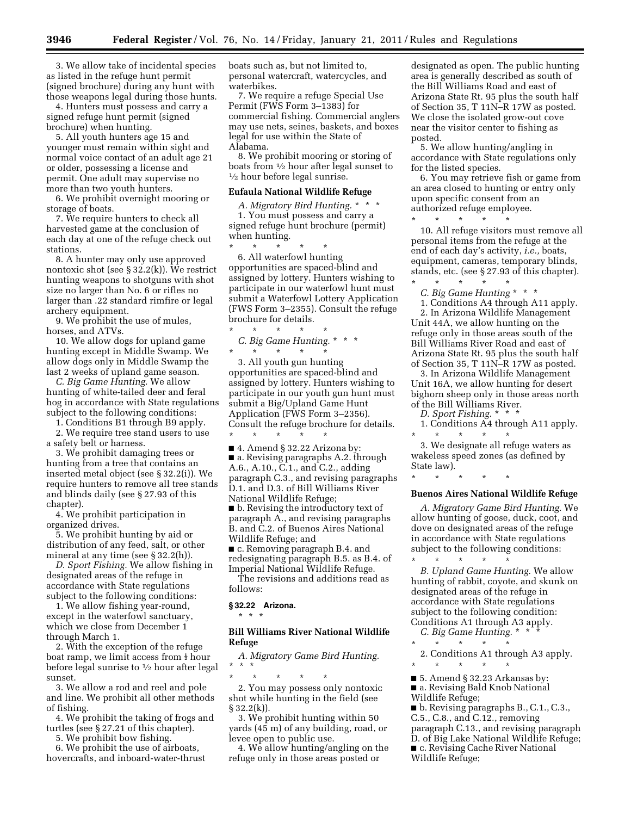3. We allow take of incidental species as listed in the refuge hunt permit (signed brochure) during any hunt with those weapons legal during those hunts.

4. Hunters must possess and carry a signed refuge hunt permit (signed brochure) when hunting.

5. All youth hunters age 15 and younger must remain within sight and normal voice contact of an adult age 21 or older, possessing a license and permit. One adult may supervise no more than two youth hunters.

6. We prohibit overnight mooring or storage of boats.

7. We require hunters to check all harvested game at the conclusion of each day at one of the refuge check out stations.

8. A hunter may only use approved nontoxic shot (see § 32.2(k)). We restrict hunting weapons to shotguns with shot size no larger than No. 6 or rifles no larger than .22 standard rimfire or legal archery equipment.

9. We prohibit the use of mules, horses, and ATVs.

10. We allow dogs for upland game hunting except in Middle Swamp. We allow dogs only in Middle Swamp the last 2 weeks of upland game season.

*C. Big Game Hunting.* We allow hunting of white-tailed deer and feral hog in accordance with State regulations subject to the following conditions:

1. Conditions B1 through B9 apply.

2. We require tree stand users to use a safety belt or harness.

3. We prohibit damaging trees or hunting from a tree that contains an inserted metal object (see § 32.2(i)). We require hunters to remove all tree stands and blinds daily (see § 27.93 of this chapter).

4. We prohibit participation in organized drives.

5. We prohibit hunting by aid or distribution of any feed, salt, or other mineral at any time (see § 32.2(h)).

*D. Sport Fishing.* We allow fishing in designated areas of the refuge in accordance with State regulations subject to the following conditions:

1. We allow fishing year-round, except in the waterfowl sanctuary, which we close from December 1 through March 1.

2. With the exception of the refuge boat ramp, we limit access from  $\frac{1}{2}$  hour before legal sunrise to 1⁄2 hour after legal sunset.

3. We allow a rod and reel and pole and line. We prohibit all other methods of fishing.

4. We prohibit the taking of frogs and turtles (see § 27.21 of this chapter).

5. We prohibit bow fishing.

6. We prohibit the use of airboats, hovercrafts, and inboard-water-thrust boats such as, but not limited to, personal watercraft, watercycles, and waterbikes.

7. We require a refuge Special Use Permit (FWS Form 3–1383) for commercial fishing. Commercial anglers may use nets, seines, baskets, and boxes legal for use within the State of Alabama.

8. We prohibit mooring or storing of boats from  $\frac{1}{2}$  hour after legal sunset to  $\frac{1}{2}$  hour before legal sunrise.

#### **Eufaula National Wildlife Refuge**

*A. Migratory Bird Hunting.* \* \* \* 1. You must possess and carry a signed refuge hunt brochure (permit) when hunting.

\* \* \* \* \* 6. All waterfowl hunting opportunities are spaced-blind and assigned by lottery. Hunters wishing to participate in our waterfowl hunt must submit a Waterfowl Lottery Application (FWS Form 3–2355). Consult the refuge brochure for details. \* \* \* \* \*

*C. Big Game Hunting.* \* \* \* \* \* \* \* \*

3. All youth gun hunting opportunities are spaced-blind and assigned by lottery. Hunters wishing to participate in our youth gun hunt must submit a Big/Upland Game Hunt Application (FWS Form 3–2356). Consult the refuge brochure for details. \* \* \* \* \*

■ 4. Amend § 32.22 Arizona by: ■ a. Revising paragraphs A.2. through A.6., A.10., C.1., and C.2., adding paragraph C.3., and revising paragraphs D.1. and D.3. of Bill Williams River National Wildlife Refuge;

■ b. Revising the introductory text of paragraph A., and revising paragraphs B. and C.2. of Buenos Aires National Wildlife Refuge; and

■ c. Removing paragraph B.4. and redesignating paragraph B.5. as B.4. of Imperial National Wildlife Refuge. The revisions and additions read as

follows:

#### **§ 32.22 Arizona.**

\* \* \*

#### **Bill Williams River National Wildlife Refuge**

*A. Migratory Game Bird Hunting.*  \* \* \*

\* \* \* \* \* 2. You may possess only nontoxic shot while hunting in the field (see § 32.2(k)).

3. We prohibit hunting within 50 yards (45 m) of any building, road, or levee open to public use.

4. We allow hunting/angling on the refuge only in those areas posted or

designated as open. The public hunting area is generally described as south of the Bill Williams Road and east of Arizona State Rt. 95 plus the south half of Section 35, T 11N–R 17W as posted. We close the isolated grow-out cove near the visitor center to fishing as posted.

5. We allow hunting/angling in accordance with State regulations only for the listed species.

6. You may retrieve fish or game from an area closed to hunting or entry only upon specific consent from an authorized refuge employee.

\* \* \* \* \* 10. All refuge visitors must remove all personal items from the refuge at the end of each day's activity, *i.e.,* boats, equipment, cameras, temporary blinds, stands, etc. (see § 27.93 of this chapter).

\* \* \* \* \* *C. Big Game Hunting* \* \* \*

1. Conditions A4 through A11 apply. 2. In Arizona Wildlife Management Unit 44A, we allow hunting on the refuge only in those areas south of the Bill Williams River Road and east of Arizona State Rt. 95 plus the south half of Section 35, T 11N–R 17W as posted.

3. In Arizona Wildlife Management Unit 16A, we allow hunting for desert bighorn sheep only in those areas north of the Bill Williams River.

*D. Sport Fishing.* \* \* \*

1. Conditions A4 through A11 apply. \* \* \* \* \*

3. We designate all refuge waters as wakeless speed zones (as defined by State law).

\* \* \* \* \*

#### **Buenos Aires National Wildlife Refuge**

*A. Migratory Game Bird Hunting.* We allow hunting of goose, duck, coot, and dove on designated areas of the refuge in accordance with State regulations subject to the following conditions:

\* \* \* \* \* *B. Upland Game Hunting.* We allow hunting of rabbit, coyote, and skunk on designated areas of the refuge in accordance with State regulations subject to the following condition: Conditions A1 through A3 apply.

*C. Big Game Hunting.* \* \* \* \* \* \* \* \*

2. Conditions A1 through A3 apply. \* \* \* \* \*

■ 5. Amend § 32.23 Arkansas by:

■ a. Revising Bald Knob National

Wildlife Refuge;

■ b. Revising paragraphs B., C.1., C.3., C.5., C.8., and C.12., removing paragraph C.13., and revising paragraph D. of Big Lake National Wildlife Refuge; ■ c. Revising Cache River National Wildlife Refuge;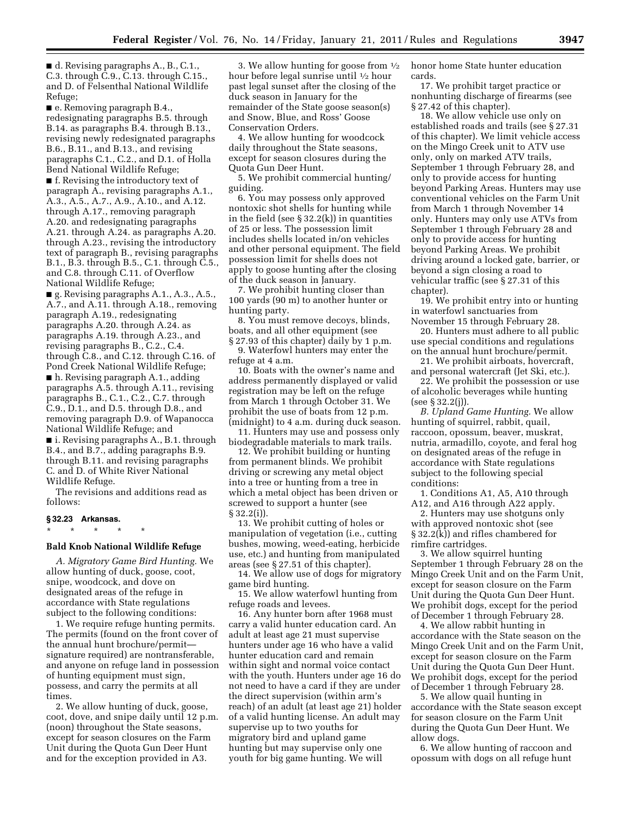■ d. Revising paragraphs A., B., C.1., C.3. through C.9., C.13. through C.15., and D. of Felsenthal National Wildlife Refuge;

■ e. Removing paragraph B.4., redesignating paragraphs B.5. through B.14. as paragraphs B.4. through B.13., revising newly redesignated paragraphs B.6., B.11., and B.13., and revising paragraphs C.1., C.2., and D.1. of Holla Bend National Wildlife Refuge;

■ f. Revising the introductory text of paragraph A., revising paragraphs A.1., A.3., A.5., A.7., A.9., A.10., and A.12. through A.17., removing paragraph A.20. and redesignating paragraphs A.21. through A.24. as paragraphs A.20. through A.23., revising the introductory text of paragraph B., revising paragraphs B.1., B.3. through B.5., C.1. through C.5., and C.8. through C.11. of Overflow National Wildlife Refuge;

■ g. Revising paragraphs A.1., A.3., A.5., A.7., and A.11. through A.18., removing paragraph A.19., redesignating paragraphs A.20. through A.24. as paragraphs A.19. through A.23., and revising paragraphs B., C.2., C.4. through C.8., and C.12. through C.16. of Pond Creek National Wildlife Refuge;

■ h. Revising paragraph A.1., adding paragraphs A.5. through A.11., revising paragraphs B., C.1., C.2., C.7. through C.9., D.1., and D.5. through D.8., and removing paragraph D.9. of Wapanocca National Wildlife Refuge; and

■ i. Revising paragraphs A., B.1. through B.4., and B.7., adding paragraphs B.9. through B.11. and revising paragraphs C. and D. of White River National Wildlife Refuge.

The revisions and additions read as follows:

#### **§ 32.23 Arkansas.**

\* \* \* \* \*

#### **Bald Knob National Wildlife Refuge**

*A. Migratory Game Bird Hunting.* We allow hunting of duck, goose, coot, snipe, woodcock, and dove on designated areas of the refuge in accordance with State regulations subject to the following conditions:

1. We require refuge hunting permits. The permits (found on the front cover of the annual hunt brochure/permit signature required) are nontransferable, and anyone on refuge land in possession of hunting equipment must sign, possess, and carry the permits at all times.

2. We allow hunting of duck, goose, coot, dove, and snipe daily until 12 p.m. (noon) throughout the State seasons, except for season closures on the Farm Unit during the Quota Gun Deer Hunt and for the exception provided in A3.

3. We allow hunting for goose from 1⁄2 hour before legal sunrise until 1⁄2 hour past legal sunset after the closing of the duck season in January for the remainder of the State goose season(s) and Snow, Blue, and Ross' Goose Conservation Orders.

4. We allow hunting for woodcock daily throughout the State seasons, except for season closures during the Quota Gun Deer Hunt.

5. We prohibit commercial hunting/ guiding.

6. You may possess only approved nontoxic shot shells for hunting while in the field (see  $\S 32.2(k)$ ) in quantities of 25 or less. The possession limit includes shells located in/on vehicles and other personal equipment. The field possession limit for shells does not apply to goose hunting after the closing of the duck season in January.

7. We prohibit hunting closer than 100 yards (90 m) to another hunter or hunting party.

8. You must remove decoys, blinds, boats, and all other equipment (see § 27.93 of this chapter) daily by 1 p.m.

9. Waterfowl hunters may enter the refuge at 4 a.m.

10. Boats with the owner's name and address permanently displayed or valid registration may be left on the refuge from March 1 through October 31. We prohibit the use of boats from 12 p.m. (midnight) to 4 a.m. during duck season.

11. Hunters may use and possess only biodegradable materials to mark trails.

12. We prohibit building or hunting from permanent blinds. We prohibit driving or screwing any metal object into a tree or hunting from a tree in which a metal object has been driven or screwed to support a hunter (see § 32.2(i)).

13. We prohibit cutting of holes or manipulation of vegetation (i.e., cutting bushes, mowing, weed-eating, herbicide use, etc.) and hunting from manipulated areas (see § 27.51 of this chapter).

14. We allow use of dogs for migratory game bird hunting.

15. We allow waterfowl hunting from refuge roads and levees.

16. Any hunter born after 1968 must carry a valid hunter education card. An adult at least age 21 must supervise hunters under age 16 who have a valid hunter education card and remain within sight and normal voice contact with the youth. Hunters under age 16 do not need to have a card if they are under the direct supervision (within arm's reach) of an adult (at least age 21) holder of a valid hunting license. An adult may supervise up to two youths for migratory bird and upland game hunting but may supervise only one youth for big game hunting. We will

honor home State hunter education cards.

17. We prohibit target practice or nonhunting discharge of firearms (see § 27.42 of this chapter).

18. We allow vehicle use only on established roads and trails (see § 27.31 of this chapter). We limit vehicle access on the Mingo Creek unit to ATV use only, only on marked ATV trails, September 1 through February 28, and only to provide access for hunting beyond Parking Areas. Hunters may use conventional vehicles on the Farm Unit from March 1 through November 14 only. Hunters may only use ATVs from September 1 through February 28 and only to provide access for hunting beyond Parking Areas. We prohibit driving around a locked gate, barrier, or beyond a sign closing a road to vehicular traffic (see § 27.31 of this chapter).

19. We prohibit entry into or hunting in waterfowl sanctuaries from November 15 through February 28.

20. Hunters must adhere to all public use special conditions and regulations on the annual hunt brochure/permit.

21. We prohibit airboats, hovercraft, and personal watercraft (Jet Ski, etc.).

22. We prohibit the possession or use of alcoholic beverages while hunting (see § 32.2(j)).

*B. Upland Game Hunting.* We allow hunting of squirrel, rabbit, quail, raccoon, opossum, beaver, muskrat, nutria, armadillo, coyote, and feral hog on designated areas of the refuge in accordance with State regulations subject to the following special conditions:

1. Conditions A1, A5, A10 through A12, and A16 through A22 apply.

2. Hunters may use shotguns only with approved nontoxic shot (see § 32.2(k)) and rifles chambered for rimfire cartridges.

3. We allow squirrel hunting September 1 through February 28 on the Mingo Creek Unit and on the Farm Unit, except for season closure on the Farm Unit during the Quota Gun Deer Hunt. We prohibit dogs, except for the period of December 1 through February 28.

4. We allow rabbit hunting in accordance with the State season on the Mingo Creek Unit and on the Farm Unit, except for season closure on the Farm Unit during the Quota Gun Deer Hunt. We prohibit dogs, except for the period of December 1 through February 28.

5. We allow quail hunting in accordance with the State season except for season closure on the Farm Unit during the Quota Gun Deer Hunt. We allow dogs.

6. We allow hunting of raccoon and opossum with dogs on all refuge hunt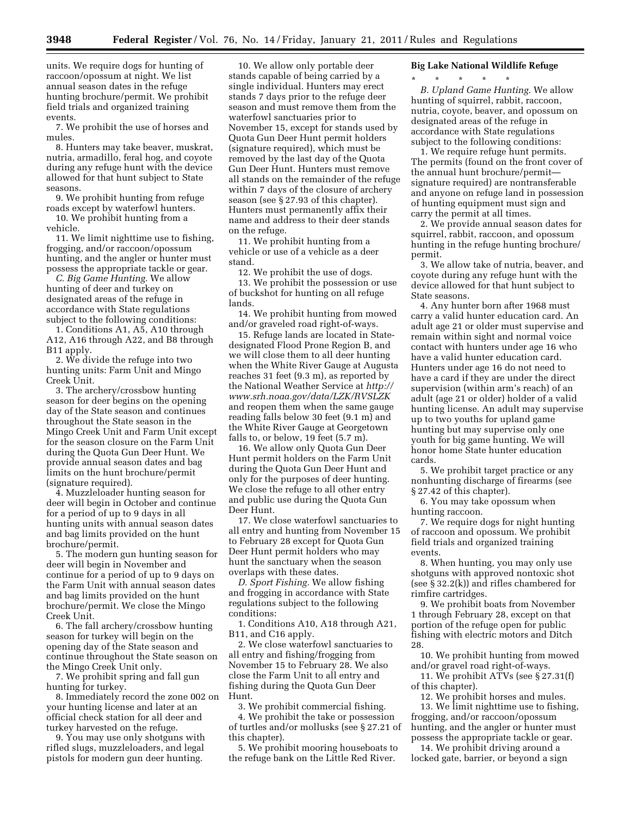units. We require dogs for hunting of raccoon/opossum at night. We list annual season dates in the refuge hunting brochure/permit. We prohibit field trials and organized training events.

7. We prohibit the use of horses and mules.

8. Hunters may take beaver, muskrat, nutria, armadillo, feral hog, and coyote during any refuge hunt with the device allowed for that hunt subject to State seasons.

9. We prohibit hunting from refuge roads except by waterfowl hunters.

10. We prohibit hunting from a vehicle.

11. We limit nighttime use to fishing, frogging, and/or raccoon/opossum hunting, and the angler or hunter must possess the appropriate tackle or gear.

*C. Big Game Hunting.* We allow hunting of deer and turkey on designated areas of the refuge in accordance with State regulations subject to the following conditions:

1. Conditions A1, A5, A10 through A12, A16 through A22, and B8 through B11 apply.

2. We divide the refuge into two hunting units: Farm Unit and Mingo Creek Unit.

3. The archery/crossbow hunting season for deer begins on the opening day of the State season and continues throughout the State season in the Mingo Creek Unit and Farm Unit except for the season closure on the Farm Unit during the Quota Gun Deer Hunt. We provide annual season dates and bag limits on the hunt brochure/permit (signature required).

4. Muzzleloader hunting season for deer will begin in October and continue for a period of up to 9 days in all hunting units with annual season dates and bag limits provided on the hunt brochure/permit.

5. The modern gun hunting season for deer will begin in November and continue for a period of up to 9 days on the Farm Unit with annual season dates and bag limits provided on the hunt brochure/permit. We close the Mingo Creek Unit.

6. The fall archery/crossbow hunting season for turkey will begin on the opening day of the State season and continue throughout the State season on the Mingo Creek Unit only.

7. We prohibit spring and fall gun hunting for turkey.

8. Immediately record the zone 002 on your hunting license and later at an official check station for all deer and turkey harvested on the refuge.

9. You may use only shotguns with rifled slugs, muzzleloaders, and legal pistols for modern gun deer hunting.

10. We allow only portable deer stands capable of being carried by a single individual. Hunters may erect stands 7 days prior to the refuge deer season and must remove them from the waterfowl sanctuaries prior to November 15, except for stands used by Quota Gun Deer Hunt permit holders (signature required), which must be removed by the last day of the Quota Gun Deer Hunt. Hunters must remove all stands on the remainder of the refuge within 7 days of the closure of archery season (see § 27.93 of this chapter). Hunters must permanently affix their name and address to their deer stands on the refuge.

11. We prohibit hunting from a vehicle or use of a vehicle as a deer stand.

12. We prohibit the use of dogs.

13. We prohibit the possession or use of buckshot for hunting on all refuge lands.

14. We prohibit hunting from mowed and/or graveled road right-of-ways.

15. Refuge lands are located in Statedesignated Flood Prone Region B, and we will close them to all deer hunting when the White River Gauge at Augusta reaches 31 feet (9.3 m), as reported by the National Weather Service at *[http://](http://www.srh.noaa.gov/data/LZK/RVSLZK)  [www.srh.noaa.gov/data/LZK/RVSLZK](http://www.srh.noaa.gov/data/LZK/RVSLZK)*  and reopen them when the same gauge reading falls below 30 feet (9.1 m) and the White River Gauge at Georgetown falls to, or below, 19 feet (5.7 m).

16. We allow only Quota Gun Deer Hunt permit holders on the Farm Unit during the Quota Gun Deer Hunt and only for the purposes of deer hunting. We close the refuge to all other entry and public use during the Quota Gun Deer Hunt.

17. We close waterfowl sanctuaries to all entry and hunting from November 15 to February 28 except for Quota Gun Deer Hunt permit holders who may hunt the sanctuary when the season overlaps with these dates.

*D. Sport Fishing.* We allow fishing and frogging in accordance with State regulations subject to the following conditions:

1. Conditions A10, A18 through A21, B11, and C16 apply.

2. We close waterfowl sanctuaries to all entry and fishing/frogging from November 15 to February 28. We also close the Farm Unit to all entry and fishing during the Quota Gun Deer Hunt.

3. We prohibit commercial fishing.

4. We prohibit the take or possession of turtles and/or mollusks (see § 27.21 of this chapter).

5. We prohibit mooring houseboats to the refuge bank on the Little Red River.

#### **Big Lake National Wildlife Refuge**

\* \* \* \* \*

*B. Upland Game Hunting.* We allow hunting of squirrel, rabbit, raccoon, nutria, coyote, beaver, and opossum on designated areas of the refuge in accordance with State regulations subject to the following conditions:

1. We require refuge hunt permits. The permits (found on the front cover of the annual hunt brochure/permit signature required) are nontransferable and anyone on refuge land in possession of hunting equipment must sign and carry the permit at all times.

2. We provide annual season dates for squirrel, rabbit, raccoon, and opossum hunting in the refuge hunting brochure/ permit.

3. We allow take of nutria, beaver, and coyote during any refuge hunt with the device allowed for that hunt subject to State seasons.

4. Any hunter born after 1968 must carry a valid hunter education card. An adult age 21 or older must supervise and remain within sight and normal voice contact with hunters under age 16 who have a valid hunter education card. Hunters under age 16 do not need to have a card if they are under the direct supervision (within arm's reach) of an adult (age 21 or older) holder of a valid hunting license. An adult may supervise up to two youths for upland game hunting but may supervise only one youth for big game hunting. We will honor home State hunter education cards.

5. We prohibit target practice or any nonhunting discharge of firearms (see § 27.42 of this chapter).

6. You may take opossum when hunting raccoon.

7. We require dogs for night hunting of raccoon and opossum. We prohibit field trials and organized training events.

8. When hunting, you may only use shotguns with approved nontoxic shot (see § 32.2(k)) and rifles chambered for rimfire cartridges.

9. We prohibit boats from November 1 through February 28, except on that portion of the refuge open for public fishing with electric motors and Ditch 28.

10. We prohibit hunting from mowed and/or gravel road right-of-ways.

11. We prohibit ATVs (see § 27.31(f) of this chapter).

12. We prohibit horses and mules.

13. We limit nighttime use to fishing, frogging, and/or raccoon/opossum hunting, and the angler or hunter must possess the appropriate tackle or gear.

14. We prohibit driving around a locked gate, barrier, or beyond a sign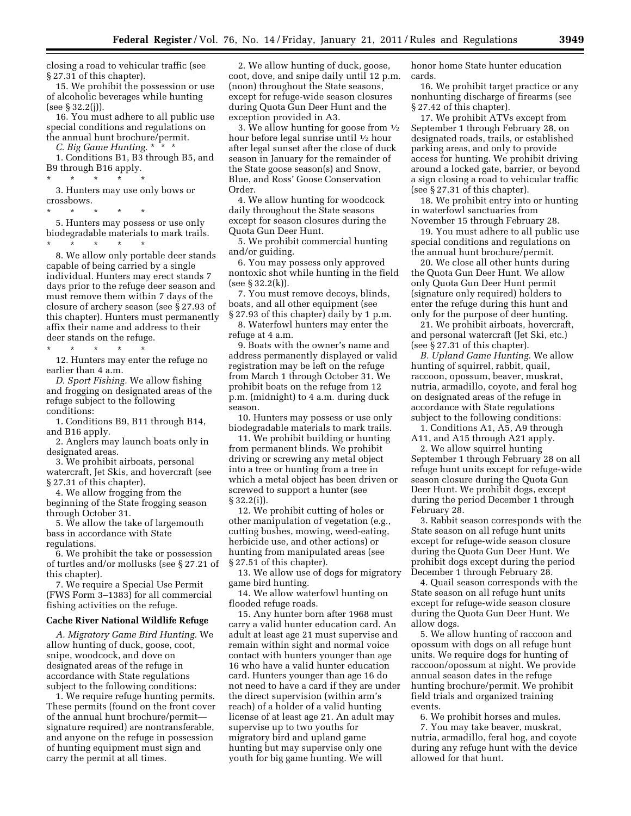closing a road to vehicular traffic (see § 27.31 of this chapter).

15. We prohibit the possession or use of alcoholic beverages while hunting (see § 32.2(j)).

16. You must adhere to all public use special conditions and regulations on the annual hunt brochure/permit.

*C. Big Game Hunting.* \* \* \*

1. Conditions B1, B3 through B5, and B9 through B16 apply.

\* \* \* \* \*

3. Hunters may use only bows or crossbows.

\* \* \* \* \* 5. Hunters may possess or use only biodegradable materials to mark trails.

\* \* \* \* \*

8. We allow only portable deer stands capable of being carried by a single individual. Hunters may erect stands 7 days prior to the refuge deer season and must remove them within 7 days of the closure of archery season (see § 27.93 of this chapter). Hunters must permanently affix their name and address to their deer stands on the refuge.

\* \* \* \* \*

12. Hunters may enter the refuge no earlier than 4 a.m.

*D. Sport Fishing.* We allow fishing and frogging on designated areas of the refuge subject to the following conditions:

1. Conditions B9, B11 through B14, and B16 apply.

2. Anglers may launch boats only in designated areas.

3. We prohibit airboats, personal watercraft, Jet Skis, and hovercraft (see § 27.31 of this chapter).

4. We allow frogging from the beginning of the State frogging season through October 31.

5. We allow the take of largemouth bass in accordance with State regulations.

6. We prohibit the take or possession of turtles and/or mollusks (see § 27.21 of this chapter).

7. We require a Special Use Permit (FWS Form 3–1383) for all commercial fishing activities on the refuge.

#### **Cache River National Wildlife Refuge**

*A. Migratory Game Bird Hunting.* We allow hunting of duck, goose, coot, snipe, woodcock, and dove on designated areas of the refuge in accordance with State regulations subject to the following conditions:

1. We require refuge hunting permits. These permits (found on the front cover of the annual hunt brochure/permit signature required) are nontransferable, and anyone on the refuge in possession of hunting equipment must sign and carry the permit at all times.

2. We allow hunting of duck, goose, coot, dove, and snipe daily until 12 p.m. (noon) throughout the State seasons, except for refuge-wide season closures during Quota Gun Deer Hunt and the exception provided in A3.

3. We allow hunting for goose from  $\frac{1}{2}$ hour before legal sunrise until 1⁄2 hour after legal sunset after the close of duck season in January for the remainder of the State goose season(s) and Snow, Blue, and Ross' Goose Conservation Order.

4. We allow hunting for woodcock daily throughout the State seasons except for season closures during the Quota Gun Deer Hunt.

5. We prohibit commercial hunting and/or guiding.

6. You may possess only approved nontoxic shot while hunting in the field (see § 32.2(k)).

7. You must remove decoys, blinds, boats, and all other equipment (see

§ 27.93 of this chapter) daily by 1 p.m. 8. Waterfowl hunters may enter the refuge at 4 a.m.

9. Boats with the owner's name and address permanently displayed or valid registration may be left on the refuge from March 1 through October 31. We prohibit boats on the refuge from 12 p.m. (midnight) to 4 a.m. during duck season.

10. Hunters may possess or use only biodegradable materials to mark trails.

11. We prohibit building or hunting from permanent blinds. We prohibit driving or screwing any metal object into a tree or hunting from a tree in which a metal object has been driven or screwed to support a hunter (see § 32.2(i)).

12. We prohibit cutting of holes or other manipulation of vegetation (e.g., cutting bushes, mowing, weed-eating, herbicide use, and other actions) or hunting from manipulated areas (see § 27.51 of this chapter).

13. We allow use of dogs for migratory game bird hunting.

14. We allow waterfowl hunting on flooded refuge roads.

15. Any hunter born after 1968 must carry a valid hunter education card. An adult at least age 21 must supervise and remain within sight and normal voice contact with hunters younger than age 16 who have a valid hunter education card. Hunters younger than age 16 do not need to have a card if they are under the direct supervision (within arm's reach) of a holder of a valid hunting license of at least age 21. An adult may supervise up to two youths for migratory bird and upland game hunting but may supervise only one youth for big game hunting. We will

honor home State hunter education cards.

16. We prohibit target practice or any nonhunting discharge of firearms (see § 27.42 of this chapter).

17. We prohibit ATVs except from September 1 through February 28, on designated roads, trails, or established parking areas, and only to provide access for hunting. We prohibit driving around a locked gate, barrier, or beyond a sign closing a road to vehicular traffic (see § 27.31 of this chapter).

18. We prohibit entry into or hunting in waterfowl sanctuaries from November 15 through February 28.

19. You must adhere to all public use special conditions and regulations on the annual hunt brochure/permit.

20. We close all other hunts during the Quota Gun Deer Hunt. We allow only Quota Gun Deer Hunt permit (signature only required) holders to enter the refuge during this hunt and only for the purpose of deer hunting.

21. We prohibit airboats, hovercraft, and personal watercraft (Jet Ski, etc.) (see § 27.31 of this chapter).

*B. Upland Game Hunting.* We allow hunting of squirrel, rabbit, quail, raccoon, opossum, beaver, muskrat, nutria, armadillo, coyote, and feral hog on designated areas of the refuge in accordance with State regulations subject to the following conditions:

1. Conditions A1, A5, A9 through A11, and A15 through A21 apply.

2. We allow squirrel hunting September 1 through February 28 on all refuge hunt units except for refuge-wide season closure during the Quota Gun Deer Hunt. We prohibit dogs, except during the period December 1 through February 28.

3. Rabbit season corresponds with the State season on all refuge hunt units except for refuge-wide season closure during the Quota Gun Deer Hunt. We prohibit dogs except during the period December 1 through February 28.

4. Quail season corresponds with the State season on all refuge hunt units except for refuge-wide season closure during the Quota Gun Deer Hunt. We allow dogs.

5. We allow hunting of raccoon and opossum with dogs on all refuge hunt units. We require dogs for hunting of raccoon/opossum at night. We provide annual season dates in the refuge hunting brochure/permit. We prohibit field trials and organized training events.

6. We prohibit horses and mules. 7. You may take beaver, muskrat, nutria, armadillo, feral hog, and coyote during any refuge hunt with the device allowed for that hunt.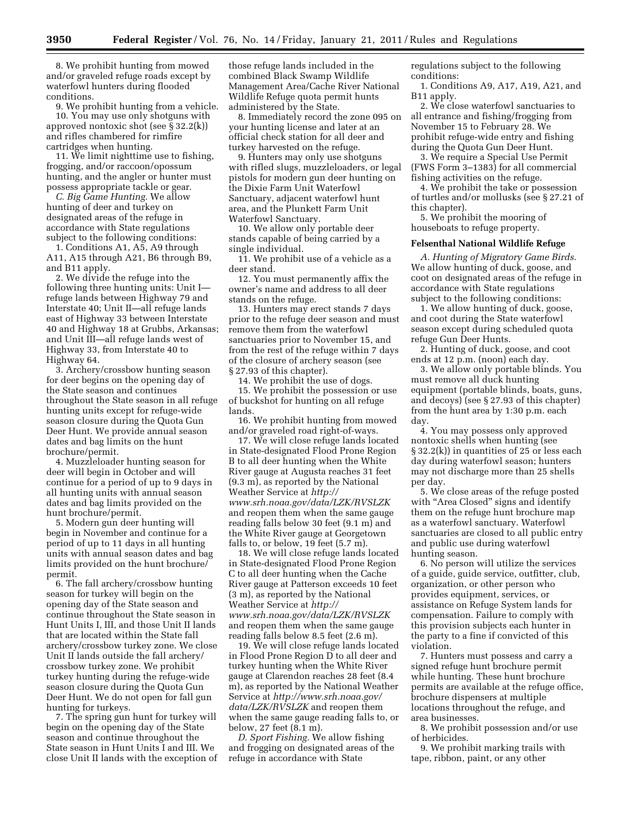8. We prohibit hunting from mowed and/or graveled refuge roads except by waterfowl hunters during flooded conditions.

9. We prohibit hunting from a vehicle. 10. You may use only shotguns with approved nontoxic shot (see § 32.2(k)) and rifles chambered for rimfire

cartridges when hunting. 11. We limit nighttime use to fishing, frogging, and/or raccoon/opossum hunting, and the angler or hunter must possess appropriate tackle or gear.

*C. Big Game Hunting.* We allow hunting of deer and turkey on designated areas of the refuge in accordance with State regulations subject to the following conditions:

1. Conditions A1, A5, A9 through A11, A15 through A21, B6 through B9, and B11 apply.

2. We divide the refuge into the following three hunting units: Unit I refuge lands between Highway 79 and Interstate 40; Unit II—all refuge lands east of Highway 33 between Interstate 40 and Highway 18 at Grubbs, Arkansas; and Unit III—all refuge lands west of Highway 33, from Interstate 40 to Highway 64.

3. Archery/crossbow hunting season for deer begins on the opening day of the State season and continues throughout the State season in all refuge hunting units except for refuge-wide season closure during the Quota Gun Deer Hunt. We provide annual season dates and bag limits on the hunt brochure/permit.

4. Muzzleloader hunting season for deer will begin in October and will continue for a period of up to 9 days in all hunting units with annual season dates and bag limits provided on the hunt brochure/permit.

5. Modern gun deer hunting will begin in November and continue for a period of up to 11 days in all hunting units with annual season dates and bag limits provided on the hunt brochure/ permit.

6. The fall archery/crossbow hunting season for turkey will begin on the opening day of the State season and continue throughout the State season in Hunt Units I, III, and those Unit II lands that are located within the State fall archery/crossbow turkey zone. We close Unit II lands outside the fall archery/ crossbow turkey zone. We prohibit turkey hunting during the refuge-wide season closure during the Quota Gun Deer Hunt. We do not open for fall gun hunting for turkeys.

7. The spring gun hunt for turkey will begin on the opening day of the State season and continue throughout the State season in Hunt Units I and III. We close Unit II lands with the exception of

those refuge lands included in the combined Black Swamp Wildlife Management Area/Cache River National Wildlife Refuge quota permit hunts administered by the State.

8. Immediately record the zone 095 on your hunting license and later at an official check station for all deer and turkey harvested on the refuge.

9. Hunters may only use shotguns with rifled slugs, muzzleloaders, or legal pistols for modern gun deer hunting on the Dixie Farm Unit Waterfowl Sanctuary, adjacent waterfowl hunt area, and the Plunkett Farm Unit Waterfowl Sanctuary.

10. We allow only portable deer stands capable of being carried by a single individual.

11. We prohibit use of a vehicle as a deer stand.

12. You must permanently affix the owner's name and address to all deer stands on the refuge.

13. Hunters may erect stands 7 days prior to the refuge deer season and must remove them from the waterfowl sanctuaries prior to November 15, and from the rest of the refuge within 7 days of the closure of archery season (see § 27.93 of this chapter).

14. We prohibit the use of dogs. 15. We prohibit the possession or use of buckshot for hunting on all refuge lands.

16. We prohibit hunting from mowed and/or graveled road right-of-ways.

17. We will close refuge lands located in State-designated Flood Prone Region B to all deer hunting when the White River gauge at Augusta reaches 31 feet (9.3 m), as reported by the National Weather Service at *[http://](http://www.srh.noaa.gov/data/LZK/RVSLZK) [www.srh.noaa.gov/data/LZK/RVSLZK](http://www.srh.noaa.gov/data/LZK/RVSLZK)*  and reopen them when the same gauge reading falls below 30 feet (9.1 m) and the White River gauge at Georgetown falls to, or below, 19 feet (5.7 m).

18. We will close refuge lands located in State-designated Flood Prone Region C to all deer hunting when the Cache River gauge at Patterson exceeds 10 feet (3 m), as reported by the National Weather Service at *[http://](http://www.srh.noaa.gov/data/LZK/RVSLZK) [www.srh.noaa.gov/data/LZK/RVSLZK](http://www.srh.noaa.gov/data/LZK/RVSLZK)*  and reopen them when the same gauge reading falls below 8.5 feet (2.6 m).

19. We will close refuge lands located in Flood Prone Region D to all deer and turkey hunting when the White River gauge at Clarendon reaches 28 feet (8.4 m), as reported by the National Weather Service at *[http://www.srh.noaa.gov/](http://www.srh.noaa.gov/data/LZK/RVSLZK)  [data/LZK/RVSLZK](http://www.srh.noaa.gov/data/LZK/RVSLZK)* and reopen them when the same gauge reading falls to, or below, 27 feet (8.1 m).

*D. Sport Fishing.* We allow fishing and frogging on designated areas of the refuge in accordance with State

regulations subject to the following conditions:

1. Conditions A9, A17, A19, A21, and B11 apply.

2. We close waterfowl sanctuaries to all entrance and fishing/frogging from November 15 to February 28. We prohibit refuge-wide entry and fishing during the Quota Gun Deer Hunt.

3. We require a Special Use Permit (FWS Form 3–1383) for all commercial fishing activities on the refuge.

4. We prohibit the take or possession of turtles and/or mollusks (see § 27.21 of this chapter).

5. We prohibit the mooring of houseboats to refuge property.

#### **Felsenthal National Wildlife Refuge**

*A. Hunting of Migratory Game Birds.*  We allow hunting of duck, goose, and coot on designated areas of the refuge in accordance with State regulations subject to the following conditions:

1. We allow hunting of duck, goose, and coot during the State waterfowl season except during scheduled quota refuge Gun Deer Hunts.

2. Hunting of duck, goose, and coot ends at 12 p.m. (noon) each day.

3. We allow only portable blinds. You must remove all duck hunting equipment (portable blinds, boats, guns, and decoys) (see § 27.93 of this chapter) from the hunt area by 1:30 p.m. each day.

4. You may possess only approved nontoxic shells when hunting (see § 32.2(k)) in quantities of 25 or less each day during waterfowl season; hunters may not discharge more than 25 shells per day.

5. We close areas of the refuge posted with "Area Closed" signs and identify them on the refuge hunt brochure map as a waterfowl sanctuary. Waterfowl sanctuaries are closed to all public entry and public use during waterfowl hunting season.

6. No person will utilize the services of a guide, guide service, outfitter, club, organization, or other person who provides equipment, services, or assistance on Refuge System lands for compensation. Failure to comply with this provision subjects each hunter in the party to a fine if convicted of this violation.

7. Hunters must possess and carry a signed refuge hunt brochure permit while hunting. These hunt brochure permits are available at the refuge office, brochure dispensers at multiple locations throughout the refuge, and area businesses.

8. We prohibit possession and/or use of herbicides.

9. We prohibit marking trails with tape, ribbon, paint, or any other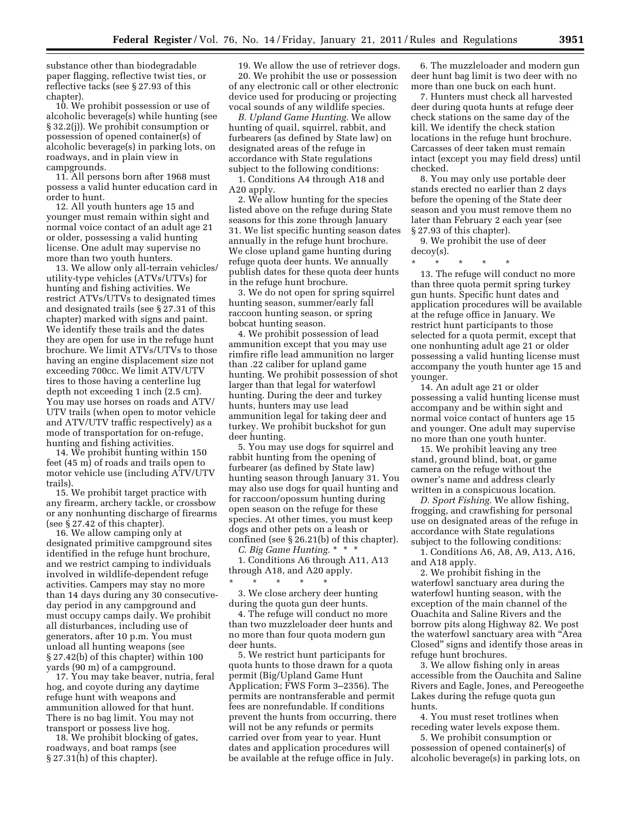substance other than biodegradable paper flagging, reflective twist ties, or reflective tacks (see § 27.93 of this chapter).

10. We prohibit possession or use of alcoholic beverage(s) while hunting (see § 32.2(j)). We prohibit consumption or possession of opened container(s) of alcoholic beverage(s) in parking lots, on roadways, and in plain view in campgrounds.

11. All persons born after 1968 must possess a valid hunter education card in order to hunt.

12. All youth hunters age 15 and younger must remain within sight and normal voice contact of an adult age 21 or older, possessing a valid hunting license. One adult may supervise no more than two youth hunters.

13. We allow only all-terrain vehicles/ utility-type vehicles (ATVs/UTVs) for hunting and fishing activities. We restrict ATVs/UTVs to designated times and designated trails (see § 27.31 of this chapter) marked with signs and paint. We identify these trails and the dates they are open for use in the refuge hunt brochure. We limit ATVs/UTVs to those having an engine displacement size not exceeding 700cc. We limit ATV/UTV tires to those having a centerline lug depth not exceeding 1 inch (2.5 cm). You may use horses on roads and ATV/ UTV trails (when open to motor vehicle and ATV/UTV traffic respectively) as a mode of transportation for on-refuge, hunting and fishing activities.

14. We prohibit hunting within 150 feet (45 m) of roads and trails open to motor vehicle use (including ATV/UTV trails).

15. We prohibit target practice with any firearm, archery tackle, or crossbow or any nonhunting discharge of firearms (see § 27.42 of this chapter).

16. We allow camping only at designated primitive campground sites identified in the refuge hunt brochure, and we restrict camping to individuals involved in wildlife-dependent refuge activities. Campers may stay no more than 14 days during any 30 consecutiveday period in any campground and must occupy camps daily. We prohibit all disturbances, including use of generators, after 10 p.m. You must unload all hunting weapons (see § 27.42(b) of this chapter) within 100 yards (90 m) of a campground.

17. You may take beaver, nutria, feral hog, and coyote during any daytime refuge hunt with weapons and ammunition allowed for that hunt. There is no bag limit. You may not transport or possess live hog.

18. We prohibit blocking of gates, roadways, and boat ramps (see § 27.31(h) of this chapter).

19. We allow the use of retriever dogs. 20. We prohibit the use or possession of any electronic call or other electronic device used for producing or projecting vocal sounds of any wildlife species.

*B. Upland Game Hunting.* We allow hunting of quail, squirrel, rabbit, and furbearers (as defined by State law) on designated areas of the refuge in accordance with State regulations subject to the following conditions:

1. Conditions A4 through A18 and A20 apply.

2. We allow hunting for the species listed above on the refuge during State seasons for this zone through January 31. We list specific hunting season dates annually in the refuge hunt brochure. We close upland game hunting during refuge quota deer hunts. We annually publish dates for these quota deer hunts in the refuge hunt brochure.

3. We do not open for spring squirrel hunting season, summer/early fall raccoon hunting season, or spring bobcat hunting season.

4. We prohibit possession of lead ammunition except that you may use rimfire rifle lead ammunition no larger than .22 caliber for upland game hunting. We prohibit possession of shot larger than that legal for waterfowl hunting. During the deer and turkey hunts, hunters may use lead ammunition legal for taking deer and turkey. We prohibit buckshot for gun deer hunting.

5. You may use dogs for squirrel and rabbit hunting from the opening of furbearer (as defined by State law) hunting season through January 31. You may also use dogs for quail hunting and for raccoon/opossum hunting during open season on the refuge for these species. At other times, you must keep dogs and other pets on a leash or confined (see § 26.21(b) of this chapter).

*C. Big Game Hunting.* \* \* \*

1. Conditions A6 through A11, A13 through A18, and A20 apply.

\* \* \* \* \* 3. We close archery deer hunting during the quota gun deer hunts.

4. The refuge will conduct no more than two muzzleloader deer hunts and no more than four quota modern gun deer hunts.

5. We restrict hunt participants for quota hunts to those drawn for a quota permit (Big/Upland Game Hunt Application; FWS Form 3–2356). The permits are nontransferable and permit fees are nonrefundable. If conditions prevent the hunts from occurring, there will not be any refunds or permits carried over from year to year. Hunt dates and application procedures will be available at the refuge office in July.

6. The muzzleloader and modern gun deer hunt bag limit is two deer with no more than one buck on each hunt.

7. Hunters must check all harvested deer during quota hunts at refuge deer check stations on the same day of the kill. We identify the check station locations in the refuge hunt brochure. Carcasses of deer taken must remain intact (except you may field dress) until checked.

8. You may only use portable deer stands erected no earlier than 2 days before the opening of the State deer season and you must remove them no later than February 2 each year (see § 27.93 of this chapter).

9. We prohibit the use of deer decoy(s).

\* \* \* \* \*

13. The refuge will conduct no more than three quota permit spring turkey gun hunts. Specific hunt dates and application procedures will be available at the refuge office in January. We restrict hunt participants to those selected for a quota permit, except that one nonhunting adult age 21 or older possessing a valid hunting license must accompany the youth hunter age 15 and younger.

14. An adult age 21 or older possessing a valid hunting license must accompany and be within sight and normal voice contact of hunters age 15 and younger. One adult may supervise no more than one youth hunter.

15. We prohibit leaving any tree stand, ground blind, boat, or game camera on the refuge without the owner's name and address clearly written in a conspicuous location.

*D. Sport Fishing.* We allow fishing, frogging, and crawfishing for personal use on designated areas of the refuge in accordance with State regulations subject to the following conditions:

1. Conditions A6, A8, A9, A13, A16, and A18 apply.

2. We prohibit fishing in the waterfowl sanctuary area during the waterfowl hunting season, with the exception of the main channel of the Ouachita and Saline Rivers and the borrow pits along Highway 82. We post the waterfowl sanctuary area with ''Area Closed'' signs and identify those areas in refuge hunt brochures.

3. We allow fishing only in areas accessible from the Oauchita and Saline Rivers and Eagle, Jones, and Pereogeethe Lakes during the refuge quota gun hunts.

4. You must reset trotlines when receding water levels expose them.

5. We prohibit consumption or possession of opened container(s) of alcoholic beverage(s) in parking lots, on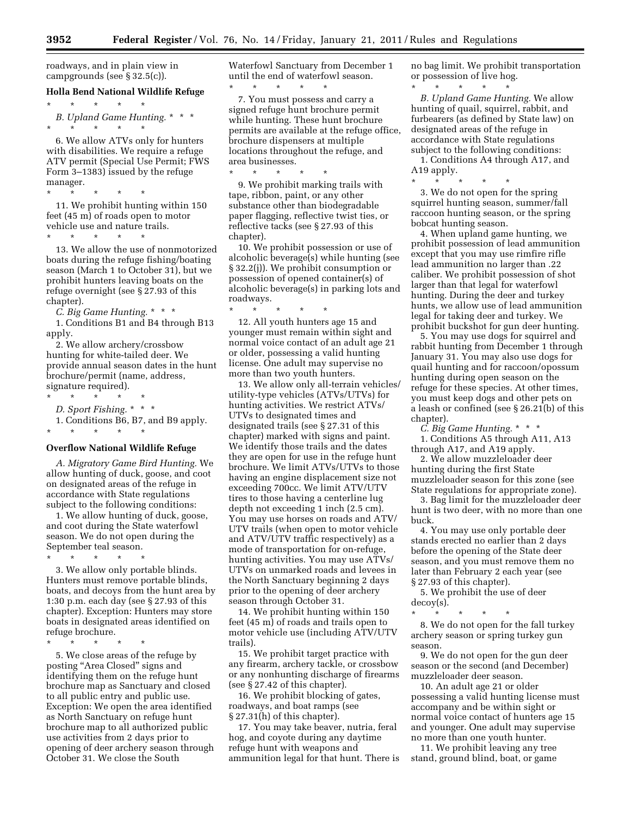roadways, and in plain view in campgrounds (see § 32.5(c)).

\* \* \* \* \*

#### **Holla Bend National Wildlife Refuge**

*B. Upland Game Hunting.* \* \* \* \* \* \* \* \*

6. We allow ATVs only for hunters with disabilities. We require a refuge ATV permit (Special Use Permit; FWS Form 3–1383) issued by the refuge manager.

\* \* \* \* \* 11. We prohibit hunting within 150 feet (45 m) of roads open to motor vehicle use and nature trails.

\* \* \* \* \* 13. We allow the use of nonmotorized boats during the refuge fishing/boating season (March 1 to October 31), but we prohibit hunters leaving boats on the refuge overnight (see § 27.93 of this chapter).

*C. Big Game Hunting.* \* \* \* 1. Conditions B1 and B4 through B13 apply.

2. We allow archery/crossbow hunting for white-tailed deer. We provide annual season dates in the hunt brochure/permit (name, address, signature required).

\* \* \* \* \*

\* \* \* \* \*

*D. Sport Fishing.* \* \* \*

1. Conditions B6, B7, and B9 apply.

#### **Overflow National Wildlife Refuge**

*A. Migratory Game Bird Hunting.* We allow hunting of duck, goose, and coot on designated areas of the refuge in accordance with State regulations subject to the following conditions:

1. We allow hunting of duck, goose, and coot during the State waterfowl season. We do not open during the September teal season.

\* \* \* \* \*

3. We allow only portable blinds. Hunters must remove portable blinds, boats, and decoys from the hunt area by 1:30 p.m. each day (see § 27.93 of this chapter). Exception: Hunters may store boats in designated areas identified on refuge brochure.

\* \* \* \* \*

5. We close areas of the refuge by posting ''Area Closed'' signs and identifying them on the refuge hunt brochure map as Sanctuary and closed to all public entry and public use. Exception: We open the area identified as North Sanctuary on refuge hunt brochure map to all authorized public use activities from 2 days prior to opening of deer archery season through October 31. We close the South

Waterfowl Sanctuary from December 1 until the end of waterfowl season. \* \* \* \* \*

7. You must possess and carry a signed refuge hunt brochure permit while hunting. These hunt brochure permits are available at the refuge office, brochure dispensers at multiple locations throughout the refuge, and area businesses.

\* \* \* \* \* 9. We prohibit marking trails with tape, ribbon, paint, or any other substance other than biodegradable paper flagging, reflective twist ties, or reflective tacks (see § 27.93 of this chapter).

10. We prohibit possession or use of alcoholic beverage(s) while hunting (see § 32.2(j)). We prohibit consumption or possession of opened container(s) of alcoholic beverage(s) in parking lots and roadways.

\* \* \* \* \* 12. All youth hunters age 15 and younger must remain within sight and normal voice contact of an adult age 21 or older, possessing a valid hunting license. One adult may supervise no more than two youth hunters.

13. We allow only all-terrain vehicles/ utility-type vehicles (ATVs/UTVs) for hunting activities. We restrict ATVs/ UTVs to designated times and designated trails (see § 27.31 of this chapter) marked with signs and paint. We identify those trails and the dates they are open for use in the refuge hunt brochure. We limit ATVs/UTVs to those having an engine displacement size not exceeding 700cc. We limit ATV/UTV tires to those having a centerline lug depth not exceeding 1 inch (2.5 cm). You may use horses on roads and ATV/ UTV trails (when open to motor vehicle and ATV/UTV traffic respectively) as a mode of transportation for on-refuge, hunting activities. You may use ATVs/ UTVs on unmarked roads and levees in the North Sanctuary beginning 2 days prior to the opening of deer archery season through October 31.

14. We prohibit hunting within 150 feet (45 m) of roads and trails open to motor vehicle use (including ATV/UTV trails).

15. We prohibit target practice with any firearm, archery tackle, or crossbow or any nonhunting discharge of firearms (see § 27.42 of this chapter).

16. We prohibit blocking of gates, roadways, and boat ramps (see § 27.31(h) of this chapter).

17. You may take beaver, nutria, feral hog, and coyote during any daytime refuge hunt with weapons and ammunition legal for that hunt. There is no bag limit. We prohibit transportation or possession of live hog.

\* \* \* \* \* *B. Upland Game Hunting.* We allow hunting of quail, squirrel, rabbit, and furbearers (as defined by State law) on designated areas of the refuge in accordance with State regulations subject to the following conditions:

1. Conditions A4 through A17, and A19 apply.

\* \* \* \* \* 3. We do not open for the spring squirrel hunting season, summer/fall raccoon hunting season, or the spring bobcat hunting season.

4. When upland game hunting, we prohibit possession of lead ammunition except that you may use rimfire rifle lead ammunition no larger than .22 caliber. We prohibit possession of shot larger than that legal for waterfowl hunting. During the deer and turkey hunts, we allow use of lead ammunition legal for taking deer and turkey. We prohibit buckshot for gun deer hunting.

5. You may use dogs for squirrel and rabbit hunting from December 1 through January 31. You may also use dogs for quail hunting and for raccoon/opossum hunting during open season on the refuge for these species. At other times, you must keep dogs and other pets on a leash or confined (see § 26.21(b) of this chapter).

*C. Big Game Hunting.* \* \* \* 1. Conditions A5 through A11, A13 through A17, and A19 apply.

2. We allow muzzleloader deer hunting during the first State muzzleloader season for this zone (see

State regulations for appropriate zone). 3. Bag limit for the muzzleloader deer hunt is two deer, with no more than one buck.

4. You may use only portable deer stands erected no earlier than 2 days before the opening of the State deer season, and you must remove them no later than February 2 each year (see § 27.93 of this chapter).

5. We prohibit the use of deer decoy(s).

\* \* \* \* \* 8. We do not open for the fall turkey archery season or spring turkey gun season.

9. We do not open for the gun deer season or the second (and December) muzzleloader deer season.

10. An adult age 21 or older possessing a valid hunting license must accompany and be within sight or normal voice contact of hunters age 15 and younger. One adult may supervise no more than one youth hunter.

11. We prohibit leaving any tree stand, ground blind, boat, or game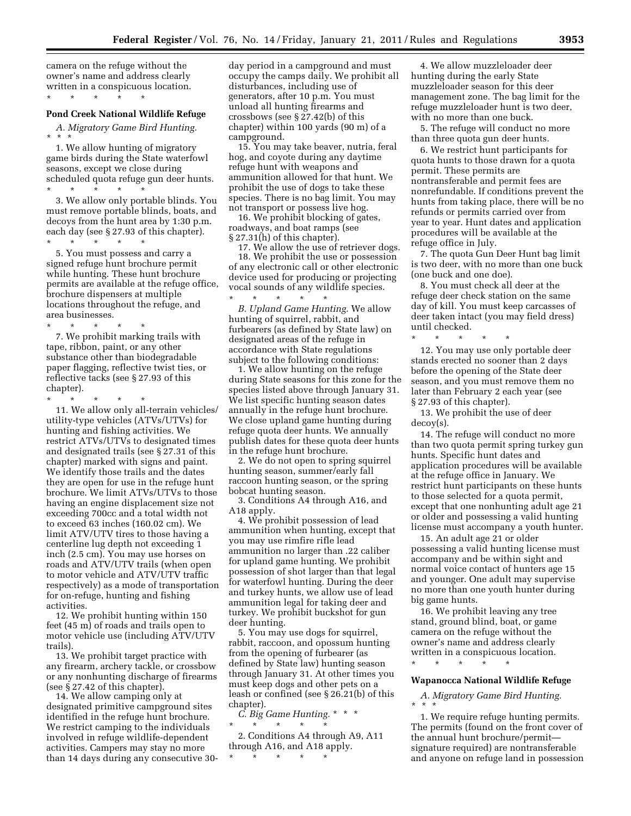camera on the refuge without the owner's name and address clearly written in a conspicuous location. \* \* \* \* \*

# **Pond Creek National Wildlife Refuge**

*A. Migratory Game Bird Hunting.*  \* \* \*

1. We allow hunting of migratory game birds during the State waterfowl seasons, except we close during scheduled quota refuge gun deer hunts. \* \* \* \* \*

3. We allow only portable blinds. You must remove portable blinds, boats, and decoys from the hunt area by 1:30 p.m. each day (see § 27.93 of this chapter).

\* \* \* \* \* 5. You must possess and carry a signed refuge hunt brochure permit while hunting. These hunt brochure permits are available at the refuge office, brochure dispensers at multiple locations throughout the refuge, and area businesses.

\* \* \* \* \* 7. We prohibit marking trails with tape, ribbon, paint, or any other substance other than biodegradable paper flagging, reflective twist ties, or reflective tacks (see § 27.93 of this chapter).

\* \* \* \* \* 11. We allow only all-terrain vehicles/ utility-type vehicles (ATVs/UTVs) for hunting and fishing activities. We restrict ATVs/UTVs to designated times and designated trails (see § 27.31 of this chapter) marked with signs and paint. We identify those trails and the dates they are open for use in the refuge hunt brochure. We limit ATVs/UTVs to those having an engine displacement size not exceeding 700cc and a total width not to exceed 63 inches (160.02 cm). We limit ATV/UTV tires to those having a centerline lug depth not exceeding 1 inch (2.5 cm). You may use horses on roads and ATV/UTV trails (when open to motor vehicle and ATV/UTV traffic respectively) as a mode of transportation for on-refuge, hunting and fishing activities.

12. We prohibit hunting within 150 feet (45 m) of roads and trails open to motor vehicle use (including ATV/UTV trails).

13. We prohibit target practice with any firearm, archery tackle, or crossbow or any nonhunting discharge of firearms (see § 27.42 of this chapter).

14. We allow camping only at designated primitive campground sites identified in the refuge hunt brochure. We restrict camping to the individuals involved in refuge wildlife-dependent activities. Campers may stay no more than 14 days during any consecutive 30day period in a campground and must occupy the camps daily. We prohibit all disturbances, including use of generators, after 10 p.m. You must unload all hunting firearms and crossbows (see § 27.42(b) of this chapter) within 100 yards (90 m) of a campground.

15. You may take beaver, nutria, feral hog, and coyote during any daytime refuge hunt with weapons and ammunition allowed for that hunt. We prohibit the use of dogs to take these species. There is no bag limit. You may not transport or possess live hog.

16. We prohibit blocking of gates, roadways, and boat ramps (see § 27.31(h) of this chapter).

17. We allow the use of retriever dogs. 18. We prohibit the use or possession of any electronic call or other electronic device used for producing or projecting vocal sounds of any wildlife species. \* \* \* \* \*

*B. Upland Game Hunting.* We allow hunting of squirrel, rabbit, and furbearers (as defined by State law) on designated areas of the refuge in accordance with State regulations subject to the following conditions:

1. We allow hunting on the refuge during State seasons for this zone for the species listed above through January 31. We list specific hunting season dates annually in the refuge hunt brochure. We close upland game hunting during refuge quota deer hunts. We annually publish dates for these quota deer hunts in the refuge hunt brochure.

2. We do not open to spring squirrel hunting season, summer/early fall raccoon hunting season, or the spring bobcat hunting season.

3. Conditions A4 through A16, and A18 apply.

4. We prohibit possession of lead ammunition when hunting, except that you may use rimfire rifle lead ammunition no larger than .22 caliber for upland game hunting. We prohibit possession of shot larger than that legal for waterfowl hunting. During the deer and turkey hunts, we allow use of lead ammunition legal for taking deer and turkey. We prohibit buckshot for gun deer hunting.

5. You may use dogs for squirrel, rabbit, raccoon, and opossum hunting from the opening of furbearer (as defined by State law) hunting season through January 31. At other times you must keep dogs and other pets on a leash or confined (see § 26.21(b) of this chapter).

*C. Big Game Hunting.* \* \* \*  $\star$   $\star$   $\star$   $\star$ 

2. Conditions A4 through A9, A11 through A16, and A18 apply. \* \* \* \* \*

4. We allow muzzleloader deer hunting during the early State muzzleloader season for this deer management zone. The bag limit for the refuge muzzleloader hunt is two deer, with no more than one buck.

5. The refuge will conduct no more than three quota gun deer hunts.

6. We restrict hunt participants for quota hunts to those drawn for a quota permit. These permits are nontransferable and permit fees are nonrefundable. If conditions prevent the hunts from taking place, there will be no refunds or permits carried over from year to year. Hunt dates and application procedures will be available at the refuge office in July.

7. The quota Gun Deer Hunt bag limit is two deer, with no more than one buck (one buck and one doe).

8. You must check all deer at the refuge deer check station on the same day of kill. You must keep carcasses of deer taken intact (you may field dress) until checked.

\* \* \* \* \* 12. You may use only portable deer stands erected no sooner than 2 days before the opening of the State deer season, and you must remove them no later than February 2 each year (see § 27.93 of this chapter).

13. We prohibit the use of deer decoy(s).

14. The refuge will conduct no more than two quota permit spring turkey gun hunts. Specific hunt dates and application procedures will be available at the refuge office in January. We restrict hunt participants on these hunts to those selected for a quota permit, except that one nonhunting adult age 21 or older and possessing a valid hunting license must accompany a youth hunter.

15. An adult age 21 or older possessing a valid hunting license must accompany and be within sight and normal voice contact of hunters age 15 and younger. One adult may supervise no more than one youth hunter during big game hunts.

16. We prohibit leaving any tree stand, ground blind, boat, or game camera on the refuge without the owner's name and address clearly written in a conspicuous location. \* \* \* \* \*

#### **Wapanocca National Wildlife Refuge**

*A. Migratory Game Bird Hunting.*  \* \* \*

1. We require refuge hunting permits. The permits (found on the front cover of the annual hunt brochure/permit signature required) are nontransferable and anyone on refuge land in possession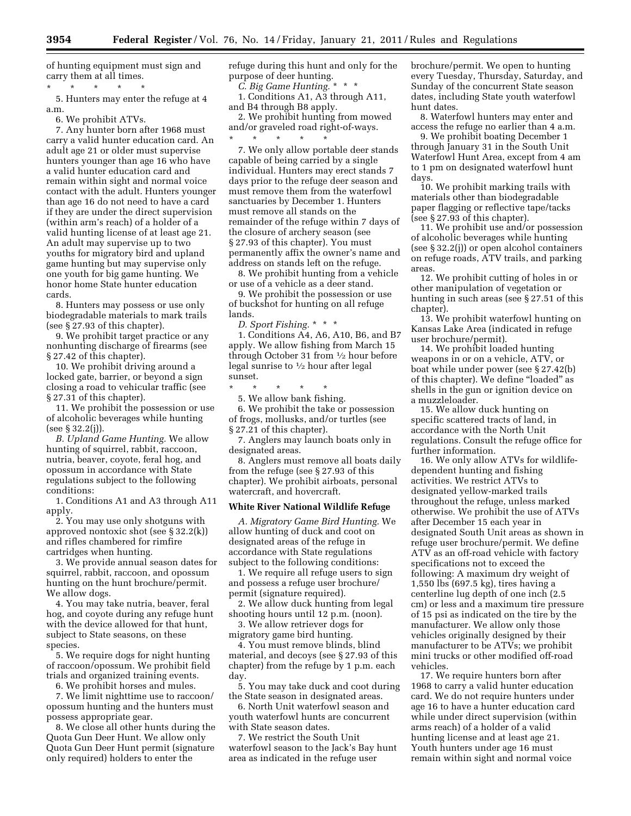of hunting equipment must sign and carry them at all times.

\* \* \* \* \* 5. Hunters may enter the refuge at 4 a.m.

6. We prohibit ATVs.

7. Any hunter born after 1968 must carry a valid hunter education card. An adult age 21 or older must supervise hunters younger than age 16 who have a valid hunter education card and remain within sight and normal voice contact with the adult. Hunters younger than age 16 do not need to have a card if they are under the direct supervision (within arm's reach) of a holder of a valid hunting license of at least age 21. An adult may supervise up to two youths for migratory bird and upland game hunting but may supervise only one youth for big game hunting. We honor home State hunter education cards.

8. Hunters may possess or use only biodegradable materials to mark trails (see § 27.93 of this chapter).

9. We prohibit target practice or any nonhunting discharge of firearms (see § 27.42 of this chapter).

10. We prohibit driving around a locked gate, barrier, or beyond a sign closing a road to vehicular traffic (see § 27.31 of this chapter).

11. We prohibit the possession or use of alcoholic beverages while hunting (see § 32.2(j)).

*B. Upland Game Hunting.* We allow hunting of squirrel, rabbit, raccoon, nutria, beaver, coyote, feral hog, and opossum in accordance with State regulations subject to the following conditions:

1. Conditions A1 and A3 through A11 apply.

2. You may use only shotguns with approved nontoxic shot (see § 32.2(k)) and rifles chambered for rimfire cartridges when hunting.

3. We provide annual season dates for squirrel, rabbit, raccoon, and opossum hunting on the hunt brochure/permit. We allow dogs.

4. You may take nutria, beaver, feral hog, and coyote during any refuge hunt with the device allowed for that hunt, subject to State seasons, on these species.

5. We require dogs for night hunting of raccoon/opossum. We prohibit field trials and organized training events.

6. We prohibit horses and mules.

7. We limit nighttime use to raccoon/ opossum hunting and the hunters must possess appropriate gear.

8. We close all other hunts during the Quota Gun Deer Hunt. We allow only Quota Gun Deer Hunt permit (signature only required) holders to enter the

refuge during this hunt and only for the purpose of deer hunting.

*C. Big Game Hunting.* \* \* \*

1. Conditions A1, A3 through A11, and B4 through B8 apply.

2. We prohibit hunting from mowed and/or graveled road right-of-ways. \* \* \* \* \*

7. We only allow portable deer stands capable of being carried by a single individual. Hunters may erect stands 7 days prior to the refuge deer season and must remove them from the waterfowl sanctuaries by December 1. Hunters must remove all stands on the remainder of the refuge within 7 days of the closure of archery season (see § 27.93 of this chapter). You must permanently affix the owner's name and address on stands left on the refuge.

8. We prohibit hunting from a vehicle or use of a vehicle as a deer stand.

9. We prohibit the possession or use of buckshot for hunting on all refuge lands.

*D. Sport Fishing.* \* \* \*

1. Conditions A4, A6, A10, B6, and B7 apply. We allow fishing from March 15 through October 31 from 1⁄2 hour before legal sunrise to 1⁄2 hour after legal sunset.

\* \* \* \* \*

5. We allow bank fishing.

6. We prohibit the take or possession of frogs, mollusks, and/or turtles (see § 27.21 of this chapter).

7. Anglers may launch boats only in designated areas.

8. Anglers must remove all boats daily from the refuge (see § 27.93 of this chapter). We prohibit airboats, personal watercraft, and hovercraft.

#### **White River National Wildlife Refuge**

*A. Migratory Game Bird Hunting.* We allow hunting of duck and coot on designated areas of the refuge in accordance with State regulations subject to the following conditions:

1. We require all refuge users to sign and possess a refuge user brochure/ permit (signature required).

2. We allow duck hunting from legal shooting hours until 12 p.m. (noon).

3. We allow retriever dogs for migratory game bird hunting.

4. You must remove blinds, blind material, and decoys (see § 27.93 of this chapter) from the refuge by 1 p.m. each day.

5. You may take duck and coot during the State season in designated areas.

6. North Unit waterfowl season and youth waterfowl hunts are concurrent with State season dates.

7. We restrict the South Unit waterfowl season to the Jack's Bay hunt area as indicated in the refuge user

brochure/permit. We open to hunting every Tuesday, Thursday, Saturday, and Sunday of the concurrent State season dates, including State youth waterfowl hunt dates.

8. Waterfowl hunters may enter and access the refuge no earlier than 4 a.m.

9. We prohibit boating December 1 through January 31 in the South Unit Waterfowl Hunt Area, except from 4 am to 1 pm on designated waterfowl hunt days.

10. We prohibit marking trails with materials other than biodegradable paper flagging or reflective tape/tacks (see § 27.93 of this chapter).

11. We prohibit use and/or possession of alcoholic beverages while hunting (see § 32.2(j)) or open alcohol containers on refuge roads, ATV trails, and parking areas.

12. We prohibit cutting of holes in or other manipulation of vegetation or hunting in such areas (see § 27.51 of this chapter).

13. We prohibit waterfowl hunting on Kansas Lake Area (indicated in refuge user brochure/permit).

14. We prohibit loaded hunting weapons in or on a vehicle, ATV, or boat while under power (see § 27.42(b) of this chapter). We define "loaded" as shells in the gun or ignition device on a muzzleloader.

15. We allow duck hunting on specific scattered tracts of land, in accordance with the North Unit regulations. Consult the refuge office for further information.

16. We only allow ATVs for wildlifedependent hunting and fishing activities. We restrict ATVs to designated yellow-marked trails throughout the refuge, unless marked otherwise. We prohibit the use of ATVs after December 15 each year in designated South Unit areas as shown in refuge user brochure/permit. We define ATV as an off-road vehicle with factory specifications not to exceed the following: A maximum dry weight of 1,550 lbs (697.5 kg), tires having a centerline lug depth of one inch (2.5 cm) or less and a maximum tire pressure of 15 psi as indicated on the tire by the manufacturer. We allow only those vehicles originally designed by their manufacturer to be ATVs; we prohibit mini trucks or other modified off-road vehicles.

17. We require hunters born after 1968 to carry a valid hunter education card. We do not require hunters under age 16 to have a hunter education card while under direct supervision (within arms reach) of a holder of a valid hunting license and at least age 21. Youth hunters under age 16 must remain within sight and normal voice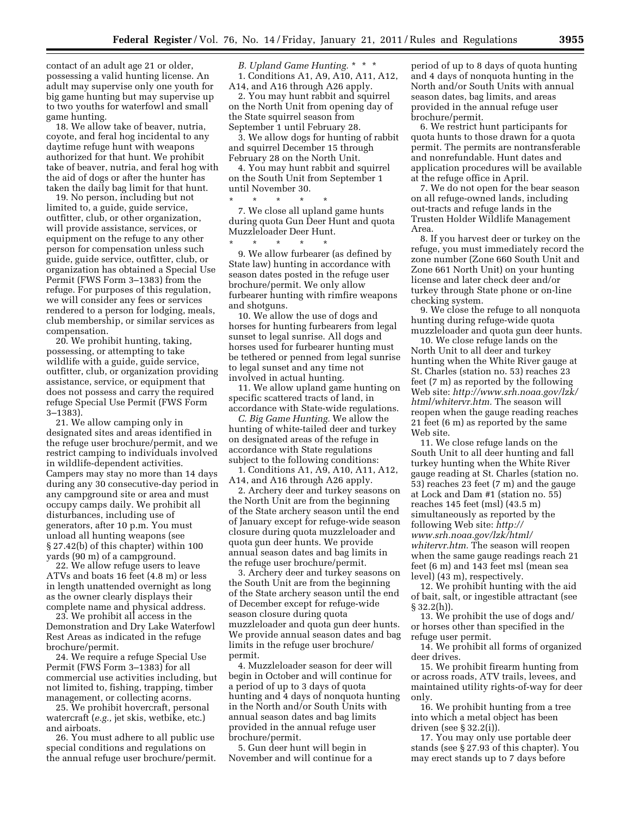contact of an adult age 21 or older, possessing a valid hunting license. An adult may supervise only one youth for big game hunting but may supervise up to two youths for waterfowl and small game hunting.

18. We allow take of beaver, nutria, coyote, and feral hog incidental to any daytime refuge hunt with weapons authorized for that hunt. We prohibit take of beaver, nutria, and feral hog with the aid of dogs or after the hunter has taken the daily bag limit for that hunt.

19. No person, including but not limited to, a guide, guide service, outfitter, club, or other organization, will provide assistance, services, or equipment on the refuge to any other person for compensation unless such guide, guide service, outfitter, club, or organization has obtained a Special Use Permit (FWS Form 3–1383) from the refuge. For purposes of this regulation, we will consider any fees or services rendered to a person for lodging, meals, club membership, or similar services as compensation.

20. We prohibit hunting, taking, possessing, or attempting to take wildlife with a guide, guide service, outfitter, club, or organization providing assistance, service, or equipment that does not possess and carry the required refuge Special Use Permit (FWS Form 3–1383).

21. We allow camping only in designated sites and areas identified in the refuge user brochure/permit, and we restrict camping to individuals involved in wildlife-dependent activities. Campers may stay no more than 14 days during any 30 consecutive-day period in any campground site or area and must occupy camps daily. We prohibit all disturbances, including use of generators, after 10 p.m. You must unload all hunting weapons (see § 27.42(b) of this chapter) within 100 yards (90 m) of a campground.

22. We allow refuge users to leave ATVs and boats 16 feet (4.8 m) or less in length unattended overnight as long as the owner clearly displays their complete name and physical address.

23. We prohibit all access in the Demonstration and Dry Lake Waterfowl Rest Areas as indicated in the refuge brochure/permit.

24. We require a refuge Special Use Permit (FWS Form 3–1383) for all commercial use activities including, but not limited to, fishing, trapping, timber management, or collecting acorns.

25. We prohibit hovercraft, personal watercraft (*e.g.,* jet skis, wetbike, etc.) and airboats.

26. You must adhere to all public use special conditions and regulations on the annual refuge user brochure/permit.

*B. Upland Game Hunting.* \* \* \* 1. Conditions A1, A9, A10, A11, A12, A14, and A16 through A26 apply.

2. You may hunt rabbit and squirrel on the North Unit from opening day of the State squirrel season from September 1 until February 28.

3. We allow dogs for hunting of rabbit and squirrel December 15 through February 28 on the North Unit.

4. You may hunt rabbit and squirrel on the South Unit from September 1 until November 30.

\* \* \* \* \*

7. We close all upland game hunts during quota Gun Deer Hunt and quota Muzzleloader Deer Hunt. \* \* \* \* \*

9. We allow furbearer (as defined by State law) hunting in accordance with season dates posted in the refuge user brochure/permit. We only allow furbearer hunting with rimfire weapons and shotguns.

10. We allow the use of dogs and horses for hunting furbearers from legal sunset to legal sunrise. All dogs and horses used for furbearer hunting must be tethered or penned from legal sunrise to legal sunset and any time not involved in actual hunting.

11. We allow upland game hunting on specific scattered tracts of land, in accordance with State-wide regulations.

*C. Big Game Hunting.* We allow the hunting of white-tailed deer and turkey on designated areas of the refuge in accordance with State regulations subject to the following conditions:

1. Conditions A1, A9, A10, A11, A12, A14, and A16 through A26 apply.

2. Archery deer and turkey seasons on the North Unit are from the beginning of the State archery season until the end of January except for refuge-wide season closure during quota muzzleloader and quota gun deer hunts. We provide annual season dates and bag limits in the refuge user brochure/permit.

3. Archery deer and turkey seasons on the South Unit are from the beginning of the State archery season until the end of December except for refuge-wide season closure during quota muzzleloader and quota gun deer hunts. We provide annual season dates and bag limits in the refuge user brochure/ permit.

4. Muzzleloader season for deer will begin in October and will continue for a period of up to 3 days of quota hunting and 4 days of nonquota hunting in the North and/or South Units with annual season dates and bag limits provided in the annual refuge user brochure/permit.

5. Gun deer hunt will begin in November and will continue for a

period of up to 8 days of quota hunting and 4 days of nonquota hunting in the North and/or South Units with annual season dates, bag limits, and areas provided in the annual refuge user brochure/permit.

6. We restrict hunt participants for quota hunts to those drawn for a quota permit. The permits are nontransferable and nonrefundable. Hunt dates and application procedures will be available at the refuge office in April.

7. We do not open for the bear season on all refuge-owned lands, including out-tracts and refuge lands in the Trusten Holder Wildlife Management Area.

8. If you harvest deer or turkey on the refuge, you must immediately record the zone number (Zone 660 South Unit and Zone 661 North Unit) on your hunting license and later check deer and/or turkey through State phone or on-line checking system.

9. We close the refuge to all nonquota hunting during refuge-wide quota muzzleloader and quota gun deer hunts.

10. We close refuge lands on the North Unit to all deer and turkey hunting when the White River gauge at St. Charles (station no. 53) reaches 23 feet (7 m) as reported by the following Web site: *[http://www.srh.noaa.gov/lzk/](http://www.srh.noaa.gov/lzk/html/whitervr.htm)  [html/whitervr.htm.](http://www.srh.noaa.gov/lzk/html/whitervr.htm)* The season will reopen when the gauge reading reaches 21 feet (6 m) as reported by the same Web site.

11. We close refuge lands on the South Unit to all deer hunting and fall turkey hunting when the White River gauge reading at St. Charles (station no. 53) reaches 23 feet (7 m) and the gauge at Lock and Dam #1 (station no. 55) reaches 145 feet (msl) (43.5 m) simultaneously as reported by the following Web site: *[http://](http://www.srh.noaa.gov/lzk/html/whitervr.htm)  [www.srh.noaa.gov/lzk/html/](http://www.srh.noaa.gov/lzk/html/whitervr.htm)  [whitervr.htm.](http://www.srh.noaa.gov/lzk/html/whitervr.htm)* The season will reopen when the same gauge readings reach 21 feet (6 m) and 143 feet msl (mean sea level) (43 m), respectively.

12. We prohibit hunting with the aid of bait, salt, or ingestible attractant (see § 32.2(h)).

13. We prohibit the use of dogs and/ or horses other than specified in the refuge user permit.

14. We prohibit all forms of organized deer drives.

15. We prohibit firearm hunting from or across roads, ATV trails, levees, and maintained utility rights-of-way for deer only.

16. We prohibit hunting from a tree into which a metal object has been driven (see § 32.2(i)).

17. You may only use portable deer stands (see § 27.93 of this chapter). You may erect stands up to 7 days before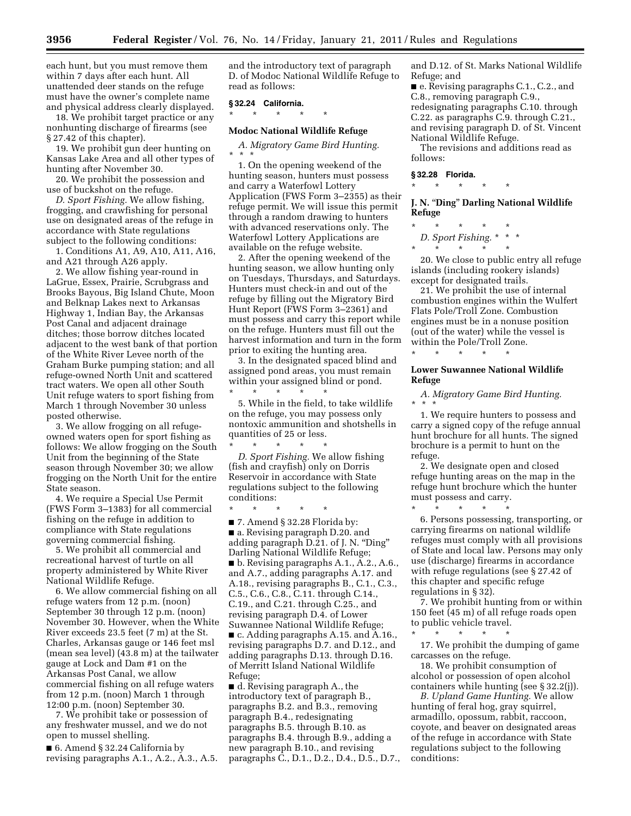each hunt, but you must remove them within 7 days after each hunt. All unattended deer stands on the refuge must have the owner's complete name and physical address clearly displayed.

18. We prohibit target practice or any nonhunting discharge of firearms (see § 27.42 of this chapter).

19. We prohibit gun deer hunting on Kansas Lake Area and all other types of hunting after November 30.

20. We prohibit the possession and use of buckshot on the refuge.

*D. Sport Fishing.* We allow fishing, frogging, and crawfishing for personal use on designated areas of the refuge in accordance with State regulations subject to the following conditions:

1. Conditions A1, A9, A10, A11, A16, and A21 through A26 apply.

2. We allow fishing year-round in LaGrue, Essex, Prairie, Scrubgrass and Brooks Bayous, Big Island Chute, Moon and Belknap Lakes next to Arkansas Highway 1, Indian Bay, the Arkansas Post Canal and adjacent drainage ditches; those borrow ditches located adjacent to the west bank of that portion of the White River Levee north of the Graham Burke pumping station; and all refuge-owned North Unit and scattered tract waters. We open all other South Unit refuge waters to sport fishing from March 1 through November 30 unless posted otherwise.

3. We allow frogging on all refugeowned waters open for sport fishing as follows: We allow frogging on the South Unit from the beginning of the State season through November 30; we allow frogging on the North Unit for the entire State season.

4. We require a Special Use Permit (FWS Form 3–1383) for all commercial fishing on the refuge in addition to compliance with State regulations governing commercial fishing.

5. We prohibit all commercial and recreational harvest of turtle on all property administered by White River National Wildlife Refuge.

6. We allow commercial fishing on all refuge waters from 12 p.m. (noon) September 30 through 12 p.m. (noon) November 30. However, when the White River exceeds 23.5 feet (7 m) at the St. Charles, Arkansas gauge or 146 feet msl (mean sea level) (43.8 m) at the tailwater gauge at Lock and Dam #1 on the Arkansas Post Canal, we allow commercial fishing on all refuge waters from 12 p.m. (noon) March 1 through 12:00 p.m. (noon) September 30.

7. We prohibit take or possession of any freshwater mussel, and we do not open to mussel shelling.

■ 6. Amend § 32.24 California by revising paragraphs A.1., A.2., A.3., A.5. and the introductory text of paragraph D. of Modoc National Wildlife Refuge to read as follows:

#### **§ 32.24 California.**

\* \* \* \* \*

#### **Modoc National Wildlife Refuge**

*A. Migratory Game Bird Hunting.*  \* \* \*

1. On the opening weekend of the hunting season, hunters must possess and carry a Waterfowl Lottery Application (FWS Form 3–2355) as their refuge permit. We will issue this permit through a random drawing to hunters with advanced reservations only. The Waterfowl Lottery Applications are available on the refuge website.

2. After the opening weekend of the hunting season, we allow hunting only on Tuesdays, Thursdays, and Saturdays. Hunters must check-in and out of the refuge by filling out the Migratory Bird Hunt Report (FWS Form 3–2361) and must possess and carry this report while on the refuge. Hunters must fill out the harvest information and turn in the form prior to exiting the hunting area.

3. In the designated spaced blind and assigned pond areas, you must remain within your assigned blind or pond.

\* \* \* \* \* 5. While in the field, to take wildlife on the refuge, you may possess only nontoxic ammunition and shotshells in quantities of 25 or less.

\* \* \* \* \* *D. Sport Fishing.* We allow fishing (fish and crayfish) only on Dorris Reservoir in accordance with State regulations subject to the following conditions:

\* \* \* \* \*

■ 7. Amend § 32.28 Florida by: ■ a. Revising paragraph D.20. and adding paragraph D.21. of J. N. ''Ding'' Darling National Wildlife Refuge; ■ b. Revising paragraphs A.1., A.2., A.6., and A.7., adding paragraphs A.17. and A.18., revising paragraphs B., C.1., C.3., C.5., C.6., C.8., C.11. through C.14., C.19., and C.21. through C.25., and revising paragraph D.4. of Lower Suwannee National Wildlife Refuge; ■ c. Adding paragraphs A.15. and A.16., revising paragraphs D.7. and D.12., and adding paragraphs D.13. through D.16. of Merritt Island National Wildlife Refuge;

■ d. Revising paragraph A., the introductory text of paragraph B., paragraphs B.2. and B.3., removing paragraph B.4., redesignating paragraphs B.5. through B.10. as paragraphs B.4. through B.9., adding a new paragraph B.10., and revising paragraphs C., D.1., D.2., D.4., D.5., D.7., and D.12. of St. Marks National Wildlife Refuge; and

■ e. Revising paragraphs C.1., C.2., and C.8., removing paragraph C.9., redesignating paragraphs C.10. through C.22. as paragraphs C.9. through C.21., and revising paragraph D. of St. Vincent National Wildlife Refuge.

The revisions and additions read as follows:

#### **§ 32.28 Florida.**

\* \* \* \* \*

**J. N.** ''**Ding**'' **Darling National Wildlife Refuge** 

\* \* \* \* \* *D. Sport Fishing.* \* \* \*

\* \* \* \* \*

20. We close to public entry all refuge islands (including rookery islands) except for designated trails.

21. We prohibit the use of internal combustion engines within the Wulfert Flats Pole/Troll Zone. Combustion engines must be in a nonuse position (out of the water) while the vessel is within the Pole/Troll Zone.

\* \* \* \* \*

\* \* \* \* \*

#### **Lower Suwannee National Wildlife Refuge**

*A. Migratory Game Bird Hunting.*  \* \* \*

1. We require hunters to possess and carry a signed copy of the refuge annual hunt brochure for all hunts. The signed brochure is a permit to hunt on the refuge.

2. We designate open and closed refuge hunting areas on the map in the refuge hunt brochure which the hunter must possess and carry.

6. Persons possessing, transporting, or carrying firearms on national wildlife refuges must comply with all provisions of State and local law. Persons may only use (discharge) firearms in accordance with refuge regulations (see § 27.42 of this chapter and specific refuge regulations in § 32).

7. We prohibit hunting from or within 150 feet (45 m) of all refuge roads open to public vehicle travel. \* \* \* \* \*

17. We prohibit the dumping of game carcasses on the refuge.

18. We prohibit consumption of alcohol or possession of open alcohol containers while hunting (see § 32.2(j)).

*B. Upland Game Hunting.* We allow hunting of feral hog, gray squirrel, armadillo, opossum, rabbit, raccoon, coyote, and beaver on designated areas of the refuge in accordance with State regulations subject to the following conditions: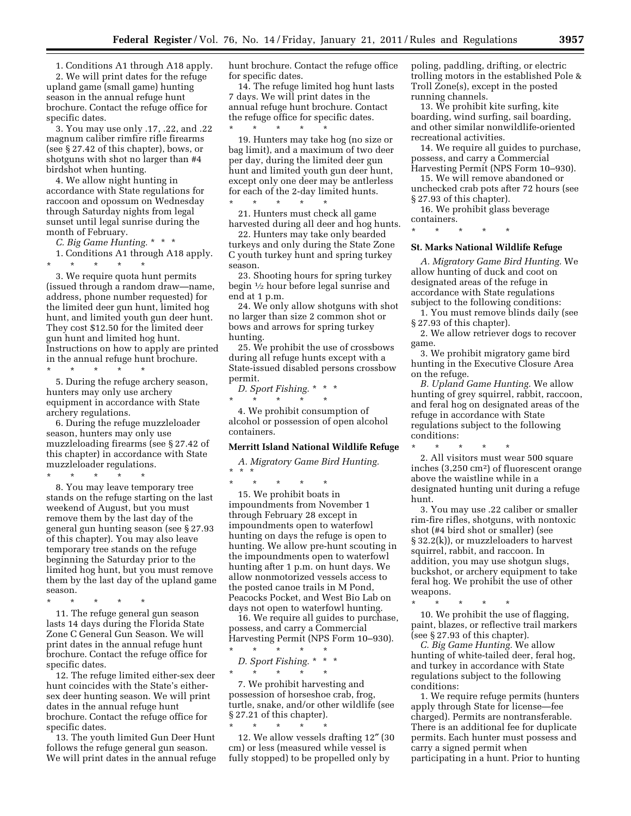1. Conditions A1 through A18 apply.

2. We will print dates for the refuge upland game (small game) hunting season in the annual refuge hunt brochure. Contact the refuge office for specific dates.

3. You may use only .17, .22, and .22 magnum caliber rimfire rifle firearms (see § 27.42 of this chapter), bows, or shotguns with shot no larger than #4 birdshot when hunting.

4. We allow night hunting in accordance with State regulations for raccoon and opossum on Wednesday through Saturday nights from legal sunset until legal sunrise during the month of February.

*C. Big Game Hunting.* \* \* \*

1. Conditions A1 through A18 apply. \* \* \* \* \*

3. We require quota hunt permits (issued through a random draw—name, address, phone number requested) for the limited deer gun hunt, limited hog hunt, and limited youth gun deer hunt. They cost \$12.50 for the limited deer gun hunt and limited hog hunt. Instructions on how to apply are printed in the annual refuge hunt brochure.

\* \* \* \* \*

5. During the refuge archery season, hunters may only use archery equipment in accordance with State archery regulations.

6. During the refuge muzzleloader season, hunters may only use muzzleloading firearms (see § 27.42 of this chapter) in accordance with State muzzleloader regulations.

\* \* \* \* \*

8. You may leave temporary tree stands on the refuge starting on the last weekend of August, but you must remove them by the last day of the general gun hunting season (see § 27.93 of this chapter). You may also leave temporary tree stands on the refuge beginning the Saturday prior to the limited hog hunt, but you must remove them by the last day of the upland game season.

\* \* \* \* \* 11. The refuge general gun season lasts 14 days during the Florida State Zone C General Gun Season. We will print dates in the annual refuge hunt brochure. Contact the refuge office for specific dates.

12. The refuge limited either-sex deer hunt coincides with the State's eithersex deer hunting season. We will print dates in the annual refuge hunt brochure. Contact the refuge office for specific dates.

13. The youth limited Gun Deer Hunt follows the refuge general gun season. We will print dates in the annual refuge hunt brochure. Contact the refuge office for specific dates.

14. The refuge limited hog hunt lasts 7 days. We will print dates in the annual refuge hunt brochure. Contact the refuge office for specific dates.

\* \* \* \* \* 19. Hunters may take hog (no size or bag limit), and a maximum of two deer per day, during the limited deer gun hunt and limited youth gun deer hunt, except only one deer may be antlerless for each of the 2-day limited hunts. \* \* \* \* \*

21. Hunters must check all game harvested during all deer and hog hunts.

22. Hunters may take only bearded turkeys and only during the State Zone C youth turkey hunt and spring turkey season.

23. Shooting hours for spring turkey begin 1⁄2 hour before legal sunrise and end at 1 p.m.

24. We only allow shotguns with shot no larger than size 2 common shot or bows and arrows for spring turkey hunting.

25. We prohibit the use of crossbows during all refuge hunts except with a State-issued disabled persons crossbow permit.

*D. Sport Fishing.* \* \* \*

\* \* \* \* \*

4. We prohibit consumption of alcohol or possession of open alcohol containers.

#### **Merritt Island National Wildlife Refuge**

*A. Migratory Game Bird Hunting.*  \* \* \*

\* \* \* \* \* 15. We prohibit boats in impoundments from November 1 through February 28 except in impoundments open to waterfowl hunting on days the refuge is open to hunting. We allow pre-hunt scouting in the impoundments open to waterfowl hunting after 1 p.m. on hunt days. We allow nonmotorized vessels access to the posted canoe trails in M Pond, Peacocks Pocket, and West Bio Lab on days not open to waterfowl hunting.

16. We require all guides to purchase, possess, and carry a Commercial Harvesting Permit (NPS Form 10–930).

 $\star$   $\star$   $\star$ *D. Sport Fishing.* \* \* \*  $\star$   $\qquad$   $\star$   $\qquad$   $\star$ 

7. We prohibit harvesting and possession of horseshoe crab, frog, turtle, snake, and/or other wildlife (see § 27.21 of this chapter). \* \* \* \* \*

12. We allow vessels drafting 12″ (30 cm) or less (measured while vessel is fully stopped) to be propelled only by

poling, paddling, drifting, or electric trolling motors in the established Pole & Troll Zone(s), except in the posted running channels.

13. We prohibit kite surfing, kite boarding, wind surfing, sail boarding, and other similar nonwildlife-oriented recreational activities.

14. We require all guides to purchase, possess, and carry a Commercial Harvesting Permit (NPS Form 10–930).

15. We will remove abandoned or unchecked crab pots after 72 hours (see § 27.93 of this chapter).

16. We prohibit glass beverage containers.

\* \* \* \* \*

#### **St. Marks National Wildlife Refuge**

*A. Migratory Game Bird Hunting.* We allow hunting of duck and coot on designated areas of the refuge in accordance with State regulations subject to the following conditions:

1. You must remove blinds daily (see § 27.93 of this chapter).

2. We allow retriever dogs to recover game.

3. We prohibit migratory game bird hunting in the Executive Closure Area on the refuge.

*B. Upland Game Hunting.* We allow hunting of grey squirrel, rabbit, raccoon, and feral hog on designated areas of the refuge in accordance with State regulations subject to the following conditions:

\* \* \* \* \* 2. All visitors must wear 500 square inches (3,250 cm2) of fluorescent orange above the waistline while in a designated hunting unit during a refuge hunt.

3. You may use .22 caliber or smaller rim-fire rifles, shotguns, with nontoxic shot (#4 bird shot or smaller) (see § 32.2(k)), or muzzleloaders to harvest squirrel, rabbit, and raccoon. In addition, you may use shotgun slugs, buckshot, or archery equipment to take feral hog. We prohibit the use of other weapons.

 $*$  \*

10. We prohibit the use of flagging, paint, blazes, or reflective trail markers (see § 27.93 of this chapter).

*C. Big Game Hunting.* We allow hunting of white-tailed deer, feral hog, and turkey in accordance with State regulations subject to the following conditions:

1. We require refuge permits (hunters apply through State for license—fee charged). Permits are nontransferable. There is an additional fee for duplicate permits. Each hunter must possess and carry a signed permit when participating in a hunt. Prior to hunting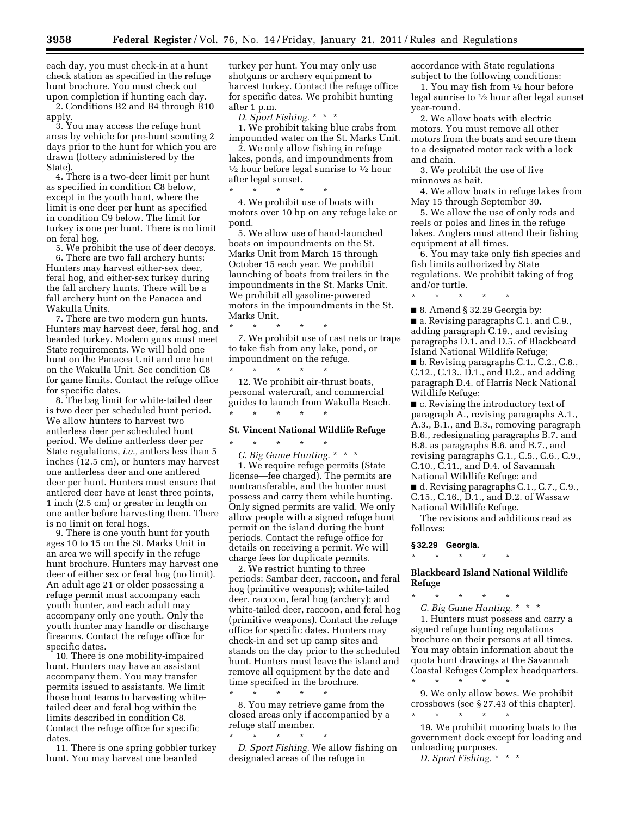each day, you must check-in at a hunt check station as specified in the refuge hunt brochure. You must check out upon completion if hunting each day.

2. Conditions B2 and B4 through B10 apply.

3. You may access the refuge hunt areas by vehicle for pre-hunt scouting 2 days prior to the hunt for which you are drawn (lottery administered by the State).

4. There is a two-deer limit per hunt as specified in condition C8 below, except in the youth hunt, where the limit is one deer per hunt as specified in condition C9 below. The limit for turkey is one per hunt. There is no limit on feral hog.

5. We prohibit the use of deer decoys.

6. There are two fall archery hunts: Hunters may harvest either-sex deer, feral hog, and either-sex turkey during the fall archery hunts. There will be a fall archery hunt on the Panacea and Wakulla Units.

7. There are two modern gun hunts. Hunters may harvest deer, feral hog, and bearded turkey. Modern guns must meet State requirements. We will hold one hunt on the Panacea Unit and one hunt on the Wakulla Unit. See condition C8 for game limits. Contact the refuge office for specific dates.

8. The bag limit for white-tailed deer is two deer per scheduled hunt period. We allow hunters to harvest two antlerless deer per scheduled hunt period. We define antlerless deer per State regulations, *i.e.,* antlers less than 5 inches (12.5 cm), or hunters may harvest one antlerless deer and one antlered deer per hunt. Hunters must ensure that antlered deer have at least three points, 1 inch (2.5 cm) or greater in length on one antler before harvesting them. There is no limit on feral hogs.

9. There is one youth hunt for youth ages 10 to 15 on the St. Marks Unit in an area we will specify in the refuge hunt brochure. Hunters may harvest one deer of either sex or feral hog (no limit). An adult age 21 or older possessing a refuge permit must accompany each youth hunter, and each adult may accompany only one youth. Only the youth hunter may handle or discharge firearms. Contact the refuge office for specific dates.

10. There is one mobility-impaired hunt. Hunters may have an assistant accompany them. You may transfer permits issued to assistants. We limit those hunt teams to harvesting whitetailed deer and feral hog within the limits described in condition C8. Contact the refuge office for specific dates.

11. There is one spring gobbler turkey hunt. You may harvest one bearded

turkey per hunt. You may only use shotguns or archery equipment to harvest turkey. Contact the refuge office for specific dates. We prohibit hunting after 1 p.m.

*D. Sport Fishing.* \* \* \*

1. We prohibit taking blue crabs from impounded water on the St. Marks Unit.

2. We only allow fishing in refuge lakes, ponds, and impoundments from  $\frac{1}{2}$  hour before legal sunrise to  $\frac{1}{2}$  hour after legal sunset.

\* \* \* \* \* 4. We prohibit use of boats with motors over 10 hp on any refuge lake or pond.

5. We allow use of hand-launched boats on impoundments on the St. Marks Unit from March 15 through October 15 each year. We prohibit launching of boats from trailers in the impoundments in the St. Marks Unit. We prohibit all gasoline-powered motors in the impoundments in the St. Marks Unit.

7. We prohibit use of cast nets or traps to take fish from any lake, pond, or impoundment on the refuge.

\* \* \* \* \* 12. We prohibit air-thrust boats, personal watercraft, and commercial guides to launch from Wakulla Beach. \* \* \* \* \*

# **St. Vincent National Wildlife Refuge**

\* \* \* \* \* *C. Big Game Hunting.* \* \* \* 1. We require refuge permits (State license—fee charged). The permits are nontransferable, and the hunter must possess and carry them while hunting. Only signed permits are valid. We only allow people with a signed refuge hunt permit on the island during the hunt periods. Contact the refuge office for details on receiving a permit. We will charge fees for duplicate permits.

2. We restrict hunting to three periods: Sambar deer, raccoon, and feral hog (primitive weapons); white-tailed deer, raccoon, feral hog (archery); and white-tailed deer, raccoon, and feral hog (primitive weapons). Contact the refuge office for specific dates. Hunters may check-in and set up camp sites and stands on the day prior to the scheduled hunt. Hunters must leave the island and remove all equipment by the date and time specified in the brochure.

\* \* \* \* \* 8. You may retrieve game from the closed areas only if accompanied by a refuge staff member.

 $\star$   $\qquad$   $\star$   $\qquad$   $\star$ *D. Sport Fishing.* We allow fishing on designated areas of the refuge in

accordance with State regulations subject to the following conditions:

1. You may fish from 1⁄2 hour before legal sunrise to  $\frac{1}{2}$  hour after legal sunset year-round.

2. We allow boats with electric motors. You must remove all other motors from the boats and secure them to a designated motor rack with a lock and chain.

3. We prohibit the use of live minnows as bait.

4. We allow boats in refuge lakes from May 15 through September 30.

5. We allow the use of only rods and reels or poles and lines in the refuge lakes. Anglers must attend their fishing equipment at all times.

6. You may take only fish species and fish limits authorized by State regulations. We prohibit taking of frog and/or turtle.

\* \* \* \* \*

■ 8. Amend § 32.29 Georgia by:

■ a. Revising paragraphs C.1. and C.9., adding paragraph C.19., and revising paragraphs D.1. and D.5. of Blackbeard Island National Wildlife Refuge;

■ b. Revising paragraphs C.1., C.2., C.8., C.12., C.13., D.1., and D.2., and adding paragraph D.4. of Harris Neck National Wildlife Refuge;

■ c. Revising the introductory text of paragraph A., revising paragraphs A.1., A.3., B.1., and B.3., removing paragraph B.6., redesignating paragraphs B.7. and B.8. as paragraphs B.6. and B.7., and revising paragraphs C.1., C.5., C.6., C.9., C.10., C.11., and D.4. of Savannah National Wildlife Refuge; and

■ d. Revising paragraphs C.1., C.7., C.9., C.15., C.16., D.1., and D.2. of Wassaw National Wildlife Refuge.

The revisions and additions read as follows:

**§ 32.29 Georgia.** 

\* \* \* \* \* **Blackbeard Island National Wildlife** 

**Refuge** 

\* \* \* \* \* *C. Big Game Hunting.* \* \* \*

1. Hunters must possess and carry a signed refuge hunting regulations brochure on their persons at all times. You may obtain information about the quota hunt drawings at the Savannah Coastal Refuges Complex headquarters. \* \* \* \* \*

9. We only allow bows. We prohibit crossbows (see § 27.43 of this chapter). \* \* \* \* \*

19. We prohibit mooring boats to the government dock except for loading and unloading purposes.

*D. Sport Fishing.* \* \* \*

\* \* \* \* \*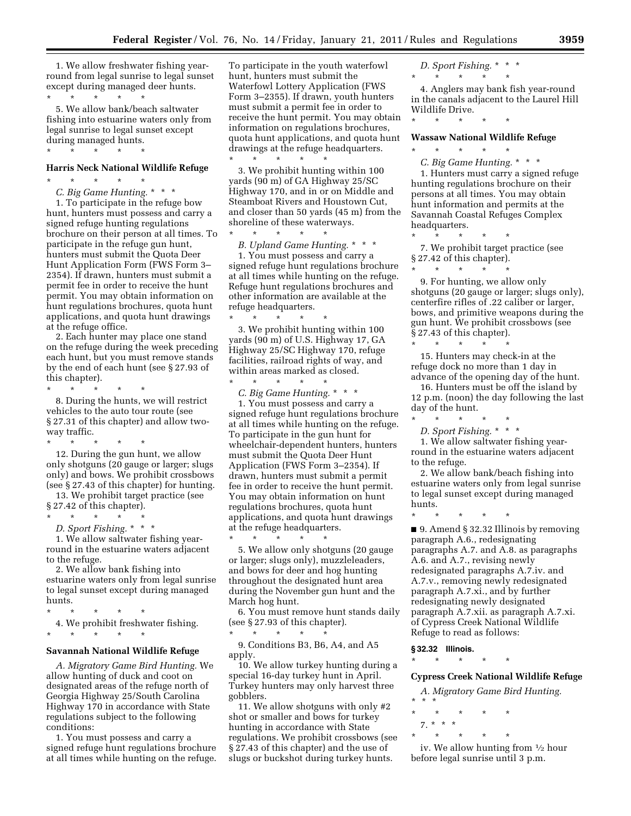1. We allow freshwater fishing yearround from legal sunrise to legal sunset except during managed deer hunts.  $\star$   $\qquad$   $\star$   $\qquad$   $\star$ 

5. We allow bank/beach saltwater fishing into estuarine waters only from legal sunrise to legal sunset except during managed hunts. \* \* \* \* \*

#### **Harris Neck National Wildlife Refuge**

\* \* \* \* \* *C. Big Game Hunting.* \* \* \*

1. To participate in the refuge bow hunt, hunters must possess and carry a signed refuge hunting regulations brochure on their person at all times. To participate in the refuge gun hunt, hunters must submit the Quota Deer Hunt Application Form (FWS Form 3– 2354). If drawn, hunters must submit a permit fee in order to receive the hunt permit. You may obtain information on hunt regulations brochures, quota hunt applications, and quota hunt drawings at the refuge office.

2. Each hunter may place one stand on the refuge during the week preceding each hunt, but you must remove stands by the end of each hunt (see § 27.93 of this chapter).

\* \* \* \* \*

8. During the hunts, we will restrict vehicles to the auto tour route (see § 27.31 of this chapter) and allow twoway traffic. \* \* \* \* \*

12. During the gun hunt, we allow only shotguns (20 gauge or larger; slugs only) and bows. We prohibit crossbows (see § 27.43 of this chapter) for hunting. 13. We prohibit target practice (see

§ 27.42 of this chapter). \* \* \* \* \*

*D. Sport Fishing.* \* \* \*

1. We allow saltwater fishing yearround in the estuarine waters adjacent to the refuge.

2. We allow bank fishing into estuarine waters only from legal sunrise to legal sunset except during managed hunts.

\* \* \* \* \*

4. We prohibit freshwater fishing. \* \* \* \* \*

#### **Savannah National Wildlife Refuge**

*A. Migratory Game Bird Hunting.* We allow hunting of duck and coot on designated areas of the refuge north of Georgia Highway 25/South Carolina Highway 170 in accordance with State regulations subject to the following conditions:

1. You must possess and carry a signed refuge hunt regulations brochure at all times while hunting on the refuge. To participate in the youth waterfowl hunt, hunters must submit the Waterfowl Lottery Application (FWS Form 3–2355). If drawn, youth hunters must submit a permit fee in order to receive the hunt permit. You may obtain information on regulations brochures, quota hunt applications, and quota hunt drawings at the refuge headquarters.  $\star$   $\qquad$   $\star$   $\qquad$   $\star$   $\qquad$   $\star$ 

3. We prohibit hunting within 100 yards (90 m) of GA Highway 25/SC Highway 170, and in or on Middle and Steamboat Rivers and Houstown Cut, and closer than 50 yards (45 m) from the shoreline of these waterways.

\* \* \* \* \* *B. Upland Game Hunting.* \* \* \*

1. You must possess and carry a signed refuge hunt regulations brochure at all times while hunting on the refuge. Refuge hunt regulations brochures and other information are available at the refuge headquarters.

\* \* \* \* \* 3. We prohibit hunting within 100 yards (90 m) of U.S. Highway 17, GA Highway 25/SC Highway 170, refuge facilities, railroad rights of way, and within areas marked as closed.

\* \* \* \* \* *C. Big Game Hunting.* \* \* \* 1. You must possess and carry a signed refuge hunt regulations brochure at all times while hunting on the refuge. To participate in the gun hunt for wheelchair-dependent hunters, hunters must submit the Quota Deer Hunt Application (FWS Form 3–2354). If drawn, hunters must submit a permit fee in order to receive the hunt permit. You may obtain information on hunt regulations brochures, quota hunt applications, and quota hunt drawings at the refuge headquarters.

5. We allow only shotguns (20 gauge or larger; slugs only), muzzleleaders, and bows for deer and hog hunting throughout the designated hunt area during the November gun hunt and the March hog hunt.

\* \* \* \* \*

6. You must remove hunt stands daily (see § 27.93 of this chapter). \* \* \* \* \*

9. Conditions B3, B6, A4, and A5 apply.

10. We allow turkey hunting during a special 16-day turkey hunt in April. Turkey hunters may only harvest three gobblers.

11. We allow shotguns with only #2 shot or smaller and bows for turkey hunting in accordance with State regulations. We prohibit crossbows (see § 27.43 of this chapter) and the use of slugs or buckshot during turkey hunts.

*D. Sport Fishing.* \* \* \* \* \* \* \* \*

4. Anglers may bank fish year-round in the canals adjacent to the Laurel Hill Wildlife Drive.

\* \* \* \* \*

\* \* \* \* \*

#### **Wassaw National Wildlife Refuge**

*C. Big Game Hunting.* \* \* \* 1. Hunters must carry a signed refuge hunting regulations brochure on their persons at all times. You may obtain hunt information and permits at the Savannah Coastal Refuges Complex headquarters.

\* \* \* \* \*

7. We prohibit target practice (see § 27.42 of this chapter). \* \* \* \* \*

9. For hunting, we allow only shotguns (20 gauge or larger; slugs only), centerfire rifles of .22 caliber or larger, bows, and primitive weapons during the gun hunt. We prohibit crossbows (see § 27.43 of this chapter).

\* \* \* \* \* 15. Hunters may check-in at the refuge dock no more than 1 day in advance of the opening day of the hunt.

16. Hunters must be off the island by 12 p.m. (noon) the day following the last day of the hunt.  $\star$   $\star$ 

*D. Sport Fishing.* \* \* \*

1. We allow saltwater fishing yearround in the estuarine waters adjacent to the refuge.

2. We allow bank/beach fishing into estuarine waters only from legal sunrise to legal sunset except during managed hunts.

\* \* \* \* \*

■ 9. Amend § 32.32 Illinois by removing paragraph A.6., redesignating paragraphs A.7. and A.8. as paragraphs A.6. and A.7., revising newly redesignated paragraphs A.7.iv. and A.7.v., removing newly redesignated paragraph A.7.xi., and by further redesignating newly designated paragraph A.7.xii. as paragraph A.7.xi. of Cypress Creek National Wildlife Refuge to read as follows:

**§ 32.32 Illinois.** 

\* \* \* \* \*

#### **Cypress Creek National Wildlife Refuge**

*A. Migratory Game Bird Hunting.*  \* \* \*

- \* \* \* \* \*
- 7. \* \* \* \* \* \* \* \*

iv. We allow hunting from 1⁄2 hour before legal sunrise until 3 p.m.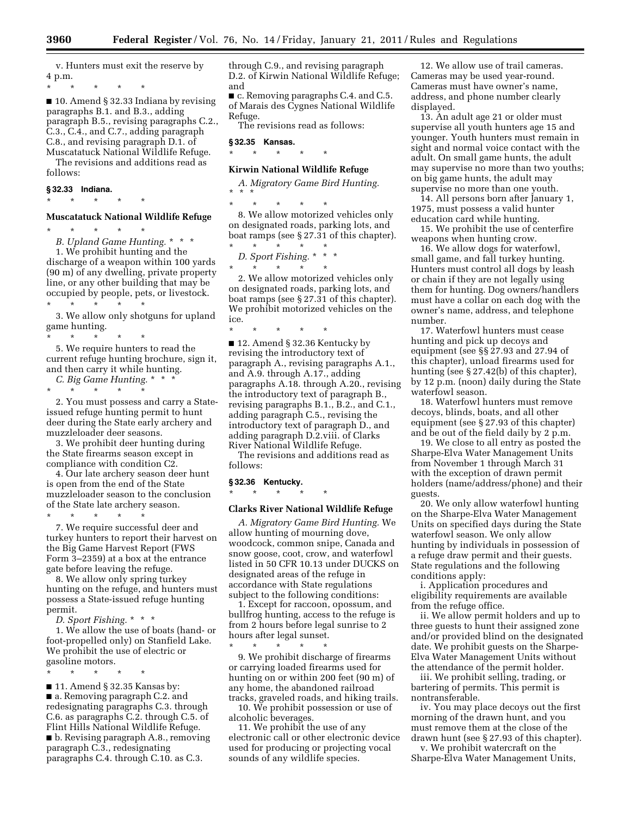v. Hunters must exit the reserve by 4 p.m.

\* \* \* \* \*

■ 10. Amend § 32.33 Indiana by revising paragraphs B.1. and B.3., adding paragraph B.5., revising paragraphs C.2., C.3., C.4., and C.7., adding paragraph C.8., and revising paragraph D.1. of Muscatatuck National Wildlife Refuge.

The revisions and additions read as follows:

#### **§ 32.33 Indiana.**

# \* \* \* \* \* **Muscatatuck National Wildlife Refuge**

\* \* \* \* \*

*B. Upland Game Hunting.* \* \* \* 1. We prohibit hunting and the discharge of a weapon within 100 yards (90 m) of any dwelling, private property line, or any other building that may be occupied by people, pets, or livestock. \* \* \* \* \*

3. We allow only shotguns for upland game hunting.

\* \* \* \* \*

5. We require hunters to read the current refuge hunting brochure, sign it, and then carry it while hunting. *C. Big Game Hunting.* \* \* \*

\* \* \* \* \* 2. You must possess and carry a Stateissued refuge hunting permit to hunt deer during the State early archery and muzzleloader deer seasons.

3. We prohibit deer hunting during the State firearms season except in compliance with condition C2.

4. Our late archery season deer hunt is open from the end of the State muzzleloader season to the conclusion of the State late archery season.

\* \* \* \* \*

7. We require successful deer and turkey hunters to report their harvest on the Big Game Harvest Report (FWS Form 3–2359) at a box at the entrance gate before leaving the refuge.

8. We allow only spring turkey hunting on the refuge, and hunters must possess a State-issued refuge hunting permit.

*D. Sport Fishing.* \* \* \*

1. We allow the use of boats (hand- or foot-propelled only) on Stanfield Lake. We prohibit the use of electric or gasoline motors.

\* \* \* \* \* ■ 11. Amend § 32.35 Kansas by: ■ a. Removing paragraph C.2. and redesignating paragraphs C.3. through C.6. as paragraphs C.2. through C.5. of Flint Hills National Wildlife Refuge.

■ b. Revising paragraph A.8., removing paragraph C.3., redesignating paragraphs C.4. through C.10. as C.3.

through C.9., and revising paragraph D.2. of Kirwin National Wildlife Refuge; and

■ c. Removing paragraphs C.4. and C.5. of Marais des Cygnes National Wildlife Refuge.

The revisions read as follows:

#### **§ 32.35 Kansas.**

\* \* \* \* \*

# **Kirwin National Wildlife Refuge**

*A. Migratory Game Bird Hunting.*  \* \* \*

\* \* \* \* \* 8. We allow motorized vehicles only on designated roads, parking lots, and boat ramps (see § 27.31 of this chapter).

\* \* \* \* \* *D. Sport Fishing.* \* \* \*

\* \* \* \* \*

2. We allow motorized vehicles only on designated roads, parking lots, and boat ramps (see § 27.31 of this chapter). We prohibit motorized vehicles on the ice.

\* \* \* \* \*

■ 12. Amend § 32.36 Kentucky by revising the introductory text of paragraph A., revising paragraphs A.1., and A.9. through A.17., adding paragraphs A.18. through A.20., revising the introductory text of paragraph B., revising paragraphs B.1., B.2., and C.1., adding paragraph C.5., revising the introductory text of paragraph D., and adding paragraph D.2.viii. of Clarks River National Wildlife Refuge.

The revisions and additions read as follows:

#### **§ 32.36 Kentucky.**

\* \* \* \* \*

#### **Clarks River National Wildlife Refuge**

*A. Migratory Game Bird Hunting.* We allow hunting of mourning dove, woodcock, common snipe, Canada and snow goose, coot, crow, and waterfowl listed in 50 CFR 10.13 under DUCKS on designated areas of the refuge in accordance with State regulations subject to the following conditions:

1. Except for raccoon, opossum, and bullfrog hunting, access to the refuge is from 2 hours before legal sunrise to 2 hours after legal sunset. \* \* \* \* \*

9. We prohibit discharge of firearms or carrying loaded firearms used for hunting on or within 200 feet (90 m) of any home, the abandoned railroad tracks, graveled roads, and hiking trails.

10. We prohibit possession or use of alcoholic beverages.

11. We prohibit the use of any electronic call or other electronic device used for producing or projecting vocal sounds of any wildlife species.

12. We allow use of trail cameras. Cameras may be used year-round. Cameras must have owner's name, address, and phone number clearly displayed.

13. An adult age 21 or older must supervise all youth hunters age 15 and younger. Youth hunters must remain in sight and normal voice contact with the adult. On small game hunts, the adult may supervise no more than two youths; on big game hunts, the adult may supervise no more than one youth.

14. All persons born after January 1, 1975, must possess a valid hunter education card while hunting.

15. We prohibit the use of centerfire weapons when hunting crow.

16. We allow dogs for waterfowl, small game, and fall turkey hunting. Hunters must control all dogs by leash or chain if they are not legally using them for hunting. Dog owners/handlers must have a collar on each dog with the owner's name, address, and telephone number.

17. Waterfowl hunters must cease hunting and pick up decoys and equipment (see §§ 27.93 and 27.94 of this chapter), unload firearms used for hunting (see § 27.42(b) of this chapter), by 12 p.m. (noon) daily during the State waterfowl season.

18. Waterfowl hunters must remove decoys, blinds, boats, and all other equipment (see § 27.93 of this chapter) and be out of the field daily by 2 p.m.

19. We close to all entry as posted the Sharpe-Elva Water Management Units from November 1 through March 31 with the exception of drawn permit holders (name/address/phone) and their guests.

20. We only allow waterfowl hunting on the Sharpe-Elva Water Management Units on specified days during the State waterfowl season. We only allow hunting by individuals in possession of a refuge draw permit and their guests. State regulations and the following conditions apply:

i. Application procedures and eligibility requirements are available from the refuge office.

ii. We allow permit holders and up to three guests to hunt their assigned zone and/or provided blind on the designated date. We prohibit guests on the Sharpe-Elva Water Management Units without the attendance of the permit holder.

iii. We prohibit selling, trading, or bartering of permits. This permit is nontransferable.

iv. You may place decoys out the first morning of the drawn hunt, and you must remove them at the close of the drawn hunt (see § 27.93 of this chapter).

v. We prohibit watercraft on the Sharpe-Elva Water Management Units,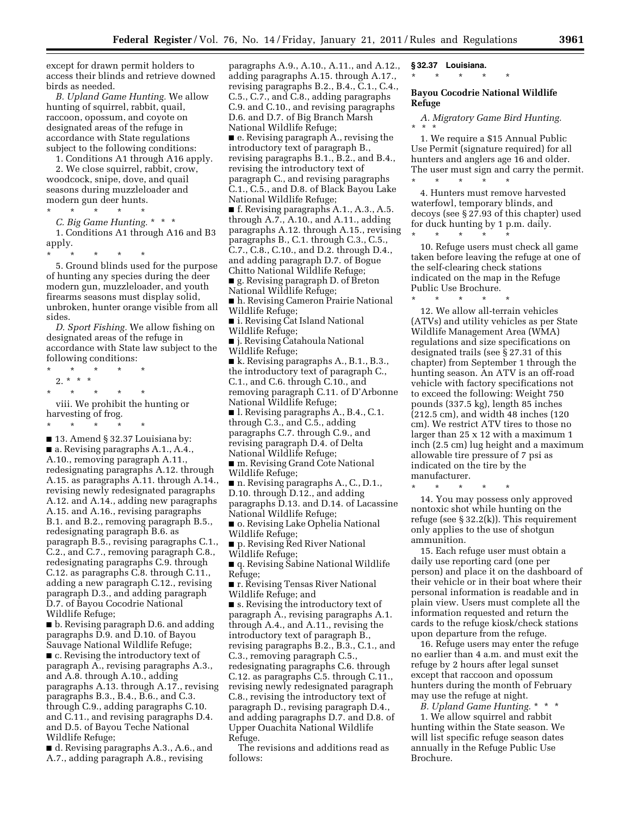except for drawn permit holders to access their blinds and retrieve downed birds as needed.

*B. Upland Game Hunting.* We allow hunting of squirrel, rabbit, quail, raccoon, opossum, and coyote on designated areas of the refuge in accordance with State regulations subject to the following conditions:

1. Conditions A1 through A16 apply.

2. We close squirrel, rabbit, crow, woodcock, snipe, dove, and quail seasons during muzzleloader and modern gun deer hunts.

\* \* \* \* \*

*C. Big Game Hunting.* \* \* \*

1. Conditions A1 through A16 and B3 apply.

\* \* \* \* \* 5. Ground blinds used for the purpose of hunting any species during the deer modern gun, muzzleloader, and youth firearms seasons must display solid, unbroken, hunter orange visible from all sides.

*D. Sport Fishing.* We allow fishing on designated areas of the refuge in accordance with State law subject to the following conditions:

\* \* \* \* \*

2. \* \* \* \* \* \* \* \*

viii. We prohibit the hunting or harvesting of frog.

\* \* \* \* \*

■ 13. Amend § 32.37 Louisiana by: ■ a. Revising paragraphs A.1., A.4., A.10., removing paragraph A.11., redesignating paragraphs A.12. through A.15. as paragraphs A.11. through A.14., revising newly redesignated paragraphs A.12. and A.14., adding new paragraphs A.15. and A.16., revising paragraphs B.1. and B.2., removing paragraph B.5., redesignating paragraph B.6. as paragraph B.5., revising paragraphs C.1., C.2., and C.7., removing paragraph C.8., redesignating paragraphs C.9. through C.12. as paragraphs C.8. through C.11., adding a new paragraph C.12., revising paragraph D.3., and adding paragraph D.7. of Bayou Cocodrie National Wildlife Refuge;

■ b. Revising paragraph D.6. and adding paragraphs D.9. and D.10. of Bayou Sauvage National Wildlife Refuge; ■ c. Revising the introductory text of paragraph A., revising paragraphs A.3., and A.8. through A.10., adding paragraphs A.13. through A.17., revising paragraphs B.3., B.4., B.6., and C.3. through C.9., adding paragraphs C.10. and C.11., and revising paragraphs D.4. and D.5. of Bayou Teche National Wildlife Refuge;

■ d. Revising paragraphs A.3., A.6., and A.7., adding paragraph A.8., revising

paragraphs A.9., A.10., A.11., and A.12., adding paragraphs A.15. through A.17., revising paragraphs B.2., B.4., C.1., C.4., C.5., C.7., and C.8., adding paragraphs C.9. and C.10., and revising paragraphs D.6. and D.7. of Big Branch Marsh National Wildlife Refuge; ■ e. Revising paragraph A., revising the introductory text of paragraph B., revising paragraphs B.1., B.2., and B.4., revising the introductory text of paragraph C., and revising paragraphs C.1., C.5., and D.8. of Black Bayou Lake National Wildlife Refuge; ■ f. Revising paragraphs A.1., A.3., A.5. through A.7., A.10., and A.11., adding paragraphs A.12. through A.15., revising paragraphs B., C.1. through C.3., C.5., C.7., C.8., C.10., and D.2. through D.4., and adding paragraph D.7. of Bogue Chitto National Wildlife Refuge; ■ g. Revising paragraph D. of Breton National Wildlife Refuge; ■ h. Revising Cameron Prairie National Wildlife Refuge; ■ i. Revising Cat Island National Wildlife Refuge; ■ j. Revising Catahoula National Wildlife Refuge; ■ k. Revising paragraphs A., B.1., B.3., the introductory text of paragraph C., C.1., and C.6. through C.10., and removing paragraph C.11. of D'Arbonne National Wildlife Refuge; ■ l. Revising paragraphs A., B.4., C.1. through C.3., and C.5., adding paragraphs C.7. through C.9., and revising paragraph D.4. of Delta National Wildlife Refuge; ■ m. Revising Grand Cote National Wildlife Refuge; ■ n. Revising paragraphs A., C., D.1., D.10. through D.12., and adding paragraphs D.13. and D.14. of Lacassine National Wildlife Refuge; ■ o. Revising Lake Ophelia National Wildlife Refuge; ■ p. Revising Red River National Wildlife Refuge; ■ q. Revising Sabine National Wildlife Refuge; ■ r. Revising Tensas River National Wildlife Refuge; and ■ s. Revising the introductory text of paragraph A., revising paragraphs A.1. through A.4., and A.11., revising the introductory text of paragraph B., revising paragraphs B.2., B.3., C.1., and C.3., removing paragraph C.5., redesignating paragraphs C.6. through C.12. as paragraphs C.5. through C.11., revising newly redesignated paragraph C.8., revising the introductory text of paragraph D., revising paragraph D.4., and adding paragraphs D.7. and D.8. of Upper Ouachita National Wildlife Refuge.

The revisions and additions read as follows:

**§ 32.37 Louisiana.** 

\* \* \* \* \*

#### **Bayou Cocodrie National Wildlife Refuge**

*A. Migratory Game Bird Hunting.*  \* \* \*

1. We require a \$15 Annual Public Use Permit (signature required) for all hunters and anglers age 16 and older. The user must sign and carry the permit. \* \* \* \* \*

4. Hunters must remove harvested waterfowl, temporary blinds, and decoys (see § 27.93 of this chapter) used for duck hunting by 1 p.m. daily.

\* \* \* \* \* 10. Refuge users must check all game taken before leaving the refuge at one of the self-clearing check stations indicated on the map in the Refuge Public Use Brochure.

\* \* \* \* \* 12. We allow all-terrain vehicles (ATVs) and utility vehicles as per State Wildlife Management Area (WMA) regulations and size specifications on designated trails (see § 27.31 of this chapter) from September 1 through the hunting season. An ATV is an off-road vehicle with factory specifications not to exceed the following: Weight 750 pounds (337.5 kg), length 85 inches (212.5 cm), and width 48 inches (120 cm). We restrict ATV tires to those no larger than 25 x 12 with a maximum 1 inch (2.5 cm) lug height and a maximum allowable tire pressure of 7 psi as indicated on the tire by the manufacturer.

\* \* \* \* \*

14. You may possess only approved nontoxic shot while hunting on the refuge (see § 32.2(k)). This requirement only applies to the use of shotgun ammunition.

15. Each refuge user must obtain a daily use reporting card (one per person) and place it on the dashboard of their vehicle or in their boat where their personal information is readable and in plain view. Users must complete all the information requested and return the cards to the refuge kiosk/check stations upon departure from the refuge.

16. Refuge users may enter the refuge no earlier than 4 a.m. and must exit the refuge by 2 hours after legal sunset except that raccoon and opossum hunters during the month of February may use the refuge at night.

*B. Upland Game Hunting.* \* \* \* 1. We allow squirrel and rabbit hunting within the State season. We

will list specific refuge season dates annually in the Refuge Public Use Brochure.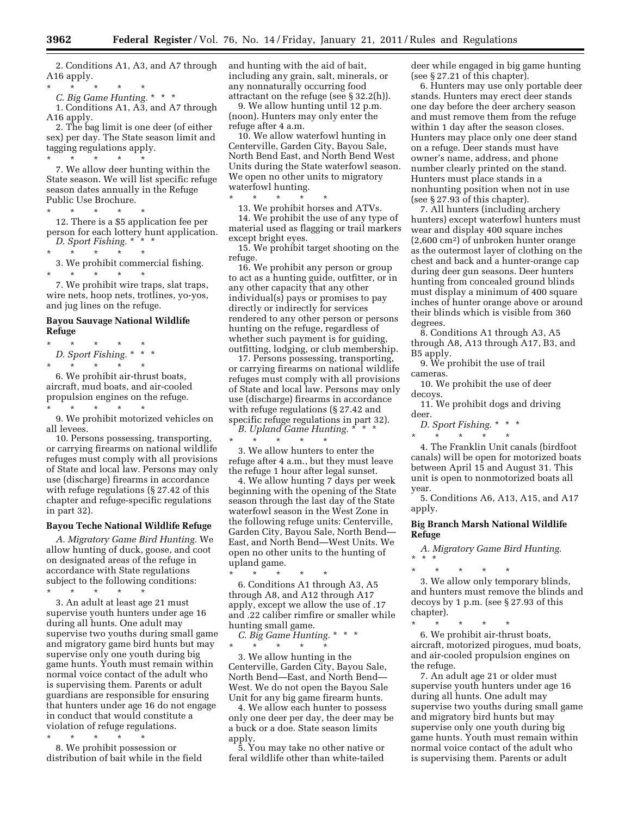2. Conditions A1, A3, and A7 through A16 apply.

\* \* \* \* \*

*C. Big Game Hunting.* \* \* \* 1. Conditions A1, A3, and A7 through A16 apply.

2. The bag limit is one deer (of either sex) per day. The State season limit and tagging regulations apply.

\* \* \* \* \* 7. We allow deer hunting within the State season. We will list specific refuge season dates annually in the Refuge Public Use Brochure.

\* \* \* \* \* 12. There is a \$5 application fee per person for each lottery hunt application. *D. Sport Fishing.* \* \* \*

\* \* \* \* \*

3. We prohibit commercial fishing.

7. We prohibit wire traps, slat traps, wire nets, hoop nets, trotlines, yo-yos, and jug lines on the refuge.

#### **Bayou Sauvage National Wildlife Refuge**

\* \* \* \* \* *D. Sport Fishing.* \* \* \* \* \* \* \* \*

\* \* \* \* \*

6. We prohibit air-thrust boats, aircraft, mud boats, and air-cooled propulsion engines on the refuge.

\* \* \* \* \*

9. We prohibit motorized vehicles on all levees.

10. Persons possessing, transporting, or carrying firearms on national wildlife refuges must comply with all provisions of State and local law. Persons may only use (discharge) firearms in accordance with refuge regulations (§ 27.42 of this chapter and refuge-specific regulations in part 32).

#### **Bayou Teche National Wildlife Refuge**

*A. Migratory Game Bird Hunting.* We allow hunting of duck, goose, and coot on designated areas of the refuge in accordance with State regulations subject to the following conditions: \* \* \* \* \*

3. An adult at least age 21 must supervise youth hunters under age 16 during all hunts. One adult may supervise two youths during small game and migratory game bird hunts but may supervise only one youth during big game hunts. Youth must remain within normal voice contact of the adult who is supervising them. Parents or adult guardians are responsible for ensuring that hunters under age 16 do not engage in conduct that would constitute a violation of refuge regulations.

\* \* \* \* \* 8. We prohibit possession or distribution of bait while in the field and hunting with the aid of bait, including any grain, salt, minerals, or any nonnaturally occurring food attractant on the refuge (see § 32.2(h)).

9. We allow hunting until 12 p.m. (noon). Hunters may only enter the refuge after 4 a.m.

10. We allow waterfowl hunting in Centerville, Garden City, Bayou Sale, North Bend East, and North Bend West Units during the State waterfowl season. We open no other units to migratory waterfowl hunting.

\* \* \* \* \* 13. We prohibit horses and ATVs. 14. We prohibit the use of any type of

material used as flagging or trail markers except bright eyes.

15. We prohibit target shooting on the refuge.

16. We prohibit any person or group to act as a hunting guide, outfitter, or in any other capacity that any other individual(s) pays or promises to pay directly or indirectly for services rendered to any other person or persons hunting on the refuge, regardless of whether such payment is for guiding, outfitting, lodging, or club membership.

17. Persons possessing, transporting, or carrying firearms on national wildlife refuges must comply with all provisions of State and local law. Persons may only use (discharge) firearms in accordance with refuge regulations (§ 27.42 and specific refuge regulations in part 32). *B. Upland Game Hunting.* \* \* \*

\* \* \* \* \* 3. We allow hunters to enter the refuge after 4 a.m., but they must leave

the refuge 1 hour after legal sunset.

4. We allow hunting 7 days per week beginning with the opening of the State season through the last day of the State waterfowl season in the West Zone in the following refuge units: Centerville, Garden City, Bayou Sale, North Bend— East, and North Bend—West Units. We open no other units to the hunting of upland game.

\* \* \* \* \* 6. Conditions A1 through A3, A5 through A8, and A12 through A17 apply, except we allow the use of .17 and .22 caliber rimfire or smaller while hunting small game.

*C. Big Game Hunting.* \* \* \* \* \* \* \* \*

3. We allow hunting in the Centerville, Garden City, Bayou Sale, North Bend—East, and North Bend— West. We do not open the Bayou Sale Unit for any big game firearm hunts.

4. We allow each hunter to possess only one deer per day, the deer may be a buck or a doe. State season limits apply.

5. You may take no other native or feral wildlife other than white-tailed

deer while engaged in big game hunting (see § 27.21 of this chapter).

6. Hunters may use only portable deer stands. Hunters may erect deer stands one day before the deer archery season and must remove them from the refuge within 1 day after the season closes. Hunters may place only one deer stand on a refuge. Deer stands must have owner's name, address, and phone number clearly printed on the stand. Hunters must place stands in a nonhunting position when not in use (see § 27.93 of this chapter).

7. All hunters (including archery hunters) except waterfowl hunters must wear and display 400 square inches (2,600 cm2) of unbroken hunter orange as the outermost layer of clothing on the chest and back and a hunter-orange cap during deer gun seasons. Deer hunters hunting from concealed ground blinds must display a minimum of 400 square inches of hunter orange above or around their blinds which is visible from 360 degrees.

8. Conditions A1 through A3, A5 through A8, A13 through A17, B3, and B5 apply.

9. We prohibit the use of trail cameras.

10. We prohibit the use of deer decoys.

11. We prohibit dogs and driving deer.

*D. Sport Fishing.* \* \* \* \* \* \* \* \*

4. The Franklin Unit canals (birdfoot canals) will be open for motorized boats between April 15 and August 31. This unit is open to nonmotorized boats all year.

5. Conditions A6, A13, A15, and A17 apply.

#### **Big Branch Marsh National Wildlife Refuge**

*A. Migratory Game Bird Hunting.*  \* \* \*

\* \* \* \* \*

3. We allow only temporary blinds, and hunters must remove the blinds and decoys by 1 p.m. (see § 27.93 of this chapter).

\* \* \* \* \* 6. We prohibit air-thrust boats, aircraft, motorized pirogues, mud boats, and air-cooled propulsion engines on the refuge.

7. An adult age 21 or older must supervise youth hunters under age 16 during all hunts. One adult may supervise two youths during small game and migratory bird hunts but may supervise only one youth during big game hunts. Youth must remain within normal voice contact of the adult who is supervising them. Parents or adult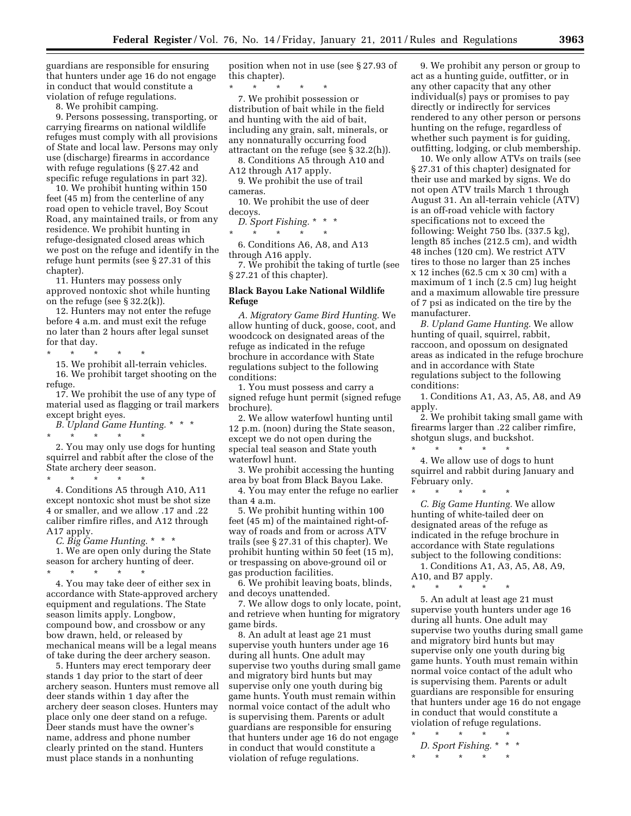guardians are responsible for ensuring that hunters under age 16 do not engage in conduct that would constitute a violation of refuge regulations.

8. We prohibit camping.

9. Persons possessing, transporting, or carrying firearms on national wildlife refuges must comply with all provisions of State and local law. Persons may only use (discharge) firearms in accordance with refuge regulations (§ 27.42 and specific refuge regulations in part 32).

10. We prohibit hunting within 150 feet (45 m) from the centerline of any road open to vehicle travel, Boy Scout Road, any maintained trails, or from any residence. We prohibit hunting in refuge-designated closed areas which we post on the refuge and identify in the refuge hunt permits (see § 27.31 of this chapter).

11. Hunters may possess only approved nontoxic shot while hunting on the refuge (see § 32.2(k)).

12. Hunters may not enter the refuge before 4 a.m. and must exit the refuge no later than 2 hours after legal sunset for that day.

\* \* \* \* \*

15. We prohibit all-terrain vehicles. 16. We prohibit target shooting on the refuge.

17. We prohibit the use of any type of material used as flagging or trail markers except bright eyes.

*B. Upland Game Hunting.* \* \* \* \* \* \* \* \*

2. You may only use dogs for hunting squirrel and rabbit after the close of the State archery deer season.

\* \* \* \* \* 4. Conditions A5 through A10, A11 except nontoxic shot must be shot size 4 or smaller, and we allow .17 and .22 caliber rimfire rifles, and A12 through A17 apply.

*C. Big Game Hunting.* \* \* \*

1. We are open only during the State season for archery hunting of deer.<br>  $\begin{array}{cc} * & * & * \end{array}$ \* \* \* \* \*

4. You may take deer of either sex in accordance with State-approved archery equipment and regulations. The State season limits apply. Longbow, compound bow, and crossbow or any bow drawn, held, or released by mechanical means will be a legal means of take during the deer archery season.

5. Hunters may erect temporary deer stands 1 day prior to the start of deer archery season. Hunters must remove all deer stands within 1 day after the archery deer season closes. Hunters may place only one deer stand on a refuge. Deer stands must have the owner's name, address and phone number clearly printed on the stand. Hunters must place stands in a nonhunting

position when not in use (see § 27.93 of this chapter).

\* \* \* \* \* 7. We prohibit possession or distribution of bait while in the field and hunting with the aid of bait, including any grain, salt, minerals, or any nonnaturally occurring food attractant on the refuge (see § 32.2(h)).

8. Conditions A5 through A10 and A12 through A17 apply.

9. We prohibit the use of trail cameras.

10. We prohibit the use of deer decoys.

*D. Sport Fishing.* \* \* \*

\* \* \* \* \* 6. Conditions A6, A8, and A13 through A16 apply.

7. We prohibit the taking of turtle (see § 27.21 of this chapter).

#### **Black Bayou Lake National Wildlife Refuge**

*A. Migratory Game Bird Hunting.* We allow hunting of duck, goose, coot, and woodcock on designated areas of the refuge as indicated in the refuge brochure in accordance with State regulations subject to the following conditions:

1. You must possess and carry a signed refuge hunt permit (signed refuge brochure).

2. We allow waterfowl hunting until 12 p.m. (noon) during the State season, except we do not open during the special teal season and State youth waterfowl hunt.

3. We prohibit accessing the hunting area by boat from Black Bayou Lake.

4. You may enter the refuge no earlier than 4 a.m.

5. We prohibit hunting within 100 feet (45 m) of the maintained right-ofway of roads and from or across ATV trails (see § 27.31 of this chapter). We prohibit hunting within 50 feet (15 m), or trespassing on above-ground oil or gas production facilities.

6. We prohibit leaving boats, blinds, and decoys unattended.

7. We allow dogs to only locate, point, and retrieve when hunting for migratory game birds.

8. An adult at least age 21 must supervise youth hunters under age 16 during all hunts. One adult may supervise two youths during small game and migratory bird hunts but may supervise only one youth during big game hunts. Youth must remain within normal voice contact of the adult who is supervising them. Parents or adult guardians are responsible for ensuring that hunters under age 16 do not engage in conduct that would constitute a violation of refuge regulations.

9. We prohibit any person or group to act as a hunting guide, outfitter, or in any other capacity that any other individual(s) pays or promises to pay directly or indirectly for services rendered to any other person or persons hunting on the refuge, regardless of whether such payment is for guiding, outfitting, lodging, or club membership.

10. We only allow ATVs on trails (see § 27.31 of this chapter) designated for their use and marked by signs. We do not open ATV trails March 1 through August 31. An all-terrain vehicle (ATV) is an off-road vehicle with factory specifications not to exceed the following: Weight 750 lbs. (337.5 kg), length 85 inches (212.5 cm), and width 48 inches (120 cm). We restrict ATV tires to those no larger than 25 inches x 12 inches (62.5 cm x 30 cm) with a maximum of 1 inch (2.5 cm) lug height and a maximum allowable tire pressure of 7 psi as indicated on the tire by the manufacturer.

*B. Upland Game Hunting.* We allow hunting of quail, squirrel, rabbit, raccoon, and opossum on designated areas as indicated in the refuge brochure and in accordance with State regulations subject to the following conditions:

1. Conditions A1, A3, A5, A8, and A9 apply.

2. We prohibit taking small game with firearms larger than .22 caliber rimfire, shotgun slugs, and buckshot.

\* \* \* \* \* 4. We allow use of dogs to hunt squirrel and rabbit during January and February only.

\* \* \* \* \* *C. Big Game Hunting.* We allow hunting of white-tailed deer on designated areas of the refuge as indicated in the refuge brochure in accordance with State regulations subject to the following conditions:

1. Conditions A1, A3, A5, A8, A9, A10, and B7 apply.

\* \* \* \* \* 5. An adult at least age 21 must supervise youth hunters under age 16 during all hunts. One adult may supervise two youths during small game and migratory bird hunts but may supervise only one youth during big game hunts. Youth must remain within normal voice contact of the adult who is supervising them. Parents or adult guardians are responsible for ensuring that hunters under age 16 do not engage in conduct that would constitute a violation of refuge regulations.

 $\star$   $\star$   $\star$ *D. Sport Fishing.* \* \* \*  $\star$   $\star$   $\star$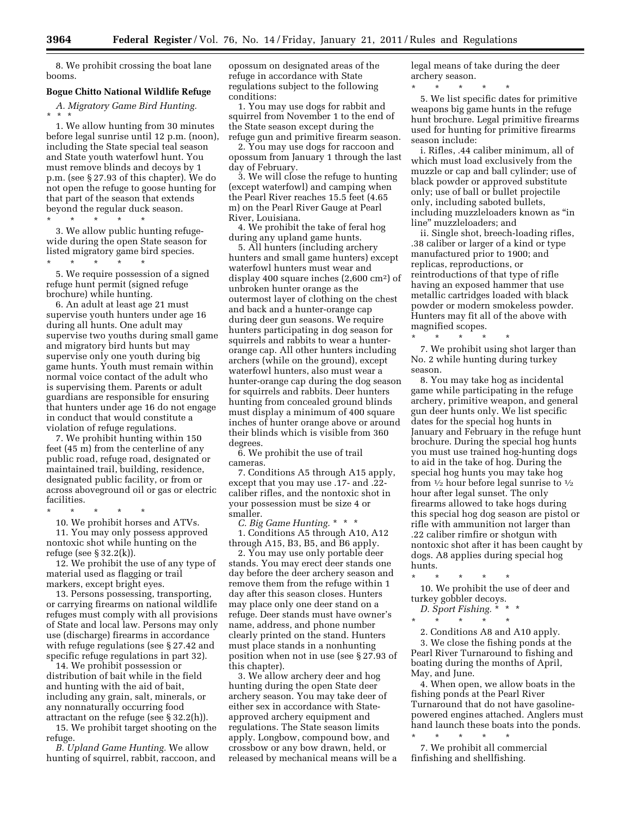8. We prohibit crossing the boat lane booms.

#### **Bogue Chitto National Wildlife Refuge**

*A. Migratory Game Bird Hunting.*  \* \* \*

1. We allow hunting from 30 minutes before legal sunrise until 12 p.m. (noon), including the State special teal season and State youth waterfowl hunt. You must remove blinds and decoys by 1 p.m. (see § 27.93 of this chapter). We do not open the refuge to goose hunting for that part of the season that extends beyond the regular duck season.

\* \* \* \* \* 3. We allow public hunting refugewide during the open State season for

listed migratory game bird species.

\* \* \* \* \* 5. We require possession of a signed refuge hunt permit (signed refuge brochure) while hunting.

6. An adult at least age 21 must supervise youth hunters under age 16 during all hunts. One adult may supervise two youths during small game and migratory bird hunts but may supervise only one youth during big game hunts. Youth must remain within normal voice contact of the adult who is supervising them. Parents or adult guardians are responsible for ensuring that hunters under age 16 do not engage in conduct that would constitute a violation of refuge regulations.

7. We prohibit hunting within 150 feet (45 m) from the centerline of any public road, refuge road, designated or maintained trail, building, residence, designated public facility, or from or across aboveground oil or gas or electric facilities.

\* \* \* \* \*

10. We prohibit horses and ATVs. 11. You may only possess approved nontoxic shot while hunting on the refuge (see § 32.2(k)).

12. We prohibit the use of any type of material used as flagging or trail markers, except bright eyes.

13. Persons possessing, transporting, or carrying firearms on national wildlife refuges must comply with all provisions of State and local law. Persons may only use (discharge) firearms in accordance with refuge regulations (see § 27.42 and specific refuge regulations in part 32).

14. We prohibit possession or distribution of bait while in the field and hunting with the aid of bait, including any grain, salt, minerals, or any nonnaturally occurring food attractant on the refuge (see § 32.2(h)).

15. We prohibit target shooting on the refuge.

*B. Upland Game Hunting.* We allow hunting of squirrel, rabbit, raccoon, and opossum on designated areas of the refuge in accordance with State regulations subject to the following conditions:

1. You may use dogs for rabbit and squirrel from November 1 to the end of the State season except during the refuge gun and primitive firearm season.

2. You may use dogs for raccoon and opossum from January 1 through the last day of February.

3. We will close the refuge to hunting (except waterfowl) and camping when the Pearl River reaches 15.5 feet (4.65 m) on the Pearl River Gauge at Pearl River, Louisiana.

4. We prohibit the take of feral hog during any upland game hunts.

5. All hunters (including archery hunters and small game hunters) except waterfowl hunters must wear and display 400 square inches (2,600 cm2) of unbroken hunter orange as the outermost layer of clothing on the chest and back and a hunter-orange cap during deer gun seasons. We require hunters participating in dog season for squirrels and rabbits to wear a hunterorange cap. All other hunters including archers (while on the ground), except waterfowl hunters, also must wear a hunter-orange cap during the dog season for squirrels and rabbits. Deer hunters hunting from concealed ground blinds must display a minimum of 400 square inches of hunter orange above or around their blinds which is visible from 360 degrees.

6. We prohibit the use of trail cameras.

7. Conditions A5 through A15 apply, except that you may use .17- and .22 caliber rifles, and the nontoxic shot in your possession must be size 4 or smaller.

*C. Big Game Hunting.* \* \* \*

1. Conditions A5 through A10, A12 through A15, B3, B5, and B6 apply.

2. You may use only portable deer stands. You may erect deer stands one day before the deer archery season and remove them from the refuge within 1 day after this season closes. Hunters may place only one deer stand on a refuge. Deer stands must have owner's name, address, and phone number clearly printed on the stand. Hunters must place stands in a nonhunting position when not in use (see § 27.93 of this chapter).

3. We allow archery deer and hog hunting during the open State deer archery season. You may take deer of either sex in accordance with Stateapproved archery equipment and regulations. The State season limits apply. Longbow, compound bow, and crossbow or any bow drawn, held, or released by mechanical means will be a legal means of take during the deer archery season.

\* \* \* \* \* 5. We list specific dates for primitive weapons big game hunts in the refuge hunt brochure. Legal primitive firearms used for hunting for primitive firearms season include:

i. Rifles, .44 caliber minimum, all of which must load exclusively from the muzzle or cap and ball cylinder; use of black powder or approved substitute only; use of ball or bullet projectile only, including saboted bullets, including muzzleloaders known as ''in line'' muzzleloaders; and

ii. Single shot, breech-loading rifles, .38 caliber or larger of a kind or type manufactured prior to 1900; and replicas, reproductions, or reintroductions of that type of rifle having an exposed hammer that use metallic cartridges loaded with black powder or modern smokeless powder. Hunters may fit all of the above with magnified scopes.

\* \* \* \* \*

7. We prohibit using shot larger than No. 2 while hunting during turkey season.

8. You may take hog as incidental game while participating in the refuge archery, primitive weapon, and general gun deer hunts only. We list specific dates for the special hog hunts in January and February in the refuge hunt brochure. During the special hog hunts you must use trained hog-hunting dogs to aid in the take of hog. During the special hog hunts you may take hog from  $\frac{1}{2}$  hour before legal sunrise to  $\frac{1}{2}$ hour after legal sunset. The only firearms allowed to take hogs during this special hog dog season are pistol or rifle with ammunition not larger than .22 caliber rimfire or shotgun with nontoxic shot after it has been caught by dogs. A8 applies during special hog hunts.

\* \* \* \* \*

10. We prohibit the use of deer and turkey gobbler decoys.

*D. Sport Fishing.* \* \* \*

\* \* \* \* \* 2. Conditions A8 and A10 apply.

3. We close the fishing ponds at the Pearl River Turnaround to fishing and boating during the months of April, May, and June.

4. When open, we allow boats in the fishing ponds at the Pearl River Turnaround that do not have gasolinepowered engines attached. Anglers must hand launch these boats into the ponds.

\* \* \* \* \* 7. We prohibit all commercial finfishing and shellfishing.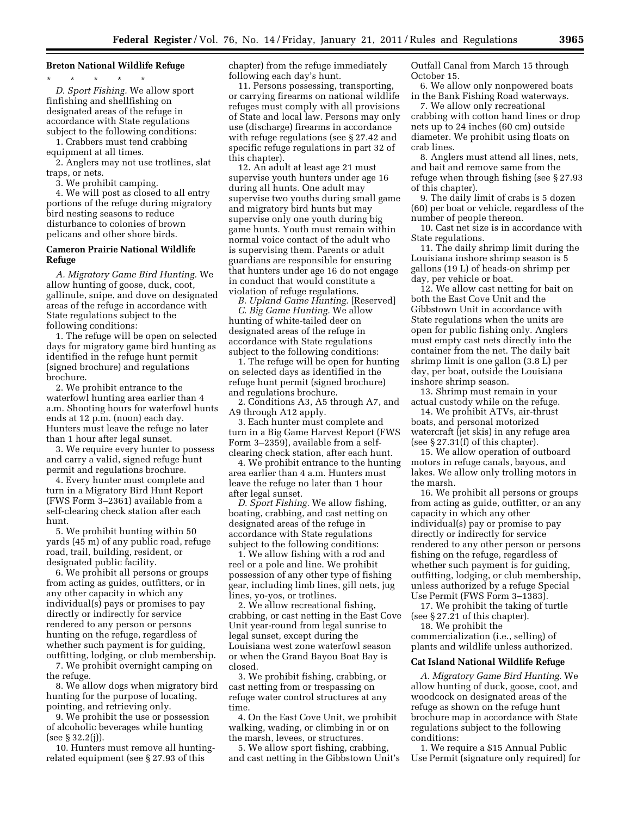#### **Breton National Wildlife Refuge**

\* \* \* \* \* *D. Sport Fishing.* We allow sport finfishing and shellfishing on designated areas of the refuge in accordance with State regulations subject to the following conditions:

1. Crabbers must tend crabbing equipment at all times.

2. Anglers may not use trotlines, slat traps, or nets.

3. We prohibit camping.

4. We will post as closed to all entry portions of the refuge during migratory bird nesting seasons to reduce disturbance to colonies of brown pelicans and other shore birds.

#### **Cameron Prairie National Wildlife Refuge**

*A. Migratory Game Bird Hunting.* We allow hunting of goose, duck, coot, gallinule, snipe, and dove on designated areas of the refuge in accordance with State regulations subject to the following conditions:

1. The refuge will be open on selected days for migratory game bird hunting as identified in the refuge hunt permit (signed brochure) and regulations brochure.

2. We prohibit entrance to the waterfowl hunting area earlier than 4 a.m. Shooting hours for waterfowl hunts ends at 12 p.m. (noon) each day. Hunters must leave the refuge no later than 1 hour after legal sunset.

3. We require every hunter to possess and carry a valid, signed refuge hunt permit and regulations brochure.

4. Every hunter must complete and turn in a Migratory Bird Hunt Report (FWS Form 3–2361) available from a self-clearing check station after each hunt.

5. We prohibit hunting within 50 yards (45 m) of any public road, refuge road, trail, building, resident, or designated public facility.

6. We prohibit all persons or groups from acting as guides, outfitters, or in any other capacity in which any individual(s) pays or promises to pay directly or indirectly for service rendered to any person or persons hunting on the refuge, regardless of whether such payment is for guiding, outfitting, lodging, or club membership.

7. We prohibit overnight camping on the refuge.

8. We allow dogs when migratory bird hunting for the purpose of locating, pointing, and retrieving only.

9. We prohibit the use or possession of alcoholic beverages while hunting (see § 32.2(j)).

10. Hunters must remove all huntingrelated equipment (see § 27.93 of this

chapter) from the refuge immediately following each day's hunt.

11. Persons possessing, transporting, or carrying firearms on national wildlife refuges must comply with all provisions of State and local law. Persons may only use (discharge) firearms in accordance with refuge regulations (see § 27.42 and specific refuge regulations in part 32 of this chapter).

12. An adult at least age 21 must supervise youth hunters under age 16 during all hunts. One adult may supervise two youths during small game and migratory bird hunts but may supervise only one youth during big game hunts. Youth must remain within normal voice contact of the adult who is supervising them. Parents or adult guardians are responsible for ensuring that hunters under age 16 do not engage in conduct that would constitute a violation of refuge regulations.

*B. Upland Game Hunting.* [Reserved] *C. Big Game Hunting.* We allow hunting of white-tailed deer on designated areas of the refuge in accordance with State regulations subject to the following conditions:

1. The refuge will be open for hunting on selected days as identified in the refuge hunt permit (signed brochure) and regulations brochure.

2. Conditions A3, A5 through A7, and A9 through A12 apply.

3. Each hunter must complete and turn in a Big Game Harvest Report (FWS Form 3–2359), available from a selfclearing check station, after each hunt.

4. We prohibit entrance to the hunting area earlier than 4 a.m. Hunters must leave the refuge no later than 1 hour after legal sunset.

*D. Sport Fishing.* We allow fishing, boating, crabbing, and cast netting on designated areas of the refuge in accordance with State regulations subject to the following conditions:

1. We allow fishing with a rod and reel or a pole and line. We prohibit possession of any other type of fishing gear, including limb lines, gill nets, jug lines, yo-yos, or trotlines.

2. We allow recreational fishing, crabbing, or cast netting in the East Cove Unit year-round from legal sunrise to legal sunset, except during the Louisiana west zone waterfowl season or when the Grand Bayou Boat Bay is closed.

3. We prohibit fishing, crabbing, or cast netting from or trespassing on refuge water control structures at any time.

4. On the East Cove Unit, we prohibit walking, wading, or climbing in or on the marsh, levees, or structures.

5. We allow sport fishing, crabbing, and cast netting in the Gibbstown Unit's Outfall Canal from March 15 through October 15.

6. We allow only nonpowered boats in the Bank Fishing Road waterways.

7. We allow only recreational crabbing with cotton hand lines or drop nets up to 24 inches (60 cm) outside diameter. We prohibit using floats on crab lines.

8. Anglers must attend all lines, nets, and bait and remove same from the refuge when through fishing (see § 27.93 of this chapter).

9. The daily limit of crabs is 5 dozen (60) per boat or vehicle, regardless of the number of people thereon.

10. Cast net size is in accordance with State regulations.

11. The daily shrimp limit during the Louisiana inshore shrimp season is 5 gallons (19 L) of heads-on shrimp per day, per vehicle or boat.

12. We allow cast netting for bait on both the East Cove Unit and the Gibbstown Unit in accordance with State regulations when the units are open for public fishing only. Anglers must empty cast nets directly into the container from the net. The daily bait shrimp limit is one gallon (3.8 L) per day, per boat, outside the Louisiana inshore shrimp season.

13. Shrimp must remain in your actual custody while on the refuge.

14. We prohibit ATVs, air-thrust boats, and personal motorized watercraft (jet skis) in any refuge area (see § 27.31(f) of this chapter).

15. We allow operation of outboard motors in refuge canals, bayous, and lakes. We allow only trolling motors in the marsh.

16. We prohibit all persons or groups from acting as guide, outfitter, or an any capacity in which any other individual(s) pay or promise to pay directly or indirectly for service rendered to any other person or persons fishing on the refuge, regardless of whether such payment is for guiding, outfitting, lodging, or club membership, unless authorized by a refuge Special Use Permit (FWS Form 3–1383).

17. We prohibit the taking of turtle (see § 27.21 of this chapter).

18. We prohibit the

commercialization (i.e., selling) of plants and wildlife unless authorized.

#### **Cat Island National Wildlife Refuge**

*A. Migratory Game Bird Hunting.* We allow hunting of duck, goose, coot, and woodcock on designated areas of the refuge as shown on the refuge hunt brochure map in accordance with State regulations subject to the following conditions:

1. We require a \$15 Annual Public Use Permit (signature only required) for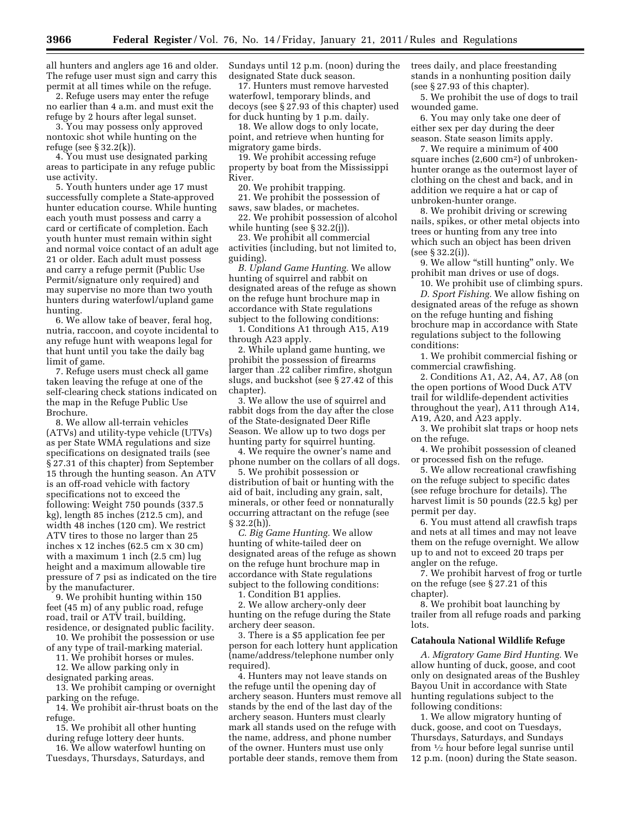all hunters and anglers age 16 and older. The refuge user must sign and carry this permit at all times while on the refuge.

2. Refuge users may enter the refuge no earlier than 4 a.m. and must exit the refuge by 2 hours after legal sunset.

3. You may possess only approved nontoxic shot while hunting on the refuge (see § 32.2(k)).

4. You must use designated parking areas to participate in any refuge public use activity.

5. Youth hunters under age 17 must successfully complete a State-approved hunter education course. While hunting each youth must possess and carry a card or certificate of completion. Each youth hunter must remain within sight and normal voice contact of an adult age 21 or older. Each adult must possess and carry a refuge permit (Public Use Permit/signature only required) and may supervise no more than two youth hunters during waterfowl/upland game hunting.

6. We allow take of beaver, feral hog, nutria, raccoon, and coyote incidental to any refuge hunt with weapons legal for that hunt until you take the daily bag limit of game.

7. Refuge users must check all game taken leaving the refuge at one of the self-clearing check stations indicated on the map in the Refuge Public Use Brochure.

8. We allow all-terrain vehicles (ATVs) and utility-type vehicle (UTVs) as per State WMA regulations and size specifications on designated trails (see § 27.31 of this chapter) from September 15 through the hunting season. An ATV is an off-road vehicle with factory specifications not to exceed the following: Weight 750 pounds (337.5 kg), length 85 inches (212.5 cm), and width 48 inches (120 cm). We restrict ATV tires to those no larger than 25 inches x 12 inches (62.5 cm x 30 cm) with a maximum 1 inch (2.5 cm) lug height and a maximum allowable tire pressure of 7 psi as indicated on the tire by the manufacturer.

9. We prohibit hunting within 150 feet (45 m) of any public road, refuge road, trail or ATV trail, building, residence, or designated public facility.

10. We prohibit the possession or use of any type of trail-marking material.

11. We prohibit horses or mules.

12. We allow parking only in

designated parking areas. 13. We prohibit camping or overnight parking on the refuge.

14. We prohibit air-thrust boats on the refuge.

15. We prohibit all other hunting during refuge lottery deer hunts.

16. We allow waterfowl hunting on Tuesdays, Thursdays, Saturdays, and Sundays until 12 p.m. (noon) during the designated State duck season.

17. Hunters must remove harvested waterfowl, temporary blinds, and decoys (see § 27.93 of this chapter) used for duck hunting by 1 p.m. daily.

18. We allow dogs to only locate, point, and retrieve when hunting for migratory game birds.

19. We prohibit accessing refuge property by boat from the Mississippi River.

20. We prohibit trapping.

21. We prohibit the possession of saws, saw blades, or machetes.

22. We prohibit possession of alcohol while hunting (see § 32.2(j)).

23. We prohibit all commercial activities (including, but not limited to, guiding).

*B. Upland Game Hunting.* We allow hunting of squirrel and rabbit on designated areas of the refuge as shown on the refuge hunt brochure map in accordance with State regulations subject to the following conditions:

1. Conditions A1 through A15, A19 through A23 apply.

2. While upland game hunting, we prohibit the possession of firearms larger than .22 caliber rimfire, shotgun slugs, and buckshot (see § 27.42 of this chapter).

3. We allow the use of squirrel and rabbit dogs from the day after the close of the State-designated Deer Rifle Season. We allow up to two dogs per hunting party for squirrel hunting.

4. We require the owner's name and phone number on the collars of all dogs.

5. We prohibit possession or distribution of bait or hunting with the aid of bait, including any grain, salt, minerals, or other feed or nonnaturally occurring attractant on the refuge (see  $§ 32.2(h)$ .

*C. Big Game Hunting.* We allow hunting of white-tailed deer on designated areas of the refuge as shown on the refuge hunt brochure map in accordance with State regulations subject to the following conditions:

1. Condition B1 applies.

2. We allow archery-only deer hunting on the refuge during the State archery deer season.

3. There is a \$5 application fee per person for each lottery hunt application (name/address/telephone number only required).

4. Hunters may not leave stands on the refuge until the opening day of archery season. Hunters must remove all stands by the end of the last day of the archery season. Hunters must clearly mark all stands used on the refuge with the name, address, and phone number of the owner. Hunters must use only portable deer stands, remove them from

trees daily, and place freestanding stands in a nonhunting position daily (see § 27.93 of this chapter).

5. We prohibit the use of dogs to trail wounded game.

6. You may only take one deer of either sex per day during the deer season. State season limits apply.

7. We require a minimum of 400 square inches (2,600 cm2) of unbrokenhunter orange as the outermost layer of clothing on the chest and back, and in addition we require a hat or cap of unbroken-hunter orange.

8. We prohibit driving or screwing nails, spikes, or other metal objects into trees or hunting from any tree into which such an object has been driven (see § 32.2(i)).

9. We allow "still hunting" only. We prohibit man drives or use of dogs.

10. We prohibit use of climbing spurs. *D. Sport Fishing.* We allow fishing on designated areas of the refuge as shown on the refuge hunting and fishing brochure map in accordance with State regulations subject to the following conditions:

1. We prohibit commercial fishing or commercial crawfishing.

2. Conditions A1, A2, A4, A7, A8 (on the open portions of Wood Duck ATV trail for wildlife-dependent activities throughout the year), A11 through A14, A19, A20, and A23 apply.

3. We prohibit slat traps or hoop nets on the refuge.

4. We prohibit possession of cleaned or processed fish on the refuge.

5. We allow recreational crawfishing on the refuge subject to specific dates (see refuge brochure for details). The harvest limit is 50 pounds (22.5 kg) per permit per day.

6. You must attend all crawfish traps and nets at all times and may not leave them on the refuge overnight. We allow up to and not to exceed 20 traps per angler on the refuge.

7. We prohibit harvest of frog or turtle on the refuge (see § 27.21 of this chapter).

8. We prohibit boat launching by trailer from all refuge roads and parking lots.

#### **Catahoula National Wildlife Refuge**

*A. Migratory Game Bird Hunting.* We allow hunting of duck, goose, and coot only on designated areas of the Bushley Bayou Unit in accordance with State hunting regulations subject to the following conditions:

1. We allow migratory hunting of duck, goose, and coot on Tuesdays, Thursdays, Saturdays, and Sundays from 1⁄2 hour before legal sunrise until 12 p.m. (noon) during the State season.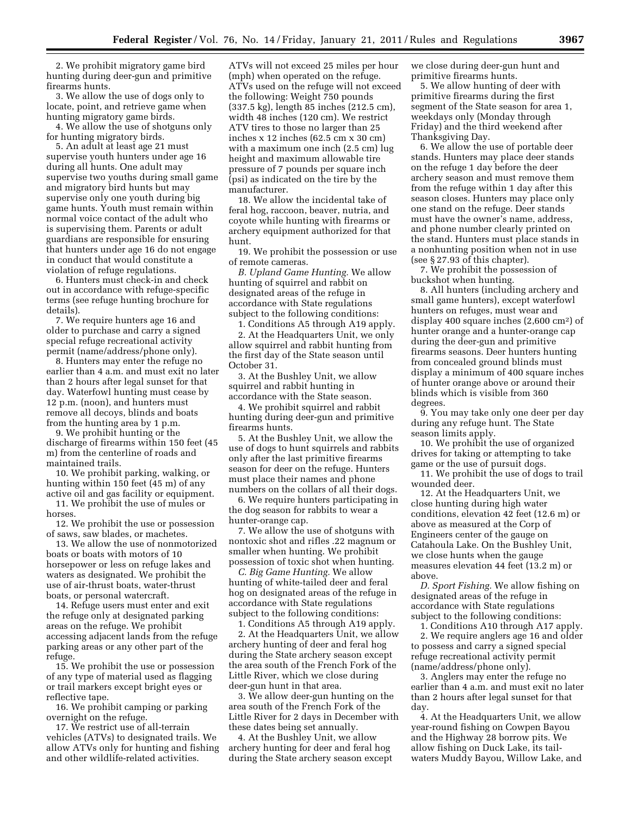2. We prohibit migratory game bird hunting during deer-gun and primitive firearms hunts.

3. We allow the use of dogs only to locate, point, and retrieve game when hunting migratory game birds.

4. We allow the use of shotguns only for hunting migratory birds.

5. An adult at least age 21 must supervise youth hunters under age 16 during all hunts. One adult may supervise two youths during small game and migratory bird hunts but may supervise only one youth during big game hunts. Youth must remain within normal voice contact of the adult who is supervising them. Parents or adult guardians are responsible for ensuring that hunters under age 16 do not engage in conduct that would constitute a violation of refuge regulations.

6. Hunters must check-in and check out in accordance with refuge-specific terms (see refuge hunting brochure for details).

7. We require hunters age 16 and older to purchase and carry a signed special refuge recreational activity permit (name/address/phone only).

8. Hunters may enter the refuge no earlier than 4 a.m. and must exit no later than 2 hours after legal sunset for that day. Waterfowl hunting must cease by 12 p.m. (noon), and hunters must remove all decoys, blinds and boats from the hunting area by 1 p.m.

9. We prohibit hunting or the discharge of firearms within 150 feet (45 m) from the centerline of roads and maintained trails.

10. We prohibit parking, walking, or hunting within 150 feet (45 m) of any active oil and gas facility or equipment.

11. We prohibit the use of mules or horses.

12. We prohibit the use or possession of saws, saw blades, or machetes.

13. We allow the use of nonmotorized boats or boats with motors of 10 horsepower or less on refuge lakes and waters as designated. We prohibit the use of air-thrust boats, water-thrust boats, or personal watercraft.

14. Refuge users must enter and exit the refuge only at designated parking areas on the refuge. We prohibit accessing adjacent lands from the refuge parking areas or any other part of the refuge.

15. We prohibit the use or possession of any type of material used as flagging or trail markers except bright eyes or reflective tape.

16. We prohibit camping or parking overnight on the refuge.

17. We restrict use of all-terrain vehicles (ATVs) to designated trails. We allow ATVs only for hunting and fishing and other wildlife-related activities.

ATVs will not exceed 25 miles per hour (mph) when operated on the refuge. ATVs used on the refuge will not exceed the following: Weight 750 pounds (337.5 kg), length 85 inches (212.5 cm), width 48 inches (120 cm). We restrict ATV tires to those no larger than 25 inches x 12 inches (62.5 cm x 30 cm) with a maximum one inch (2.5 cm) lug height and maximum allowable tire pressure of 7 pounds per square inch (psi) as indicated on the tire by the manufacturer.

18. We allow the incidental take of feral hog, raccoon, beaver, nutria, and coyote while hunting with firearms or archery equipment authorized for that hunt.

19. We prohibit the possession or use of remote cameras.

*B. Upland Game Hunting.* We allow hunting of squirrel and rabbit on designated areas of the refuge in accordance with State regulations subject to the following conditions:

1. Conditions A5 through A19 apply. 2. At the Headquarters Unit, we only allow squirrel and rabbit hunting from the first day of the State season until October 31.

3. At the Bushley Unit, we allow squirrel and rabbit hunting in accordance with the State season.

4. We prohibit squirrel and rabbit hunting during deer-gun and primitive firearms hunts.

5. At the Bushley Unit, we allow the use of dogs to hunt squirrels and rabbits only after the last primitive firearms season for deer on the refuge. Hunters must place their names and phone numbers on the collars of all their dogs.

6. We require hunters participating in the dog season for rabbits to wear a hunter-orange cap.

7. We allow the use of shotguns with nontoxic shot and rifles .22 magnum or smaller when hunting. We prohibit possession of toxic shot when hunting.

*C. Big Game Hunting.* We allow hunting of white-tailed deer and feral hog on designated areas of the refuge in accordance with State regulations subject to the following conditions:

1. Conditions A5 through A19 apply. 2. At the Headquarters Unit, we allow archery hunting of deer and feral hog during the State archery season except the area south of the French Fork of the Little River, which we close during deer-gun hunt in that area.

3. We allow deer-gun hunting on the area south of the French Fork of the Little River for 2 days in December with these dates being set annually.

4. At the Bushley Unit, we allow archery hunting for deer and feral hog during the State archery season except we close during deer-gun hunt and primitive firearms hunts.

5. We allow hunting of deer with primitive firearms during the first segment of the State season for area 1, weekdays only (Monday through Friday) and the third weekend after Thanksgiving Day.

6. We allow the use of portable deer stands. Hunters may place deer stands on the refuge 1 day before the deer archery season and must remove them from the refuge within 1 day after this season closes. Hunters may place only one stand on the refuge. Deer stands must have the owner's name, address, and phone number clearly printed on the stand. Hunters must place stands in a nonhunting position when not in use (see § 27.93 of this chapter).

7. We prohibit the possession of buckshot when hunting.

8. All hunters (including archery and small game hunters), except waterfowl hunters on refuges, must wear and display 400 square inches (2,600 cm2) of hunter orange and a hunter-orange cap during the deer-gun and primitive firearms seasons. Deer hunters hunting from concealed ground blinds must display a minimum of 400 square inches of hunter orange above or around their blinds which is visible from 360 degrees.

9. You may take only one deer per day during any refuge hunt. The State season limits apply.

10. We prohibit the use of organized drives for taking or attempting to take game or the use of pursuit dogs.

11. We prohibit the use of dogs to trail wounded deer.

12. At the Headquarters Unit, we close hunting during high water conditions, elevation 42 feet (12.6 m) or above as measured at the Corp of Engineers center of the gauge on Catahoula Lake. On the Bushley Unit, we close hunts when the gauge measures elevation 44 feet (13.2 m) or above.

*D. Sport Fishing.* We allow fishing on designated areas of the refuge in accordance with State regulations subject to the following conditions:

1. Conditions A10 through A17 apply. 2. We require anglers age 16 and older to possess and carry a signed special refuge recreational activity permit (name/address/phone only).

3. Anglers may enter the refuge no earlier than 4 a.m. and must exit no later than 2 hours after legal sunset for that day.

4. At the Headquarters Unit, we allow year-round fishing on Cowpen Bayou and the Highway 28 borrow pits. We allow fishing on Duck Lake, its tailwaters Muddy Bayou, Willow Lake, and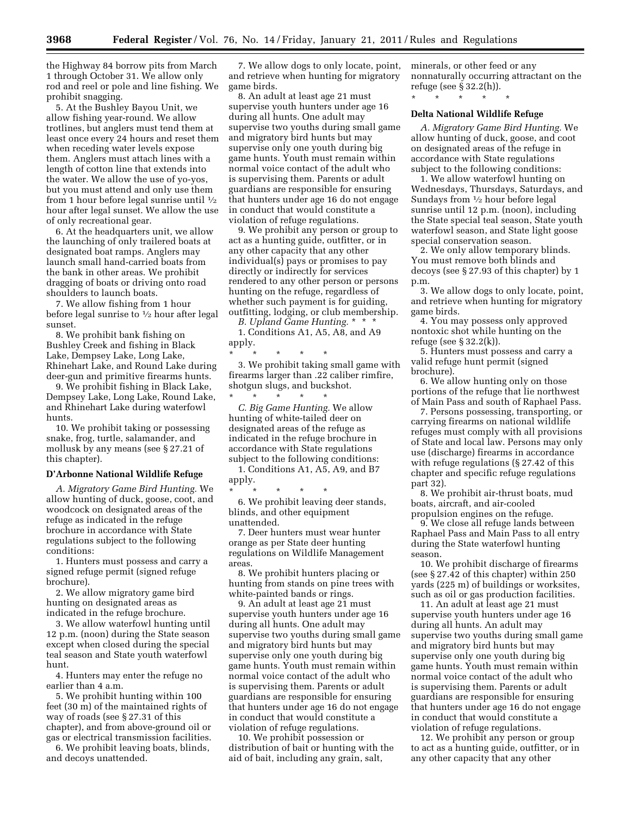the Highway 84 borrow pits from March 1 through October 31. We allow only rod and reel or pole and line fishing. We prohibit snagging.

5. At the Bushley Bayou Unit, we allow fishing year-round. We allow trotlines, but anglers must tend them at least once every 24 hours and reset them when receding water levels expose them. Anglers must attach lines with a length of cotton line that extends into the water. We allow the use of yo-yos, but you must attend and only use them from 1 hour before legal sunrise until  $\frac{1}{2}$ hour after legal sunset. We allow the use of only recreational gear.

6. At the headquarters unit, we allow the launching of only trailered boats at designated boat ramps. Anglers may launch small hand-carried boats from the bank in other areas. We prohibit dragging of boats or driving onto road shoulders to launch boats.

7. We allow fishing from 1 hour before legal sunrise to 1⁄2 hour after legal sunset.

8. We prohibit bank fishing on Bushley Creek and fishing in Black Lake, Dempsey Lake, Long Lake, Rhinehart Lake, and Round Lake during deer-gun and primitive firearms hunts.

9. We prohibit fishing in Black Lake, Dempsey Lake, Long Lake, Round Lake, and Rhinehart Lake during waterfowl hunts.

10. We prohibit taking or possessing snake, frog, turtle, salamander, and mollusk by any means (see § 27.21 of this chapter).

#### **D'Arbonne National Wildlife Refuge**

*A. Migratory Game Bird Hunting.* We allow hunting of duck, goose, coot, and woodcock on designated areas of the refuge as indicated in the refuge brochure in accordance with State regulations subject to the following conditions:

1. Hunters must possess and carry a signed refuge permit (signed refuge brochure).

2. We allow migratory game bird hunting on designated areas as indicated in the refuge brochure.

3. We allow waterfowl hunting until 12 p.m. (noon) during the State season except when closed during the special teal season and State youth waterfowl hunt.

4. Hunters may enter the refuge no earlier than 4 a.m.

5. We prohibit hunting within 100 feet (30 m) of the maintained rights of way of roads (see § 27.31 of this chapter), and from above-ground oil or gas or electrical transmission facilities.

6. We prohibit leaving boats, blinds, and decoys unattended.

7. We allow dogs to only locate, point, and retrieve when hunting for migratory game birds.

8. An adult at least age 21 must supervise youth hunters under age 16 during all hunts. One adult may supervise two youths during small game and migratory bird hunts but may supervise only one youth during big game hunts. Youth must remain within normal voice contact of the adult who is supervising them. Parents or adult guardians are responsible for ensuring that hunters under age 16 do not engage in conduct that would constitute a violation of refuge regulations.

9. We prohibit any person or group to act as a hunting guide, outfitter, or in any other capacity that any other individual(s) pays or promises to pay directly or indirectly for services rendered to any other person or persons hunting on the refuge, regardless of whether such payment is for guiding, outfitting, lodging, or club membership.

*B. Upland Game Hunting.* \* \* \* 1. Conditions A1, A5, A8, and A9 apply.

\* \* \* \* \* 3. We prohibit taking small game with firearms larger than .22 caliber rimfire, shotgun slugs, and buckshot.

\* \* \* \* \* *C. Big Game Hunting.* We allow hunting of white-tailed deer on designated areas of the refuge as indicated in the refuge brochure in accordance with State regulations subject to the following conditions:

1. Conditions A1, A5, A9, and B7 apply.

\* \* \* \* \* 6. We prohibit leaving deer stands, blinds, and other equipment unattended.

7. Deer hunters must wear hunter orange as per State deer hunting regulations on Wildlife Management areas.

8. We prohibit hunters placing or hunting from stands on pine trees with white-painted bands or rings.

9. An adult at least age 21 must supervise youth hunters under age 16 during all hunts. One adult may supervise two youths during small game and migratory bird hunts but may supervise only one youth during big game hunts. Youth must remain within normal voice contact of the adult who is supervising them. Parents or adult guardians are responsible for ensuring that hunters under age 16 do not engage in conduct that would constitute a violation of refuge regulations.

10. We prohibit possession or distribution of bait or hunting with the aid of bait, including any grain, salt,

minerals, or other feed or any nonnaturally occurring attractant on the refuge (see § 32.2(h)).

\* \* \* \* \*

#### **Delta National Wildlife Refuge**

*A. Migratory Game Bird Hunting.* We allow hunting of duck, goose, and coot on designated areas of the refuge in accordance with State regulations subject to the following conditions:

1. We allow waterfowl hunting on Wednesdays, Thursdays, Saturdays, and Sundays from 1⁄2 hour before legal sunrise until 12 p.m. (noon), including the State special teal season, State youth waterfowl season, and State light goose special conservation season.

2. We only allow temporary blinds. You must remove both blinds and decoys (see § 27.93 of this chapter) by 1 p.m.

3. We allow dogs to only locate, point, and retrieve when hunting for migratory game birds.

4. You may possess only approved nontoxic shot while hunting on the refuge (see § 32.2(k)).

5. Hunters must possess and carry a valid refuge hunt permit (signed brochure).

6. We allow hunting only on those portions of the refuge that lie northwest of Main Pass and south of Raphael Pass.

7. Persons possessing, transporting, or carrying firearms on national wildlife refuges must comply with all provisions of State and local law. Persons may only use (discharge) firearms in accordance with refuge regulations (§ 27.42 of this chapter and specific refuge regulations part 32).

8. We prohibit air-thrust boats, mud boats, aircraft, and air-cooled propulsion engines on the refuge.

9. We close all refuge lands between Raphael Pass and Main Pass to all entry during the State waterfowl hunting season.

10. We prohibit discharge of firearms (see § 27.42 of this chapter) within 250 yards (225 m) of buildings or worksites, such as oil or gas production facilities.

11. An adult at least age 21 must supervise youth hunters under age 16 during all hunts. An adult may supervise two youths during small game and migratory bird hunts but may supervise only one youth during big game hunts. Youth must remain within normal voice contact of the adult who is supervising them. Parents or adult guardians are responsible for ensuring that hunters under age 16 do not engage in conduct that would constitute a violation of refuge regulations.

12. We prohibit any person or group to act as a hunting guide, outfitter, or in any other capacity that any other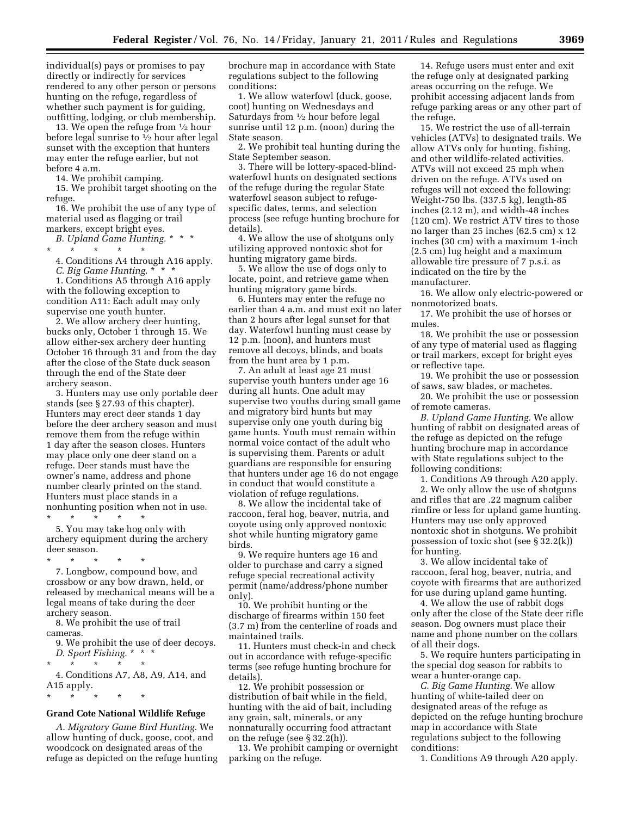individual(s) pays or promises to pay directly or indirectly for services rendered to any other person or persons hunting on the refuge, regardless of whether such payment is for guiding, outfitting, lodging, or club membership.

13. We open the refuge from 1⁄2 hour before legal sunrise to  $\frac{1}{2}$  hour after legal sunset with the exception that hunters may enter the refuge earlier, but not before 4 a.m.

14. We prohibit camping.

15. We prohibit target shooting on the refuge.

16. We prohibit the use of any type of material used as flagging or trail markers, except bright eyes.

*B. Upland Game Hunting.* \* \* \*

\* \* \* \* \* 4. Conditions A4 through A16 apply.

*C. Big Game Hunting.* \* \* \*

1. Conditions A5 through A16 apply with the following exception to condition A11: Each adult may only supervise one youth hunter.

2. We allow archery deer hunting, bucks only, October 1 through 15. We allow either-sex archery deer hunting October 16 through 31 and from the day after the close of the State duck season through the end of the State deer archery season.

3. Hunters may use only portable deer stands (see § 27.93 of this chapter). Hunters may erect deer stands 1 day before the deer archery season and must remove them from the refuge within 1 day after the season closes. Hunters may place only one deer stand on a refuge. Deer stands must have the owner's name, address and phone number clearly printed on the stand. Hunters must place stands in a nonhunting position when not in use.

\* \* \* \* \*

5. You may take hog only with archery equipment during the archery deer season.

\* \* \* \* \* 7. Longbow, compound bow, and crossbow or any bow drawn, held, or released by mechanical means will be a legal means of take during the deer archery season.

8. We prohibit the use of trail cameras.

9. We prohibit the use of deer decoys. *D. Sport Fishing.* \* \* \*

\* \* \* \* \*

\* \* \* \* \*

4. Conditions A7, A8, A9, A14, and A15 apply.

#### **Grand Cote National Wildlife Refuge**

*A. Migratory Game Bird Hunting.* We allow hunting of duck, goose, coot, and woodcock on designated areas of the refuge as depicted on the refuge hunting brochure map in accordance with State regulations subject to the following conditions:

1. We allow waterfowl (duck, goose, coot) hunting on Wednesdays and Saturdays from 1⁄2 hour before legal sunrise until 12 p.m. (noon) during the State season.

2. We prohibit teal hunting during the State September season.

3. There will be lottery-spaced-blindwaterfowl hunts on designated sections of the refuge during the regular State waterfowl season subject to refugespecific dates, terms, and selection process (see refuge hunting brochure for details).

4. We allow the use of shotguns only utilizing approved nontoxic shot for hunting migratory game birds.

5. We allow the use of dogs only to locate, point, and retrieve game when hunting migratory game birds.

6. Hunters may enter the refuge no earlier than 4 a.m. and must exit no later than 2 hours after legal sunset for that day. Waterfowl hunting must cease by 12 p.m. (noon), and hunters must remove all decoys, blinds, and boats from the hunt area by 1 p.m.

7. An adult at least age 21 must supervise youth hunters under age 16 during all hunts. One adult may supervise two youths during small game and migratory bird hunts but may supervise only one youth during big game hunts. Youth must remain within normal voice contact of the adult who is supervising them. Parents or adult guardians are responsible for ensuring that hunters under age 16 do not engage in conduct that would constitute a violation of refuge regulations.

8. We allow the incidental take of raccoon, feral hog, beaver, nutria, and coyote using only approved nontoxic shot while hunting migratory game birds.

9. We require hunters age 16 and older to purchase and carry a signed refuge special recreational activity permit (name/address/phone number only).

10. We prohibit hunting or the discharge of firearms within 150 feet (3.7 m) from the centerline of roads and maintained trails.

11. Hunters must check-in and check out in accordance with refuge-specific terms (see refuge hunting brochure for details).

12. We prohibit possession or distribution of bait while in the field, hunting with the aid of bait, including any grain, salt, minerals, or any nonnaturally occurring food attractant on the refuge (see § 32.2(h)).

13. We prohibit camping or overnight parking on the refuge.

14. Refuge users must enter and exit the refuge only at designated parking areas occurring on the refuge. We prohibit accessing adjacent lands from refuge parking areas or any other part of the refuge.

15. We restrict the use of all-terrain vehicles (ATVs) to designated trails. We allow ATVs only for hunting, fishing, and other wildlife-related activities. ATVs will not exceed 25 mph when driven on the refuge. ATVs used on refuges will not exceed the following: Weight-750 lbs. (337.5 kg), length-85 inches (2.12 m), and width-48 inches (120 cm). We restrict ATV tires to those no larger than 25 inches (62.5 cm) x 12 inches (30 cm) with a maximum 1-inch (2.5 cm) lug height and a maximum allowable tire pressure of 7 p.s.i. as indicated on the tire by the manufacturer.

16. We allow only electric-powered or nonmotorized boats.

17. We prohibit the use of horses or mules.

18. We prohibit the use or possession of any type of material used as flagging or trail markers, except for bright eyes or reflective tape.

19. We prohibit the use or possession of saws, saw blades, or machetes.

20. We prohibit the use or possession of remote cameras.

*B. Upland Game Hunting.* We allow hunting of rabbit on designated areas of the refuge as depicted on the refuge hunting brochure map in accordance with State regulations subject to the following conditions:

1. Conditions A9 through A20 apply.

2. We only allow the use of shotguns and rifles that are .22 magnum caliber rimfire or less for upland game hunting. Hunters may use only approved nontoxic shot in shotguns. We prohibit possession of toxic shot (see § 32.2(k)) for hunting.

3. We allow incidental take of raccoon, feral hog, beaver, nutria, and coyote with firearms that are authorized for use during upland game hunting.

4. We allow the use of rabbit dogs only after the close of the State deer rifle season. Dog owners must place their name and phone number on the collars of all their dogs.

5. We require hunters participating in the special dog season for rabbits to wear a hunter-orange cap.

*C. Big Game Hunting.* We allow hunting of white-tailed deer on designated areas of the refuge as depicted on the refuge hunting brochure map in accordance with State regulations subject to the following conditions:

1. Conditions A9 through A20 apply.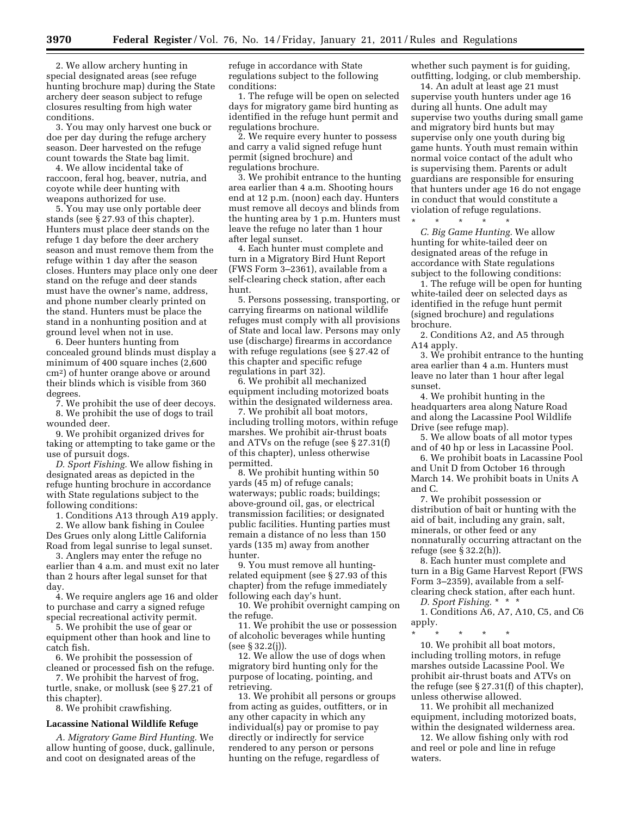2. We allow archery hunting in special designated areas (see refuge hunting brochure map) during the State archery deer season subject to refuge closures resulting from high water conditions.

3. You may only harvest one buck or doe per day during the refuge archery season. Deer harvested on the refuge count towards the State bag limit.

4. We allow incidental take of raccoon, feral hog, beaver, nutria, and coyote while deer hunting with weapons authorized for use.

5. You may use only portable deer stands (see § 27.93 of this chapter). Hunters must place deer stands on the refuge 1 day before the deer archery season and must remove them from the refuge within 1 day after the season closes. Hunters may place only one deer stand on the refuge and deer stands must have the owner's name, address, and phone number clearly printed on the stand. Hunters must be place the stand in a nonhunting position and at ground level when not in use.

6. Deer hunters hunting from concealed ground blinds must display a minimum of 400 square inches (2,600 cm2) of hunter orange above or around their blinds which is visible from 360 degrees.

7. We prohibit the use of deer decoys.

8. We prohibit the use of dogs to trail wounded deer.

9. We prohibit organized drives for taking or attempting to take game or the use of pursuit dogs.

*D. Sport Fishing.* We allow fishing in designated areas as depicted in the refuge hunting brochure in accordance with State regulations subject to the following conditions:

1. Conditions A13 through A19 apply.

2. We allow bank fishing in Coulee Des Grues only along Little California Road from legal sunrise to legal sunset.

3. Anglers may enter the refuge no earlier than 4 a.m. and must exit no later than 2 hours after legal sunset for that day.

4. We require anglers age 16 and older to purchase and carry a signed refuge special recreational activity permit.

5. We prohibit the use of gear or equipment other than hook and line to catch fish.

6. We prohibit the possession of cleaned or processed fish on the refuge.

7. We prohibit the harvest of frog, turtle, snake, or mollusk (see § 27.21 of this chapter).

8. We prohibit crawfishing.

#### **Lacassine National Wildlife Refuge**

*A. Migratory Game Bird Hunting.* We allow hunting of goose, duck, gallinule, and coot on designated areas of the

refuge in accordance with State regulations subject to the following conditions:

1. The refuge will be open on selected days for migratory game bird hunting as identified in the refuge hunt permit and regulations brochure.

2. We require every hunter to possess and carry a valid signed refuge hunt permit (signed brochure) and regulations brochure.

3. We prohibit entrance to the hunting area earlier than 4 a.m. Shooting hours end at 12 p.m. (noon) each day. Hunters must remove all decoys and blinds from the hunting area by 1 p.m. Hunters must leave the refuge no later than 1 hour after legal sunset.

4. Each hunter must complete and turn in a Migratory Bird Hunt Report (FWS Form 3–2361), available from a self-clearing check station, after each hunt.

5. Persons possessing, transporting, or carrying firearms on national wildlife refuges must comply with all provisions of State and local law. Persons may only use (discharge) firearms in accordance with refuge regulations (see § 27.42 of this chapter and specific refuge regulations in part 32).

6. We prohibit all mechanized equipment including motorized boats within the designated wilderness area.

7. We prohibit all boat motors, including trolling motors, within refuge marshes. We prohibit air-thrust boats and ATVs on the refuge (see § 27.31(f) of this chapter), unless otherwise permitted.

8. We prohibit hunting within 50 yards (45 m) of refuge canals; waterways; public roads; buildings; above-ground oil, gas, or electrical transmission facilities; or designated public facilities. Hunting parties must remain a distance of no less than 150 yards (135 m) away from another hunter.

9. You must remove all huntingrelated equipment (see § 27.93 of this chapter) from the refuge immediately following each day's hunt.

10. We prohibit overnight camping on the refuge.

11. We prohibit the use or possession of alcoholic beverages while hunting (see § 32.2(j)).

12. We allow the use of dogs when migratory bird hunting only for the purpose of locating, pointing, and retrieving.

13. We prohibit all persons or groups from acting as guides, outfitters, or in any other capacity in which any individual(s) pay or promise to pay directly or indirectly for service rendered to any person or persons hunting on the refuge, regardless of

whether such payment is for guiding, outfitting, lodging, or club membership.

14. An adult at least age 21 must supervise youth hunters under age 16 during all hunts. One adult may supervise two youths during small game and migratory bird hunts but may supervise only one youth during big game hunts. Youth must remain within normal voice contact of the adult who is supervising them. Parents or adult guardians are responsible for ensuring that hunters under age 16 do not engage in conduct that would constitute a violation of refuge regulations. \* \* \* \* \*

*C. Big Game Hunting.* We allow hunting for white-tailed deer on designated areas of the refuge in accordance with State regulations subject to the following conditions:

1. The refuge will be open for hunting white-tailed deer on selected days as identified in the refuge hunt permit (signed brochure) and regulations brochure.

2. Conditions A2, and A5 through A14 apply.

3. We prohibit entrance to the hunting area earlier than 4 a.m. Hunters must leave no later than 1 hour after legal sunset.

4. We prohibit hunting in the headquarters area along Nature Road and along the Lacassine Pool Wildlife Drive (see refuge map).

5. We allow boats of all motor types and of 40 hp or less in Lacassine Pool.

6. We prohibit boats in Lacassine Pool and Unit D from October 16 through March 14. We prohibit boats in Units A and C.

7. We prohibit possession or distribution of bait or hunting with the aid of bait, including any grain, salt, minerals, or other feed or any nonnaturally occurring attractant on the refuge (see § 32.2(h)).

8. Each hunter must complete and turn in a Big Game Harvest Report (FWS Form 3–2359), available from a selfclearing check station, after each hunt.

*D. Sport Fishing.* \* \* \*

1. Conditions A6, A7, A10, C5, and C6 apply.

\* \* \* \* \* 10. We prohibit all boat motors, including trolling motors, in refuge marshes outside Lacassine Pool. We prohibit air-thrust boats and ATVs on the refuge (see § 27.31(f) of this chapter), unless otherwise allowed.

11. We prohibit all mechanized equipment, including motorized boats, within the designated wilderness area.

12. We allow fishing only with rod and reel or pole and line in refuge waters.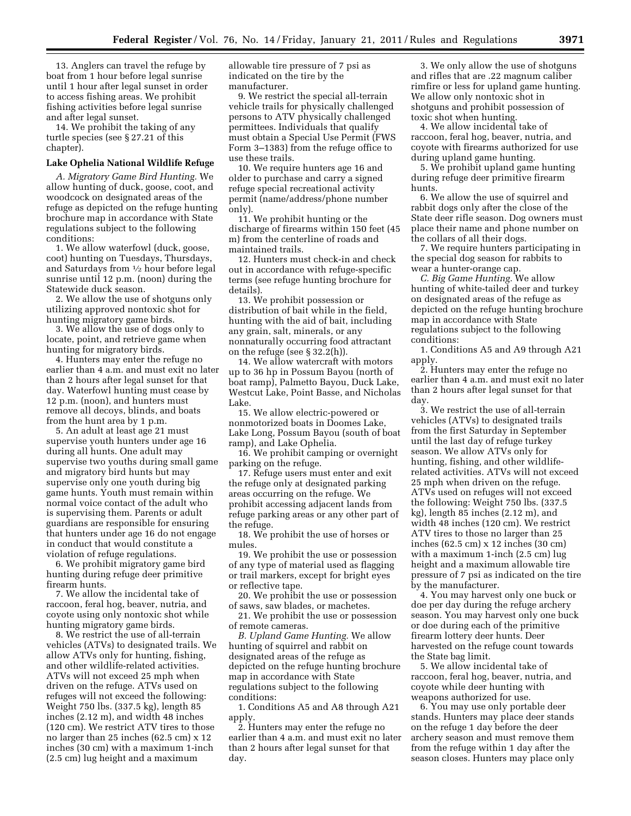13. Anglers can travel the refuge by boat from 1 hour before legal sunrise until 1 hour after legal sunset in order to access fishing areas. We prohibit fishing activities before legal sunrise and after legal sunset.

14. We prohibit the taking of any turtle species (see § 27.21 of this chapter).

#### **Lake Ophelia National Wildlife Refuge**

*A. Migratory Game Bird Hunting.* We allow hunting of duck, goose, coot, and woodcock on designated areas of the refuge as depicted on the refuge hunting brochure map in accordance with State regulations subject to the following conditions:

1. We allow waterfowl (duck, goose, coot) hunting on Tuesdays, Thursdays, and Saturdays from 1⁄2 hour before legal sunrise until 12 p.m. (noon) during the Statewide duck season.

2. We allow the use of shotguns only utilizing approved nontoxic shot for hunting migratory game birds.

3. We allow the use of dogs only to locate, point, and retrieve game when hunting for migratory birds.

4. Hunters may enter the refuge no earlier than 4 a.m. and must exit no later than 2 hours after legal sunset for that day. Waterfowl hunting must cease by 12 p.m. (noon), and hunters must remove all decoys, blinds, and boats from the hunt area by 1 p.m.

5. An adult at least age 21 must supervise youth hunters under age 16 during all hunts. One adult may supervise two youths during small game and migratory bird hunts but may supervise only one youth during big game hunts. Youth must remain within normal voice contact of the adult who is supervising them. Parents or adult guardians are responsible for ensuring that hunters under age 16 do not engage in conduct that would constitute a violation of refuge regulations.

6. We prohibit migratory game bird hunting during refuge deer primitive firearm hunts.

7. We allow the incidental take of raccoon, feral hog, beaver, nutria, and coyote using only nontoxic shot while hunting migratory game birds.

8. We restrict the use of all-terrain vehicles (ATVs) to designated trails. We allow ATVs only for hunting, fishing, and other wildlife-related activities. ATVs will not exceed 25 mph when driven on the refuge. ATVs used on refuges will not exceed the following: Weight 750 lbs. (337.5 kg), length 85 inches (2.12 m), and width 48 inches (120 cm). We restrict ATV tires to those no larger than 25 inches (62.5 cm) x 12 inches (30 cm) with a maximum 1-inch (2.5 cm) lug height and a maximum

allowable tire pressure of 7 psi as indicated on the tire by the manufacturer.

9. We restrict the special all-terrain vehicle trails for physically challenged persons to ATV physically challenged permittees. Individuals that qualify must obtain a Special Use Permit (FWS Form 3–1383) from the refuge office to use these trails.

10. We require hunters age 16 and older to purchase and carry a signed refuge special recreational activity permit (name/address/phone number only).

11. We prohibit hunting or the discharge of firearms within 150 feet (45 m) from the centerline of roads and maintained trails.

12. Hunters must check-in and check out in accordance with refuge-specific terms (see refuge hunting brochure for details).

13. We prohibit possession or distribution of bait while in the field, hunting with the aid of bait, including any grain, salt, minerals, or any nonnaturally occurring food attractant on the refuge (see § 32.2(h)).

14. We allow watercraft with motors up to 36 hp in Possum Bayou (north of boat ramp), Palmetto Bayou, Duck Lake, Westcut Lake, Point Basse, and Nicholas Lake.

15. We allow electric-powered or nonmotorized boats in Doomes Lake, Lake Long, Possum Bayou (south of boat ramp), and Lake Ophelia.

16. We prohibit camping or overnight parking on the refuge.

17. Refuge users must enter and exit the refuge only at designated parking areas occurring on the refuge. We prohibit accessing adjacent lands from refuge parking areas or any other part of the refuge.

18. We prohibit the use of horses or mules.

19. We prohibit the use or possession of any type of material used as flagging or trail markers, except for bright eyes or reflective tape.

20. We prohibit the use or possession of saws, saw blades, or machetes.

21. We prohibit the use or possession of remote cameras.

*B. Upland Game Hunting.* We allow hunting of squirrel and rabbit on designated areas of the refuge as depicted on the refuge hunting brochure map in accordance with State regulations subject to the following conditions:

1. Conditions A5 and A8 through A21 apply.

2. Hunters may enter the refuge no earlier than 4 a.m. and must exit no later than 2 hours after legal sunset for that day.

3. We only allow the use of shotguns and rifles that are .22 magnum caliber rimfire or less for upland game hunting. We allow only nontoxic shot in shotguns and prohibit possession of toxic shot when hunting.

4. We allow incidental take of raccoon, feral hog, beaver, nutria, and coyote with firearms authorized for use during upland game hunting.

5. We prohibit upland game hunting during refuge deer primitive firearm hunts.

6. We allow the use of squirrel and rabbit dogs only after the close of the State deer rifle season. Dog owners must place their name and phone number on the collars of all their dogs.

7. We require hunters participating in the special dog season for rabbits to wear a hunter-orange cap.

*C. Big Game Hunting.* We allow hunting of white-tailed deer and turkey on designated areas of the refuge as depicted on the refuge hunting brochure map in accordance with State regulations subject to the following conditions:

1. Conditions A5 and A9 through A21 apply.

2. Hunters may enter the refuge no earlier than 4 a.m. and must exit no later than 2 hours after legal sunset for that day.

3. We restrict the use of all-terrain vehicles (ATVs) to designated trails from the first Saturday in September until the last day of refuge turkey season. We allow ATVs only for hunting, fishing, and other wildliferelated activities. ATVs will not exceed 25 mph when driven on the refuge. ATVs used on refuges will not exceed the following: Weight 750 lbs. (337.5 kg), length 85 inches (2.12 m), and width 48 inches (120 cm). We restrict ATV tires to those no larger than 25 inches (62.5 cm) x 12 inches (30 cm) with a maximum 1-inch (2.5 cm) lug height and a maximum allowable tire pressure of 7 psi as indicated on the tire by the manufacturer.

4. You may harvest only one buck or doe per day during the refuge archery season. You may harvest only one buck or doe during each of the primitive firearm lottery deer hunts. Deer harvested on the refuge count towards the State bag limit.

5. We allow incidental take of raccoon, feral hog, beaver, nutria, and coyote while deer hunting with weapons authorized for use.

6. You may use only portable deer stands. Hunters may place deer stands on the refuge 1 day before the deer archery season and must remove them from the refuge within 1 day after the season closes. Hunters may place only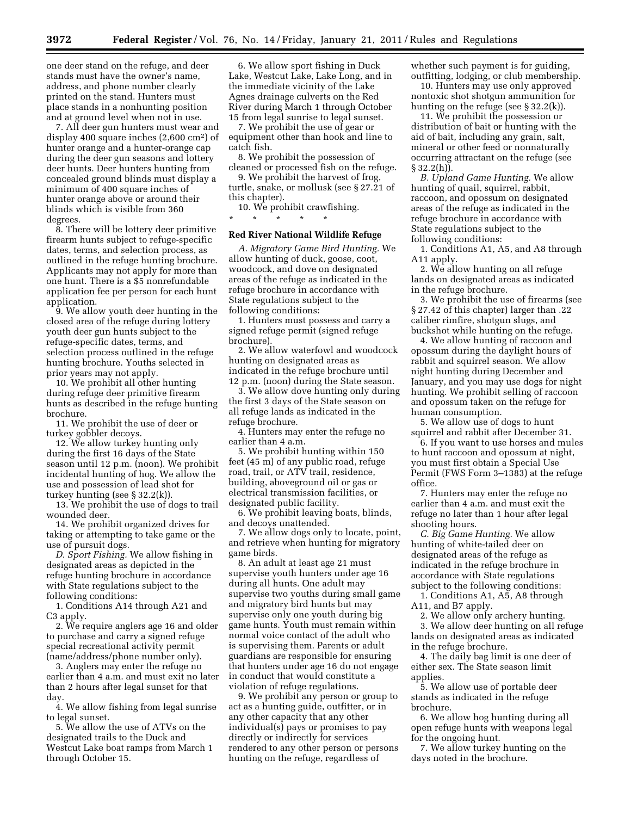one deer stand on the refuge, and deer stands must have the owner's name, address, and phone number clearly printed on the stand. Hunters must place stands in a nonhunting position and at ground level when not in use.

7. All deer gun hunters must wear and display 400 square inches (2,600 cm2) of hunter orange and a hunter-orange cap during the deer gun seasons and lottery deer hunts. Deer hunters hunting from concealed ground blinds must display a minimum of 400 square inches of hunter orange above or around their blinds which is visible from 360 degrees.

8. There will be lottery deer primitive firearm hunts subject to refuge-specific dates, terms, and selection process, as outlined in the refuge hunting brochure. Applicants may not apply for more than one hunt. There is a \$5 nonrefundable application fee per person for each hunt application.

9. We allow youth deer hunting in the closed area of the refuge during lottery youth deer gun hunts subject to the refuge-specific dates, terms, and selection process outlined in the refuge hunting brochure. Youths selected in prior years may not apply.

10. We prohibit all other hunting during refuge deer primitive firearm hunts as described in the refuge hunting brochure.

11. We prohibit the use of deer or turkey gobbler decoys.

12. We allow turkey hunting only during the first 16 days of the State season until 12 p.m. (noon). We prohibit incidental hunting of hog. We allow the use and possession of lead shot for turkey hunting (see § 32.2(k)).

13. We prohibit the use of dogs to trail wounded deer.

14. We prohibit organized drives for taking or attempting to take game or the use of pursuit dogs.

*D. Sport Fishing.* We allow fishing in designated areas as depicted in the refuge hunting brochure in accordance with State regulations subject to the following conditions:

1. Conditions A14 through A21 and C3 apply.

2. We require anglers age 16 and older to purchase and carry a signed refuge special recreational activity permit (name/address/phone number only).

3. Anglers may enter the refuge no earlier than 4 a.m. and must exit no later than 2 hours after legal sunset for that day.

4. We allow fishing from legal sunrise to legal sunset.

5. We allow the use of ATVs on the designated trails to the Duck and Westcut Lake boat ramps from March 1 through October 15.

6. We allow sport fishing in Duck Lake, Westcut Lake, Lake Long, and in the immediate vicinity of the Lake Agnes drainage culverts on the Red River during March 1 through October 15 from legal sunrise to legal sunset.

7. We prohibit the use of gear or equipment other than hook and line to catch fish.

8. We prohibit the possession of cleaned or processed fish on the refuge.

9. We prohibit the harvest of frog, turtle, snake, or mollusk (see § 27.21 of this chapter).

10. We prohibit crawfishing. \* \* \* \* \*

#### **Red River National Wildlife Refuge**

*A. Migratory Game Bird Hunting.* We allow hunting of duck, goose, coot, woodcock, and dove on designated areas of the refuge as indicated in the refuge brochure in accordance with State regulations subject to the following conditions:

1. Hunters must possess and carry a signed refuge permit (signed refuge brochure).

2. We allow waterfowl and woodcock hunting on designated areas as indicated in the refuge brochure until 12 p.m. (noon) during the State season.

3. We allow dove hunting only during the first 3 days of the State season on all refuge lands as indicated in the refuge brochure.

4. Hunters may enter the refuge no earlier than 4 a.m.

5. We prohibit hunting within 150 feet (45 m) of any public road, refuge road, trail, or ATV trail, residence, building, aboveground oil or gas or electrical transmission facilities, or designated public facility.

6. We prohibit leaving boats, blinds, and decoys unattended.

7. We allow dogs only to locate, point, and retrieve when hunting for migratory game birds.

8. An adult at least age 21 must supervise youth hunters under age 16 during all hunts. One adult may supervise two youths during small game and migratory bird hunts but may supervise only one youth during big game hunts. Youth must remain within normal voice contact of the adult who is supervising them. Parents or adult guardians are responsible for ensuring that hunters under age 16 do not engage in conduct that would constitute a violation of refuge regulations.

9. We prohibit any person or group to act as a hunting guide, outfitter, or in any other capacity that any other individual(s) pays or promises to pay directly or indirectly for services rendered to any other person or persons hunting on the refuge, regardless of

whether such payment is for guiding, outfitting, lodging, or club membership.

10. Hunters may use only approved nontoxic shot shotgun ammunition for hunting on the refuge (see § 32.2(k)).

11. We prohibit the possession or distribution of bait or hunting with the aid of bait, including any grain, salt, mineral or other feed or nonnaturally occurring attractant on the refuge (see  $§ 32.2(h)$ ).

*B. Upland Game Hunting.* We allow hunting of quail, squirrel, rabbit, raccoon, and opossum on designated areas of the refuge as indicated in the refuge brochure in accordance with State regulations subject to the following conditions:

1. Conditions A1, A5, and A8 through A11 apply.

2. We allow hunting on all refuge lands on designated areas as indicated in the refuge brochure.

3. We prohibit the use of firearms (see § 27.42 of this chapter) larger than .22 caliber rimfire, shotgun slugs, and buckshot while hunting on the refuge.

4. We allow hunting of raccoon and opossum during the daylight hours of rabbit and squirrel season. We allow night hunting during December and January, and you may use dogs for night hunting. We prohibit selling of raccoon and opossum taken on the refuge for human consumption.

5. We allow use of dogs to hunt squirrel and rabbit after December 31.

6. If you want to use horses and mules to hunt raccoon and opossum at night, you must first obtain a Special Use Permit (FWS Form 3–1383) at the refuge office.

7. Hunters may enter the refuge no earlier than 4 a.m. and must exit the refuge no later than 1 hour after legal shooting hours.

*C. Big Game Hunting.* We allow hunting of white-tailed deer on designated areas of the refuge as indicated in the refuge brochure in accordance with State regulations subject to the following conditions:

1. Conditions A1, A5, A8 through A11, and B7 apply.

2. We allow only archery hunting.

3. We allow deer hunting on all refuge lands on designated areas as indicated in the refuge brochure.

4. The daily bag limit is one deer of either sex. The State season limit applies.

5. We allow use of portable deer stands as indicated in the refuge brochure.

6. We allow hog hunting during all open refuge hunts with weapons legal for the ongoing hunt.

7. We allow turkey hunting on the days noted in the brochure.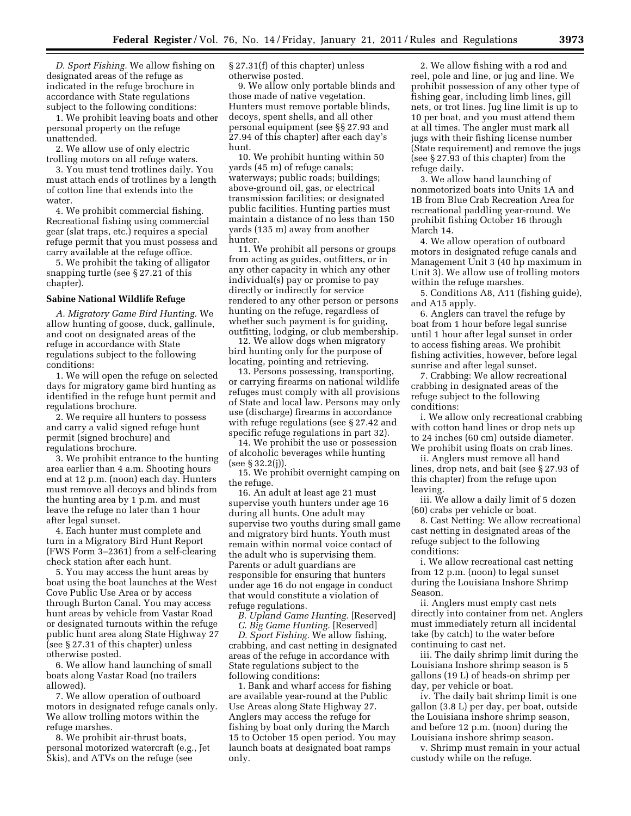*D. Sport Fishing.* We allow fishing on designated areas of the refuge as indicated in the refuge brochure in accordance with State regulations subject to the following conditions:

1. We prohibit leaving boats and other personal property on the refuge unattended.

2. We allow use of only electric trolling motors on all refuge waters.

3. You must tend trotlines daily. You must attach ends of trotlines by a length of cotton line that extends into the water.

4. We prohibit commercial fishing. Recreational fishing using commercial gear (slat traps, etc.) requires a special refuge permit that you must possess and carry available at the refuge office.

5. We prohibit the taking of alligator snapping turtle (see § 27.21 of this chapter).

#### **Sabine National Wildlife Refuge**

*A. Migratory Game Bird Hunting.* We allow hunting of goose, duck, gallinule, and coot on designated areas of the refuge in accordance with State regulations subject to the following conditions:

1. We will open the refuge on selected days for migratory game bird hunting as identified in the refuge hunt permit and regulations brochure.

2. We require all hunters to possess and carry a valid signed refuge hunt permit (signed brochure) and regulations brochure.

3. We prohibit entrance to the hunting area earlier than 4 a.m. Shooting hours end at 12 p.m. (noon) each day. Hunters must remove all decoys and blinds from the hunting area by 1 p.m. and must leave the refuge no later than 1 hour after legal sunset.

4. Each hunter must complete and turn in a Migratory Bird Hunt Report (FWS Form 3–2361) from a self-clearing check station after each hunt.

5. You may access the hunt areas by boat using the boat launches at the West Cove Public Use Area or by access through Burton Canal. You may access hunt areas by vehicle from Vastar Road or designated turnouts within the refuge public hunt area along State Highway 27 (see § 27.31 of this chapter) unless otherwise posted.

6. We allow hand launching of small boats along Vastar Road (no trailers allowed).

7. We allow operation of outboard motors in designated refuge canals only. We allow trolling motors within the refuge marshes.

8. We prohibit air-thrust boats, personal motorized watercraft (e.g., Jet Skis), and ATVs on the refuge (see

§ 27.31(f) of this chapter) unless otherwise posted.

9. We allow only portable blinds and those made of native vegetation. Hunters must remove portable blinds, decoys, spent shells, and all other personal equipment (see §§ 27.93 and 27.94 of this chapter) after each day's hunt.

10. We prohibit hunting within 50 yards (45 m) of refuge canals; waterways; public roads; buildings; above-ground oil, gas, or electrical transmission facilities; or designated public facilities. Hunting parties must maintain a distance of no less than 150 yards (135 m) away from another hunter.

11. We prohibit all persons or groups from acting as guides, outfitters, or in any other capacity in which any other individual(s) pay or promise to pay directly or indirectly for service rendered to any other person or persons hunting on the refuge, regardless of whether such payment is for guiding, outfitting, lodging, or club membership.

12. We allow dogs when migratory bird hunting only for the purpose of locating, pointing and retrieving.

13. Persons possessing, transporting, or carrying firearms on national wildlife refuges must comply with all provisions of State and local law. Persons may only use (discharge) firearms in accordance with refuge regulations (see § 27.42 and specific refuge regulations in part 32).

14. We prohibit the use or possession of alcoholic beverages while hunting (see § 32.2(j)).

15. We prohibit overnight camping on the refuge.

16. An adult at least age 21 must supervise youth hunters under age 16 during all hunts. One adult may supervise two youths during small game and migratory bird hunts. Youth must remain within normal voice contact of the adult who is supervising them. Parents or adult guardians are responsible for ensuring that hunters under age 16 do not engage in conduct that would constitute a violation of refuge regulations.

*B. Upland Game Hunting.* [Reserved]

*C. Big Game Hunting.* [Reserved] *D. Sport Fishing.* We allow fishing, crabbing, and cast netting in designated areas of the refuge in accordance with State regulations subject to the following conditions:

1. Bank and wharf access for fishing are available year-round at the Public Use Areas along State Highway 27. Anglers may access the refuge for fishing by boat only during the March 15 to October 15 open period. You may launch boats at designated boat ramps only.

2. We allow fishing with a rod and reel, pole and line, or jug and line. We prohibit possession of any other type of fishing gear, including limb lines, gill nets, or trot lines. Jug line limit is up to 10 per boat, and you must attend them at all times. The angler must mark all jugs with their fishing license number (State requirement) and remove the jugs (see § 27.93 of this chapter) from the refuge daily.

3. We allow hand launching of nonmotorized boats into Units 1A and 1B from Blue Crab Recreation Area for recreational paddling year-round. We prohibit fishing October 16 through March 14.

4. We allow operation of outboard motors in designated refuge canals and Management Unit 3 (40 hp maximum in Unit 3). We allow use of trolling motors within the refuge marshes.

5. Conditions A8, A11 (fishing guide), and A15 apply.

6. Anglers can travel the refuge by boat from 1 hour before legal sunrise until 1 hour after legal sunset in order to access fishing areas. We prohibit fishing activities, however, before legal sunrise and after legal sunset.

7. Crabbing: We allow recreational crabbing in designated areas of the refuge subject to the following conditions:

i. We allow only recreational crabbing with cotton hand lines or drop nets up to 24 inches (60 cm) outside diameter. We prohibit using floats on crab lines.

ii. Anglers must remove all hand lines, drop nets, and bait (see § 27.93 of this chapter) from the refuge upon leaving.

iii. We allow a daily limit of 5 dozen (60) crabs per vehicle or boat.

8. Cast Netting: We allow recreational cast netting in designated areas of the refuge subject to the following conditions:

i. We allow recreational cast netting from 12 p.m. (noon) to legal sunset during the Louisiana Inshore Shrimp Season.

ii. Anglers must empty cast nets directly into container from net. Anglers must immediately return all incidental take (by catch) to the water before continuing to cast net.

iii. The daily shrimp limit during the Louisiana Inshore shrimp season is 5 gallons (19 L) of heads-on shrimp per day, per vehicle or boat.

iv. The daily bait shrimp limit is one gallon (3.8 L) per day, per boat, outside the Louisiana inshore shrimp season, and before 12 p.m. (noon) during the Louisiana inshore shrimp season.

v. Shrimp must remain in your actual custody while on the refuge.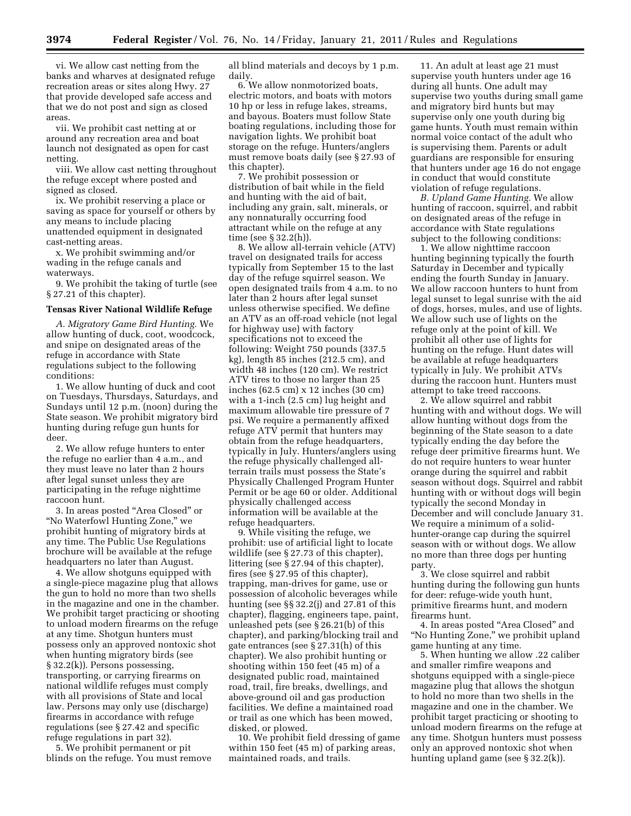vi. We allow cast netting from the banks and wharves at designated refuge recreation areas or sites along Hwy. 27 that provide developed safe access and that we do not post and sign as closed areas.

vii. We prohibit cast netting at or around any recreation area and boat launch not designated as open for cast netting.

viii. We allow cast netting throughout the refuge except where posted and signed as closed.

ix. We prohibit reserving a place or saving as space for yourself or others by any means to include placing unattended equipment in designated cast-netting areas.

x. We prohibit swimming and/or wading in the refuge canals and waterways.

9. We prohibit the taking of turtle (see § 27.21 of this chapter).

#### **Tensas River National Wildlife Refuge**

*A. Migratory Game Bird Hunting.* We allow hunting of duck, coot, woodcock, and snipe on designated areas of the refuge in accordance with State regulations subject to the following conditions:

1. We allow hunting of duck and coot on Tuesdays, Thursdays, Saturdays, and Sundays until 12 p.m. (noon) during the State season. We prohibit migratory bird hunting during refuge gun hunts for deer.

2. We allow refuge hunters to enter the refuge no earlier than 4 a.m., and they must leave no later than 2 hours after legal sunset unless they are participating in the refuge nighttime raccoon hunt.

3. In areas posted ''Area Closed'' or ''No Waterfowl Hunting Zone,'' we prohibit hunting of migratory birds at any time. The Public Use Regulations brochure will be available at the refuge headquarters no later than August.

4. We allow shotguns equipped with a single-piece magazine plug that allows the gun to hold no more than two shells in the magazine and one in the chamber. We prohibit target practicing or shooting to unload modern firearms on the refuge at any time. Shotgun hunters must possess only an approved nontoxic shot when hunting migratory birds (see § 32.2(k)). Persons possessing, transporting, or carrying firearms on national wildlife refuges must comply with all provisions of State and local law. Persons may only use (discharge) firearms in accordance with refuge regulations (see § 27.42 and specific refuge regulations in part 32).

5. We prohibit permanent or pit blinds on the refuge. You must remove all blind materials and decoys by 1 p.m. daily.

6. We allow nonmotorized boats, electric motors, and boats with motors 10 hp or less in refuge lakes, streams, and bayous. Boaters must follow State boating regulations, including those for navigation lights. We prohibit boat storage on the refuge. Hunters/anglers must remove boats daily (see § 27.93 of this chapter).

7. We prohibit possession or distribution of bait while in the field and hunting with the aid of bait, including any grain, salt, minerals, or any nonnaturally occurring food attractant while on the refuge at any time (see § 32.2(h)).

8. We allow all-terrain vehicle (ATV) travel on designated trails for access typically from September 15 to the last day of the refuge squirrel season. We open designated trails from 4 a.m. to no later than 2 hours after legal sunset unless otherwise specified. We define an ATV as an off-road vehicle (not legal for highway use) with factory specifications not to exceed the following: Weight 750 pounds (337.5 kg), length 85 inches (212.5 cm), and width 48 inches (120 cm). We restrict ATV tires to those no larger than 25 inches (62.5 cm) x 12 inches (30 cm) with a 1-inch (2.5 cm) lug height and maximum allowable tire pressure of 7 psi. We require a permanently affixed refuge ATV permit that hunters may obtain from the refuge headquarters, typically in July. Hunters/anglers using the refuge physically challenged allterrain trails must possess the State's Physically Challenged Program Hunter Permit or be age 60 or older. Additional physically challenged access information will be available at the refuge headquarters.

9. While visiting the refuge, we prohibit: use of artificial light to locate wildlife (see § 27.73 of this chapter), littering (see § 27.94 of this chapter), fires (see § 27.95 of this chapter), trapping, man-drives for game, use or possession of alcoholic beverages while hunting (see §§ 32.2(j) and 27.81 of this chapter), flagging, engineers tape, paint, unleashed pets (see § 26.21(b) of this chapter), and parking/blocking trail and gate entrances (see § 27.31(h) of this chapter). We also prohibit hunting or shooting within 150 feet (45 m) of a designated public road, maintained road, trail, fire breaks, dwellings, and above-ground oil and gas production facilities. We define a maintained road or trail as one which has been mowed, disked, or plowed.

10. We prohibit field dressing of game within 150 feet (45 m) of parking areas, maintained roads, and trails.

11. An adult at least age 21 must supervise youth hunters under age 16 during all hunts. One adult may supervise two youths during small game and migratory bird hunts but may supervise only one youth during big game hunts. Youth must remain within normal voice contact of the adult who is supervising them. Parents or adult guardians are responsible for ensuring that hunters under age 16 do not engage in conduct that would constitute violation of refuge regulations.

*B. Upland Game Hunting.* We allow hunting of raccoon, squirrel, and rabbit on designated areas of the refuge in accordance with State regulations subject to the following conditions:

1. We allow nighttime raccoon hunting beginning typically the fourth Saturday in December and typically ending the fourth Sunday in January. We allow raccoon hunters to hunt from legal sunset to legal sunrise with the aid of dogs, horses, mules, and use of lights. We allow such use of lights on the refuge only at the point of kill. We prohibit all other use of lights for hunting on the refuge. Hunt dates will be available at refuge headquarters typically in July. We prohibit ATVs during the raccoon hunt. Hunters must attempt to take treed raccoons.

2. We allow squirrel and rabbit hunting with and without dogs. We will allow hunting without dogs from the beginning of the State season to a date typically ending the day before the refuge deer primitive firearms hunt. We do not require hunters to wear hunter orange during the squirrel and rabbit season without dogs. Squirrel and rabbit hunting with or without dogs will begin typically the second Monday in December and will conclude January 31. We require a minimum of a solidhunter-orange cap during the squirrel season with or without dogs. We allow no more than three dogs per hunting party.

3. We close squirrel and rabbit hunting during the following gun hunts for deer: refuge-wide youth hunt, primitive firearms hunt, and modern firearms hunt.

4. In areas posted ''Area Closed'' and ''No Hunting Zone,'' we prohibit upland game hunting at any time.

5. When hunting we allow .22 caliber and smaller rimfire weapons and shotguns equipped with a single-piece magazine plug that allows the shotgun to hold no more than two shells in the magazine and one in the chamber. We prohibit target practicing or shooting to unload modern firearms on the refuge at any time. Shotgun hunters must possess only an approved nontoxic shot when hunting upland game (see § 32.2(k)).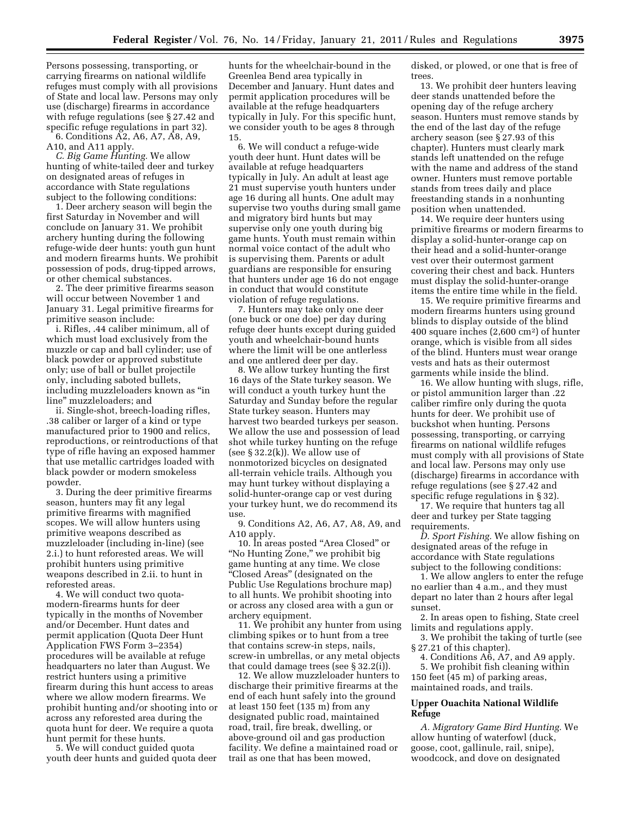Persons possessing, transporting, or carrying firearms on national wildlife refuges must comply with all provisions of State and local law. Persons may only use (discharge) firearms in accordance with refuge regulations (see § 27.42 and specific refuge regulations in part 32).

6. Conditions A2, A6, A7, A8, A9, A10, and A11 apply.

*C. Big Game Hunting.* We allow hunting of white-tailed deer and turkey on designated areas of refuges in accordance with State regulations subject to the following conditions:

1. Deer archery season will begin the first Saturday in November and will conclude on January 31. We prohibit archery hunting during the following refuge-wide deer hunts: youth gun hunt and modern firearms hunts. We prohibit possession of pods, drug-tipped arrows, or other chemical substances.

2. The deer primitive firearms season will occur between November 1 and January 31. Legal primitive firearms for primitive season include:

i. Rifles, .44 caliber minimum, all of which must load exclusively from the muzzle or cap and ball cylinder; use of black powder or approved substitute only; use of ball or bullet projectile only, including saboted bullets, including muzzleloaders known as ''in line'' muzzleloaders; and

ii. Single-shot, breech-loading rifles, .38 caliber or larger of a kind or type manufactured prior to 1900 and relics, reproductions, or reintroductions of that type of rifle having an exposed hammer that use metallic cartridges loaded with black powder or modern smokeless powder.

3. During the deer primitive firearms season, hunters may fit any legal primitive firearms with magnified scopes. We will allow hunters using primitive weapons described as muzzleloader (including in-line) (see 2.i.) to hunt reforested areas. We will prohibit hunters using primitive weapons described in 2.ii. to hunt in reforested areas.

4. We will conduct two quotamodern-firearms hunts for deer typically in the months of November and/or December. Hunt dates and permit application (Quota Deer Hunt Application FWS Form 3–2354) procedures will be available at refuge headquarters no later than August. We restrict hunters using a primitive firearm during this hunt access to areas where we allow modern firearms. We prohibit hunting and/or shooting into or across any reforested area during the quota hunt for deer. We require a quota hunt permit for these hunts.

5. We will conduct guided quota youth deer hunts and guided quota deer hunts for the wheelchair-bound in the Greenlea Bend area typically in December and January. Hunt dates and permit application procedures will be available at the refuge headquarters typically in July. For this specific hunt, we consider youth to be ages 8 through 15.

6. We will conduct a refuge-wide youth deer hunt. Hunt dates will be available at refuge headquarters typically in July. An adult at least age 21 must supervise youth hunters under age 16 during all hunts. One adult may supervise two youths during small game and migratory bird hunts but may supervise only one youth during big game hunts. Youth must remain within normal voice contact of the adult who is supervising them. Parents or adult guardians are responsible for ensuring that hunters under age 16 do not engage in conduct that would constitute violation of refuge regulations.

7. Hunters may take only one deer (one buck or one doe) per day during refuge deer hunts except during guided youth and wheelchair-bound hunts where the limit will be one antlerless and one antlered deer per day.

8. We allow turkey hunting the first 16 days of the State turkey season. We will conduct a youth turkey hunt the Saturday and Sunday before the regular State turkey season. Hunters may harvest two bearded turkeys per season. We allow the use and possession of lead shot while turkey hunting on the refuge (see  $\S 32.2(k)$ ). We allow use of nonmotorized bicycles on designated all-terrain vehicle trails. Although you may hunt turkey without displaying a solid-hunter-orange cap or vest during your turkey hunt, we do recommend its use.

9. Conditions A2, A6, A7, A8, A9, and A10 apply.

10. In areas posted ''Area Closed'' or ''No Hunting Zone,'' we prohibit big game hunting at any time. We close ''Closed Areas'' (designated on the Public Use Regulations brochure map) to all hunts. We prohibit shooting into or across any closed area with a gun or archery equipment.

11. We prohibit any hunter from using climbing spikes or to hunt from a tree that contains screw-in steps, nails, screw-in umbrellas, or any metal objects that could damage trees (see § 32.2(i)).

12. We allow muzzleloader hunters to discharge their primitive firearms at the end of each hunt safely into the ground at least 150 feet (135 m) from any designated public road, maintained road, trail, fire break, dwelling, or above-ground oil and gas production facility. We define a maintained road or trail as one that has been mowed,

disked, or plowed, or one that is free of trees.

13. We prohibit deer hunters leaving deer stands unattended before the opening day of the refuge archery season. Hunters must remove stands by the end of the last day of the refuge archery season (see § 27.93 of this chapter). Hunters must clearly mark stands left unattended on the refuge with the name and address of the stand owner. Hunters must remove portable stands from trees daily and place freestanding stands in a nonhunting position when unattended.

14. We require deer hunters using primitive firearms or modern firearms to display a solid-hunter-orange cap on their head and a solid-hunter-orange vest over their outermost garment covering their chest and back. Hunters must display the solid-hunter-orange items the entire time while in the field.

15. We require primitive firearms and modern firearms hunters using ground blinds to display outside of the blind 400 square inches (2,600 cm2) of hunter orange, which is visible from all sides of the blind. Hunters must wear orange vests and hats as their outermost garments while inside the blind.

16. We allow hunting with slugs, rifle, or pistol ammunition larger than .22 caliber rimfire only during the quota hunts for deer. We prohibit use of buckshot when hunting. Persons possessing, transporting, or carrying firearms on national wildlife refuges must comply with all provisions of State and local law. Persons may only use (discharge) firearms in accordance with refuge regulations (see § 27.42 and specific refuge regulations in § 32).

17. We require that hunters tag all deer and turkey per State tagging requirements.

*D. Sport Fishing.* We allow fishing on designated areas of the refuge in accordance with State regulations subject to the following conditions:

1. We allow anglers to enter the refuge no earlier than 4 a.m., and they must depart no later than 2 hours after legal sunset.

2. In areas open to fishing, State creel limits and regulations apply.

3. We prohibit the taking of turtle (see § 27.21 of this chapter).

4. Conditions A6, A7, and A9 apply. 5. We prohibit fish cleaning within 150 feet (45 m) of parking areas, maintained roads, and trails.

#### **Upper Ouachita National Wildlife Refuge**

*A. Migratory Game Bird Hunting.* We allow hunting of waterfowl (duck, goose, coot, gallinule, rail, snipe), woodcock, and dove on designated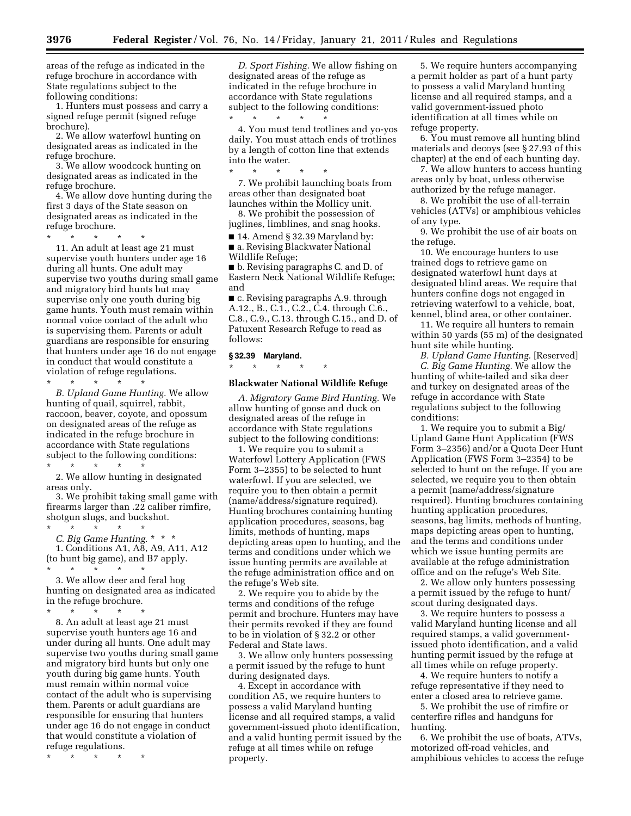areas of the refuge as indicated in the refuge brochure in accordance with State regulations subject to the following conditions:

1. Hunters must possess and carry a signed refuge permit (signed refuge brochure).

2. We allow waterfowl hunting on designated areas as indicated in the refuge brochure.

3. We allow woodcock hunting on designated areas as indicated in the refuge brochure.

4. We allow dove hunting during the first 3 days of the State season on designated areas as indicated in the refuge brochure.

\* \* \* \* \* 11. An adult at least age 21 must supervise youth hunters under age 16 during all hunts. One adult may supervise two youths during small game and migratory bird hunts but may supervise only one youth during big game hunts. Youth must remain within normal voice contact of the adult who is supervising them. Parents or adult guardians are responsible for ensuring that hunters under age 16 do not engage

in conduct that would constitute a violation of refuge regulations.

\* \* \* \* \*

*B. Upland Game Hunting.* We allow hunting of quail, squirrel, rabbit, raccoon, beaver, coyote, and opossum on designated areas of the refuge as indicated in the refuge brochure in accordance with State regulations subject to the following conditions:

\* \* \* \* \* 2. We allow hunting in designated areas only.

3. We prohibit taking small game with firearms larger than .22 caliber rimfire, shotgun slugs, and buckshot. \* \* \* \* \*

*C. Big Game Hunting.* \* \* \* 1. Conditions A1, A8, A9, A11, A12 (to hunt big game), and B7 apply. \* \* \* \* \*

3. We allow deer and feral hog hunting on designated area as indicated in the refuge brochure.

\* \* \* \* \* 8. An adult at least age 21 must supervise youth hunters age 16 and under during all hunts. One adult may supervise two youths during small game and migratory bird hunts but only one youth during big game hunts. Youth must remain within normal voice contact of the adult who is supervising them. Parents or adult guardians are responsible for ensuring that hunters under age 16 do not engage in conduct that would constitute a violation of refuge regulations.

\* \* \* \* \*

*D. Sport Fishing.* We allow fishing on designated areas of the refuge as indicated in the refuge brochure in accordance with State regulations subject to the following conditions: \* \* \* \* \*

4. You must tend trotlines and yo-yos daily. You must attach ends of trotlines by a length of cotton line that extends into the water.

\* \* \* \* \* 7. We prohibit launching boats from areas other than designated boat launches within the Mollicy unit.

8. We prohibit the possession of juglines, limblines, and snag hooks.

■ 14. Amend § 32.39 Maryland by: ■ a. Revising Blackwater National Wildlife Refuge;

■ b. Revising paragraphs C. and D. of Eastern Neck National Wildlife Refuge; and

■ c. Revising paragraphs A.9. through A.12., B., C.1., C.2., C.4. through C.6., C.8., C.9., C.13. through C.15., and D. of Patuxent Research Refuge to read as follows:

#### **§ 32.39 Maryland.**

\* \* \* \* \*

#### **Blackwater National Wildlife Refuge**

*A. Migratory Game Bird Hunting.* We allow hunting of goose and duck on designated areas of the refuge in accordance with State regulations subject to the following conditions:

1. We require you to submit a Waterfowl Lottery Application (FWS Form 3–2355) to be selected to hunt waterfowl. If you are selected, we require you to then obtain a permit (name/address/signature required). Hunting brochures containing hunting application procedures, seasons, bag limits, methods of hunting, maps depicting areas open to hunting, and the terms and conditions under which we issue hunting permits are available at the refuge administration office and on the refuge's Web site.

2. We require you to abide by the terms and conditions of the refuge permit and brochure. Hunters may have their permits revoked if they are found to be in violation of § 32.2 or other Federal and State laws.

3. We allow only hunters possessing a permit issued by the refuge to hunt during designated days.

4. Except in accordance with condition A5, we require hunters to possess a valid Maryland hunting license and all required stamps, a valid government-issued photo identification, and a valid hunting permit issued by the refuge at all times while on refuge property.

5. We require hunters accompanying a permit holder as part of a hunt party to possess a valid Maryland hunting license and all required stamps, and a valid government-issued photo identification at all times while on refuge property.

6. You must remove all hunting blind materials and decoys (see § 27.93 of this chapter) at the end of each hunting day.

7. We allow hunters to access hunting areas only by boat, unless otherwise authorized by the refuge manager.

8. We prohibit the use of all-terrain vehicles (ATVs) or amphibious vehicles of any type.

9. We prohibit the use of air boats on the refuge.

10. We encourage hunters to use trained dogs to retrieve game on designated waterfowl hunt days at designated blind areas. We require that hunters confine dogs not engaged in retrieving waterfowl to a vehicle, boat, kennel, blind area, or other container.

11. We require all hunters to remain within 50 yards (55 m) of the designated hunt site while hunting.

*B. Upland Game Hunting.* [Reserved] *C. Big Game Hunting.* We allow the hunting of white-tailed and sika deer and turkey on designated areas of the refuge in accordance with State regulations subject to the following conditions:

1. We require you to submit a Big/ Upland Game Hunt Application (FWS Form 3–2356) and/or a Quota Deer Hunt Application (FWS Form 3–2354) to be selected to hunt on the refuge. If you are selected, we require you to then obtain a permit (name/address/signature required). Hunting brochures containing hunting application procedures, seasons, bag limits, methods of hunting, maps depicting areas open to hunting, and the terms and conditions under which we issue hunting permits are available at the refuge administration office and on the refuge's Web Site.

2. We allow only hunters possessing a permit issued by the refuge to hunt/ scout during designated days.

3. We require hunters to possess a valid Maryland hunting license and all required stamps, a valid governmentissued photo identification, and a valid hunting permit issued by the refuge at all times while on refuge property.

4. We require hunters to notify a refuge representative if they need to enter a closed area to retrieve game.

5. We prohibit the use of rimfire or centerfire rifles and handguns for hunting.

6. We prohibit the use of boats, ATVs, motorized off-road vehicles, and amphibious vehicles to access the refuge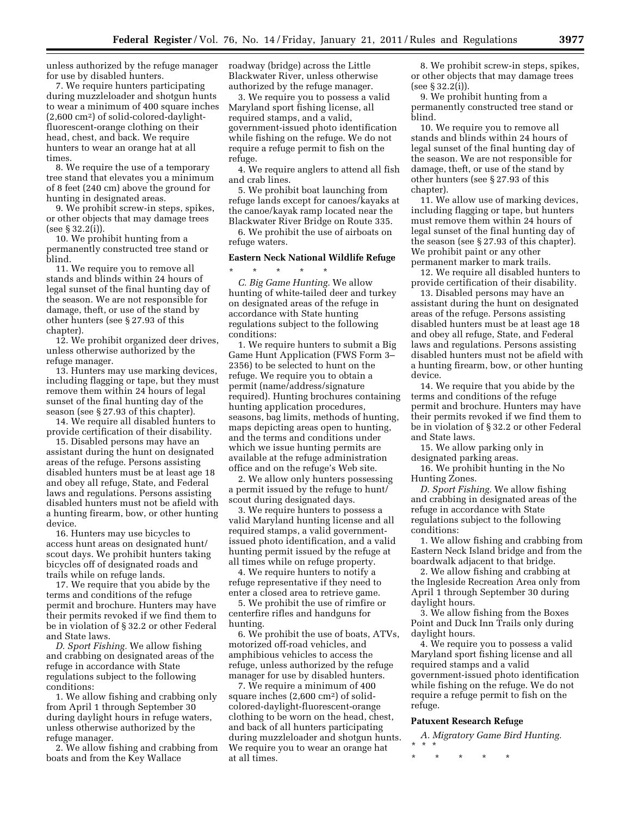unless authorized by the refuge manager for use by disabled hunters.

7. We require hunters participating during muzzleloader and shotgun hunts to wear a minimum of 400 square inches (2,600 cm2) of solid-colored-daylightfluorescent-orange clothing on their head, chest, and back. We require hunters to wear an orange hat at all times.

8. We require the use of a temporary tree stand that elevates you a minimum of 8 feet (240 cm) above the ground for hunting in designated areas.

9. We prohibit screw-in steps, spikes, or other objects that may damage trees (see § 32.2(i)).

10. We prohibit hunting from a permanently constructed tree stand or blind.

11. We require you to remove all stands and blinds within 24 hours of legal sunset of the final hunting day of the season. We are not responsible for damage, theft, or use of the stand by other hunters (see § 27.93 of this chapter).

12. We prohibit organized deer drives, unless otherwise authorized by the refuge manager.

13. Hunters may use marking devices, including flagging or tape, but they must remove them within 24 hours of legal sunset of the final hunting day of the season (see § 27.93 of this chapter).

14. We require all disabled hunters to provide certification of their disability.

15. Disabled persons may have an assistant during the hunt on designated areas of the refuge. Persons assisting disabled hunters must be at least age 18 and obey all refuge, State, and Federal laws and regulations. Persons assisting disabled hunters must not be afield with a hunting firearm, bow, or other hunting device.

16. Hunters may use bicycles to access hunt areas on designated hunt/ scout days. We prohibit hunters taking bicycles off of designated roads and trails while on refuge lands.

17. We require that you abide by the terms and conditions of the refuge permit and brochure. Hunters may have their permits revoked if we find them to be in violation of § 32.2 or other Federal and State laws.

*D. Sport Fishing.* We allow fishing and crabbing on designated areas of the refuge in accordance with State regulations subject to the following conditions:

1. We allow fishing and crabbing only from April 1 through September 30 during daylight hours in refuge waters, unless otherwise authorized by the refuge manager.

2. We allow fishing and crabbing from boats and from the Key Wallace

roadway (bridge) across the Little Blackwater River, unless otherwise authorized by the refuge manager.

3. We require you to possess a valid Maryland sport fishing license, all required stamps, and a valid, government-issued photo identification while fishing on the refuge. We do not require a refuge permit to fish on the refuge.

4. We require anglers to attend all fish and crab lines.

5. We prohibit boat launching from refuge lands except for canoes/kayaks at the canoe/kayak ramp located near the Blackwater River Bridge on Route 335.

6. We prohibit the use of airboats on refuge waters.

#### **Eastern Neck National Wildlife Refuge**

\* \* \* \* \* *C. Big Game Hunting.* We allow hunting of white-tailed deer and turkey on designated areas of the refuge in accordance with State hunting regulations subject to the following conditions:

1. We require hunters to submit a Big Game Hunt Application (FWS Form 3– 2356) to be selected to hunt on the refuge. We require you to obtain a permit (name/address/signature required). Hunting brochures containing hunting application procedures, seasons, bag limits, methods of hunting, maps depicting areas open to hunting, and the terms and conditions under which we issue hunting permits are available at the refuge administration office and on the refuge's Web site.

2. We allow only hunters possessing a permit issued by the refuge to hunt/ scout during designated days.

3. We require hunters to possess a valid Maryland hunting license and all required stamps, a valid governmentissued photo identification, and a valid hunting permit issued by the refuge at all times while on refuge property.

4. We require hunters to notify a refuge representative if they need to enter a closed area to retrieve game.

5. We prohibit the use of rimfire or centerfire rifles and handguns for hunting.

6. We prohibit the use of boats, ATVs, motorized off-road vehicles, and amphibious vehicles to access the refuge, unless authorized by the refuge manager for use by disabled hunters.

7. We require a minimum of 400 square inches (2,600 cm2) of solidcolored-daylight-fluorescent-orange clothing to be worn on the head, chest, and back of all hunters participating during muzzleloader and shotgun hunts. We require you to wear an orange hat at all times.

8. We prohibit screw-in steps, spikes, or other objects that may damage trees (see § 32.2(i)).

9. We prohibit hunting from a permanently constructed tree stand or blind.

10. We require you to remove all stands and blinds within 24 hours of legal sunset of the final hunting day of the season. We are not responsible for damage, theft, or use of the stand by other hunters (see § 27.93 of this chapter).

11. We allow use of marking devices, including flagging or tape, but hunters must remove them within 24 hours of legal sunset of the final hunting day of the season (see § 27.93 of this chapter). We prohibit paint or any other permanent marker to mark trails.

12. We require all disabled hunters to provide certification of their disability.

13. Disabled persons may have an assistant during the hunt on designated areas of the refuge. Persons assisting disabled hunters must be at least age 18 and obey all refuge, State, and Federal laws and regulations. Persons assisting disabled hunters must not be afield with a hunting firearm, bow, or other hunting device.

14. We require that you abide by the terms and conditions of the refuge permit and brochure. Hunters may have their permits revoked if we find them to be in violation of § 32.2 or other Federal and State laws.

15. We allow parking only in designated parking areas.

16. We prohibit hunting in the No Hunting Zones.

*D. Sport Fishing.* We allow fishing and crabbing in designated areas of the refuge in accordance with State regulations subject to the following conditions:

1. We allow fishing and crabbing from Eastern Neck Island bridge and from the boardwalk adjacent to that bridge.

2. We allow fishing and crabbing at the Ingleside Recreation Area only from April 1 through September 30 during daylight hours.

3. We allow fishing from the Boxes Point and Duck Inn Trails only during daylight hours.

4. We require you to possess a valid Maryland sport fishing license and all required stamps and a valid government-issued photo identification while fishing on the refuge. We do not require a refuge permit to fish on the refuge.

#### **Patuxent Research Refuge**

- *A. Migratory Game Bird Hunting.*  \* \* \*
- \* \* \* \* \*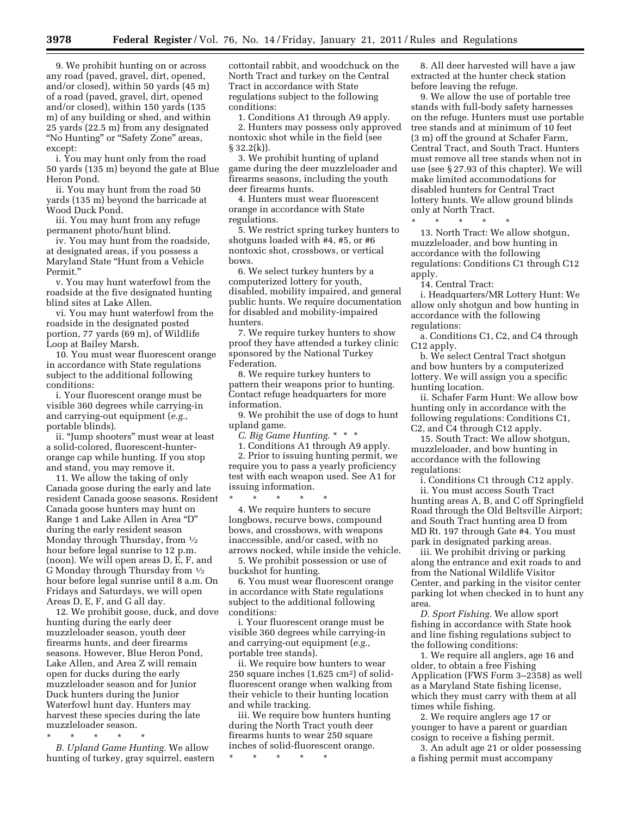9. We prohibit hunting on or across any road (paved, gravel, dirt, opened, and/or closed), within 50 yards (45 m) of a road (paved, gravel, dirt, opened and/or closed), within 150 yards (135 m) of any building or shed, and within 25 yards (22.5 m) from any designated ''No Hunting'' or ''Safety Zone'' areas, except:

i. You may hunt only from the road 50 yards (135 m) beyond the gate at Blue Heron Pond.

ii. You may hunt from the road 50 yards (135 m) beyond the barricade at Wood Duck Pond.

iii. You may hunt from any refuge permanent photo/hunt blind.

iv. You may hunt from the roadside, at designated areas, if you possess a Maryland State ''Hunt from a Vehicle Permit.''

v. You may hunt waterfowl from the roadside at the five designated hunting blind sites at Lake Allen.

vi. You may hunt waterfowl from the roadside in the designated posted portion, 77 yards (69 m), of Wildlife Loop at Bailey Marsh.

10. You must wear fluorescent orange in accordance with State regulations subject to the additional following conditions:

i. Your fluorescent orange must be visible 360 degrees while carrying-in and carrying-out equipment (*e.g.,*  portable blinds).

ii. ''Jump shooters'' must wear at least a solid-colored, fluorescent-hunterorange cap while hunting. If you stop and stand, you may remove it.

11. We allow the taking of only Canada goose during the early and late resident Canada goose seasons. Resident Canada goose hunters may hunt on Range 1 and Lake Allen in Area ''D'' during the early resident season Monday through Thursday, from 1⁄2 hour before legal sunrise to 12 p.m. (noon). We will open areas D, E, F, and G Monday through Thursday from 1⁄2 hour before legal sunrise until 8 a.m. On Fridays and Saturdays, we will open Areas D, E, F, and G all day.

12. We prohibit goose, duck, and dove hunting during the early deer muzzleloader season, youth deer firearms hunts, and deer firearms seasons. However, Blue Heron Pond, Lake Allen, and Area Z will remain open for ducks during the early muzzleloader season and for Junior Duck hunters during the Junior Waterfowl hunt day. Hunters may harvest these species during the late muzzleloader season.

\* \* \* \* \* *B. Upland Game Hunting.* We allow hunting of turkey, gray squirrel, eastern

cottontail rabbit, and woodchuck on the North Tract and turkey on the Central Tract in accordance with State regulations subject to the following conditions:

1. Conditions A1 through A9 apply. 2. Hunters may possess only approved nontoxic shot while in the field (see § 32.2(k)).

3. We prohibit hunting of upland game during the deer muzzleloader and firearms seasons, including the youth deer firearms hunts.

4. Hunters must wear fluorescent orange in accordance with State regulations.

5. We restrict spring turkey hunters to shotguns loaded with #4, #5, or #6 nontoxic shot, crossbows, or vertical bows.

6. We select turkey hunters by a computerized lottery for youth, disabled, mobility impaired, and general public hunts. We require documentation for disabled and mobility-impaired hunters.

7. We require turkey hunters to show proof they have attended a turkey clinic sponsored by the National Turkey Federation.

8. We require turkey hunters to pattern their weapons prior to hunting. Contact refuge headquarters for more information.

9. We prohibit the use of dogs to hunt upland game.

*C. Big Game Hunting.* \* \* \*

1. Conditions A1 through A9 apply. 2. Prior to issuing hunting permit, we require you to pass a yearly proficiency test with each weapon used. See A1 for issuing information.

\* \* \* \* \* 4. We require hunters to secure longbows, recurve bows, compound bows, and crossbows, with weapons inaccessible, and/or cased, with no arrows nocked, while inside the vehicle.

5. We prohibit possession or use of buckshot for hunting.

6. You must wear fluorescent orange in accordance with State regulations subject to the additional following conditions:

i. Your fluorescent orange must be visible 360 degrees while carrying-in and carrying-out equipment (*e.g.,*  portable tree stands).

ii. We require bow hunters to wear 250 square inches (1,625 cm2) of solidfluorescent orange when walking from their vehicle to their hunting location and while tracking.

iii. We require bow hunters hunting during the North Tract youth deer firearms hunts to wear 250 square inches of solid-fluorescent orange.

\* \* \* \* \*

8. All deer harvested will have a jaw extracted at the hunter check station before leaving the refuge.

9. We allow the use of portable tree stands with full-body safety harnesses on the refuge. Hunters must use portable tree stands and at minimum of 10 feet (3 m) off the ground at Schafer Farm, Central Tract, and South Tract. Hunters must remove all tree stands when not in use (see § 27.93 of this chapter). We will make limited accommodations for disabled hunters for Central Tract lottery hunts. We allow ground blinds only at North Tract. \* \* \* \* \*

13. North Tract: We allow shotgun, muzzleloader, and bow hunting in accordance with the following regulations: Conditions C1 through C12 apply.

14. Central Tract:

i. Headquarters/MR Lottery Hunt: We allow only shotgun and bow hunting in accordance with the following regulations:

a. Conditions C1, C2, and C4 through C12 apply.

b. We select Central Tract shotgun and bow hunters by a computerized lottery. We will assign you a specific hunting location.

ii. Schafer Farm Hunt: We allow bow hunting only in accordance with the following regulations: Conditions C1, C2, and C4 through C12 apply.

15. South Tract: We allow shotgun, muzzleloader, and bow hunting in accordance with the following regulations:

i. Conditions C1 through C12 apply. ii. You must access South Tract hunting areas A, B, and C off Springfield Road through the Old Beltsville Airport; and South Tract hunting area D from MD Rt. 197 through Gate #4. You must park in designated parking areas.

iii. We prohibit driving or parking along the entrance and exit roads to and from the National Wildlife Visitor Center, and parking in the visitor center parking lot when checked in to hunt any area.

*D. Sport Fishing.* We allow sport fishing in accordance with State hook and line fishing regulations subject to the following conditions:

1. We require all anglers, age 16 and older, to obtain a free Fishing Application (FWS Form 3–2358) as well as a Maryland State fishing license, which they must carry with them at all times while fishing.

2. We require anglers age 17 or younger to have a parent or guardian cosign to receive a fishing permit.

3. An adult age 21 or older possessing a fishing permit must accompany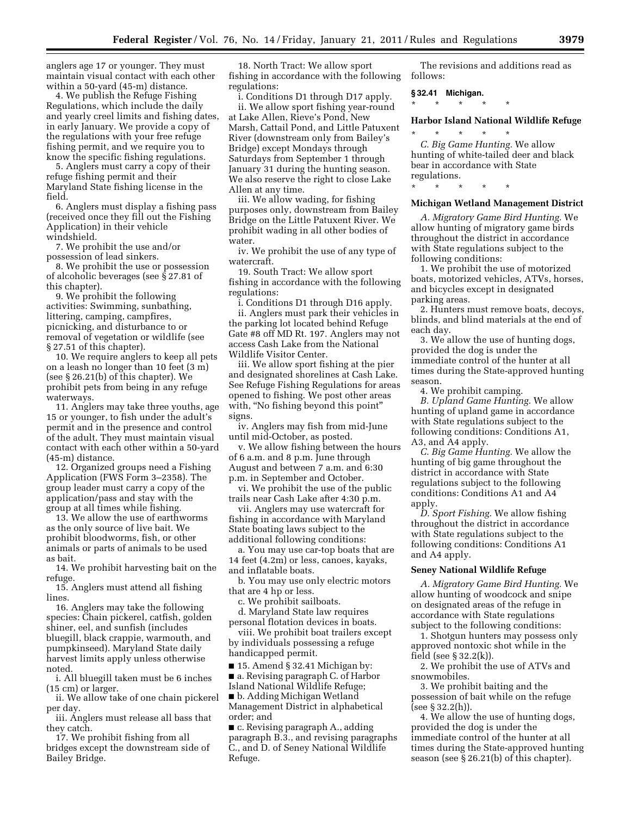anglers age 17 or younger. They must maintain visual contact with each other within a 50-yard (45-m) distance.

4. We publish the Refuge Fishing Regulations, which include the daily and yearly creel limits and fishing dates, in early January. We provide a copy of the regulations with your free refuge fishing permit, and we require you to know the specific fishing regulations.

5. Anglers must carry a copy of their refuge fishing permit and their Maryland State fishing license in the field.

6. Anglers must display a fishing pass (received once they fill out the Fishing Application) in their vehicle windshield.

7. We prohibit the use and/or possession of lead sinkers.

8. We prohibit the use or possession of alcoholic beverages (see § 27.81 of this chapter).

9. We prohibit the following activities: Swimming, sunbathing, littering, camping, campfires, picnicking, and disturbance to or removal of vegetation or wildlife (see § 27.51 of this chapter).

10. We require anglers to keep all pets on a leash no longer than 10 feet (3 m) (see § 26.21(b) of this chapter). We prohibit pets from being in any refuge waterways.

11. Anglers may take three youths, age 15 or younger, to fish under the adult's permit and in the presence and control of the adult. They must maintain visual contact with each other within a 50-yard (45-m) distance.

12. Organized groups need a Fishing Application (FWS Form 3–2358). The group leader must carry a copy of the application/pass and stay with the group at all times while fishing.

13. We allow the use of earthworms as the only source of live bait. We prohibit bloodworms, fish, or other animals or parts of animals to be used as bait.

14. We prohibit harvesting bait on the refuge.

15. Anglers must attend all fishing lines.

16. Anglers may take the following species: Chain pickerel, catfish, golden shiner, eel, and sunfish (includes bluegill, black crappie, warmouth, and pumpkinseed). Maryland State daily harvest limits apply unless otherwise noted.

i. All bluegill taken must be 6 inches (15 cm) or larger.

ii. We allow take of one chain pickerel per day.

iii. Anglers must release all bass that they catch.

17. We prohibit fishing from all bridges except the downstream side of Bailey Bridge.

18. North Tract: We allow sport fishing in accordance with the following regulations:

i. Conditions D1 through D17 apply.

ii. We allow sport fishing year-round at Lake Allen, Rieve's Pond, New Marsh, Cattail Pond, and Little Patuxent River (downstream only from Bailey's Bridge) except Mondays through Saturdays from September 1 through January 31 during the hunting season. We also reserve the right to close Lake Allen at any time.

iii. We allow wading, for fishing purposes only, downstream from Bailey Bridge on the Little Patuxent River. We prohibit wading in all other bodies of water.

iv. We prohibit the use of any type of watercraft.

19. South Tract: We allow sport fishing in accordance with the following regulations:

i. Conditions D1 through D16 apply. ii. Anglers must park their vehicles in the parking lot located behind Refuge Gate #8 off MD Rt. 197. Anglers may not access Cash Lake from the National Wildlife Visitor Center.

iii. We allow sport fishing at the pier and designated shorelines at Cash Lake. See Refuge Fishing Regulations for areas opened to fishing. We post other areas with, "No fishing beyond this point" signs.

iv. Anglers may fish from mid-June until mid-October, as posted.

v. We allow fishing between the hours of 6 a.m. and 8 p.m. June through August and between 7 a.m. and 6:30 p.m. in September and October.

vi. We prohibit the use of the public trails near Cash Lake after 4:30 p.m.

vii. Anglers may use watercraft for fishing in accordance with Maryland State boating laws subject to the additional following conditions:

a. You may use car-top boats that are 14 feet (4.2m) or less, canoes, kayaks, and inflatable boats.

b. You may use only electric motors that are 4 hp or less.

c. We prohibit sailboats.

d. Maryland State law requires personal flotation devices in boats.

viii. We prohibit boat trailers except by individuals possessing a refuge handicapped permit.

■ 15. Amend § 32.41 Michigan by:

■ a. Revising paragraph C. of Harbor Island National Wildlife Refuge;

■ b. Adding Michigan Wetland Management District in alphabetical order; and

■ c. Revising paragraph A., adding paragraph B.3., and revising paragraphs C., and D. of Seney National Wildlife Refuge.

The revisions and additions read as follows:

#### **§ 32.41 Michigan.**

\* \* \* \* \*

#### **Harbor Island National Wildlife Refuge**

\* \* \* \* \* *C. Big Game Hunting.* We allow hunting of white-tailed deer and black bear in accordance with State regulations.

\* \* \* \* \*

#### **Michigan Wetland Management District**

*A. Migratory Game Bird Hunting.* We allow hunting of migratory game birds throughout the district in accordance with State regulations subject to the following conditions:

1. We prohibit the use of motorized boats, motorized vehicles, ATVs, horses, and bicycles except in designated parking areas.

2. Hunters must remove boats, decoys, blinds, and blind materials at the end of each day.

3. We allow the use of hunting dogs, provided the dog is under the immediate control of the hunter at all times during the State-approved hunting season.

4. We prohibit camping.

*B. Upland Game Hunting.* We allow hunting of upland game in accordance with State regulations subject to the following conditions: Conditions A1, A3, and A4 apply.

*C. Big Game Hunting.* We allow the hunting of big game throughout the district in accordance with State regulations subject to the following conditions: Conditions A1 and A4 apply.

*D. Sport Fishing.* We allow fishing throughout the district in accordance with State regulations subject to the following conditions: Conditions A1 and A4 apply.

#### **Seney National Wildlife Refuge**

*A. Migratory Game Bird Hunting.* We allow hunting of woodcock and snipe on designated areas of the refuge in accordance with State regulations subject to the following conditions:

1. Shotgun hunters may possess only approved nontoxic shot while in the field (see § 32.2(k)).

2. We prohibit the use of ATVs and snowmobiles.

3. We prohibit baiting and the possession of bait while on the refuge (see § 32.2(h)).

4. We allow the use of hunting dogs, provided the dog is under the immediate control of the hunter at all times during the State-approved hunting season (see § 26.21(b) of this chapter).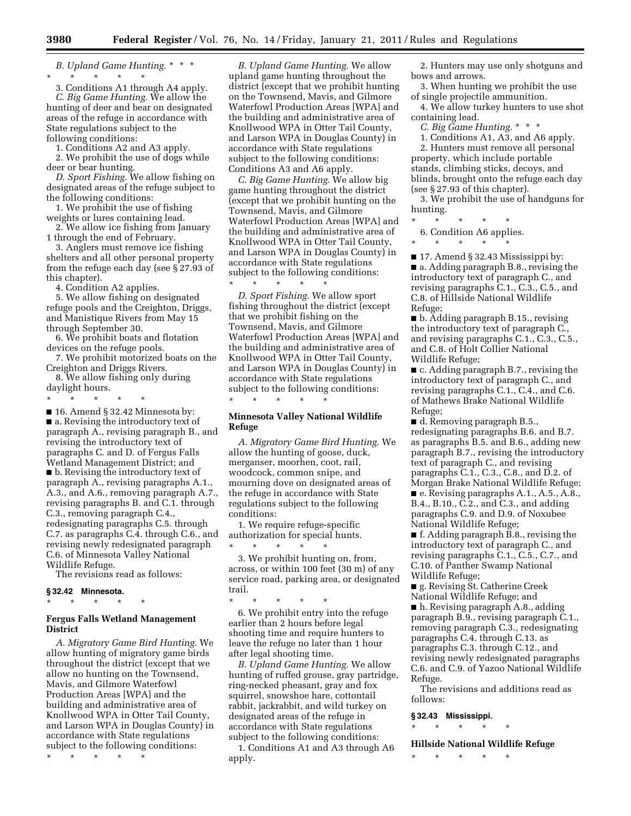*B. Upland Game Hunting.* \* \* \* \* \* \* \* \*

3. Conditions A1 through A4 apply. *C. Big Game Hunting.* We allow the hunting of deer and bear on designated areas of the refuge in accordance with State regulations subject to the following conditions:

1. Conditions A2 and A3 apply.

2. We prohibit the use of dogs while deer or bear hunting.

*D. Sport Fishing.* We allow fishing on designated areas of the refuge subject to the following conditions:

1. We prohibit the use of fishing weights or lures containing lead.

2. We allow ice fishing from January 1 through the end of February.

3. Anglers must remove ice fishing shelters and all other personal property from the refuge each day (see § 27.93 of this chapter).

4. Condition A2 applies.

5. We allow fishing on designated refuge pools and the Creighton, Driggs, and Manistique Rivers from May 15 through September 30.

6. We prohibit boats and flotation devices on the refuge pools.

7. We prohibit motorized boats on the Creighton and Driggs Rivers.

8. We allow fishing only during daylight hours.

\* \* \* \* \*

■ 16. Amend § 32.42 Minnesota by: ■ a. Revising the introductory text of paragraph A., revising paragraph B., and revising the introductory text of paragraphs C. and D. of Fergus Falls Wetland Management District; and ■ b. Revising the introductory text of paragraph A., revising paragraphs A.1., A.3., and A.6., removing paragraph A.7., revising paragraphs B. and C.1. through C.3., removing paragraph C.4., redesignating paragraphs C.5. through C.7. as paragraphs C.4. through C.6., and revising newly redesignated paragraph C.6. of Minnesota Valley National Wildlife Refuge.

The revisions read as follows:

#### **§ 32.42 Minnesota.**

\* \* \* \* \*

#### **Fergus Falls Wetland Management District**

*A. Migratory Game Bird Hunting.* We allow hunting of migratory game birds throughout the district (except that we allow no hunting on the Townsend, Mavis, and Gilmore Waterfowl Production Areas [WPA] and the building and administrative area of Knollwood WPA in Otter Tail County, and Larson WPA in Douglas County) in accordance with State regulations subject to the following conditions:

\* \* \* \* \*

*B. Upland Game Hunting.* We allow upland game hunting throughout the district (except that we prohibit hunting on the Townsend, Mavis, and Gilmore Waterfowl Production Areas [WPA] and the building and administrative area of Knollwood WPA in Otter Tail County, and Larson WPA in Douglas County) in accordance with State regulations subject to the following conditions: Conditions A3 and A6 apply.

*C. Big Game Hunting.* We allow big game hunting throughout the district (except that we prohibit hunting on the Townsend, Mavis, and Gilmore Waterfowl Production Areas [WPA] and the building and administrative area of Knollwood WPA in Otter Tail County, and Larson WPA in Douglas County) in accordance with State regulations subject to the following conditions: \* \* \* \* \*

*D. Sport Fishing.* We allow sport fishing throughout the district (except that we prohibit fishing on the Townsend, Mavis, and Gilmore Waterfowl Production Areas [WPA] and the building and administrative area of Knollwood WPA in Otter Tail County, and Larson WPA in Douglas County) in accordance with State regulations subject to the following conditions: \* \* \* \* \*

#### **Minnesota Valley National Wildlife Refuge**

*A. Migratory Game Bird Hunting.* We allow the hunting of goose, duck, merganser, moorhen, coot, rail, woodcock, common snipe, and mourning dove on designated areas of the refuge in accordance with State regulations subject to the following conditions:

1. We require refuge-specific authorization for special hunts. \* \* \* \* \*

3. We prohibit hunting on, from, across, or within 100 feet (30 m) of any service road, parking area, or designated trail.

\* \* \* \* \* 6. We prohibit entry into the refuge earlier than 2 hours before legal shooting time and require hunters to leave the refuge no later than 1 hour after legal shooting time.

*B. Upland Game Hunting.* We allow hunting of ruffed grouse, gray partridge, ring-necked pheasant, gray and fox squirrel, snowshoe hare, cottontail rabbit, jackrabbit, and wild turkey on designated areas of the refuge in accordance with State regulations subject to the following conditions:

1. Conditions A1 and A3 through A6 apply.

2. Hunters may use only shotguns and bows and arrows.

3. When hunting we prohibit the use of single projectile ammunition.

4. We allow turkey hunters to use shot containing lead.

*C. Big Game Hunting.* \* \* \*

1. Conditions A1, A3, and A6 apply. 2. Hunters must remove all personal property, which include portable stands, climbing sticks, decoys, and blinds, brought onto the refuge each day (see § 27.93 of this chapter).

3. We prohibit the use of handguns for hunting.

\* \* \* \* \*

6. Condition A6 applies.

\* \* \* \* \*

■ 17. Amend § 32.43 Mississippi by: ■ a. Adding paragraph B.8., revising the introductory text of paragraph C., and revising paragraphs C.1., C.3., C.5., and C.8. of Hillside National Wildlife Refuge;

■ b. Adding paragraph B.15., revising the introductory text of paragraph C., and revising paragraphs C.1., C.3., C.5., and C.8. of Holt Collier National Wildlife Refuge;

■ c. Adding paragraph B.7., revising the introductory text of paragraph C., and revising paragraphs C.1., C.4., and C.6. of Mathews Brake National Wildlife Refuge;

■ d. Removing paragraph B.5., redesignating paragraphs B.6. and B.7. as paragraphs B.5. and B.6., adding new paragraph B.7., revising the introductory text of paragraph C., and revising paragraphs C.1., C.3., C.8., and D.2. of Morgan Brake National Wildlife Refuge; ■ e. Revising paragraphs A.1., A.5., A.8., B.4., B.10., C.2., and C.3., and adding paragraphs C.9. and D.9. of Noxubee National Wildlife Refuge;

■ f. Adding paragraph B.8., revising the introductory text of paragraph C., and revising paragraphs C.1., C.5., C.7., and C.10. of Panther Swamp National Wildlife Refuge;

■ g. Revising St. Catherine Creek National Wildlife Refuge; and ■ h. Revising paragraph A.8., adding paragraph B.9., revising paragraph C.1.,

removing paragraph C.3., redesignating paragraphs C.4. through C.13. as paragraphs C.3. through C.12., and revising newly redesignated paragraphs C.6. and C.9. of Yazoo National Wildlife Refuge.

The revisions and additions read as follows:

#### **§ 32.43 Mississippi.**

\* \* \* \* \*

**Hillside National Wildlife Refuge** 

\* \* \* \* \*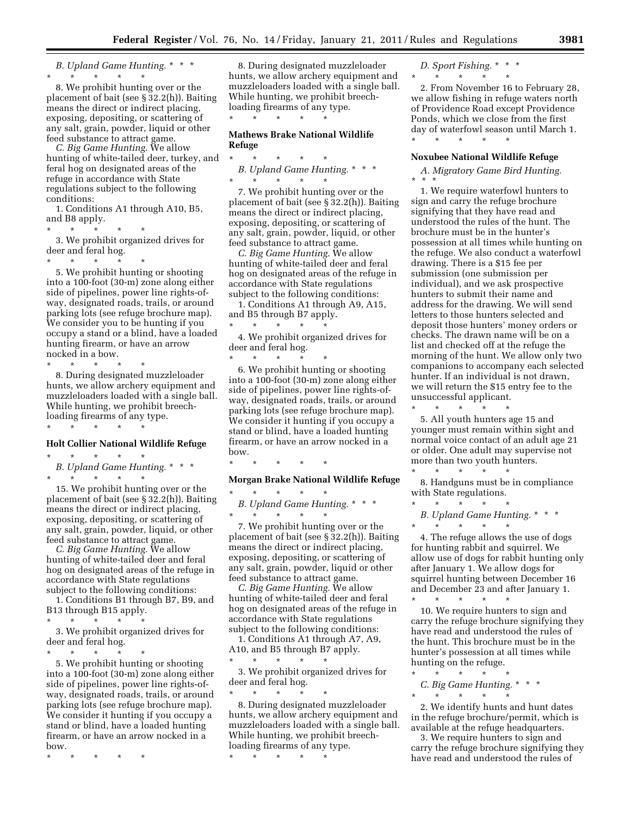*B. Upland Game Hunting.* \* \* \* \* \* \* \* \*

8. We prohibit hunting over or the placement of bait (see § 32.2(h)). Baiting means the direct or indirect placing, exposing, depositing, or scattering of any salt, grain, powder, liquid or other feed substance to attract game.

*C. Big Game Hunting.* We allow hunting of white-tailed deer, turkey, and feral hog on designated areas of the refuge in accordance with State regulations subject to the following conditions:

1. Conditions A1 through A10, B5, and B8 apply.

\* \* \* \* \*

3. We prohibit organized drives for deer and feral hog.

\* \* \* \* \* 5. We prohibit hunting or shooting into a 100-foot (30-m) zone along either side of pipelines, power line rights-ofway, designated roads, trails, or around parking lots (see refuge brochure map). We consider you to be hunting if you occupy a stand or a blind, have a loaded hunting firearm, or have an arrow nocked in a bow.

\* \* \* \* \*

8. During designated muzzleloader hunts, we allow archery equipment and muzzleloaders loaded with a single ball. While hunting, we prohibit breechloading firearms of any type. \* \* \* \* \*

#### **Holt Collier National Wildlife Refuge**

- \* \* \* \* \*
- *B. Upland Game Hunting.* \* \* \* \* \* \* \* \*

15. We prohibit hunting over or the placement of bait (see § 32.2(h)). Baiting means the direct or indirect placing, exposing, depositing, or scattering of any salt, grain, powder, liquid, or other feed substance to attract game.

*C. Big Game Hunting.* We allow hunting of white-tailed deer and feral hog on designated areas of the refuge in accordance with State regulations subject to the following conditions:

1. Conditions B1 through B7, B9, and B13 through B15 apply. \* \* \* \* \*

3. We prohibit organized drives for deer and feral hog.

\* \* \* \* \*

5. We prohibit hunting or shooting into a 100-foot (30-m) zone along either side of pipelines, power line rights-ofway, designated roads, trails, or around parking lots (see refuge brochure map). We consider it hunting if you occupy a stand or blind, have a loaded hunting firearm, or have an arrow nocked in a bow.

\* \* \* \* \*

8. During designated muzzleloader hunts, we allow archery equipment and muzzleloaders loaded with a single ball. While hunting, we prohibit breechloading firearms of any type. \* \* \* \* \*

#### **Mathews Brake National Wildlife Refuge**

\* \* \* \* \* *B. Upland Game Hunting.* \* \* \* \* \* \* \* \*

7. We prohibit hunting over or the placement of bait (see § 32.2(h)). Baiting means the direct or indirect placing, exposing, depositing, or scattering of any salt, grain, powder, liquid, or other feed substance to attract game.

*C. Big Game Hunting.* We allow hunting of white-tailed deer and feral hog on designated areas of the refuge in accordance with State regulations subject to the following conditions:

1. Conditions A1 through A9, A15, and B5 through B7 apply.

\* \* \* \* \* 4. We prohibit organized drives for deer and feral hog.  $\star$   $\star$ 

6. We prohibit hunting or shooting into a 100-foot (30-m) zone along either side of pipelines, power line rights-ofway, designated roads, trails, or around parking lots (see refuge brochure map). We consider it hunting if you occupy a stand or blind, have a loaded hunting firearm, or have an arrow nocked in a bow.

\* \* \* \* \*

#### **Morgan Brake National Wildlife Refuge**

\* \* \* \* \* *B. Upland Game Hunting.* \* \* \* \* \* \* \* \*

7. We prohibit hunting over or the placement of bait (see § 32.2(h)). Baiting means the direct or indirect placing, exposing, depositing, or scattering of any salt, grain, powder, liquid or other feed substance to attract game.

*C. Big Game Hunting.* We allow hunting of white-tailed deer and feral hog on designated areas of the refuge in accordance with State regulations subject to the following conditions:

1. Conditions A1 through A7, A9,

A10, and B5 through B7 apply. \* \* \* \* \*

3. We prohibit organized drives for deer and feral hog.

\* \* \* \* \* 8. During designated muzzleloader hunts, we allow archery equipment and muzzleloaders loaded with a single ball. While hunting, we prohibit breechloading firearms of any type.

\* \* \* \* \*

*D. Sport Fishing.* \* \* \* \* \* \* \* \*

\* \* \* \* \*

2. From November 16 to February 28, we allow fishing in refuge waters north of Providence Road except Providence Ponds, which we close from the first day of waterfowl season until March 1.

#### **Noxubee National Wildlife Refuge**

*A. Migratory Game Bird Hunting.*  \* \* \*

1. We require waterfowl hunters to sign and carry the refuge brochure signifying that they have read and understood the rules of the hunt. The brochure must be in the hunter's possession at all times while hunting on the refuge. We also conduct a waterfowl drawing. There is a \$15 fee per submission (one submission per individual), and we ask prospective hunters to submit their name and address for the drawing. We will send letters to those hunters selected and deposit those hunters' money orders or checks. The drawn name will be on a list and checked off at the refuge the morning of the hunt. We allow only two companions to accompany each selected hunter. If an individual is not drawn, we will return the \$15 entry fee to the unsuccessful applicant.

5. All youth hunters age 15 and younger must remain within sight and normal voice contact of an adult age 21 or older. One adult may supervise not more than two youth hunters.

 $\star$   $\star$ 

\* \* \* \* \*

8. Handguns must be in compliance with State regulations.

\* \* \* \* \* *B. Upland Game Hunting.* \* \* \*

\* \* \* \* \* 4. The refuge allows the use of dogs for hunting rabbit and squirrel. We allow use of dogs for rabbit hunting only after January 1. We allow dogs for squirrel hunting between December 16 and December 23 and after January 1.

\* \* \* \* \* 10. We require hunters to sign and carry the refuge brochure signifying they have read and understood the rules of the hunt. This brochure must be in the hunter's possession at all times while hunting on the refuge.

\* \* \* \* \* *C. Big Game Hunting.* \*\*\* \* \* \* \* \*

2. We identify hunts and hunt dates in the refuge brochure/permit, which is available at the refuge headquarters.

3. We require hunters to sign and carry the refuge brochure signifying they have read and understood the rules of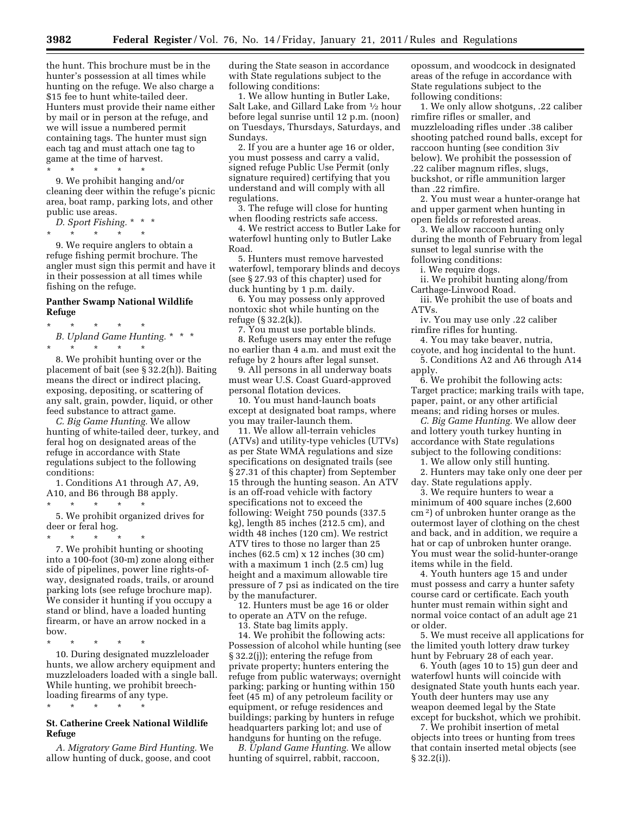the hunt. This brochure must be in the hunter's possession at all times while hunting on the refuge. We also charge a \$15 fee to hunt white-tailed deer. Hunters must provide their name either by mail or in person at the refuge, and we will issue a numbered permit containing tags. The hunter must sign each tag and must attach one tag to game at the time of harvest.

\* \* \* \* \* 9. We prohibit hanging and/or cleaning deer within the refuge's picnic area, boat ramp, parking lots, and other

public use areas. *D. Sport Fishing.* \* \* \*

\* \* \* \* \*

9. We require anglers to obtain a refuge fishing permit brochure. The angler must sign this permit and have it in their possession at all times while fishing on the refuge.

#### **Panther Swamp National Wildlife Refuge**

\* \* \* \* \* *B. Upland Game Hunting.* \* \* \* \* \* \* \* \*

8. We prohibit hunting over or the placement of bait (see § 32.2(h)). Baiting means the direct or indirect placing, exposing, depositing, or scattering of any salt, grain, powder, liquid, or other feed substance to attract game.

*C. Big Game Hunting.* We allow hunting of white-tailed deer, turkey, and feral hog on designated areas of the refuge in accordance with State regulations subject to the following conditions:

1. Conditions A1 through A7, A9, A10, and B6 through B8 apply. \* \* \* \* \*

5. We prohibit organized drives for deer or feral hog.

 $*$  \*

7. We prohibit hunting or shooting into a 100-foot (30-m) zone along either side of pipelines, power line rights-ofway, designated roads, trails, or around parking lots (see refuge brochure map). We consider it hunting if you occupy a stand or blind, have a loaded hunting firearm, or have an arrow nocked in a bow.

\* \* \* \* \*

\* \* \* \* \*

10. During designated muzzleloader hunts, we allow archery equipment and muzzleloaders loaded with a single ball. While hunting, we prohibit breechloading firearms of any type.

#### **St. Catherine Creek National Wildlife Refuge**

*A. Migratory Game Bird Hunting.* We allow hunting of duck, goose, and coot

during the State season in accordance with State regulations subject to the following conditions:

1. We allow hunting in Butler Lake, Salt Lake, and Gillard Lake from 1⁄2 hour before legal sunrise until 12 p.m. (noon) on Tuesdays, Thursdays, Saturdays, and Sundays.

2. If you are a hunter age 16 or older, you must possess and carry a valid, signed refuge Public Use Permit (only signature required) certifying that you understand and will comply with all regulations.

3. The refuge will close for hunting when flooding restricts safe access.

4. We restrict access to Butler Lake for waterfowl hunting only to Butler Lake Road.

5. Hunters must remove harvested waterfowl, temporary blinds and decoys (see § 27.93 of this chapter) used for duck hunting by 1 p.m. daily.

6. You may possess only approved nontoxic shot while hunting on the refuge (§ 32.2(k)).

7. You must use portable blinds. 8. Refuge users may enter the refuge no earlier than 4 a.m. and must exit the refuge by 2 hours after legal sunset.

9. All persons in all underway boats must wear U.S. Coast Guard-approved personal flotation devices.

10. You must hand-launch boats except at designated boat ramps, where you may trailer-launch them.

11. We allow all-terrain vehicles (ATVs) and utility-type vehicles (UTVs) as per State WMA regulations and size specifications on designated trails (see § 27.31 of this chapter) from September 15 through the hunting season. An ATV is an off-road vehicle with factory specifications not to exceed the following: Weight 750 pounds (337.5 kg), length 85 inches (212.5 cm), and width 48 inches (120 cm). We restrict ATV tires to those no larger than 25 inches (62.5 cm) x 12 inches (30 cm) with a maximum 1 inch (2.5 cm) lug height and a maximum allowable tire pressure of 7 psi as indicated on the tire by the manufacturer.

12. Hunters must be age 16 or older to operate an ATV on the refuge.

13. State bag limits apply.

14. We prohibit the following acts: Possession of alcohol while hunting (see § 32.2(j)); entering the refuge from private property; hunters entering the refuge from public waterways; overnight parking; parking or hunting within 150 feet (45 m) of any petroleum facility or equipment, or refuge residences and buildings; parking by hunters in refuge headquarters parking lot; and use of handguns for hunting on the refuge.

*B. Upland Game Hunting.* We allow hunting of squirrel, rabbit, raccoon,

opossum, and woodcock in designated areas of the refuge in accordance with State regulations subject to the following conditions:

1. We only allow shotguns, .22 caliber rimfire rifles or smaller, and muzzleloading rifles under .38 caliber shooting patched round balls, except for raccoon hunting (see condition 3iv below). We prohibit the possession of .22 caliber magnum rifles, slugs, buckshot, or rifle ammunition larger than .22 rimfire.

2. You must wear a hunter-orange hat and upper garment when hunting in open fields or reforested areas.

3. We allow raccoon hunting only during the month of February from legal sunset to legal sunrise with the following conditions:

i. We require dogs.

ii. We prohibit hunting along/from Carthage-Linwood Road.

iii. We prohibit the use of boats and ATVs.

iv. You may use only .22 caliber rimfire rifles for hunting.

4. You may take beaver, nutria, coyote, and hog incidental to the hunt. 5. Conditions A2 and A6 through A14

apply. 6. We prohibit the following acts:

Target practice; marking trails with tape, paper, paint, or any other artificial means; and riding horses or mules.

*C. Big Game Hunting.* We allow deer and lottery youth turkey hunting in accordance with State regulations subject to the following conditions:

1. We allow only still hunting.

2. Hunters may take only one deer per day. State regulations apply.

3. We require hunters to wear a minimum of 400 square inches (2,600 cm 2) of unbroken hunter orange as the outermost layer of clothing on the chest and back, and in addition, we require a hat or cap of unbroken hunter orange. You must wear the solid-hunter-orange items while in the field.

4. Youth hunters age 15 and under must possess and carry a hunter safety course card or certificate. Each youth hunter must remain within sight and normal voice contact of an adult age 21 or older.

5. We must receive all applications for the limited youth lottery draw turkey hunt by February 28 of each year.

6. Youth (ages 10 to 15) gun deer and waterfowl hunts will coincide with designated State youth hunts each year. Youth deer hunters may use any weapon deemed legal by the State except for buckshot, which we prohibit.

7. We prohibit insertion of metal objects into trees or hunting from trees that contain inserted metal objects (see § 32.2(i)).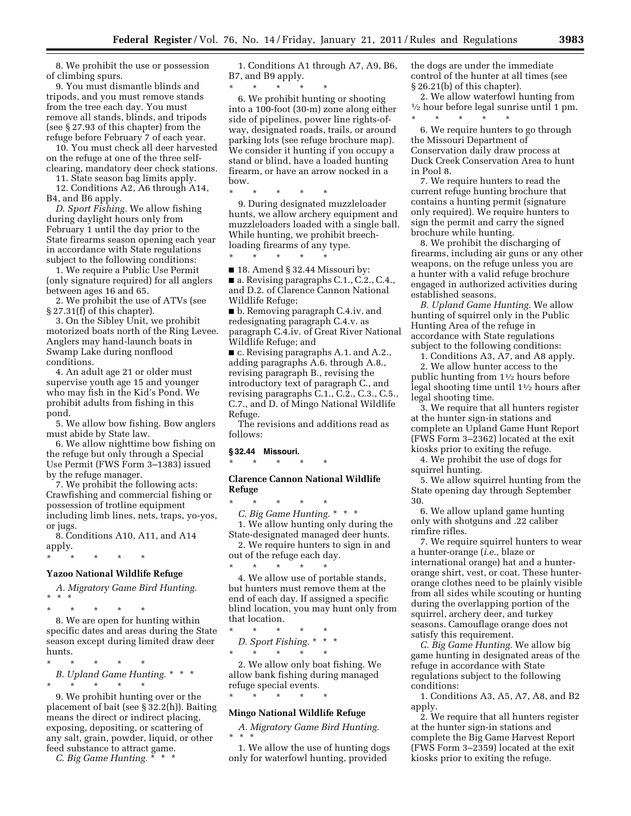8. We prohibit the use or possession of climbing spurs.

9. You must dismantle blinds and tripods, and you must remove stands from the tree each day. You must remove all stands, blinds, and tripods (see § 27.93 of this chapter) from the refuge before February 7 of each year.

10. You must check all deer harvested on the refuge at one of the three selfclearing, mandatory deer check stations.

11. State season bag limits apply. 12. Conditions A2, A6 through A14, B4, and B6 apply.

*D. Sport Fishing.* We allow fishing during daylight hours only from February 1 until the day prior to the State firearms season opening each year in accordance with State regulations subject to the following conditions:

1. We require a Public Use Permit (only signature required) for all anglers between ages 16 and 65.

2. We prohibit the use of ATVs (see § 27.31(f) of this chapter).

3. On the Sibley Unit, we prohibit motorized boats north of the Ring Levee. Anglers may hand-launch boats in Swamp Lake during nonflood conditions.

4. An adult age 21 or older must supervise youth age 15 and younger who may fish in the Kid's Pond. We prohibit adults from fishing in this pond.

5. We allow bow fishing. Bow anglers must abide by State law.

6. We allow nighttime bow fishing on the refuge but only through a Special Use Permit (FWS Form 3–1383) issued by the refuge manager.

7. We prohibit the following acts: Crawfishing and commercial fishing or possession of trotline equipment including limb lines, nets, traps, yo-yos, or jugs.

8. Conditions A10, A11, and A14 apply.

\* \* \* \* \*

#### **Yazoo National Wildlife Refuge**

*A. Migratory Game Bird Hunting.*  \* \* \*

\* \* \* \* \*

8. We are open for hunting within specific dates and areas during the State season except during limited draw deer hunts.

\* \* \* \* \*

*B. Upland Game Hunting.* \* \* \* \* \* \* \* \*

9. We prohibit hunting over or the placement of bait (see § 32.2(h)). Baiting means the direct or indirect placing, exposing, depositing, or scattering of any salt, grain, powder, liquid, or other feed substance to attract game.

*C. Big Game Hunting.* \* \* \*

1. Conditions A1 through A7, A9, B6, B7, and B9 apply.

\* \* \* \* \* 6. We prohibit hunting or shooting into a 100-foot (30-m) zone along either side of pipelines, power line rights-ofway, designated roads, trails, or around parking lots (see refuge brochure map). We consider it hunting if you occupy a stand or blind, have a loaded hunting firearm, or have an arrow nocked in a bow.

\* \* \* \* \*

\* \* \* \* \*

9. During designated muzzleloader hunts, we allow archery equipment and muzzleloaders loaded with a single ball. While hunting, we prohibit breechloading firearms of any type.

■ 18. Amend § 32.44 Missouri by: ■ a. Revising paragraphs C.1., C.2., C.4., and D.2. of Clarence Cannon National Wildlife Refuge;

■ b. Removing paragraph C.4.iv. and redesignating paragraph C.4.v. as paragraph C.4.iv. of Great River National Wildlife Refuge; and

■ c. Revising paragraphs A.1. and A.2., adding paragraphs A.6. through A.8., revising paragraph B., revising the introductory text of paragraph C., and revising paragraphs C.1., C.2., C.3., C.5., C.7., and D. of Mingo National Wildlife Refuge.

The revisions and additions read as follows:

#### **§ 32.44 Missouri.**

\* \* \* \* \*

#### **Clarence Cannon National Wildlife Refuge**

\* \* \* \* \* *C. Big Game Hunting.* \* \* \* 1. We allow hunting only during the State-designated managed deer hunts. 2. We require hunters to sign in and

out of the refuge each day. \* \* \* \* \*

4. We allow use of portable stands, but hunters must remove them at the end of each day. If assigned a specific blind location, you may hunt only from that location.

\* \* \* \* \* *D. Sport Fishing.* \* \* \* \* \* \* \* \*

\* \* \* \* \*

2. We allow only boat fishing. We allow bank fishing during managed refuge special events.

#### **Mingo National Wildlife Refuge**

*A. Migratory Game Bird Hunting.*  \* \* \*

1. We allow the use of hunting dogs only for waterfowl hunting, provided

the dogs are under the immediate control of the hunter at all times (see § 26.21(b) of this chapter).

2. We allow waterfowl hunting from 1⁄2 hour before legal sunrise until 1 pm. \* \* \* \* \*

6. We require hunters to go through the Missouri Department of Conservation daily draw process at Duck Creek Conservation Area to hunt in Pool 8.

7. We require hunters to read the current refuge hunting brochure that contains a hunting permit (signature only required). We require hunters to sign the permit and carry the signed brochure while hunting.

8. We prohibit the discharging of firearms, including air guns or any other weapons, on the refuge unless you are a hunter with a valid refuge brochure engaged in authorized activities during established seasons.

*B. Upland Game Hunting.* We allow hunting of squirrel only in the Public Hunting Area of the refuge in accordance with State regulations subject to the following conditions:

1. Conditions A3, A7, and A8 apply. 2. We allow hunter access to the public hunting from 11⁄2 hours before legal shooting time until 11⁄2 hours after

legal shooting time. 3. We require that all hunters register at the hunter sign-in stations and complete an Upland Game Hunt Report (FWS Form 3–2362) located at the exit kiosks prior to exiting the refuge.

4. We prohibit the use of dogs for squirrel hunting.

5. We allow squirrel hunting from the State opening day through September 30.

6. We allow upland game hunting only with shotguns and .22 caliber rimfire rifles.

7. We require squirrel hunters to wear a hunter-orange (*i.e.,* blaze or international orange) hat and a hunterorange shirt, vest, or coat. These hunterorange clothes need to be plainly visible from all sides while scouting or hunting during the overlapping portion of the squirrel, archery deer, and turkey seasons. Camouflage orange does not satisfy this requirement.

*C. Big Game Hunting.* We allow big game hunting in designated areas of the refuge in accordance with State regulations subject to the following conditions:

1. Conditions A3, A5, A7, A8, and B2 apply.

2. We require that all hunters register at the hunter sign-in stations and complete the Big Game Harvest Report (FWS Form 3–2359) located at the exit kiosks prior to exiting the refuge.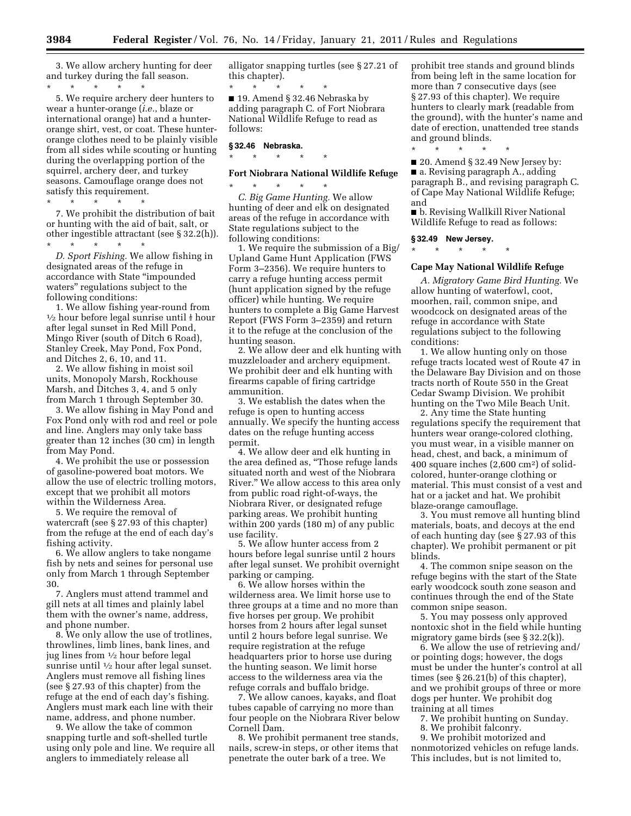3. We allow archery hunting for deer and turkey during the fall season. \* \* \* \* \*

5. We require archery deer hunters to wear a hunter-orange (*i.e.*, blaze or international orange) hat and a hunterorange shirt, vest, or coat. These hunterorange clothes need to be plainly visible from all sides while scouting or hunting during the overlapping portion of the squirrel, archery deer, and turkey seasons. Camouflage orange does not satisfy this requirement.

\* \* \* \* \* 7. We prohibit the distribution of bait or hunting with the aid of bait, salt, or other ingestible attractant (see § 32.2(h)).

\* \* \* \* \*

*D. Sport Fishing.* We allow fishing in designated areas of the refuge in accordance with State ''impounded waters'' regulations subject to the

following conditions:<br>1. We allow fishing year-round from  $\frac{1}{2}$  hour before legal sunrise until  $\frac{1}{2}$  hour after legal sunset in Red Mill Pond, Mingo River (south of Ditch 6 Road), Stanley Creek, May Pond, Fox Pond, and Ditches 2, 6, 10, and 11.

2. We allow fishing in moist soil units, Monopoly Marsh, Rockhouse Marsh, and Ditches 3, 4, and 5 only from March 1 through September 30.

3. We allow fishing in May Pond and Fox Pond only with rod and reel or pole and line. Anglers may only take bass greater than 12 inches (30 cm) in length from May Pond.

4. We prohibit the use or possession of gasoline-powered boat motors. We allow the use of electric trolling motors, except that we prohibit all motors within the Wilderness Area.

5. We require the removal of watercraft (see § 27.93 of this chapter) from the refuge at the end of each day's fishing activity.

6. We allow anglers to take nongame fish by nets and seines for personal use only from March 1 through September 30.

7. Anglers must attend trammel and gill nets at all times and plainly label them with the owner's name, address, and phone number.

8. We only allow the use of trotlines, throwlines, limb lines, bank lines, and jug lines from 1⁄2 hour before legal sunrise until  $\frac{1}{2}$  hour after legal sunset. Anglers must remove all fishing lines (see § 27.93 of this chapter) from the refuge at the end of each day's fishing. Anglers must mark each line with their name, address, and phone number.

9. We allow the take of common snapping turtle and soft-shelled turtle using only pole and line. We require all anglers to immediately release all

alligator snapping turtles (see § 27.21 of this chapter).

\* \* \* \* \* ■ 19. Amend § 32.46 Nebraska by adding paragraph C. of Fort Niobrara National Wildlife Refuge to read as follows:

# **§ 32.46 Nebraska.**

# \* \* \* \* \* **Fort Niobrara National Wildlife Refuge**

\* \* \* \* \* *C. Big Game Hunting.* We allow hunting of deer and elk on designated areas of the refuge in accordance with State regulations subject to the following conditions:

1. We require the submission of a Big/ Upland Game Hunt Application (FWS Form 3–2356). We require hunters to carry a refuge hunting access permit (hunt application signed by the refuge officer) while hunting. We require hunters to complete a Big Game Harvest Report (FWS Form 3–2359) and return it to the refuge at the conclusion of the hunting season.

2. We allow deer and elk hunting with muzzleloader and archery equipment. We prohibit deer and elk hunting with firearms capable of firing cartridge ammunition.

3. We establish the dates when the refuge is open to hunting access annually. We specify the hunting access dates on the refuge hunting access permit.

4. We allow deer and elk hunting in the area defined as, ''Those refuge lands situated north and west of the Niobrara River.'' We allow access to this area only from public road right-of-ways, the Niobrara River, or designated refuge parking areas. We prohibit hunting within 200 yards (180 m) of any public use facility.

5. We allow hunter access from 2 hours before legal sunrise until 2 hours after legal sunset. We prohibit overnight parking or camping.

6. We allow horses within the wilderness area. We limit horse use to three groups at a time and no more than five horses per group. We prohibit horses from 2 hours after legal sunset until 2 hours before legal sunrise. We require registration at the refuge headquarters prior to horse use during the hunting season. We limit horse access to the wilderness area via the refuge corrals and buffalo bridge.

7. We allow canoes, kayaks, and float tubes capable of carrying no more than four people on the Niobrara River below Cornell Dam.

8. We prohibit permanent tree stands, nails, screw-in steps, or other items that penetrate the outer bark of a tree. We

prohibit tree stands and ground blinds from being left in the same location for more than 7 consecutive days (see § 27.93 of this chapter). We require hunters to clearly mark (readable from the ground), with the hunter's name and date of erection, unattended tree stands and ground blinds.

\* \* \* \* \* ■ 20. Amend § 32.49 New Jersey by: ■ a. Revising paragraph A., adding paragraph B., and revising paragraph C. of Cape May National Wildlife Refuge; and

■ b. Revising Wallkill River National Wildlife Refuge to read as follows:

**§ 32.49 New Jersey.** 

\* \* \* \* \*

# **Cape May National Wildlife Refuge**

*A. Migratory Game Bird Hunting.* We allow hunting of waterfowl, coot, moorhen, rail, common snipe, and woodcock on designated areas of the refuge in accordance with State regulations subject to the following conditions:

1. We allow hunting only on those refuge tracts located west of Route 47 in the Delaware Bay Division and on those tracts north of Route 550 in the Great Cedar Swamp Division. We prohibit hunting on the Two Mile Beach Unit.

2. Any time the State hunting regulations specify the requirement that hunters wear orange-colored clothing, you must wear, in a visible manner on head, chest, and back, a minimum of 400 square inches (2,600 cm2) of solidcolored, hunter-orange clothing or material. This must consist of a vest and hat or a jacket and hat. We prohibit blaze-orange camouflage.

3. You must remove all hunting blind materials, boats, and decoys at the end of each hunting day (see § 27.93 of this chapter). We prohibit permanent or pit blinds.

4. The common snipe season on the refuge begins with the start of the State early woodcock south zone season and continues through the end of the State common snipe season.

5. You may possess only approved nontoxic shot in the field while hunting migratory game birds (see § 32.2(k)).

6. We allow the use of retrieving and/ or pointing dogs; however, the dogs must be under the hunter's control at all times (see § 26.21(b) of this chapter), and we prohibit groups of three or more dogs per hunter. We prohibit dog training at all times

- 7. We prohibit hunting on Sunday.
- 8. We prohibit falconry.

9. We prohibit motorized and nonmotorized vehicles on refuge lands. This includes, but is not limited to,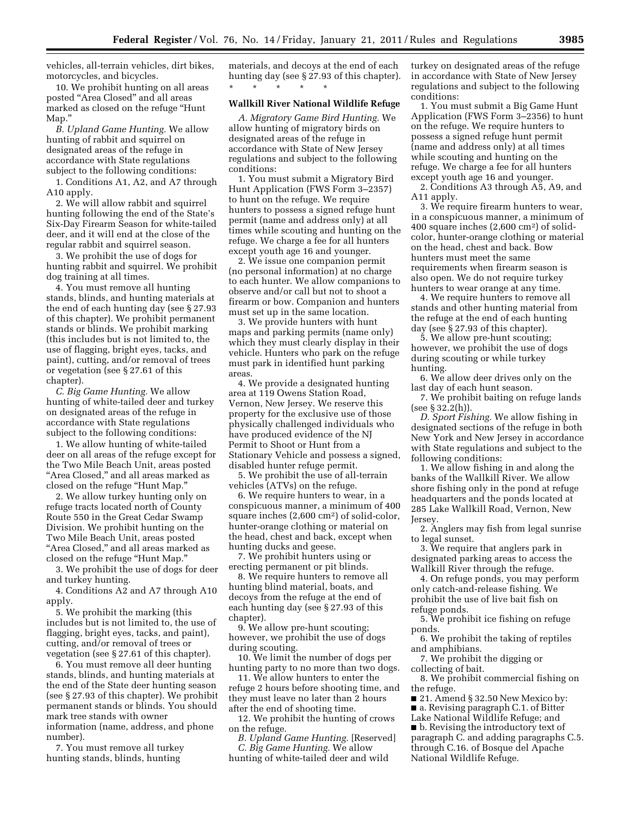vehicles, all-terrain vehicles, dirt bikes, motorcycles, and bicycles.

10. We prohibit hunting on all areas posted ''Area Closed'' and all areas marked as closed on the refuge ''Hunt Map.''

*B. Upland Game Hunting.* We allow hunting of rabbit and squirrel on designated areas of the refuge in accordance with State regulations subject to the following conditions:

1. Conditions A1, A2, and A7 through A10 apply.

2. We will allow rabbit and squirrel hunting following the end of the State's Six-Day Firearm Season for white-tailed deer, and it will end at the close of the regular rabbit and squirrel season.

3. We prohibit the use of dogs for hunting rabbit and squirrel. We prohibit dog training at all times.

4. You must remove all hunting stands, blinds, and hunting materials at the end of each hunting day (see § 27.93 of this chapter). We prohibit permanent stands or blinds. We prohibit marking (this includes but is not limited to, the use of flagging, bright eyes, tacks, and paint), cutting, and/or removal of trees or vegetation (see § 27.61 of this chapter).

*C. Big Game Hunting.* We allow hunting of white-tailed deer and turkey on designated areas of the refuge in accordance with State regulations subject to the following conditions:

1. We allow hunting of white-tailed deer on all areas of the refuge except for the Two Mile Beach Unit, areas posted "Area Closed," and all areas marked as closed on the refuge ''Hunt Map.''

2. We allow turkey hunting only on refuge tracts located north of County Route 550 in the Great Cedar Swamp Division. We prohibit hunting on the Two Mile Beach Unit, areas posted "Area Closed," and all areas marked as closed on the refuge ''Hunt Map.''

3. We prohibit the use of dogs for deer and turkey hunting.

4. Conditions A2 and A7 through A10 apply.

5. We prohibit the marking (this includes but is not limited to, the use of flagging, bright eyes, tacks, and paint), cutting, and/or removal of trees or vegetation (see § 27.61 of this chapter).

6. You must remove all deer hunting stands, blinds, and hunting materials at the end of the State deer hunting season (see § 27.93 of this chapter). We prohibit permanent stands or blinds. You should mark tree stands with owner information (name, address, and phone number).

7. You must remove all turkey hunting stands, blinds, hunting

materials, and decoys at the end of each hunting day (see § 27.93 of this chapter). \* \* \* \* \*

#### **Wallkill River National Wildlife Refuge**

*A. Migratory Game Bird Hunting.* We allow hunting of migratory birds on designated areas of the refuge in accordance with State of New Jersey regulations and subject to the following conditions:

1. You must submit a Migratory Bird Hunt Application (FWS Form 3–2357) to hunt on the refuge. We require hunters to possess a signed refuge hunt permit (name and address only) at all times while scouting and hunting on the refuge. We charge a fee for all hunters except youth age 16 and younger.

2. We issue one companion permit (no personal information) at no charge to each hunter. We allow companions to observe and/or call but not to shoot a firearm or bow. Companion and hunters must set up in the same location.

3. We provide hunters with hunt maps and parking permits (name only) which they must clearly display in their vehicle. Hunters who park on the refuge must park in identified hunt parking areas.

4. We provide a designated hunting area at 119 Owens Station Road, Vernon, New Jersey. We reserve this property for the exclusive use of those physically challenged individuals who have produced evidence of the NJ Permit to Shoot or Hunt from a Stationary Vehicle and possess a signed, disabled hunter refuge permit.

5. We prohibit the use of all-terrain vehicles (ATVs) on the refuge.

6. We require hunters to wear, in a conspicuous manner, a minimum of 400 square inches (2,600 cm2) of solid-color, hunter-orange clothing or material on the head, chest and back, except when hunting ducks and geese.

7. We prohibit hunters using or erecting permanent or pit blinds.

8. We require hunters to remove all hunting blind material, boats, and decoys from the refuge at the end of each hunting day (see § 27.93 of this chapter).

9. We allow pre-hunt scouting; however, we prohibit the use of dogs during scouting.

10. We limit the number of dogs per hunting party to no more than two dogs.

11. We allow hunters to enter the refuge 2 hours before shooting time, and they must leave no later than 2 hours after the end of shooting time.

12. We prohibit the hunting of crows on the refuge.

*B. Upland Game Hunting.* [Reserved] *C. Big Game Hunting.* We allow hunting of white-tailed deer and wild

turkey on designated areas of the refuge in accordance with State of New Jersey regulations and subject to the following conditions:

1. You must submit a Big Game Hunt Application (FWS Form 3–2356) to hunt on the refuge. We require hunters to possess a signed refuge hunt permit (name and address only) at all times while scouting and hunting on the refuge. We charge a fee for all hunters except youth age 16 and younger.

2. Conditions A3 through A5, A9, and A11 apply.

3. We require firearm hunters to wear, in a conspicuous manner, a minimum of 400 square inches (2,600 cm2) of solidcolor, hunter-orange clothing or material on the head, chest and back. Bow hunters must meet the same requirements when firearm season is also open. We do not require turkey hunters to wear orange at any time.

4. We require hunters to remove all stands and other hunting material from the refuge at the end of each hunting day (see § 27.93 of this chapter).

5. We allow pre-hunt scouting; however, we prohibit the use of dogs during scouting or while turkey hunting.

6. We allow deer drives only on the last day of each hunt season.

7. We prohibit baiting on refuge lands (see § 32.2(h)).

*D. Sport Fishing.* We allow fishing in designated sections of the refuge in both New York and New Jersey in accordance with State regulations and subject to the following conditions:

1. We allow fishing in and along the banks of the Wallkill River. We allow shore fishing only in the pond at refuge headquarters and the ponds located at 285 Lake Wallkill Road, Vernon, New Jersey.

2. Anglers may fish from legal sunrise to legal sunset.

3. We require that anglers park in designated parking areas to access the Wallkill River through the refuge.

4. On refuge ponds, you may perform only catch-and-release fishing. We prohibit the use of live bait fish on refuge ponds.

5. We prohibit ice fishing on refuge ponds.

6. We prohibit the taking of reptiles and amphibians.

7. We prohibit the digging or collecting of bait.

8. We prohibit commercial fishing on the refuge.

■ 21. Amend § 32.50 New Mexico by:

■ a. Revising paragraph C.1. of Bitter

Lake National Wildlife Refuge; and

■ b. Revising the introductory text of paragraph C. and adding paragraphs C.5. through C.16. of Bosque del Apache National Wildlife Refuge.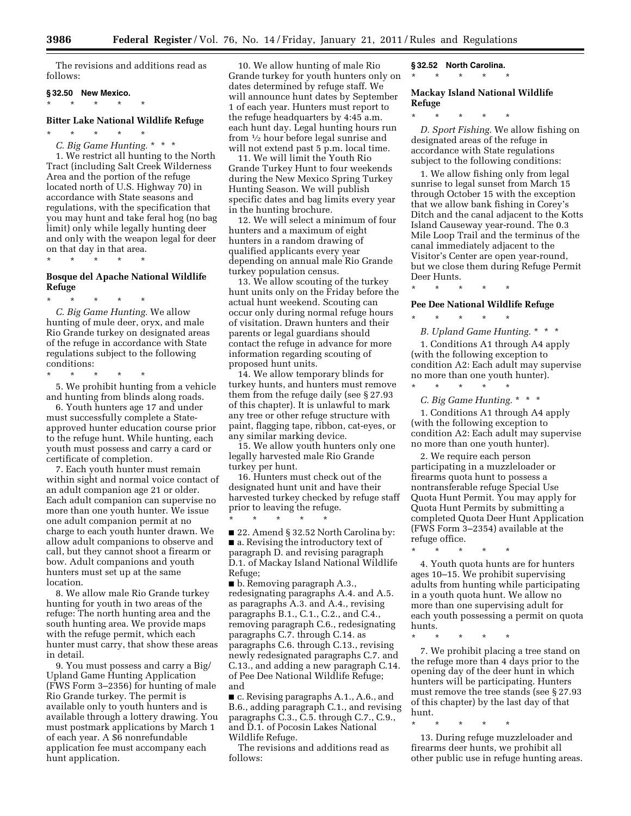The revisions and additions read as follows:

#### **§ 32.50 New Mexico.**

\* \* \* \* \*

# **Bitter Lake National Wildlife Refuge**

\* \* \* \* \*

*C. Big Game Hunting.* \* \* \*

1. We restrict all hunting to the North Tract (including Salt Creek Wilderness Area and the portion of the refuge located north of U.S. Highway 70) in accordance with State seasons and regulations, with the specification that you may hunt and take feral hog (no bag limit) only while legally hunting deer and only with the weapon legal for deer on that day in that area.

\* \* \* \* \*

#### **Bosque del Apache National Wildlife Refuge**

\* \* \* \* \* *C. Big Game Hunting.* We allow hunting of mule deer, oryx, and male Rio Grande turkey on designated areas of the refuge in accordance with State regulations subject to the following conditions:

\* \* \* \* \*

5. We prohibit hunting from a vehicle and hunting from blinds along roads.

6. Youth hunters age 17 and under must successfully complete a Stateapproved hunter education course prior to the refuge hunt. While hunting, each youth must possess and carry a card or certificate of completion.

7. Each youth hunter must remain within sight and normal voice contact of an adult companion age 21 or older. Each adult companion can supervise no more than one youth hunter. We issue one adult companion permit at no charge to each youth hunter drawn. We allow adult companions to observe and call, but they cannot shoot a firearm or bow. Adult companions and youth hunters must set up at the same location.

8. We allow male Rio Grande turkey hunting for youth in two areas of the refuge: The north hunting area and the south hunting area. We provide maps with the refuge permit, which each hunter must carry, that show these areas in detail.

9. You must possess and carry a Big/ Upland Game Hunting Application (FWS Form 3–2356) for hunting of male Rio Grande turkey. The permit is available only to youth hunters and is available through a lottery drawing. You must postmark applications by March 1 of each year. A \$6 nonrefundable application fee must accompany each hunt application.

10. We allow hunting of male Rio Grande turkey for youth hunters only on dates determined by refuge staff. We will announce hunt dates by September 1 of each year. Hunters must report to the refuge headquarters by 4:45 a.m. each hunt day. Legal hunting hours run from 1⁄2 hour before legal sunrise and will not extend past 5 p.m. local time.

11. We will limit the Youth Rio Grande Turkey Hunt to four weekends during the New Mexico Spring Turkey Hunting Season. We will publish specific dates and bag limits every year in the hunting brochure.

12. We will select a minimum of four hunters and a maximum of eight hunters in a random drawing of qualified applicants every year depending on annual male Rio Grande turkey population census.

13. We allow scouting of the turkey hunt units only on the Friday before the actual hunt weekend. Scouting can occur only during normal refuge hours of visitation. Drawn hunters and their parents or legal guardians should contact the refuge in advance for more information regarding scouting of proposed hunt units.

14. We allow temporary blinds for turkey hunts, and hunters must remove them from the refuge daily (see § 27.93 of this chapter). It is unlawful to mark any tree or other refuge structure with paint, flagging tape, ribbon, cat-eyes, or any similar marking device.

15. We allow youth hunters only one legally harvested male Rio Grande turkey per hunt.

16. Hunters must check out of the designated hunt unit and have their harvested turkey checked by refuge staff prior to leaving the refuge. \* \* \* \* \*

■ 22. Amend § 32.52 North Carolina by: ■ a. Revising the introductory text of paragraph D. and revising paragraph D.1. of Mackay Island National Wildlife Refuge;

■ b. Removing paragraph A.3., redesignating paragraphs A.4. and A.5. as paragraphs A.3. and A.4., revising paragraphs B.1., C.1., C.2., and C.4., removing paragraph C.6., redesignating paragraphs C.7. through C.14. as paragraphs C.6. through C.13., revising newly redesignated paragraphs C.7. and C.13., and adding a new paragraph C.14. of Pee Dee National Wildlife Refuge; and

■ c. Revising paragraphs A.1., A.6., and B.6., adding paragraph C.1., and revising paragraphs C.3., C.5. through C.7., C.9., and D.1. of Pocosin Lakes National Wildlife Refuge.

The revisions and additions read as follows:

**§ 32.52 North Carolina.** 

\* \* \* \* \*

**Mackay Island National Wildlife Refuge** 

\* \* \* \* \*

*D. Sport Fishing.* We allow fishing on designated areas of the refuge in accordance with State regulations subject to the following conditions:

1. We allow fishing only from legal sunrise to legal sunset from March 15 through October 15 with the exception that we allow bank fishing in Corey's Ditch and the canal adjacent to the Kotts Island Causeway year-round. The 0.3 Mile Loop Trail and the terminus of the canal immediately adjacent to the Visitor's Center are open year-round, but we close them during Refuge Permit Deer Hunts.

**Pee Dee National Wildlife Refuge** 

\* \* \* \* \*

\* \* \* \* \*

*B. Upland Game Hunting.* \* \* \* 1. Conditions A1 through A4 apply (with the following exception to condition A2: Each adult may supervise no more than one youth hunter).

\* \* \* \* \* *C. Big Game Hunting.* \* \* \*

1. Conditions A1 through A4 apply (with the following exception to condition A2: Each adult may supervise no more than one youth hunter).

2. We require each person participating in a muzzleloader or firearms quota hunt to possess a nontransferable refuge Special Use Quota Hunt Permit. You may apply for Quota Hunt Permits by submitting a completed Quota Deer Hunt Application (FWS Form 3–2354) available at the refuge office.

\* \* \* \* \*

4. Youth quota hunts are for hunters ages 10–15. We prohibit supervising adults from hunting while participating in a youth quota hunt. We allow no more than one supervising adult for each youth possessing a permit on quota hunts.

\* \* \* \* \*

\* \* \* \* \*

7. We prohibit placing a tree stand on the refuge more than 4 days prior to the opening day of the deer hunt in which hunters will be participating. Hunters must remove the tree stands (see § 27.93 of this chapter) by the last day of that hunt.

13. During refuge muzzleloader and firearms deer hunts, we prohibit all other public use in refuge hunting areas.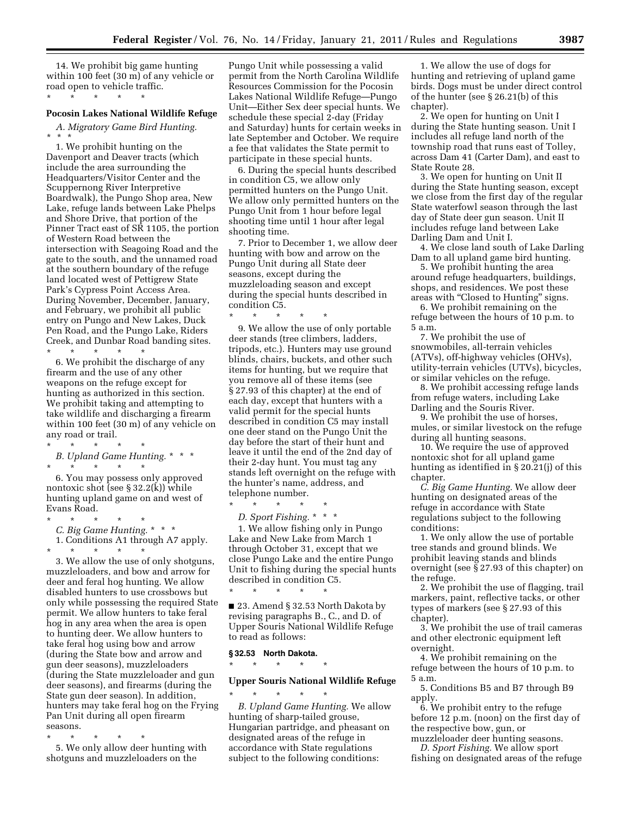14. We prohibit big game hunting within 100 feet (30 m) of any vehicle or road open to vehicle traffic. \* \* \* \* \*

#### **Pocosin Lakes National Wildlife Refuge**

*A. Migratory Game Bird Hunting.*  \* \* \*

1. We prohibit hunting on the Davenport and Deaver tracts (which include the area surrounding the Headquarters/Visitor Center and the Scuppernong River Interpretive Boardwalk), the Pungo Shop area, New Lake, refuge lands between Lake Phelps and Shore Drive, that portion of the Pinner Tract east of SR 1105, the portion of Western Road between the intersection with Seagoing Road and the gate to the south, and the unnamed road at the southern boundary of the refuge land located west of Pettigrew State Park's Cypress Point Access Area. During November, December, January, and February, we prohibit all public entry on Pungo and New Lakes, Duck Pen Road, and the Pungo Lake, Riders Creek, and Dunbar Road banding sites. \* \* \* \* \*

6. We prohibit the discharge of any firearm and the use of any other weapons on the refuge except for hunting as authorized in this section. We prohibit taking and attempting to take wildlife and discharging a firearm within 100 feet (30 m) of any vehicle on any road or trail.

\* \* \* \* \* *B. Upland Game Hunting.* \* \* \* \* \* \* \* \*

6. You may possess only approved nontoxic shot (see § 32.2(k)) while hunting upland game on and west of Evans Road.

\* \* \* \* \* *C. Big Game Hunting.* \* \* \* 1. Conditions A1 through A7 apply. \* \* \* \* \*

3. We allow the use of only shotguns, muzzleloaders, and bow and arrow for deer and feral hog hunting. We allow disabled hunters to use crossbows but only while possessing the required State permit. We allow hunters to take feral hog in any area when the area is open to hunting deer. We allow hunters to take feral hog using bow and arrow (during the State bow and arrow and gun deer seasons), muzzleloaders (during the State muzzleloader and gun deer seasons), and firearms (during the State gun deer season). In addition, hunters may take feral hog on the Frying Pan Unit during all open firearm seasons.

\* \* \* \* \* 5. We only allow deer hunting with shotguns and muzzleloaders on the

Pungo Unit while possessing a valid permit from the North Carolina Wildlife Resources Commission for the Pocosin Lakes National Wildlife Refuge—Pungo Unit—Either Sex deer special hunts. We schedule these special 2-day (Friday and Saturday) hunts for certain weeks in late September and October. We require a fee that validates the State permit to participate in these special hunts.

6. During the special hunts described in condition C5, we allow only permitted hunters on the Pungo Unit. We allow only permitted hunters on the Pungo Unit from 1 hour before legal shooting time until 1 hour after legal shooting time.

7. Prior to December 1, we allow deer hunting with bow and arrow on the Pungo Unit during all State deer seasons, except during the muzzleloading season and except during the special hunts described in condition C5.

\* \* \* \* \* 9. We allow the use of only portable deer stands (tree climbers, ladders, tripods, etc.). Hunters may use ground

blinds, chairs, buckets, and other such items for hunting, but we require that you remove all of these items (see § 27.93 of this chapter) at the end of each day, except that hunters with a valid permit for the special hunts described in condition C5 may install one deer stand on the Pungo Unit the day before the start of their hunt and leave it until the end of the 2nd day of their 2-day hunt. You must tag any stands left overnight on the refuge with the hunter's name, address, and telephone number.

\* \* \* \* \* *D. Sport Fishing.* \* \* \*

1. We allow fishing only in Pungo Lake and New Lake from March 1 through October 31, except that we close Pungo Lake and the entire Pungo Unit to fishing during the special hunts described in condition C5.

■ 23. Amend § 32.53 North Dakota by revising paragraphs B., C., and D. of Upper Souris National Wildlife Refuge to read as follows:

#### **§ 32.53 North Dakota.**

\* \* \* \* \*

# \* \* \* \* \*

# **Upper Souris National Wildlife Refuge**

\* \* \* \* \* *B. Upland Game Hunting.* We allow hunting of sharp-tailed grouse, Hungarian partridge, and pheasant on designated areas of the refuge in accordance with State regulations subject to the following conditions:

1. We allow the use of dogs for hunting and retrieving of upland game birds. Dogs must be under direct control of the hunter (see § 26.21(b) of this chapter).

2. We open for hunting on Unit I during the State hunting season. Unit I includes all refuge land north of the township road that runs east of Tolley, across Dam 41 (Carter Dam), and east to State Route 28.

3. We open for hunting on Unit II during the State hunting season, except we close from the first day of the regular State waterfowl season through the last day of State deer gun season. Unit II includes refuge land between Lake Darling Dam and Unit I.

4. We close land south of Lake Darling Dam to all upland game bird hunting.

5. We prohibit hunting the area around refuge headquarters, buildings, shops, and residences. We post these areas with "Closed to Hunting" signs.

6. We prohibit remaining on the refuge between the hours of 10 p.m. to 5 a.m.

7. We prohibit the use of snowmobiles, all-terrain vehicles (ATVs), off-highway vehicles (OHVs), utility-terrain vehicles (UTVs), bicycles, or similar vehicles on the refuge.

8. We prohibit accessing refuge lands from refuge waters, including Lake Darling and the Souris River.

9. We prohibit the use of horses, mules, or similar livestock on the refuge during all hunting seasons.

10. We require the use of approved nontoxic shot for all upland game hunting as identified in § 20.21(j) of this chapter.

*C. Big Game Hunting.* We allow deer hunting on designated areas of the refuge in accordance with State regulations subject to the following conditions:

1. We only allow the use of portable tree stands and ground blinds. We prohibit leaving stands and blinds overnight (see § 27.93 of this chapter) on the refuge.

2. We prohibit the use of flagging, trail markers, paint, reflective tacks, or other types of markers (see § 27.93 of this chapter).

3. We prohibit the use of trail cameras and other electronic equipment left overnight.

4. We prohibit remaining on the refuge between the hours of 10 p.m. to 5 a.m.

5. Conditions B5 and B7 through B9 apply.

6. We prohibit entry to the refuge before 12 p.m. (noon) on the first day of the respective bow, gun, or

muzzleloader deer hunting seasons. *D. Sport Fishing.* We allow sport fishing on designated areas of the refuge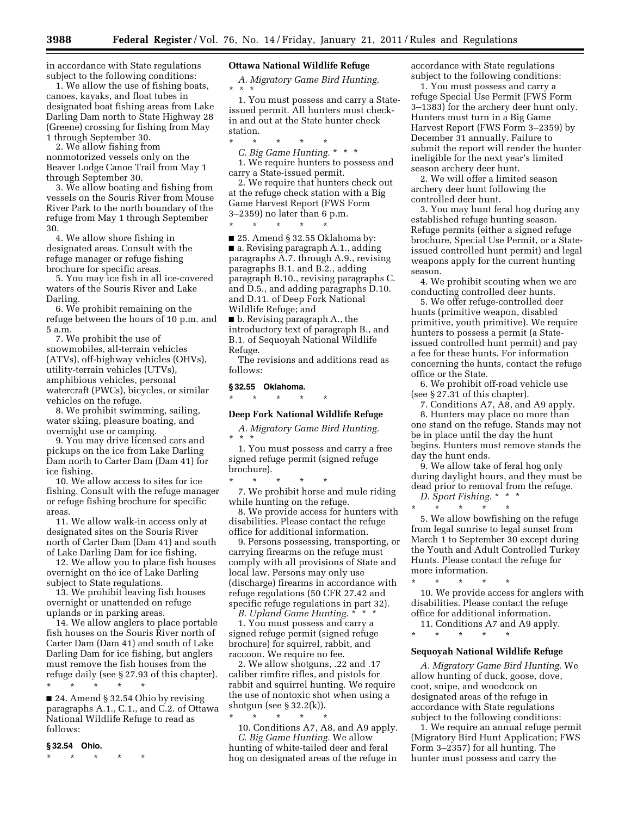in accordance with State regulations subject to the following conditions:

1. We allow the use of fishing boats, canoes, kayaks, and float tubes in designated boat fishing areas from Lake Darling Dam north to State Highway 28 (Greene) crossing for fishing from May 1 through September 30.

2. We allow fishing from nonmotorized vessels only on the Beaver Lodge Canoe Trail from May 1 through September 30.

3. We allow boating and fishing from vessels on the Souris River from Mouse River Park to the north boundary of the refuge from May 1 through September 30.

4. We allow shore fishing in designated areas. Consult with the refuge manager or refuge fishing brochure for specific areas.

5. You may ice fish in all ice-covered waters of the Souris River and Lake Darling.

6. We prohibit remaining on the refuge between the hours of 10 p.m. and 5 a.m.

7. We prohibit the use of snowmobiles, all-terrain vehicles (ATVs), off-highway vehicles (OHVs), utility-terrain vehicles (UTVs), amphibious vehicles, personal watercraft (PWCs), bicycles, or similar vehicles on the refuge.

8. We prohibit swimming, sailing, water skiing, pleasure boating, and overnight use or camping.

9. You may drive licensed cars and pickups on the ice from Lake Darling Dam north to Carter Dam (Dam 41) for ice fishing.

10. We allow access to sites for ice fishing. Consult with the refuge manager or refuge fishing brochure for specific areas.

11. We allow walk-in access only at designated sites on the Souris River north of Carter Dam (Dam 41) and south of Lake Darling Dam for ice fishing.

12. We allow you to place fish houses overnight on the ice of Lake Darling subject to State regulations.

13. We prohibit leaving fish houses overnight or unattended on refuge uplands or in parking areas.

14. We allow anglers to place portable fish houses on the Souris River north of Carter Dam (Dam 41) and south of Lake Darling Dam for ice fishing, but anglers must remove the fish houses from the refuge daily (see § 27.93 of this chapter). \* \* \* \* \*

■ 24. Amend § 32.54 Ohio by revising paragraphs A.1., C.1., and C.2. of Ottawa National Wildlife Refuge to read as follows:

#### **§ 32.54 Ohio.**

\* \* \* \* \*

# **Ottawa National Wildlife Refuge**

*A. Migratory Game Bird Hunting.*  \* \* \*

1. You must possess and carry a Stateissued permit. All hunters must checkin and out at the State hunter check station.

\* \* \* \* \*

*C. Big Game Hunting.* \* \* \* 1. We require hunters to possess and carry a State-issued permit.

2. We require that hunters check out at the refuge check station with a Big Game Harvest Report (FWS Form 3–2359) no later than 6 p.m.

\* \* \* \* \*

■ 25. Amend § 32.55 Oklahoma by: ■ a. Revising paragraph A.1., adding paragraphs A.7. through A.9., revising paragraphs B.1. and B.2., adding paragraph B.10., revising paragraphs C. and D.5., and adding paragraphs D.10. and D.11. of Deep Fork National Wildlife Refuge; and

■ b. Revising paragraph A., the introductory text of paragraph B., and B.1. of Sequoyah National Wildlife Refuge.

The revisions and additions read as follows:

# **§ 32.55 Oklahoma.**

\* \* \* \* \*

**Deep Fork National Wildlife Refuge** 

*A. Migratory Game Bird Hunting.*  \* \* \*

1. You must possess and carry a free signed refuge permit (signed refuge brochure).

\* \* \* \* \* 7. We prohibit horse and mule riding while hunting on the refuge.

8. We provide access for hunters with disabilities. Please contact the refuge office for additional information.

9. Persons possessing, transporting, or carrying firearms on the refuge must comply with all provisions of State and local law. Persons may only use (discharge) firearms in accordance with refuge regulations (50 CFR 27.42 and specific refuge regulations in part 32).

*B. Upland Game Hunting.* \* \* \*

1. You must possess and carry a signed refuge permit (signed refuge brochure) for squirrel, rabbit, and raccoon. We require no fee.

2. We allow shotguns, .22 and .17 caliber rimfire rifles, and pistols for rabbit and squirrel hunting. We require the use of nontoxic shot when using a shotgun (see § 32.2(k)).

\* \* \* \* \*

10. Conditions A7, A8, and A9 apply. *C. Big Game Hunting.* We allow hunting of white-tailed deer and feral hog on designated areas of the refuge in

accordance with State regulations subject to the following conditions:

1. You must possess and carry a refuge Special Use Permit (FWS Form 3–1383) for the archery deer hunt only. Hunters must turn in a Big Game Harvest Report (FWS Form 3–2359) by December 31 annually. Failure to submit the report will render the hunter ineligible for the next year's limited season archery deer hunt.

2. We will offer a limited season archery deer hunt following the controlled deer hunt.

3. You may hunt feral hog during any established refuge hunting season. Refuge permits (either a signed refuge brochure, Special Use Permit, or a Stateissued controlled hunt permit) and legal weapons apply for the current hunting season.

4. We prohibit scouting when we are conducting controlled deer hunts.

5. We offer refuge-controlled deer hunts (primitive weapon, disabled primitive, youth primitive). We require hunters to possess a permit (a Stateissued controlled hunt permit) and pay a fee for these hunts. For information concerning the hunts, contact the refuge office or the State.

6. We prohibit off-road vehicle use (see § 27.31 of this chapter).

7. Conditions A7, A8, and A9 apply. 8. Hunters may place no more than one stand on the refuge. Stands may not be in place until the day the hunt begins. Hunters must remove stands the day the hunt ends.

9. We allow take of feral hog only during daylight hours, and they must be dead prior to removal from the refuge.

*D. Sport Fishing.* \* \* \* \* \* \* \* \*

5. We allow bowfishing on the refuge from legal sunrise to legal sunset from March 1 to September 30 except during the Youth and Adult Controlled Turkey Hunts. Please contact the refuge for more information.

10. We provide access for anglers with disabilities. Please contact the refuge office for additional information.

11. Conditions A7 and A9 apply.

\* \* \* \* \*

\* \* \* \* \*

#### **Sequoyah National Wildlife Refuge**

*A. Migratory Game Bird Hunting.* We allow hunting of duck, goose, dove, coot, snipe, and woodcock on designated areas of the refuge in accordance with State regulations subject to the following conditions:

1. We require an annual refuge permit (Migratory Bird Hunt Application; FWS Form 3–2357) for all hunting. The hunter must possess and carry the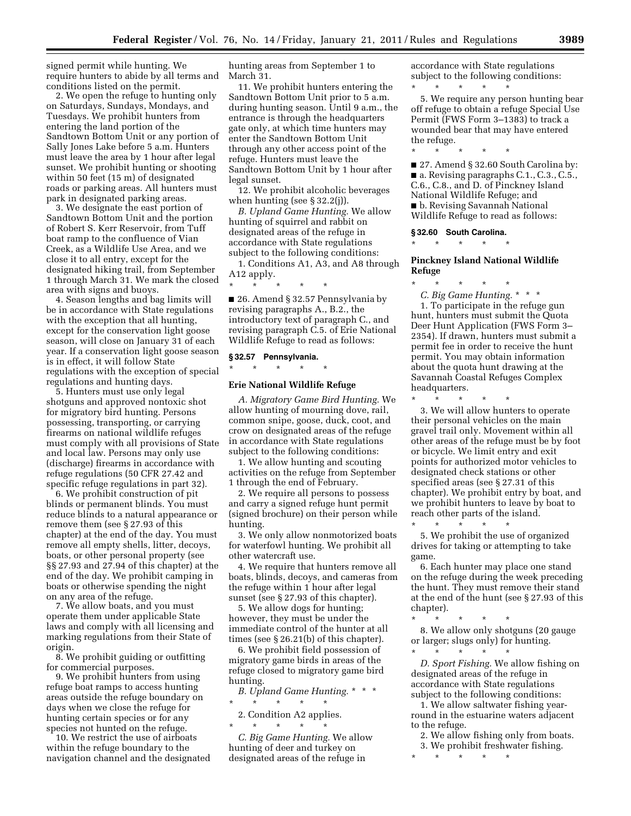signed permit while hunting. We require hunters to abide by all terms and conditions listed on the permit.

2. We open the refuge to hunting only on Saturdays, Sundays, Mondays, and Tuesdays. We prohibit hunters from entering the land portion of the Sandtown Bottom Unit or any portion of Sally Jones Lake before 5 a.m. Hunters must leave the area by 1 hour after legal sunset. We prohibit hunting or shooting within 50 feet (15 m) of designated roads or parking areas. All hunters must park in designated parking areas.

3. We designate the east portion of Sandtown Bottom Unit and the portion of Robert S. Kerr Reservoir, from Tuff boat ramp to the confluence of Vian Creek, as a Wildlife Use Area, and we close it to all entry, except for the designated hiking trail, from September 1 through March 31. We mark the closed area with signs and buoys.

4. Season lengths and bag limits will be in accordance with State regulations with the exception that all hunting, except for the conservation light goose season, will close on January 31 of each year. If a conservation light goose season is in effect, it will follow State regulations with the exception of special regulations and hunting days.

5. Hunters must use only legal shotguns and approved nontoxic shot for migratory bird hunting. Persons possessing, transporting, or carrying firearms on national wildlife refuges must comply with all provisions of State and local law. Persons may only use (discharge) firearms in accordance with refuge regulations (50 CFR 27.42 and specific refuge regulations in part 32).

6. We prohibit construction of pit blinds or permanent blinds. You must reduce blinds to a natural appearance or remove them (see § 27.93 of this chapter) at the end of the day. You must remove all empty shells, litter, decoys, boats, or other personal property (see §§ 27.93 and 27.94 of this chapter) at the end of the day. We prohibit camping in boats or otherwise spending the night on any area of the refuge.

7. We allow boats, and you must operate them under applicable State laws and comply with all licensing and marking regulations from their State of origin.

8. We prohibit guiding or outfitting for commercial purposes.

9. We prohibit hunters from using refuge boat ramps to access hunting areas outside the refuge boundary on days when we close the refuge for hunting certain species or for any species not hunted on the refuge.

10. We restrict the use of airboats within the refuge boundary to the navigation channel and the designated

hunting areas from September 1 to March 31.

11. We prohibit hunters entering the Sandtown Bottom Unit prior to 5 a.m. during hunting season. Until 9 a.m., the entrance is through the headquarters gate only, at which time hunters may enter the Sandtown Bottom Unit through any other access point of the refuge. Hunters must leave the Sandtown Bottom Unit by 1 hour after legal sunset.

12. We prohibit alcoholic beverages when hunting (see § 32.2(j)).

*B. Upland Game Hunting.* We allow hunting of squirrel and rabbit on designated areas of the refuge in accordance with State regulations subject to the following conditions:

1. Conditions A1, A3, and A8 through A12 apply. \* \* \* \* \*

■ 26. Amend § 32.57 Pennsylvania by revising paragraphs A., B.2., the introductory text of paragraph C., and revising paragraph C.5. of Erie National Wildlife Refuge to read as follows:

#### **§ 32.57 Pennsylvania.**   $*$  \*

# **Erie National Wildlife Refuge**

*A. Migratory Game Bird Hunting.* We allow hunting of mourning dove, rail, common snipe, goose, duck, coot, and crow on designated areas of the refuge in accordance with State regulations subject to the following conditions:

1. We allow hunting and scouting activities on the refuge from September 1 through the end of February.

2. We require all persons to possess and carry a signed refuge hunt permit (signed brochure) on their person while hunting.

3. We only allow nonmotorized boats for waterfowl hunting. We prohibit all other watercraft use.

4. We require that hunters remove all boats, blinds, decoys, and cameras from the refuge within 1 hour after legal sunset (see § 27.93 of this chapter).

5. We allow dogs for hunting; however, they must be under the immediate control of the hunter at all times (see § 26.21(b) of this chapter).

6. We prohibit field possession of migratory game birds in areas of the refuge closed to migratory game bird hunting.

*B. Upland Game Hunting.* \* \* \*  $\star$   $\qquad$   $\star$   $\qquad$   $\star$   $\qquad$   $\star$ 

2. Condition A2 applies. \* \* \* \* \*

*C. Big Game Hunting.* We allow hunting of deer and turkey on designated areas of the refuge in

accordance with State regulations subject to the following conditions: \* \* \* \* \*

5. We require any person hunting bear off refuge to obtain a refuge Special Use Permit (FWS Form 3–1383) to track a wounded bear that may have entered the refuge.

■ 27. Amend § 32.60 South Carolina by: ■ a. Revising paragraphs C.1., C.3., C.5., C.6., C.8., and D. of Pinckney Island National Wildlife Refuge; and ■ b. Revising Savannah National Wildlife Refuge to read as follows:

#### **§ 32.60 South Carolina.**

\* \* \* \* \*

\* \* \* \* \*

#### **Pinckney Island National Wildlife Refuge**

\* \* \* \* \*

*C. Big Game Hunting.* \* \* \* 1. To participate in the refuge gun hunt, hunters must submit the Quota Deer Hunt Application (FWS Form 3– 2354). If drawn, hunters must submit a permit fee in order to receive the hunt permit. You may obtain information about the quota hunt drawing at the Savannah Coastal Refuges Complex headquarters.

\* \* \* \* \*

3. We will allow hunters to operate their personal vehicles on the main gravel trail only. Movement within all other areas of the refuge must be by foot or bicycle. We limit entry and exit points for authorized motor vehicles to designated check stations or other specified areas (see § 27.31 of this chapter). We prohibit entry by boat, and we prohibit hunters to leave by boat to reach other parts of the island.

\* \* \* \* \* 5. We prohibit the use of organized drives for taking or attempting to take game.

6. Each hunter may place one stand on the refuge during the week preceding the hunt. They must remove their stand at the end of the hunt (see § 27.93 of this chapter).

\* \* \* \* \*

8. We allow only shotguns (20 gauge or larger; slugs only) for hunting. \* \* \* \* \*

*D. Sport Fishing.* We allow fishing on designated areas of the refuge in accordance with State regulations subject to the following conditions:

1. We allow saltwater fishing yearround in the estuarine waters adjacent to the refuge.

2. We allow fishing only from boats.

3. We prohibit freshwater fishing. \* \* \* \* \*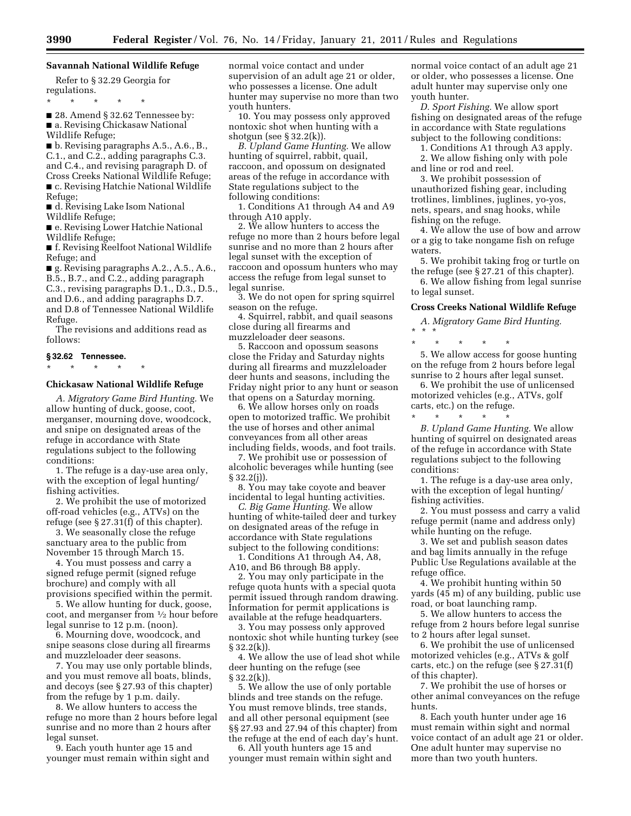# **Savannah National Wildlife Refuge**

Refer to § 32.29 Georgia for regulations.

\* \* \* \* \*

■ 28. Amend § 32.62 Tennessee by: ■ a. Revising Chickasaw National Wildlife Refuge;

■ b. Revising paragraphs A.5., A.6., B., C.1., and C.2., adding paragraphs C.3. and C.4., and revising paragraph D. of Cross Creeks National Wildlife Refuge; ■ c. Revising Hatchie National Wildlife Refuge;

■ d. Revising Lake Isom National Wildlife Refuge;

■ e. Revising Lower Hatchie National Wildlife Refuge;

■ f. Revising Reelfoot National Wildlife Refuge; and

■ g. Revising paragraphs A.2., A.5., A.6., B.5., B.7., and C.2., adding paragraph C.3., revising paragraphs D.1., D.3., D.5., and D.6., and adding paragraphs D.7. and D.8 of Tennessee National Wildlife Refuge.

The revisions and additions read as follows:

# **§ 32.62 Tennessee.**  \* \* \* \* \*

#### **Chickasaw National Wildlife Refuge**

*A. Migratory Game Bird Hunting.* We allow hunting of duck, goose, coot, merganser, mourning dove, woodcock, and snipe on designated areas of the refuge in accordance with State regulations subject to the following conditions:

1. The refuge is a day-use area only, with the exception of legal hunting/ fishing activities.

2. We prohibit the use of motorized off-road vehicles (e.g., ATVs) on the refuge (see  $\S 27.31(f)$  of this chapter).

3. We seasonally close the refuge sanctuary area to the public from November 15 through March 15.

4. You must possess and carry a signed refuge permit (signed refuge brochure) and comply with all provisions specified within the permit.

5. We allow hunting for duck, goose, coot, and merganser from 1⁄2 hour before legal sunrise to 12 p.m. (noon).

6. Mourning dove, woodcock, and snipe seasons close during all firearms and muzzleloader deer seasons.

7. You may use only portable blinds, and you must remove all boats, blinds, and decoys (see § 27.93 of this chapter) from the refuge by 1 p.m. daily.

8. We allow hunters to access the refuge no more than 2 hours before legal sunrise and no more than 2 hours after legal sunset.

9. Each youth hunter age 15 and younger must remain within sight and normal voice contact and under supervision of an adult age 21 or older, who possesses a license. One adult hunter may supervise no more than two youth hunters.

10. You may possess only approved nontoxic shot when hunting with a shotgun (see § 32.2(k)).

*B. Upland Game Hunting.* We allow hunting of squirrel, rabbit, quail, raccoon, and opossum on designated areas of the refuge in accordance with State regulations subject to the following conditions:

1. Conditions A1 through A4 and A9 through A10 apply.

2. We allow hunters to access the refuge no more than 2 hours before legal sunrise and no more than 2 hours after legal sunset with the exception of raccoon and opossum hunters who may access the refuge from legal sunset to legal sunrise.

3. We do not open for spring squirrel season on the refuge.

4. Squirrel, rabbit, and quail seasons close during all firearms and muzzleloader deer seasons.

5. Raccoon and opossum seasons close the Friday and Saturday nights during all firearms and muzzleloader deer hunts and seasons, including the Friday night prior to any hunt or season that opens on a Saturday morning.

6. We allow horses only on roads open to motorized traffic. We prohibit the use of horses and other animal conveyances from all other areas including fields, woods, and foot trails.

7. We prohibit use or possession of alcoholic beverages while hunting (see  $§ 32.2(i)$ .

8. You may take coyote and beaver incidental to legal hunting activities.

*C. Big Game Hunting.* We allow hunting of white-tailed deer and turkey on designated areas of the refuge in accordance with State regulations subject to the following conditions:

1. Conditions A1 through A4, A8, A10, and B6 through B8 apply.

2. You may only participate in the refuge quota hunts with a special quota permit issued through random drawing. Information for permit applications is available at the refuge headquarters.

3. You may possess only approved nontoxic shot while hunting turkey (see § 32.2(k)).

4. We allow the use of lead shot while deer hunting on the refuge (see § 32.2(k)).

5. We allow the use of only portable blinds and tree stands on the refuge. You must remove blinds, tree stands, and all other personal equipment (see §§ 27.93 and 27.94 of this chapter) from the refuge at the end of each day's hunt.

6. All youth hunters age 15 and younger must remain within sight and normal voice contact of an adult age 21 or older, who possesses a license. One adult hunter may supervise only one youth hunter.

*D. Sport Fishing.* We allow sport fishing on designated areas of the refuge in accordance with State regulations subject to the following conditions:

1. Conditions A1 through A3 apply.

2. We allow fishing only with pole and line or rod and reel.

3. We prohibit possession of unauthorized fishing gear, including trotlines, limblines, juglines, yo-yos, nets, spears, and snag hooks, while fishing on the refuge.

4. We allow the use of bow and arrow or a gig to take nongame fish on refuge waters.

5. We prohibit taking frog or turtle on the refuge (see § 27.21 of this chapter).

6. We allow fishing from legal sunrise to legal sunset.

## **Cross Creeks National Wildlife Refuge**

*A. Migratory Game Bird Hunting.*  \* \* \*

\* \* \* \* \*

5. We allow access for goose hunting on the refuge from 2 hours before legal sunrise to 2 hours after legal sunset.

6. We prohibit the use of unlicensed motorized vehicles (e.g., ATVs, golf carts, etc.) on the refuge. \* \* \* \* \*

*B. Upland Game Hunting.* We allow hunting of squirrel on designated areas of the refuge in accordance with State regulations subject to the following conditions:

1. The refuge is a day-use area only, with the exception of legal hunting/ fishing activities.

2. You must possess and carry a valid refuge permit (name and address only) while hunting on the refuge.

3. We set and publish season dates and bag limits annually in the refuge Public Use Regulations available at the refuge office.

4. We prohibit hunting within 50 yards (45 m) of any building, public use road, or boat launching ramp.

5. We allow hunters to access the refuge from 2 hours before legal sunrise to 2 hours after legal sunset.

6. We prohibit the use of unlicensed motorized vehicles (e.g., ATVs & golf carts, etc.) on the refuge (see § 27.31(f) of this chapter).

7. We prohibit the use of horses or other animal conveyances on the refuge hunts.

8. Each youth hunter under age 16 must remain within sight and normal voice contact of an adult age 21 or older. One adult hunter may supervise no more than two youth hunters.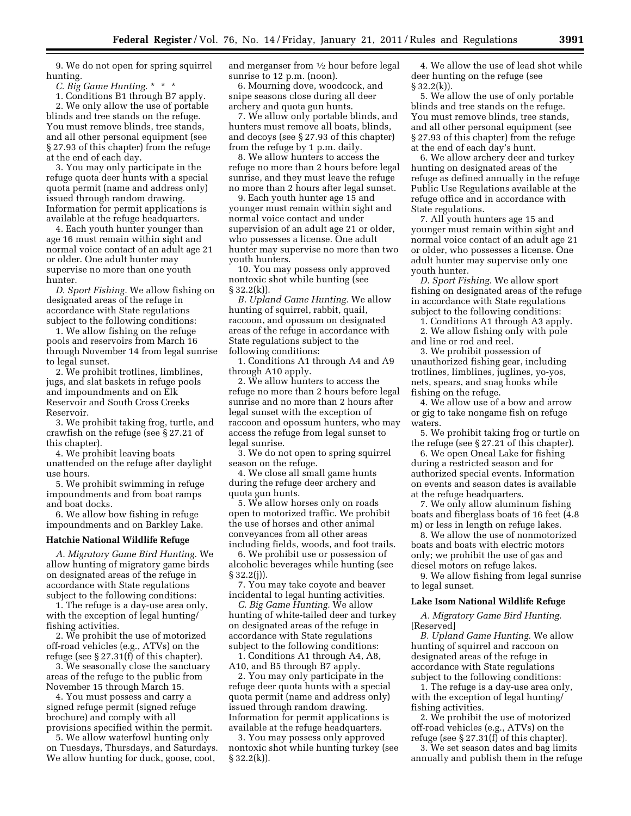9. We do not open for spring squirrel hunting.

*C. Big Game Hunting.* \* \* \*

1. Conditions B1 through B7 apply. 2. We only allow the use of portable blinds and tree stands on the refuge. You must remove blinds, tree stands, and all other personal equipment (see § 27.93 of this chapter) from the refuge at the end of each day.

3. You may only participate in the refuge quota deer hunts with a special quota permit (name and address only) issued through random drawing. Information for permit applications is available at the refuge headquarters.

4. Each youth hunter younger than age 16 must remain within sight and normal voice contact of an adult age 21 or older. One adult hunter may supervise no more than one youth hunter.

*D. Sport Fishing.* We allow fishing on designated areas of the refuge in accordance with State regulations subject to the following conditions:

1. We allow fishing on the refuge pools and reservoirs from March 16 through November 14 from legal sunrise to legal sunset.

2. We prohibit trotlines, limblines, jugs, and slat baskets in refuge pools and impoundments and on Elk Reservoir and South Cross Creeks Reservoir.

3. We prohibit taking frog, turtle, and crawfish on the refuge (see § 27.21 of this chapter).

4. We prohibit leaving boats unattended on the refuge after daylight use hours.

5. We prohibit swimming in refuge impoundments and from boat ramps and boat docks.

6. We allow bow fishing in refuge impoundments and on Barkley Lake.

#### **Hatchie National Wildlife Refuge**

*A. Migratory Game Bird Hunting.* We allow hunting of migratory game birds on designated areas of the refuge in accordance with State regulations subject to the following conditions:

1. The refuge is a day-use area only, with the exception of legal hunting/ fishing activities.

2. We prohibit the use of motorized off-road vehicles (e.g., ATVs) on the refuge (see § 27.31(f) of this chapter).

3. We seasonally close the sanctuary areas of the refuge to the public from November 15 through March 15.

4. You must possess and carry a signed refuge permit (signed refuge brochure) and comply with all provisions specified within the permit.

5. We allow waterfowl hunting only on Tuesdays, Thursdays, and Saturdays. We allow hunting for duck, goose, coot,

and merganser from 1⁄2 hour before legal sunrise to 12 p.m. (noon).

6. Mourning dove, woodcock, and snipe seasons close during all deer archery and quota gun hunts.

7. We allow only portable blinds, and hunters must remove all boats, blinds, and decoys (see § 27.93 of this chapter) from the refuge by 1 p.m. daily.

8. We allow hunters to access the refuge no more than 2 hours before legal sunrise, and they must leave the refuge no more than 2 hours after legal sunset.

9. Each youth hunter age 15 and younger must remain within sight and normal voice contact and under supervision of an adult age 21 or older, who possesses a license. One adult hunter may supervise no more than two youth hunters.

10. You may possess only approved nontoxic shot while hunting (see  $§ 32.2(k)$ .

*B. Upland Game Hunting.* We allow hunting of squirrel, rabbit, quail, raccoon, and opossum on designated areas of the refuge in accordance with State regulations subject to the following conditions:

1. Conditions A1 through A4 and A9 through A10 apply.

2. We allow hunters to access the refuge no more than 2 hours before legal sunrise and no more than 2 hours after legal sunset with the exception of raccoon and opossum hunters, who may access the refuge from legal sunset to legal sunrise.

3. We do not open to spring squirrel season on the refuge.

4. We close all small game hunts during the refuge deer archery and quota gun hunts.

5. We allow horses only on roads open to motorized traffic. We prohibit the use of horses and other animal conveyances from all other areas including fields, woods, and foot trails.

6. We prohibit use or possession of alcoholic beverages while hunting (see § 32.2(j)).

7. You may take coyote and beaver incidental to legal hunting activities.

*C. Big Game Hunting.* We allow hunting of white-tailed deer and turkey on designated areas of the refuge in accordance with State regulations subject to the following conditions:

1. Conditions A1 through A4, A8, A10, and B5 through B7 apply.

2. You may only participate in the refuge deer quota hunts with a special quota permit (name and address only) issued through random drawing. Information for permit applications is available at the refuge headquarters.

3. You may possess only approved nontoxic shot while hunting turkey (see § 32.2(k)).

4. We allow the use of lead shot while deer hunting on the refuge (see  $§ 32.2(k)$ .

5. We allow the use of only portable blinds and tree stands on the refuge. You must remove blinds, tree stands, and all other personal equipment (see § 27.93 of this chapter) from the refuge at the end of each day's hunt.

6. We allow archery deer and turkey hunting on designated areas of the refuge as defined annually in the refuge Public Use Regulations available at the refuge office and in accordance with State regulations.

7. All youth hunters age 15 and younger must remain within sight and normal voice contact of an adult age 21 or older, who possesses a license. One adult hunter may supervise only one youth hunter.

*D. Sport Fishing.* We allow sport fishing on designated areas of the refuge in accordance with State regulations subject to the following conditions:

1. Conditions A1 through A3 apply.

2. We allow fishing only with pole

and line or rod and reel. 3. We prohibit possession of unauthorized fishing gear, including trotlines, limblines, juglines, yo-yos, nets, spears, and snag hooks while fishing on the refuge.

4. We allow use of a bow and arrow or gig to take nongame fish on refuge waters.

5. We prohibit taking frog or turtle on the refuge (see § 27.21 of this chapter).

6. We open Oneal Lake for fishing during a restricted season and for authorized special events. Information on events and season dates is available at the refuge headquarters.

7. We only allow aluminum fishing boats and fiberglass boats of 16 feet (4.8 m) or less in length on refuge lakes.

8. We allow the use of nonmotorized boats and boats with electric motors only; we prohibit the use of gas and diesel motors on refuge lakes.

9. We allow fishing from legal sunrise to legal sunset.

#### **Lake Isom National Wildlife Refuge**

*A. Migratory Game Bird Hunting.*  [Reserved]

*B. Upland Game Hunting.* We allow hunting of squirrel and raccoon on designated areas of the refuge in accordance with State regulations subject to the following conditions:

1. The refuge is a day-use area only, with the exception of legal hunting/ fishing activities.

2. We prohibit the use of motorized off-road vehicles (e.g., ATVs) on the refuge (see § 27.31(f) of this chapter).

3. We set season dates and bag limits annually and publish them in the refuge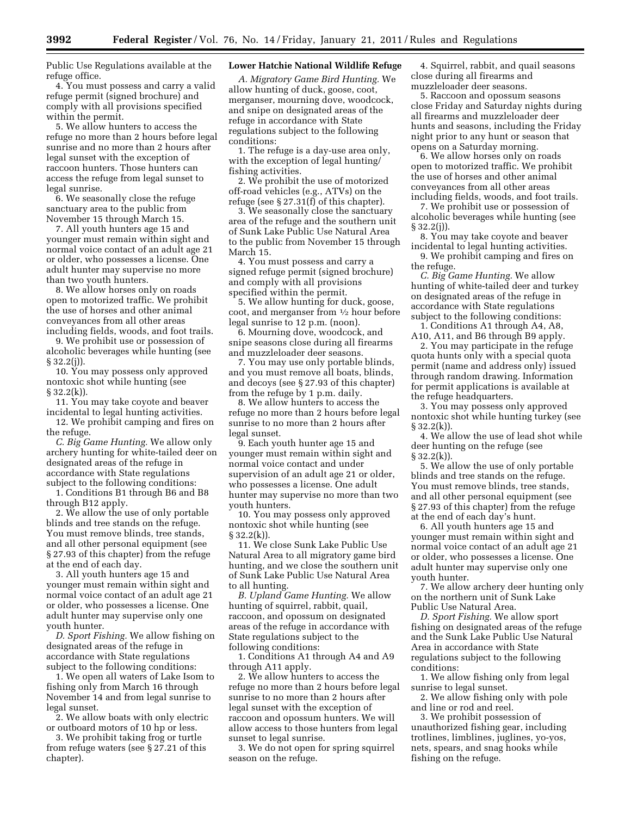Public Use Regulations available at the refuge office.

4. You must possess and carry a valid refuge permit (signed brochure) and comply with all provisions specified within the permit.

5. We allow hunters to access the refuge no more than 2 hours before legal sunrise and no more than 2 hours after legal sunset with the exception of raccoon hunters. Those hunters can access the refuge from legal sunset to legal sunrise.

6. We seasonally close the refuge sanctuary area to the public from November 15 through March 15.

7. All youth hunters age 15 and younger must remain within sight and normal voice contact of an adult age 21 or older, who possesses a license. One adult hunter may supervise no more than two youth hunters.

8. We allow horses only on roads open to motorized traffic. We prohibit the use of horses and other animal conveyances from all other areas including fields, woods, and foot trails.

9. We prohibit use or possession of alcoholic beverages while hunting (see § 32.2(j)).

10. You may possess only approved nontoxic shot while hunting (see § 32.2(k)).

11. You may take coyote and beaver incidental to legal hunting activities.

12. We prohibit camping and fires on the refuge.

*C. Big Game Hunting.* We allow only archery hunting for white-tailed deer on designated areas of the refuge in accordance with State regulations subject to the following conditions:

1. Conditions B1 through B6 and B8 through B12 apply.

2. We allow the use of only portable blinds and tree stands on the refuge. You must remove blinds, tree stands, and all other personal equipment (see § 27.93 of this chapter) from the refuge at the end of each day.

3. All youth hunters age 15 and younger must remain within sight and normal voice contact of an adult age 21 or older, who possesses a license. One adult hunter may supervise only one youth hunter.

*D. Sport Fishing.* We allow fishing on designated areas of the refuge in accordance with State regulations subject to the following conditions:

1. We open all waters of Lake Isom to fishing only from March 16 through November 14 and from legal sunrise to legal sunset.

2. We allow boats with only electric or outboard motors of 10 hp or less.

3. We prohibit taking frog or turtle from refuge waters (see § 27.21 of this chapter).

### **Lower Hatchie National Wildlife Refuge**

*A. Migratory Game Bird Hunting.* We allow hunting of duck, goose, coot, merganser, mourning dove, woodcock, and snipe on designated areas of the refuge in accordance with State regulations subject to the following conditions:

1. The refuge is a day-use area only, with the exception of legal hunting/ fishing activities.

2. We prohibit the use of motorized off-road vehicles (e.g., ATVs) on the refuge (see § 27.31(f) of this chapter).

3. We seasonally close the sanctuary area of the refuge and the southern unit of Sunk Lake Public Use Natural Area to the public from November 15 through March 15.

4. You must possess and carry a signed refuge permit (signed brochure) and comply with all provisions specified within the permit.

5. We allow hunting for duck, goose, coot, and merganser from 1⁄2 hour before legal sunrise to 12 p.m. (noon).

6. Mourning dove, woodcock, and snipe seasons close during all firearms and muzzleloader deer seasons.

7. You may use only portable blinds, and you must remove all boats, blinds, and decoys (see § 27.93 of this chapter) from the refuge by 1 p.m. daily.

8. We allow hunters to access the refuge no more than 2 hours before legal sunrise to no more than 2 hours after legal sunset.

9. Each youth hunter age 15 and younger must remain within sight and normal voice contact and under supervision of an adult age 21 or older, who possesses a license. One adult hunter may supervise no more than two youth hunters.

10. You may possess only approved nontoxic shot while hunting (see  $\S 32.2(k)$ ).

11. We close Sunk Lake Public Use Natural Area to all migratory game bird hunting, and we close the southern unit of Sunk Lake Public Use Natural Area to all hunting.

*B. Upland Game Hunting.* We allow hunting of squirrel, rabbit, quail, raccoon, and opossum on designated areas of the refuge in accordance with State regulations subject to the following conditions:

1. Conditions A1 through A4 and A9 through A11 apply.

2. We allow hunters to access the refuge no more than 2 hours before legal sunrise to no more than 2 hours after legal sunset with the exception of raccoon and opossum hunters. We will allow access to those hunters from legal sunset to legal sunrise.

3. We do not open for spring squirrel season on the refuge.

4. Squirrel, rabbit, and quail seasons close during all firearms and muzzleloader deer seasons.

5. Raccoon and opossum seasons close Friday and Saturday nights during all firearms and muzzleloader deer hunts and seasons, including the Friday night prior to any hunt or season that opens on a Saturday morning.

6. We allow horses only on roads open to motorized traffic. We prohibit the use of horses and other animal conveyances from all other areas including fields, woods, and foot trails.

7. We prohibit use or possession of alcoholic beverages while hunting (see § 32.2(j)).

8. You may take coyote and beaver incidental to legal hunting activities.

9. We prohibit camping and fires on the refuge.

*C. Big Game Hunting.* We allow hunting of white-tailed deer and turkey on designated areas of the refuge in accordance with State regulations subject to the following conditions:

1. Conditions A1 through A4, A8, A10, A11, and B6 through B9 apply.

2. You may participate in the refuge quota hunts only with a special quota permit (name and address only) issued through random drawing. Information for permit applications is available at the refuge headquarters.

3. You may possess only approved nontoxic shot while hunting turkey (see  $§ 32.2(k)$ .

4. We allow the use of lead shot while deer hunting on the refuge (see  $§ 32.2(k)$ 

5. We allow the use of only portable blinds and tree stands on the refuge. You must remove blinds, tree stands, and all other personal equipment (see § 27.93 of this chapter) from the refuge at the end of each day's hunt.

6. All youth hunters age 15 and younger must remain within sight and normal voice contact of an adult age 21 or older, who possesses a license. One adult hunter may supervise only one youth hunter.

7. We allow archery deer hunting only on the northern unit of Sunk Lake Public Use Natural Area.

*D. Sport Fishing.* We allow sport fishing on designated areas of the refuge and the Sunk Lake Public Use Natural Area in accordance with State regulations subject to the following conditions:

1. We allow fishing only from legal sunrise to legal sunset.

2. We allow fishing only with pole and line or rod and reel.

3. We prohibit possession of unauthorized fishing gear, including trotlines, limblines, juglines, yo-yos, nets, spears, and snag hooks while fishing on the refuge.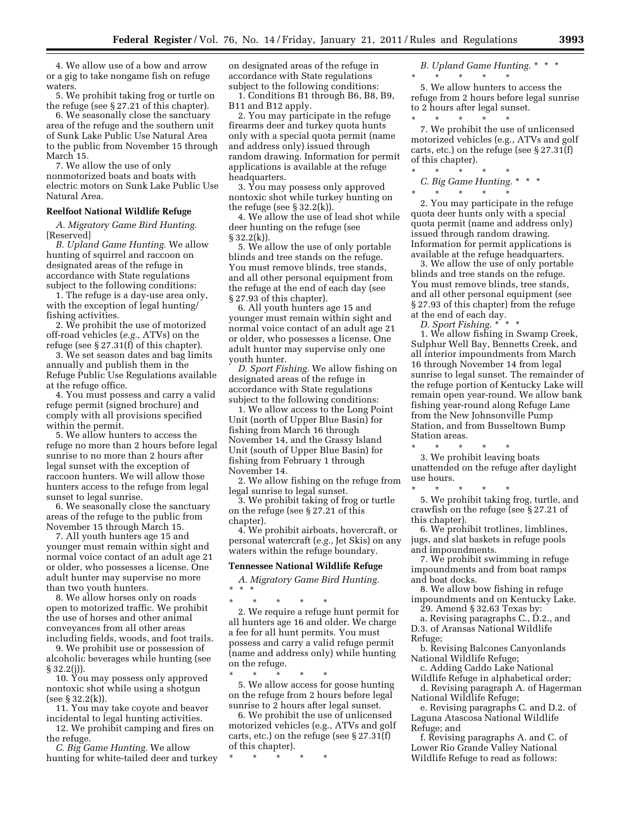4. We allow use of a bow and arrow or a gig to take nongame fish on refuge waters.

5. We prohibit taking frog or turtle on the refuge (see § 27.21 of this chapter).

6. We seasonally close the sanctuary area of the refuge and the southern unit of Sunk Lake Public Use Natural Area to the public from November 15 through March<sup>15.</sup>

7. We allow the use of only nonmotorized boats and boats with electric motors on Sunk Lake Public Use Natural Area.

#### **Reelfoot National Wildlife Refuge**

*A. Migratory Game Bird Hunting.*  [Reserved]

*B. Upland Game Hunting.* We allow hunting of squirrel and raccoon on designated areas of the refuge in accordance with State regulations subject to the following conditions:

1. The refuge is a day-use area only, with the exception of legal hunting/ fishing activities.

2. We prohibit the use of motorized off-road vehicles (*e.g.,* ATVs) on the refuge (see § 27.31(f) of this chapter).

3. We set season dates and bag limits annually and publish them in the Refuge Public Use Regulations available at the refuge office.

4. You must possess and carry a valid refuge permit (signed brochure) and comply with all provisions specified within the permit.

5. We allow hunters to access the refuge no more than 2 hours before legal sunrise to no more than 2 hours after legal sunset with the exception of raccoon hunters. We will allow those hunters access to the refuge from legal sunset to legal sunrise.

6. We seasonally close the sanctuary areas of the refuge to the public from November 15 through March 15.

7. All youth hunters age 15 and younger must remain within sight and normal voice contact of an adult age 21 or older, who possesses a license. One adult hunter may supervise no more than two youth hunters.

8. We allow horses only on roads open to motorized traffic. We prohibit the use of horses and other animal conveyances from all other areas including fields, woods, and foot trails.

9. We prohibit use or possession of alcoholic beverages while hunting (see § 32.2(j)).

10. You may possess only approved nontoxic shot while using a shotgun (see § 32.2(k)).

11. You may take coyote and beaver incidental to legal hunting activities.

12. We prohibit camping and fires on the refuge.

*C. Big Game Hunting.* We allow hunting for white-tailed deer and turkey on designated areas of the refuge in accordance with State regulations subject to the following conditions:

1. Conditions B1 through B6, B8, B9, B11 and B12 apply.

2. You may participate in the refuge firearms deer and turkey quota hunts only with a special quota permit (name and address only) issued through random drawing. Information for permit applications is available at the refuge headquarters.

3. You may possess only approved nontoxic shot while turkey hunting on the refuge (see  $\S 32.2(k)$ ).

4. We allow the use of lead shot while deer hunting on the refuge (see § 32.2(k)).

5. We allow the use of only portable blinds and tree stands on the refuge. You must remove blinds, tree stands, and all other personal equipment from the refuge at the end of each day (see § 27.93 of this chapter).

6. All youth hunters age 15 and younger must remain within sight and normal voice contact of an adult age 21 or older, who possesses a license. One adult hunter may supervise only one youth hunter.

*D. Sport Fishing.* We allow fishing on designated areas of the refuge in accordance with State regulations subject to the following conditions:

1. We allow access to the Long Point Unit (north of Upper Blue Basin) for fishing from March 16 through November 14, and the Grassy Island Unit (south of Upper Blue Basin) for fishing from February 1 through November 14.

2. We allow fishing on the refuge from legal sunrise to legal sunset.

3. We prohibit taking of frog or turtle on the refuge (see § 27.21 of this chapter).

4. We prohibit airboats, hovercraft, or personal watercraft (*e.g.,* Jet Skis) on any waters within the refuge boundary.

#### **Tennessee National Wildlife Refuge**

*A. Migratory Game Bird Hunting.*  \* \* \*

\* \* \* \* \* 2. We require a refuge hunt permit for all hunters age 16 and older. We charge a fee for all hunt permits. You must possess and carry a valid refuge permit (name and address only) while hunting on the refuge.

\* \* \* \* \* 5. We allow access for goose hunting on the refuge from 2 hours before legal sunrise to 2 hours after legal sunset.

6. We prohibit the use of unlicensed motorized vehicles (e.g., ATVs and golf carts, etc.) on the refuge (see § 27.31(f) of this chapter).

\* \* \* \* \*

*B. Upland Game Hunting.* \* \* \* \* \* \* \* \*

5. We allow hunters to access the refuge from 2 hours before legal sunrise to 2 hours after legal sunset. \* \* \* \* \*

7. We prohibit the use of unlicensed motorized vehicles (e.g., ATVs and golf carts, etc.) on the refuge (see § 27.31(f) of this chapter).

\* \* \* \* \* *C. Big Game Hunting.* \* \* \*

\* \* \* \* \* 2. You may participate in the refuge quota deer hunts only with a special quota permit (name and address only) issued through random drawing. Information for permit applications is available at the refuge headquarters.

3. We allow the use of only portable blinds and tree stands on the refuge. You must remove blinds, tree stands, and all other personal equipment (see § 27.93 of this chapter) from the refuge at the end of each day.

*D. Sport Fishing.* \* \* \*

1. We allow fishing in Swamp Creek, Sulphur Well Bay, Bennetts Creek, and all interior impoundments from March 16 through November 14 from legal sunrise to legal sunset. The remainder of the refuge portion of Kentucky Lake will remain open year-round. We allow bank fishing year-round along Refuge Lane from the New Johnsonville Pump Station, and from Busseltown Bump Station areas.

\* \* \* \* \* 3. We prohibit leaving boats unattended on the refuge after daylight use hours.

\* \* \* \* \* 5. We prohibit taking frog, turtle, and crawfish on the refuge (see § 27.21 of this chapter).

6. We prohibit trotlines, limblines, jugs, and slat baskets in refuge pools and impoundments.

7. We prohibit swimming in refuge impoundments and from boat ramps and boat docks.

8. We allow bow fishing in refuge impoundments and on Kentucky Lake. 29. Amend § 32.63 Texas by:

a. Revising paragraphs C., D.2., and D.3. of Aransas National Wildlife Refuge;

b. Revising Balcones Canyonlands National Wildlife Refuge;

c. Adding Caddo Lake National Wildlife Refuge in alphabetical order;

d. Revising paragraph A. of Hagerman National Wildlife Refuge;

e. Revising paragraphs C. and D.2. of Laguna Atascosa National Wildlife Refuge; and

f. Revising paragraphs A. and C. of Lower Rio Grande Valley National Wildlife Refuge to read as follows: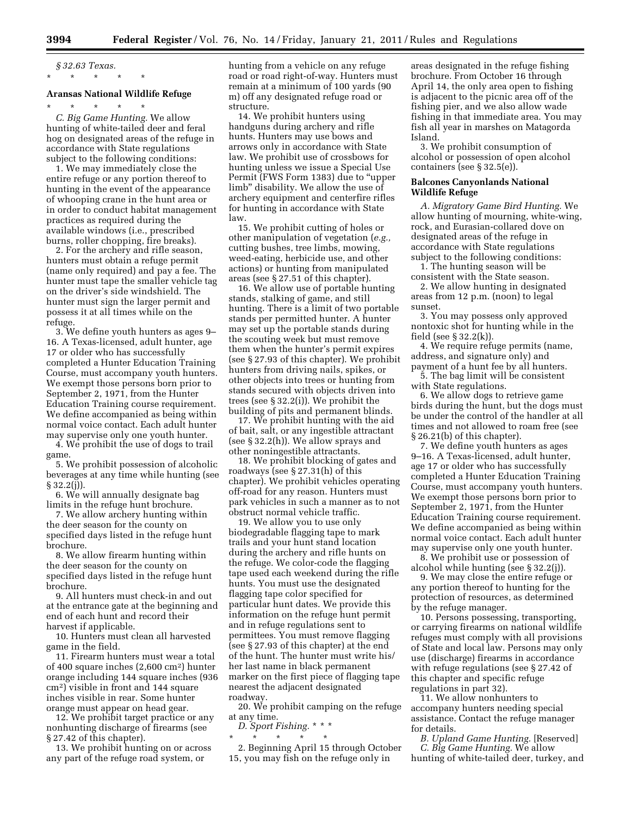# *§ 32.63 Texas.*  \* \* \* \* \*

#### **Aransas National Wildlife Refuge**

\* \* \* \* \* *C. Big Game Hunting.* We allow hunting of white-tailed deer and feral hog on designated areas of the refuge in accordance with State regulations subject to the following conditions:

1. We may immediately close the entire refuge or any portion thereof to hunting in the event of the appearance of whooping crane in the hunt area or in order to conduct habitat management practices as required during the available windows (i.e., prescribed burns, roller chopping, fire breaks).

2. For the archery and rifle season, hunters must obtain a refuge permit (name only required) and pay a fee. The hunter must tape the smaller vehicle tag on the driver's side windshield. The hunter must sign the larger permit and possess it at all times while on the refuge.

3. We define youth hunters as ages 9– 16. A Texas-licensed, adult hunter, age 17 or older who has successfully completed a Hunter Education Training Course, must accompany youth hunters. We exempt those persons born prior to September 2, 1971, from the Hunter Education Training course requirement. We define accompanied as being within normal voice contact. Each adult hunter may supervise only one youth hunter.

4. We prohibit the use of dogs to trail game.

5. We prohibit possession of alcoholic beverages at any time while hunting (see § 32.2(j)).

6. We will annually designate bag limits in the refuge hunt brochure.

7. We allow archery hunting within the deer season for the county on specified days listed in the refuge hunt brochure.

8. We allow firearm hunting within the deer season for the county on specified days listed in the refuge hunt brochure.

9. All hunters must check-in and out at the entrance gate at the beginning and end of each hunt and record their harvest if applicable.

10. Hunters must clean all harvested game in the field.

11. Firearm hunters must wear a total of 400 square inches (2,600 cm2) hunter orange including 144 square inches (936 cm2) visible in front and 144 square inches visible in rear. Some hunter orange must appear on head gear.

12. We prohibit target practice or any nonhunting discharge of firearms (see § 27.42 of this chapter).

13. We prohibit hunting on or across any part of the refuge road system, or

hunting from a vehicle on any refuge road or road right-of-way. Hunters must remain at a minimum of 100 yards (90 m) off any designated refuge road or structure.

14. We prohibit hunters using handguns during archery and rifle hunts. Hunters may use bows and arrows only in accordance with State law. We prohibit use of crossbows for hunting unless we issue a Special Use Permit (FWS Form 1383) due to ''upper limb'' disability. We allow the use of archery equipment and centerfire rifles for hunting in accordance with State law.

15. We prohibit cutting of holes or other manipulation of vegetation (*e.g.,*  cutting bushes, tree limbs, mowing, weed-eating, herbicide use, and other actions) or hunting from manipulated areas (see § 27.51 of this chapter).

16. We allow use of portable hunting stands, stalking of game, and still hunting. There is a limit of two portable stands per permitted hunter. A hunter may set up the portable stands during the scouting week but must remove them when the hunter's permit expires (see § 27.93 of this chapter). We prohibit hunters from driving nails, spikes, or other objects into trees or hunting from stands secured with objects driven into trees (see § 32.2(i)). We prohibit the building of pits and permanent blinds.

17. We prohibit hunting with the aid of bait, salt, or any ingestible attractant (see § 32.2(h)). We allow sprays and other noningestible attractants.

18. We prohibit blocking of gates and roadways (see § 27.31(h) of this chapter). We prohibit vehicles operating off-road for any reason. Hunters must park vehicles in such a manner as to not obstruct normal vehicle traffic.

19. We allow you to use only biodegradable flagging tape to mark trails and your hunt stand location during the archery and rifle hunts on the refuge. We color-code the flagging tape used each weekend during the rifle hunts. You must use the designated flagging tape color specified for particular hunt dates. We provide this information on the refuge hunt permit and in refuge regulations sent to permittees. You must remove flagging (see § 27.93 of this chapter) at the end of the hunt. The hunter must write his/ her last name in black permanent marker on the first piece of flagging tape nearest the adjacent designated roadway.

20. We prohibit camping on the refuge at any time.

*D. Sport Fishing.* \* \* \* \* \* \* \* \*

2. Beginning April 15 through October 15, you may fish on the refuge only in

areas designated in the refuge fishing brochure. From October 16 through April 14, the only area open to fishing is adjacent to the picnic area off of the fishing pier, and we also allow wade fishing in that immediate area. You may fish all year in marshes on Matagorda Island.

3. We prohibit consumption of alcohol or possession of open alcohol containers (see § 32.5(e)).

#### **Balcones Canyonlands National Wildlife Refuge**

*A. Migratory Game Bird Hunting.* We allow hunting of mourning, white-wing, rock, and Eurasian-collared dove on designated areas of the refuge in accordance with State regulations subject to the following conditions:

1. The hunting season will be consistent with the State season.

2. We allow hunting in designated areas from 12 p.m. (noon) to legal sunset.

3. You may possess only approved nontoxic shot for hunting while in the field (see § 32.2(k)).

4. We require refuge permits (name, address, and signature only) and payment of a hunt fee by all hunters.

5. The bag limit will be consistent with State regulations.

6. We allow dogs to retrieve game birds during the hunt, but the dogs must be under the control of the handler at all times and not allowed to roam free (see § 26.21(b) of this chapter).

7. We define youth hunters as ages 9–16. A Texas-licensed, adult hunter, age 17 or older who has successfully completed a Hunter Education Training Course, must accompany youth hunters. We exempt those persons born prior to September 2, 1971, from the Hunter Education Training course requirement. We define accompanied as being within normal voice contact. Each adult hunter may supervise only one youth hunter.

8. We prohibit use or possession of alcohol while hunting (see § 32.2(j)).

9. We may close the entire refuge or any portion thereof to hunting for the protection of resources, as determined by the refuge manager.

10. Persons possessing, transporting, or carrying firearms on national wildlife refuges must comply with all provisions of State and local law. Persons may only use (discharge) firearms in accordance with refuge regulations (see § 27.42 of this chapter and specific refuge regulations in part 32).

11. We allow nonhunters to accompany hunters needing special assistance. Contact the refuge manager for details.

*B. Upland Game Hunting.* [Reserved] *C. Big Game Hunting.* We allow hunting of white-tailed deer, turkey, and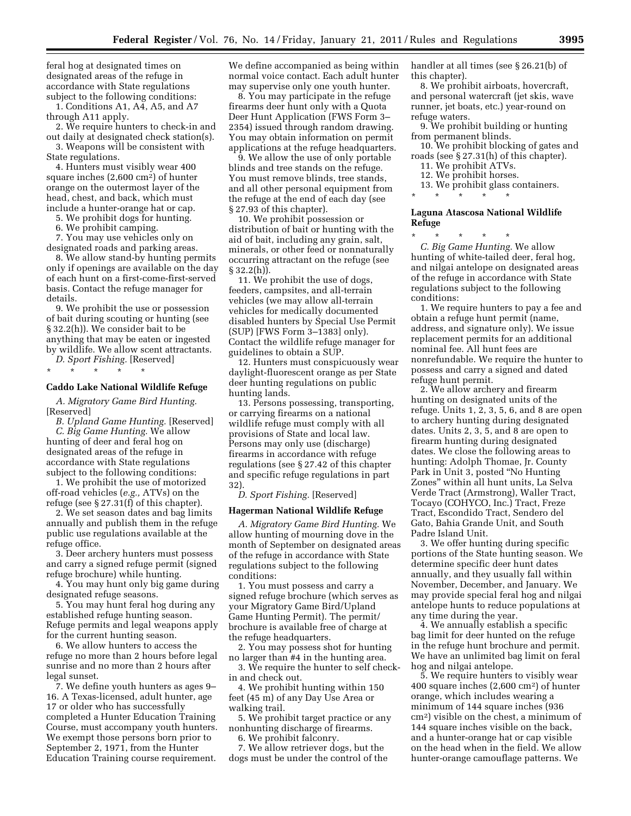feral hog at designated times on designated areas of the refuge in accordance with State regulations subject to the following conditions:

1. Conditions A1, A4, A5, and A7 through A11 apply.

2. We require hunters to check-in and out daily at designated check station(s).

3. Weapons will be consistent with State regulations.

4. Hunters must visibly wear 400 square inches (2,600 cm2) of hunter orange on the outermost layer of the head, chest, and back, which must include a hunter-orange hat or cap.

5. We prohibit dogs for hunting.

6. We prohibit camping.

7. You may use vehicles only on designated roads and parking areas.

8. We allow stand-by hunting permits only if openings are available on the day of each hunt on a first-come-first-served basis. Contact the refuge manager for details.

9. We prohibit the use or possession of bait during scouting or hunting (see § 32.2(h)). We consider bait to be anything that may be eaten or ingested by wildlife. We allow scent attractants. *D. Sport Fishing.* [Reserved]

\* \* \* \* \*

#### **Caddo Lake National Wildlife Refuge**

*A. Migratory Game Bird Hunting.*  [Reserved]

*B. Upland Game Hunting.* [Reserved] *C. Big Game Hunting.* We allow hunting of deer and feral hog on designated areas of the refuge in accordance with State regulations subject to the following conditions:

1. We prohibit the use of motorized off-road vehicles (*e.g.,* ATVs) on the refuge (see § 27.31(f) of this chapter).

2. We set season dates and bag limits annually and publish them in the refuge public use regulations available at the refuge office.

3. Deer archery hunters must possess and carry a signed refuge permit (signed refuge brochure) while hunting.

4. You may hunt only big game during designated refuge seasons.

5. You may hunt feral hog during any established refuge hunting season. Refuge permits and legal weapons apply for the current hunting season.

6. We allow hunters to access the refuge no more than 2 hours before legal sunrise and no more than 2 hours after legal sunset.

7. We define youth hunters as ages 9– 16. A Texas-licensed, adult hunter, age 17 or older who has successfully completed a Hunter Education Training Course, must accompany youth hunters. We exempt those persons born prior to September 2, 1971, from the Hunter Education Training course requirement.

We define accompanied as being within normal voice contact. Each adult hunter may supervise only one youth hunter.

8. You may participate in the refuge firearms deer hunt only with a Quota Deer Hunt Application (FWS Form 3– 2354) issued through random drawing. You may obtain information on permit applications at the refuge headquarters.

9. We allow the use of only portable blinds and tree stands on the refuge. You must remove blinds, tree stands, and all other personal equipment from the refuge at the end of each day (see § 27.93 of this chapter).

10. We prohibit possession or distribution of bait or hunting with the aid of bait, including any grain, salt, minerals, or other feed or nonnaturally occurring attractant on the refuge (see  $§ 32.2(h)$ ).

11. We prohibit the use of dogs, feeders, campsites, and all-terrain vehicles (we may allow all-terrain vehicles for medically documented disabled hunters by Special Use Permit (SUP) [FWS Form 3–1383] only). Contact the wildlife refuge manager for guidelines to obtain a SUP.

12. Hunters must conspicuously wear daylight-fluorescent orange as per State deer hunting regulations on public hunting lands.

13. Persons possessing, transporting, or carrying firearms on a national wildlife refuge must comply with all provisions of State and local law. Persons may only use (discharge) firearms in accordance with refuge regulations (see § 27.42 of this chapter and specific refuge regulations in part 32).

*D. Sport Fishing.* [Reserved]

#### **Hagerman National Wildlife Refuge**

*A. Migratory Game Bird Hunting.* We allow hunting of mourning dove in the month of September on designated areas of the refuge in accordance with State regulations subject to the following conditions:

1. You must possess and carry a signed refuge brochure (which serves as your Migratory Game Bird/Upland Game Hunting Permit). The permit/ brochure is available free of charge at the refuge headquarters.

2. You may possess shot for hunting no larger than #4 in the hunting area.

3. We require the hunter to self checkin and check out.

4. We prohibit hunting within 150 feet (45 m) of any Day Use Area or walking trail.

5. We prohibit target practice or any nonhunting discharge of firearms.

6. We prohibit falconry.

7. We allow retriever dogs, but the dogs must be under the control of the handler at all times (see § 26.21(b) of this chapter).

8. We prohibit airboats, hovercraft, and personal watercraft (jet skis, wave runner, jet boats, etc.) year-round on refuge waters.

9. We prohibit building or hunting from permanent blinds.

10. We prohibit blocking of gates and roads (see § 27.31(h) of this chapter).

11. We prohibit ATVs.

12. We prohibit horses.

\* \* \* \* \*

13. We prohibit glass containers.

#### **Laguna Atascosa National Wildlife Refuge**

\* \* \* \* \* *C. Big Game Hunting.* We allow hunting of white-tailed deer, feral hog, and nilgai antelope on designated areas of the refuge in accordance with State regulations subject to the following conditions:

1. We require hunters to pay a fee and obtain a refuge hunt permit (name, address, and signature only). We issue replacement permits for an additional nominal fee. All hunt fees are nonrefundable. We require the hunter to possess and carry a signed and dated refuge hunt permit.

2. We allow archery and firearm hunting on designated units of the refuge. Units 1, 2, 3, 5, 6, and 8 are open to archery hunting during designated dates. Units 2, 3, 5, and 8 are open to firearm hunting during designated dates. We close the following areas to hunting: Adolph Thomae, Jr. County Park in Unit 3, posted ''No Hunting Zones'' within all hunt units, La Selva Verde Tract (Armstrong), Waller Tract, Tocayo (COHYCO, Inc.) Tract, Freze Tract, Escondido Tract, Sendero del Gato, Bahia Grande Unit, and South Padre Island Unit.

3. We offer hunting during specific portions of the State hunting season. We determine specific deer hunt dates annually, and they usually fall within November, December, and January. We may provide special feral hog and nilgai antelope hunts to reduce populations at any time during the year.

4. We annually establish a specific bag limit for deer hunted on the refuge in the refuge hunt brochure and permit. We have an unlimited bag limit on feral hog and nilgai antelope.

5. We require hunters to visibly wear 400 square inches (2,600 cm2) of hunter orange, which includes wearing a minimum of 144 square inches (936 cm2) visible on the chest, a minimum of 144 square inches visible on the back, and a hunter-orange hat or cap visible on the head when in the field. We allow hunter-orange camouflage patterns. We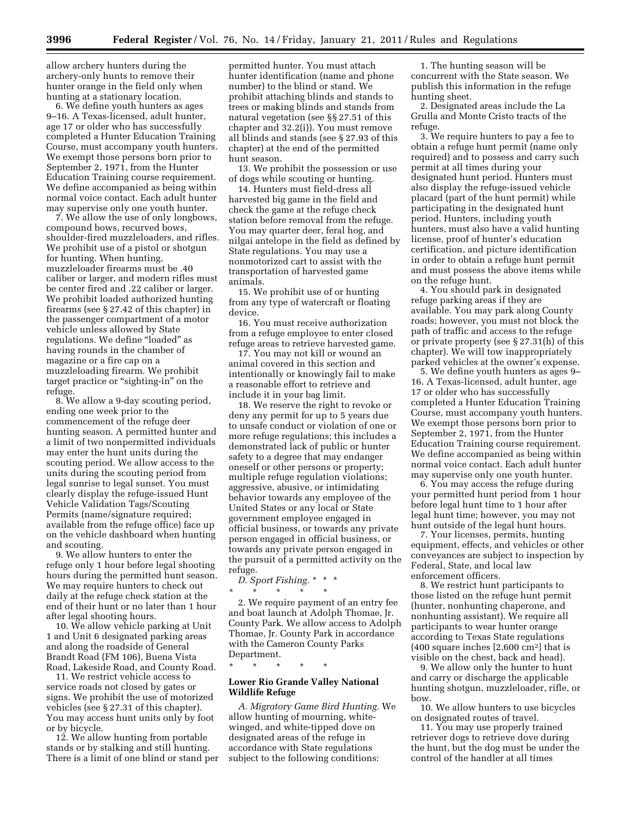allow archery hunters during the archery-only hunts to remove their hunter orange in the field only when hunting at a stationary location.

6. We define youth hunters as ages 9–16. A Texas-licensed, adult hunter, age 17 or older who has successfully completed a Hunter Education Training Course, must accompany youth hunters. We exempt those persons born prior to September 2, 1971, from the Hunter Education Training course requirement. We define accompanied as being within normal voice contact. Each adult hunter may supervise only one youth hunter.

7. We allow the use of only longbows, compound bows, recurved bows, shoulder-fired muzzleloaders, and rifles. We prohibit use of a pistol or shotgun for hunting. When hunting, muzzleloader firearms must be .40 caliber or larger, and modern rifles must be center fired and .22 caliber or larger. We prohibit loaded authorized hunting firearms (see § 27.42 of this chapter) in the passenger compartment of a motor vehicle unless allowed by State regulations. We define "loaded" as having rounds in the chamber of magazine or a fire cap on a muzzleloading firearm. We prohibit target practice or "sighting-in" on the refuge.

8. We allow a 9-day scouting period, ending one week prior to the commencement of the refuge deer hunting season. A permitted hunter and a limit of two nonpermitted individuals may enter the hunt units during the scouting period. We allow access to the units during the scouting period from legal sunrise to legal sunset. You must clearly display the refuge-issued Hunt Vehicle Validation Tags/Scouting Permits (name/signature required; available from the refuge office) face up on the vehicle dashboard when hunting and scouting.

9. We allow hunters to enter the refuge only 1 hour before legal shooting hours during the permitted hunt season. We may require hunters to check out daily at the refuge check station at the end of their hunt or no later than 1 hour after legal shooting hours.

10. We allow vehicle parking at Unit 1 and Unit 6 designated parking areas and along the roadside of General Brandt Road (FM 106), Buena Vista Road, Lakeside Road, and County Road.

11. We restrict vehicle access to service roads not closed by gates or signs. We prohibit the use of motorized vehicles (see § 27.31 of this chapter). You may access hunt units only by foot or by bicycle.

12. We allow hunting from portable stands or by stalking and still hunting. There is a limit of one blind or stand per

permitted hunter. You must attach hunter identification (name and phone number) to the blind or stand. We prohibit attaching blinds and stands to trees or making blinds and stands from natural vegetation (see §§ 27.51 of this chapter and 32.2(i)). You must remove all blinds and stands (see § 27.93 of this chapter) at the end of the permitted hunt season.

13. We prohibit the possession or use of dogs while scouting or hunting.

14. Hunters must field-dress all harvested big game in the field and check the game at the refuge check station before removal from the refuge. You may quarter deer, feral hog, and nilgai antelope in the field as defined by State regulations. You may use a nonmotorized cart to assist with the transportation of harvested game animals.

15. We prohibit use of or hunting from any type of watercraft or floating device.

16. You must receive authorization from a refuge employee to enter closed refuge areas to retrieve harvested game.

17. You may not kill or wound an animal covered in this section and intentionally or knowingly fail to make a reasonable effort to retrieve and include it in your bag limit.

18. We reserve the right to revoke or deny any permit for up to 5 years due to unsafe conduct or violation of one or more refuge regulations; this includes a demonstrated lack of public or hunter safety to a degree that may endanger oneself or other persons or property; multiple refuge regulation violations; aggressive, abusive, or intimidating behavior towards any employee of the United States or any local or State government employee engaged in official business, or towards any private person engaged in official business, or towards any private person engaged in the pursuit of a permitted activity on the refuge.

*D. Sport Fishing.* \* \* \*

\* \* \* \* \* 2. We require payment of an entry fee and boat launch at Adolph Thomae, Jr. County Park. We allow access to Adolph Thomae, Jr. County Park in accordance with the Cameron County Parks

\* \* \* \* \*

Department.

#### **Lower Rio Grande Valley National Wildlife Refuge**

*A. Migratory Game Bird Hunting.* We allow hunting of mourning, whitewinged, and white-tipped dove on designated areas of the refuge in accordance with State regulations subject to the following conditions:

1. The hunting season will be concurrent with the State season. We publish this information in the refuge hunting sheet.

2. Designated areas include the La Grulla and Monte Cristo tracts of the refuge.

3. We require hunters to pay a fee to obtain a refuge hunt permit (name only required) and to possess and carry such permit at all times during your designated hunt period. Hunters must also display the refuge-issued vehicle placard (part of the hunt permit) while participating in the designated hunt period. Hunters, including youth hunters, must also have a valid hunting license, proof of hunter's education certification, and picture identification in order to obtain a refuge hunt permit and must possess the above items while on the refuge hunt.

4. You should park in designated refuge parking areas if they are available. You may park along County roads; however, you must not block the path of traffic and access to the refuge or private property (see § 27.31(h) of this chapter). We will tow inappropriately parked vehicles at the owner's expense.

5. We define youth hunters as ages 9– 16. A Texas-licensed, adult hunter, age 17 or older who has successfully completed a Hunter Education Training Course, must accompany youth hunters. We exempt those persons born prior to September 2, 1971, from the Hunter Education Training course requirement. We define accompanied as being within normal voice contact. Each adult hunter may supervise only one youth hunter.

6. You may access the refuge during your permitted hunt period from 1 hour before legal hunt time to 1 hour after legal hunt time; however, you may not hunt outside of the legal hunt hours.

7. Your licenses, permits, hunting equipment, effects, and vehicles or other conveyances are subject to inspection by Federal, State, and local law enforcement officers.

8. We restrict hunt participants to those listed on the refuge hunt permit (hunter, nonhunting chaperone, and nonhunting assistant). We require all participants to wear hunter orange according to Texas State regulations (400 square inches [2,600 cm2] that is visible on the chest, back and head).

9. We allow only the hunter to hunt and carry or discharge the applicable hunting shotgun, muzzleloader, rifle, or bow.

10. We allow hunters to use bicycles on designated routes of travel.

11. You may use properly trained retriever dogs to retrieve dove during the hunt, but the dog must be under the control of the handler at all times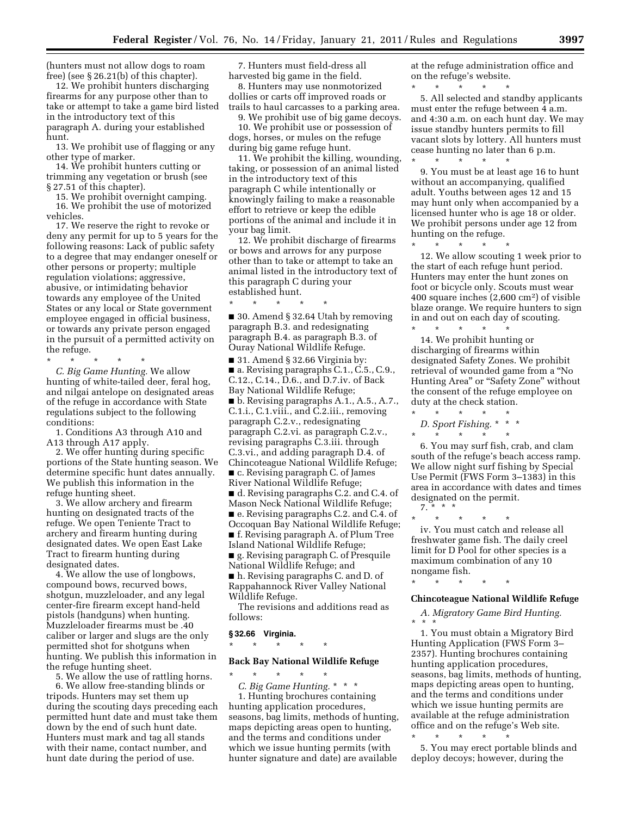(hunters must not allow dogs to roam free) (see § 26.21(b) of this chapter).

12. We prohibit hunters discharging firearms for any purpose other than to take or attempt to take a game bird listed in the introductory text of this paragraph A. during your established hunt.

13. We prohibit use of flagging or any other type of marker.

14. We prohibit hunters cutting or trimming any vegetation or brush (see § 27.51 of this chapter).

15. We prohibit overnight camping. 16. We prohibit the use of motorized vehicles.

17. We reserve the right to revoke or deny any permit for up to 5 years for the following reasons: Lack of public safety to a degree that may endanger oneself or other persons or property; multiple regulation violations; aggressive, abusive, or intimidating behavior towards any employee of the United States or any local or State government employee engaged in official business, or towards any private person engaged in the pursuit of a permitted activity on the refuge.

\* \* \* \* \* *C. Big Game Hunting.* We allow hunting of white-tailed deer, feral hog, and nilgai antelope on designated areas of the refuge in accordance with State regulations subject to the following conditions:

1. Conditions A3 through A10 and A13 through A17 apply.

2. We offer hunting during specific portions of the State hunting season. We determine specific hunt dates annually. We publish this information in the refuge hunting sheet.

3. We allow archery and firearm hunting on designated tracts of the refuge. We open Teniente Tract to archery and firearm hunting during designated dates. We open East Lake Tract to firearm hunting during designated dates.

4. We allow the use of longbows, compound bows, recurved bows, shotgun, muzzleloader, and any legal center-fire firearm except hand-held pistols (handguns) when hunting. Muzzleloader firearms must be .40 caliber or larger and slugs are the only permitted shot for shotguns when hunting. We publish this information in the refuge hunting sheet.

5. We allow the use of rattling horns. 6. We allow free-standing blinds or tripods. Hunters may set them up during the scouting days preceding each permitted hunt date and must take them down by the end of such hunt date. Hunters must mark and tag all stands with their name, contact number, and hunt date during the period of use.

7. Hunters must field-dress all harvested big game in the field.

8. Hunters may use nonmotorized dollies or carts off improved roads or trails to haul carcasses to a parking area.

9. We prohibit use of big game decoys.

10. We prohibit use or possession of dogs, horses, or mules on the refuge during big game refuge hunt.

11. We prohibit the killing, wounding, taking, or possession of an animal listed in the introductory text of this paragraph C while intentionally or knowingly failing to make a reasonable effort to retrieve or keep the edible portions of the animal and include it in your bag limit.

12. We prohibit discharge of firearms or bows and arrows for any purpose other than to take or attempt to take an animal listed in the introductory text of this paragraph C during your established hunt.

\* \* \* \* \* ■ 30. Amend § 32.64 Utah by removing paragraph B.3. and redesignating paragraph B.4. as paragraph B.3. of Ouray National Wildlife Refuge.

■ 31. Amend § 32.66 Virginia by: ■ a. Revising paragraphs C.1., C.5., C.9., C.12., C.14., D.6., and D.7.iv. of Back Bay National Wildlife Refuge; ■ b. Revising paragraphs A.1., A.5., A.7., C.1.i., C.1.viii., and C.2.iii., removing paragraph C.2.v., redesignating paragraph C.2.vi. as paragraph C.2.v., revising paragraphs C.3.iii. through C.3.vi., and adding paragraph D.4. of Chincoteague National Wildlife Refuge; ■ c. Revising paragraph C. of James River National Wildlife Refuge; ■ d. Revising paragraphs C.2. and C.4. of Mason Neck National Wildlife Refuge; ■ e. Revising paragraphs C.2. and C.4. of Occoquan Bay National Wildlife Refuge; ■ f. Revising paragraph A. of Plum Tree Island National Wildlife Refuge; ■ g. Revising paragraph C. of Presquile National Wildlife Refuge; and

■ h. Revising paragraphs C. and D. of Rappahannock River Valley National Wildlife Refuge.

The revisions and additions read as follows:

#### **§ 32.66 Virginia.**

\* \* \* \* \*

\* \* \* \* \*

# **Back Bay National Wildlife Refuge**

*C. Big Game Hunting.* \* \* \* 1. Hunting brochures containing hunting application procedures, seasons, bag limits, methods of hunting, maps depicting areas open to hunting, and the terms and conditions under which we issue hunting permits (with hunter signature and date) are available

at the refuge administration office and on the refuge's website.

\* \* \* \* \* 5. All selected and standby applicants must enter the refuge between 4 a.m. and 4:30 a.m. on each hunt day. We may issue standby hunters permits to fill vacant slots by lottery. All hunters must cease hunting no later than 6 p.m.

9. You must be at least age 16 to hunt without an accompanying, qualified adult. Youths between ages 12 and 15 may hunt only when accompanied by a licensed hunter who is age 18 or older. We prohibit persons under age 12 from hunting on the refuge.

\* \* \* \* \*

 $\star$   $\star$   $\star$ 

12. We allow scouting 1 week prior to the start of each refuge hunt period. Hunters may enter the hunt zones on foot or bicycle only. Scouts must wear 400 square inches (2,600 cm2) of visible blaze orange. We require hunters to sign in and out on each day of scouting.

\* \* \* \* \* 14. We prohibit hunting or discharging of firearms within designated Safety Zones. We prohibit retrieval of wounded game from a ''No Hunting Area" or "Safety Zone" without the consent of the refuge employee on duty at the check station.

 $\star$   $\qquad$   $\star$   $\qquad$   $\star$ *D. Sport Fishing.* \* \* \*

\* \* \* \* \* 6. You may surf fish, crab, and clam south of the refuge's beach access ramp.

We allow night surf fishing by Special Use Permit (FWS Form 3–1383) in this area in accordance with dates and times designated on the permit. 7. \* \* \*

\* \* \* \* \* iv. You must catch and release all freshwater game fish. The daily creel limit for D Pool for other species is a maximum combination of any 10 nongame fish.

\* \* \* \* \*

# **Chincoteague National Wildlife Refuge**

*A. Migratory Game Bird Hunting.*  \* \* \*

1. You must obtain a Migratory Bird Hunting Application (FWS Form 3– 2357). Hunting brochures containing hunting application procedures, seasons, bag limits, methods of hunting, maps depicting areas open to hunting, and the terms and conditions under which we issue hunting permits are available at the refuge administration office and on the refuge's Web site.

\* \* \* \* \* 5. You may erect portable blinds and deploy decoys; however, during the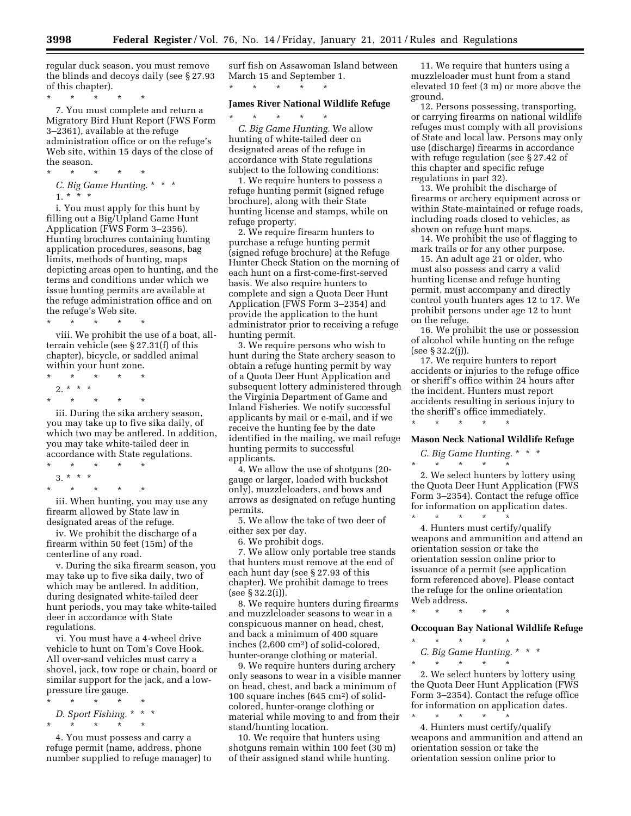regular duck season, you must remove the blinds and decoys daily (see § 27.93 of this chapter).

\* \* \* \* \* 7. You must complete and return a Migratory Bird Hunt Report (FWS Form 3–2361), available at the refuge administration office or on the refuge's Web site, within 15 days of the close of the season.

*C. Big Game Hunting.* \* \* \* 1. \* \* \*

\* \* \* \* \*

i. You must apply for this hunt by filling out a Big/Upland Game Hunt Application (FWS Form 3–2356). Hunting brochures containing hunting application procedures, seasons, bag limits, methods of hunting, maps depicting areas open to hunting, and the terms and conditions under which we issue hunting permits are available at the refuge administration office and on the refuge's Web site.

\* \* \* \* \* viii. We prohibit the use of a boat, allterrain vehicle (see § 27.31(f) of this chapter), bicycle, or saddled animal within your hunt zone.

- \* \* \* \* \*  $2. * * * *$
- \* \* \* \* \*

iii. During the sika archery season, you may take up to five sika daily, of which two may be antlered. In addition, you may take white-tailed deer in accordance with State regulations.

\* \* \* \* \* 3. \* \* \* \* \* \* \* \*

iii. When hunting, you may use any firearm allowed by State law in designated areas of the refuge.

iv. We prohibit the discharge of a firearm within 50 feet (15m) of the centerline of any road.

v. During the sika firearm season, you may take up to five sika daily, two of which may be antlered. In addition, during designated white-tailed deer hunt periods, you may take white-tailed deer in accordance with State regulations.

vi. You must have a 4-wheel drive vehicle to hunt on Tom's Cove Hook. All over-sand vehicles must carry a shovel, jack, tow rope or chain, board or similar support for the jack, and a lowpressure tire gauge.

\* \* \* \* \* *D. Sport Fishing.* \* \* \*  $\star$   $\qquad$   $\star$   $\qquad$   $\star$   $\qquad$   $\star$ 

4. You must possess and carry a refuge permit (name, address, phone number supplied to refuge manager) to surf fish on Assawoman Island between March 15 and September 1. \* \* \* \* \*

#### **James River National Wildlife Refuge**

\* \* \* \* \* *C. Big Game Hunting.* We allow hunting of white-tailed deer on designated areas of the refuge in accordance with State regulations subject to the following conditions:

1. We require hunters to possess a refuge hunting permit (signed refuge brochure), along with their State hunting license and stamps, while on refuge property.

2. We require firearm hunters to purchase a refuge hunting permit (signed refuge brochure) at the Refuge Hunter Check Station on the morning of each hunt on a first-come-first-served basis. We also require hunters to complete and sign a Quota Deer Hunt Application (FWS Form 3–2354) and provide the application to the hunt administrator prior to receiving a refuge hunting permit.

3. We require persons who wish to hunt during the State archery season to obtain a refuge hunting permit by way of a Quota Deer Hunt Application and subsequent lottery administered through the Virginia Department of Game and Inland Fisheries. We notify successful applicants by mail or e-mail, and if we receive the hunting fee by the date identified in the mailing, we mail refuge hunting permits to successful applicants.

4. We allow the use of shotguns (20 gauge or larger, loaded with buckshot only), muzzleloaders, and bows and arrows as designated on refuge hunting permits.

5. We allow the take of two deer of either sex per day.

6. We prohibit dogs.

7. We allow only portable tree stands that hunters must remove at the end of each hunt day (see § 27.93 of this chapter). We prohibit damage to trees (see § 32.2(i)).

8. We require hunters during firearms and muzzleloader seasons to wear in a conspicuous manner on head, chest, and back a minimum of 400 square inches (2,600 cm2) of solid-colored, hunter-orange clothing or material.

9. We require hunters during archery only seasons to wear in a visible manner on head, chest, and back a minimum of 100 square inches (645 cm2) of solidcolored, hunter-orange clothing or material while moving to and from their stand/hunting location.

10. We require that hunters using shotguns remain within 100 feet (30 m) of their assigned stand while hunting.

11. We require that hunters using a muzzleloader must hunt from a stand elevated 10 feet (3 m) or more above the ground.

12. Persons possessing, transporting, or carrying firearms on national wildlife refuges must comply with all provisions of State and local law. Persons may only use (discharge) firearms in accordance with refuge regulation (see § 27.42 of this chapter and specific refuge regulations in part 32).

13. We prohibit the discharge of firearms or archery equipment across or within State-maintained or refuge roads, including roads closed to vehicles, as shown on refuge hunt maps.

14. We prohibit the use of flagging to mark trails or for any other purpose.

15. An adult age 21 or older, who must also possess and carry a valid hunting license and refuge hunting permit, must accompany and directly control youth hunters ages 12 to 17. We prohibit persons under age 12 to hunt on the refuge.

16. We prohibit the use or possession of alcohol while hunting on the refuge (see § 32.2(j)).

17. We require hunters to report accidents or injuries to the refuge office or sheriff's office within 24 hours after the incident. Hunters must report accidents resulting in serious injury to the sheriff's office immediately. \* \* \* \* \*

#### **Mason Neck National Wildlife Refuge**

*C. Big Game Hunting.* \* \* \* \* \* \* \* \*

2. We select hunters by lottery using the Quota Deer Hunt Application (FWS Form 3–2354). Contact the refuge office for information on application dates. \* \* \* \* \*

4. Hunters must certify/qualify weapons and ammunition and attend an orientation session or take the orientation session online prior to issuance of a permit (see application form referenced above). Please contact the refuge for the online orientation Web address.

\* \* \* \* \*

#### **Occoquan Bay National Wildlife Refuge**

 $\star$   $\qquad$   $\star$   $\qquad$   $\star$   $\qquad$   $\star$ *C. Big Game Hunting.* \* \* \*

\* \* \* \* \*

2. We select hunters by lottery using the Quota Deer Hunt Application (FWS Form 3–2354). Contact the refuge office for information on application dates. \* \* \* \* \*

4. Hunters must certify/qualify weapons and ammunition and attend an orientation session or take the orientation session online prior to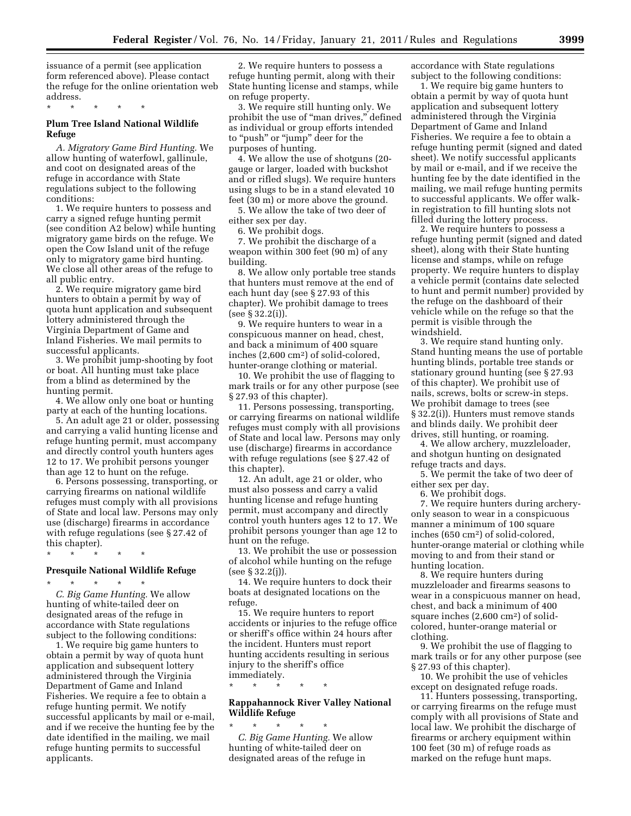issuance of a permit (see application form referenced above). Please contact the refuge for the online orientation web address.

\* \* \* \* \*

# **Plum Tree Island National Wildlife Refuge**

*A. Migratory Game Bird Hunting.* We allow hunting of waterfowl, gallinule, and coot on designated areas of the refuge in accordance with State regulations subject to the following conditions:

1. We require hunters to possess and carry a signed refuge hunting permit (see condition A2 below) while hunting migratory game birds on the refuge. We open the Cow Island unit of the refuge only to migratory game bird hunting. We close all other areas of the refuge to all public entry.

2. We require migratory game bird hunters to obtain a permit by way of quota hunt application and subsequent lottery administered through the Virginia Department of Game and Inland Fisheries. We mail permits to successful applicants.

3. We prohibit jump-shooting by foot or boat. All hunting must take place from a blind as determined by the hunting permit.

4. We allow only one boat or hunting party at each of the hunting locations.

5. An adult age 21 or older, possessing and carrying a valid hunting license and refuge hunting permit, must accompany and directly control youth hunters ages 12 to 17. We prohibit persons younger than age 12 to hunt on the refuge.

6. Persons possessing, transporting, or carrying firearms on national wildlife refuges must comply with all provisions of State and local law. Persons may only use (discharge) firearms in accordance with refuge regulations (see § 27.42 of this chapter).

\* \* \* \* \*

# **Presquile National Wildlife Refuge**

\* \* \* \* \* *C. Big Game Hunting.* We allow hunting of white-tailed deer on designated areas of the refuge in accordance with State regulations subject to the following conditions:

1. We require big game hunters to obtain a permit by way of quota hunt application and subsequent lottery administered through the Virginia Department of Game and Inland Fisheries. We require a fee to obtain a refuge hunting permit. We notify successful applicants by mail or e-mail, and if we receive the hunting fee by the date identified in the mailing, we mail refuge hunting permits to successful applicants.

2. We require hunters to possess a refuge hunting permit, along with their State hunting license and stamps, while on refuge property.

3. We require still hunting only. We prohibit the use of "man drives," defined as individual or group efforts intended to "push" or "jump" deer for the purposes of hunting.

4. We allow the use of shotguns (20 gauge or larger, loaded with buckshot and or rifled slugs). We require hunters using slugs to be in a stand elevated 10 feet (30 m) or more above the ground.

5. We allow the take of two deer of either sex per day.

6. We prohibit dogs.

7. We prohibit the discharge of a weapon within 300 feet (90 m) of any building.

8. We allow only portable tree stands that hunters must remove at the end of each hunt day (see § 27.93 of this chapter). We prohibit damage to trees (see § 32.2(i)).

9. We require hunters to wear in a conspicuous manner on head, chest, and back a minimum of 400 square inches (2,600 cm2) of solid-colored, hunter-orange clothing or material.

10. We prohibit the use of flagging to mark trails or for any other purpose (see § 27.93 of this chapter).

11. Persons possessing, transporting, or carrying firearms on national wildlife refuges must comply with all provisions of State and local law. Persons may only use (discharge) firearms in accordance with refuge regulations (see § 27.42 of this chapter).

12. An adult, age 21 or older, who must also possess and carry a valid hunting license and refuge hunting permit, must accompany and directly control youth hunters ages 12 to 17. We prohibit persons younger than age 12 to hunt on the refuge.

13. We prohibit the use or possession of alcohol while hunting on the refuge (see § 32.2(j)).

14. We require hunters to dock their boats at designated locations on the refuge.

15. We require hunters to report accidents or injuries to the refuge office or sheriff's office within 24 hours after the incident. Hunters must report hunting accidents resulting in serious injury to the sheriff's office immediately.

\* \* \* \* \*

# **Rappahannock River Valley National Wildlife Refuge**

\* \* \* \* \* *C. Big Game Hunting.* We allow hunting of white-tailed deer on designated areas of the refuge in

accordance with State regulations subject to the following conditions:

1. We require big game hunters to obtain a permit by way of quota hunt application and subsequent lottery administered through the Virginia Department of Game and Inland Fisheries. We require a fee to obtain a refuge hunting permit (signed and dated sheet). We notify successful applicants by mail or e-mail, and if we receive the hunting fee by the date identified in the mailing, we mail refuge hunting permits to successful applicants. We offer walkin registration to fill hunting slots not filled during the lottery process.

2. We require hunters to possess a refuge hunting permit (signed and dated sheet), along with their State hunting license and stamps, while on refuge property. We require hunters to display a vehicle permit (contains date selected to hunt and permit number) provided by the refuge on the dashboard of their vehicle while on the refuge so that the permit is visible through the windshield.

3. We require stand hunting only. Stand hunting means the use of portable hunting blinds, portable tree stands or stationary ground hunting (see § 27.93 of this chapter). We prohibit use of nails, screws, bolts or screw-in steps. We prohibit damage to trees (see § 32.2(i)). Hunters must remove stands and blinds daily. We prohibit deer drives, still hunting, or roaming.

4. We allow archery, muzzleloader, and shotgun hunting on designated refuge tracts and days.

5. We permit the take of two deer of either sex per day.

6. We prohibit dogs.

7. We require hunters during archeryonly season to wear in a conspicuous manner a minimum of 100 square inches (650 cm2) of solid-colored, hunter-orange material or clothing while moving to and from their stand or hunting location.

8. We require hunters during muzzleloader and firearms seasons to wear in a conspicuous manner on head, chest, and back a minimum of 400 square inches (2,600 cm2) of solidcolored, hunter-orange material or clothing.

9. We prohibit the use of flagging to mark trails or for any other purpose (see § 27.93 of this chapter).

10. We prohibit the use of vehicles except on designated refuge roads.

11. Hunters possessing, transporting, or carrying firearms on the refuge must comply with all provisions of State and local law. We prohibit the discharge of firearms or archery equipment within 100 feet (30 m) of refuge roads as marked on the refuge hunt maps.